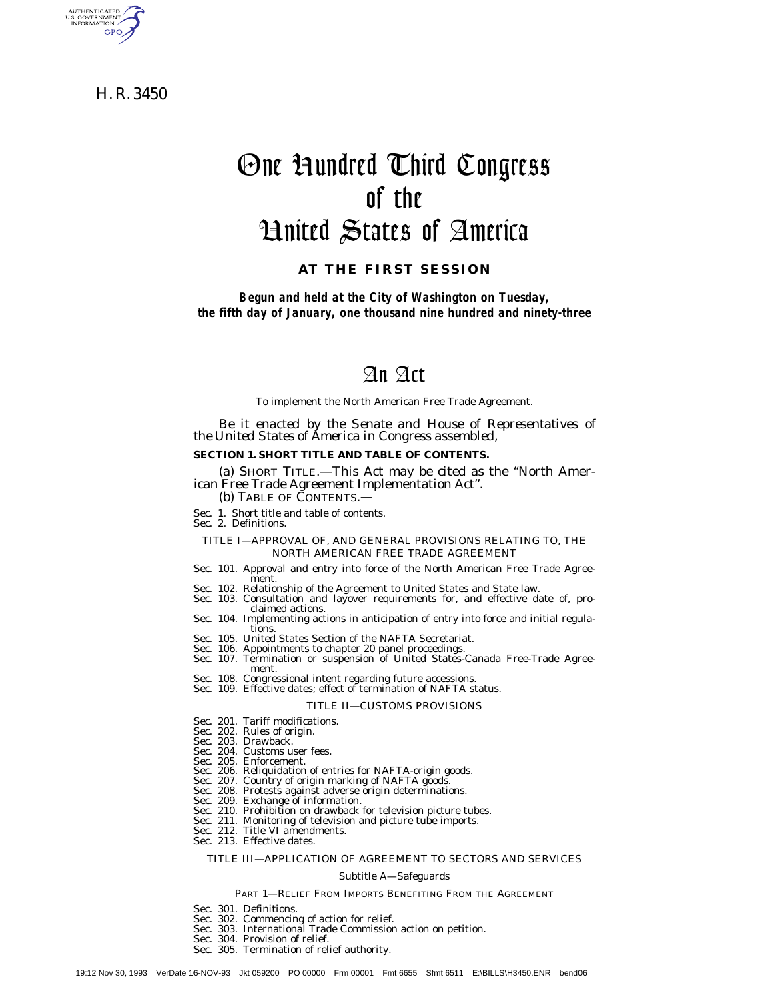H. R. 3450

AUTHENTICATED GPO<sub>2</sub>

# One Hundred Third Congress of the United States of America

## **AT THE FIRST SESSION**

*Begun and held at the City of Washington on Tuesday, the fifth day of January, one thousand nine hundred and ninety-three*

# An Act

To implement the North American Free Trade Agreement.

*Be it enacted by the Senate and House of Representatives of the United States of America in Congress assembled,*

## **SECTION 1. SHORT TITLE AND TABLE OF CONTENTS.**

(a) SHORT TITLE.—This Act may be cited as the "North Amer-<br>ican Free Trade Agreement Implementation Act".<br>(b) TABLE OF CONTENTS.—

- 
- Sec. 1. Short title and table of contents.

Sec. 2. Definitions.

#### TITLE I—APPROVAL OF, AND GENERAL PROVISIONS RELATING TO, THE NORTH AMERICAN FREE TRADE AGREEMENT

- Sec. 101. Approval and entry into force of the North American Free Trade Agreement.
- Sec. 102. Relationship of the Agreement to United States and State law. Sec. 103. Consultation and layover requirements for, and effective date of, pro-
- claimed actions.
- Sec. 104. Implementing actions in anticipation of entry into force and initial regulations. Sec. 105. United States Section of the NAFTA Secretariat.
- 
- 
- Sec. 106. Appointments to chapter 20 panel proceedings. Sec. 107. Termination or suspension of United States-Canada Free-Trade Agreement.
- Sec. 108. Congressional intent regarding future accessions. Sec. 109. Effective dates; effect of termination of NAFTA status.
- 

#### TITLE II—CUSTOMS PROVISIONS

- 
- 
- 
- Sec. 201. Tariff modifications. Sec. 202. Rules of origin. Sec. 203. Drawback. Sec. 204. Customs user fees.
- 
- Sec. 205. Enforcement. Sec. 206. Reliquidation of entries for NAFTA-origin goods. Sec. 207. Country of origin marking of NAFTA goods. Sec. 208. Protests against adverse origin determinations.
- 
- 
- 
- Sec. 209. Exchange of information.<br>Sec. 210. Prohibition on drawback for television picture tubes.
- Sec. 211. Monitoring of television and picture tube imports. Sec. 212. Title VI amendments.
- Sec. 213. Effective dates.

#### TITLE III—APPLICATION OF AGREEMENT TO SECTORS AND SERVICES

#### Subtitle A—Safeguards

#### PART 1—RELIEF FROM IMPORTS BENEFITING FROM THE AGREEMENT

- Sec. 301. Definitions.
- Sec. 302. Commencing of action for relief.
- Sec. 303. International Trade Commission action on petition.
- Sec. 304. Provision of relief.
- Sec. 305. Termination of relief authority.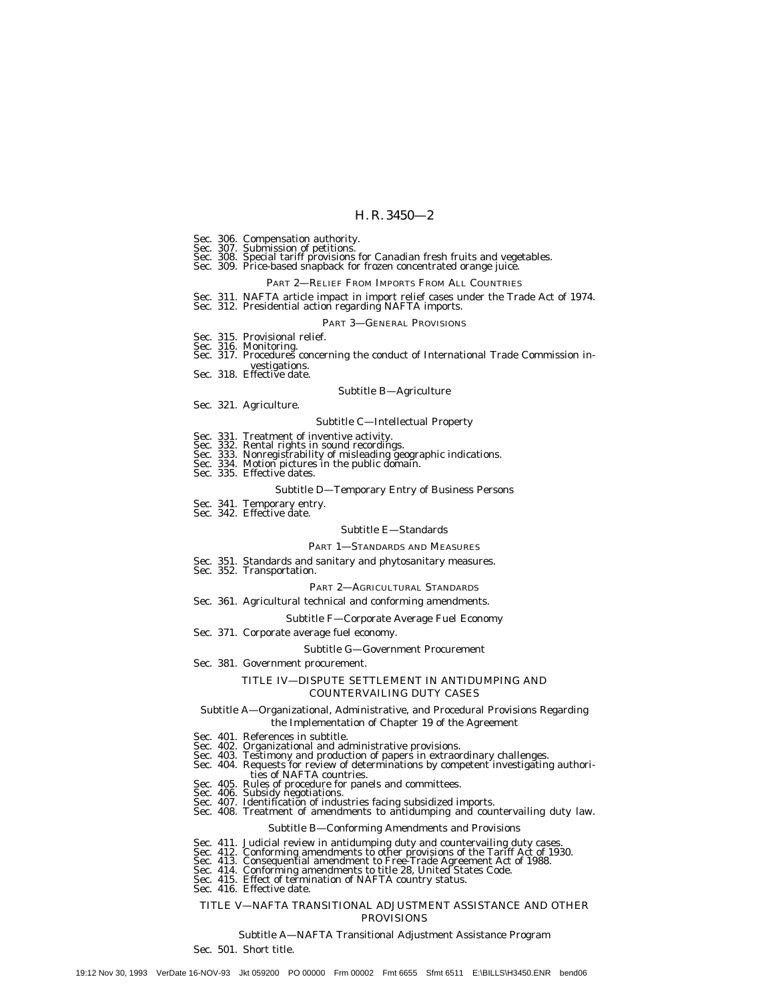- 
- 
- Sec. 306. Compensation authority.<br>Sec. 307. Submission of petitions.<br>Sec. 308. Special tariff provisions for Canadian fresh fruits and vegetables.<br>Sec. 309. Price-based snapback for frozen concentrated orange juice.

#### PART 2—RELIEF FROM IMPORTS FROM ALL COUNTRIES

- Sec. 311. NAFTA article impact in import relief cases under the Trade Act of 1974. Sec. 312. Presidential action regarding NAFTA imports.
- 

#### PART 3—GENERAL PROVISIONS

- Sec. 315. Provisional relief.
- 
- Sec. 316. Monitoring.<br>Sec. 317. Procedures concerning the conduct of International Trade Commission in-<br>vestigations.
- Sec. 318. Effective date.

#### Subtitle B—Agriculture

#### Sec. 321. Agriculture.

#### Subtitle C—Intellectual Property

- 
- 
- Sec. 331. Treatment of inventive activity.<br>Sec. 332. Rental rights in sound recordings.<br>Sec. 333. Nonregistrability of misleading geographic indications.<br>Sec. 334. Motion pictures in the public domain.<br>Sec. 335. Effective
- 
- 

#### Subtitle D—Temporary Entry of Business Persons

Sec. 341. Temporary entry. Sec. 342. Effective date.

#### Subtitle E—Standards

#### PART 1—STANDARDS AND MEASURES

- Sec. 351. Standards and sanitary and phytosanitary measures. Sec. 352. Transportation.
- 

#### PART 2—AGRICULTURAL STANDARDS

Sec. 361. Agricultural technical and conforming amendments.

## Subtitle F—Corporate Average Fuel Economy

Sec. 371. Corporate average fuel economy.

#### Subtitle G—Government Procurement

Sec. 381. Government procurement.

#### TITLE IV—DISPUTE SETTLEMENT IN ANTIDUMPING AND COUNTERVAILING DUTY CASES

#### Subtitle A—Organizational, Administrative, and Procedural Provisions Regarding the Implementation of Chapter 19 of the Agreement

- 
- 
- 
- Sec. 401. References in subtitle.<br>Sec. 402. Organizational and administrative provisions.<br>Sec. 403. Testimony and production of papers in extraordinary challenges.<br>Sec. 404. Requests for review of determinations by compete ties of NAFTA countries.<br>Rules of procedure for panels and committees.
- 
- 
- 
- Sec. 405. Rules of procedure for panels and committees.<br>Sec. 406. Subsidy negotiations.<br>Sec. 407. Identification of industries facing subsidized imports.<br>Sec. 408. Treatment of amendments to antidumping and countervailing

#### Subtitle B—Conforming Amendments and Provisions

- Sec. 411. Judicial review in antidumping duty and countervailing duty cases.<br>Sec. 412. Conforming amendments to other provisions of the Tariff Act of 1930.<br>Sec. 413. Consequential amendment to Free-Trade Agreement Act of 1
- 
- 
- 
- 
- 

#### TITLE V—NAFTA TRANSITIONAL ADJUSTMENT ASSISTANCE AND OTHER PROVISIONS

#### Subtitle A—NAFTA Transitional Adjustment Assistance Program

Sec. 501. Short title.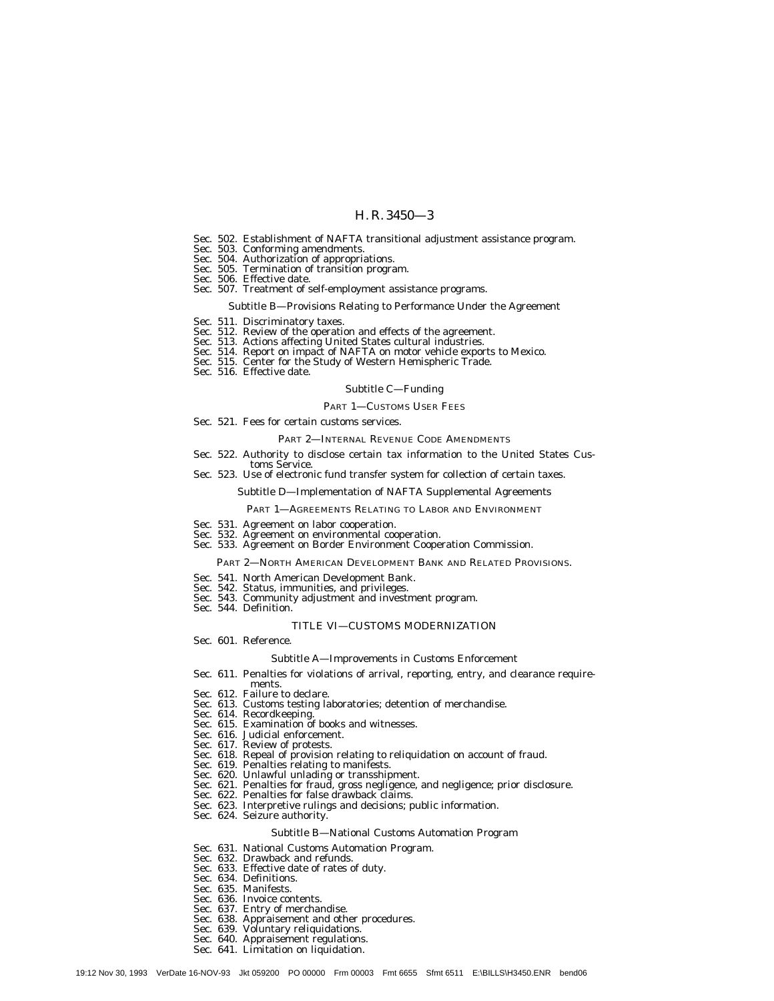- Sec. 502. Establishment of NAFTA transitional adjustment assistance program.
- 
- Sec. 503. Conforming amendments. Sec. 504. Authorization of appropriations.
- Sec. 505. Termination of transition program. Sec. 506. Effective date.
- 
- Sec. 507. Treatment of self-employment assistance programs.

#### Subtitle B—Provisions Relating to Performance Under the Agreement

- Sec. 511. Discriminatory taxes.
- Sec. 512. Review of the operation and effects of the agreement.
- Sec. 513. Actions affecting United States cultural industries.
- Sec. 514. Report on impact of NAFTA on motor vehicle exports to Mexico.
- Sec. 515. Center for the Study of Western Hemispheric Trade.
- Sec. 516. Effective date.

#### Subtitle C—Funding

#### PART 1—CUSTOMS USER FEES

Sec. 521. Fees for certain customs services.

#### PART 2—INTERNAL REVENUE CODE AMENDMENTS

- Sec. 522. Authority to disclose certain tax information to the United States Customs Service.
- Sec. 523. Use of electronic fund transfer system for collection of certain taxes.

#### Subtitle D—Implementation of NAFTA Supplemental Agreements

#### PART 1—AGREEMENTS RELATING TO LABOR AND ENVIRONMENT

- Sec. 531. Agreement on labor cooperation.
- Sec. 532. Agreement on environmental cooperation.
- Sec. 533. Agreement on Border Environment Cooperation Commission.
- PART 2—NORTH AMERICAN DEVELOPMENT BANK AND RELATED PROVISIONS.
- Sec. 541. North American Development Bank.
- Sec. 542. Status, immunities, and privileges.
- Sec. 543. Community adjustment and investment program.
- Sec. 544. Definition.

#### TITLE VI—CUSTOMS MODERNIZATION

Sec. 601. Reference.

#### Subtitle A—Improvements in Customs Enforcement

- Sec. 611. Penalties for violations of arrival, reporting, entry, and clearance requirements.
- Sec. 612. Failure to declare.
- Sec. 613. Customs testing laboratories; detention of merchandise.
- Sec. 614. Recordkeeping.
- Sec. 615. Examination of books and witnesses.
- Sec. 616. Judicial enforcement.
- Sec. 617. Review of protests.
- Sec. 618. Repeal of provision relating to reliquidation on account of fraud.
- Sec. 619. Penalties relating to manifests.
- Sec. 620. Unlawful unlading or transshipment.
- Sec. 621. Penalties for fraud, gross negligence, and negligence; prior disclosure.
- Sec. 622. Penalties for false drawback claims.
- Sec. 623. Interpretive rulings and decisions; public information.
- Sec. 624. Seizure authority.

#### Subtitle B—National Customs Automation Program

- Sec. 631. National Customs Automation Program.
- Sec. 632. Drawback and refunds.
- Sec. 633. Effective date of rates of duty.
- Sec. 634. Definitions.
- Sec. 635. Manifests.
- Sec. 636. Invoice contents.
- Sec. 637. Entry of merchandise.
- Sec. 638. Appraisement and other procedures.
- Sec. 639. Voluntary reliquidations.
- Sec. 640. Appraisement regulations.
- Sec. 641. Limitation on liquidation.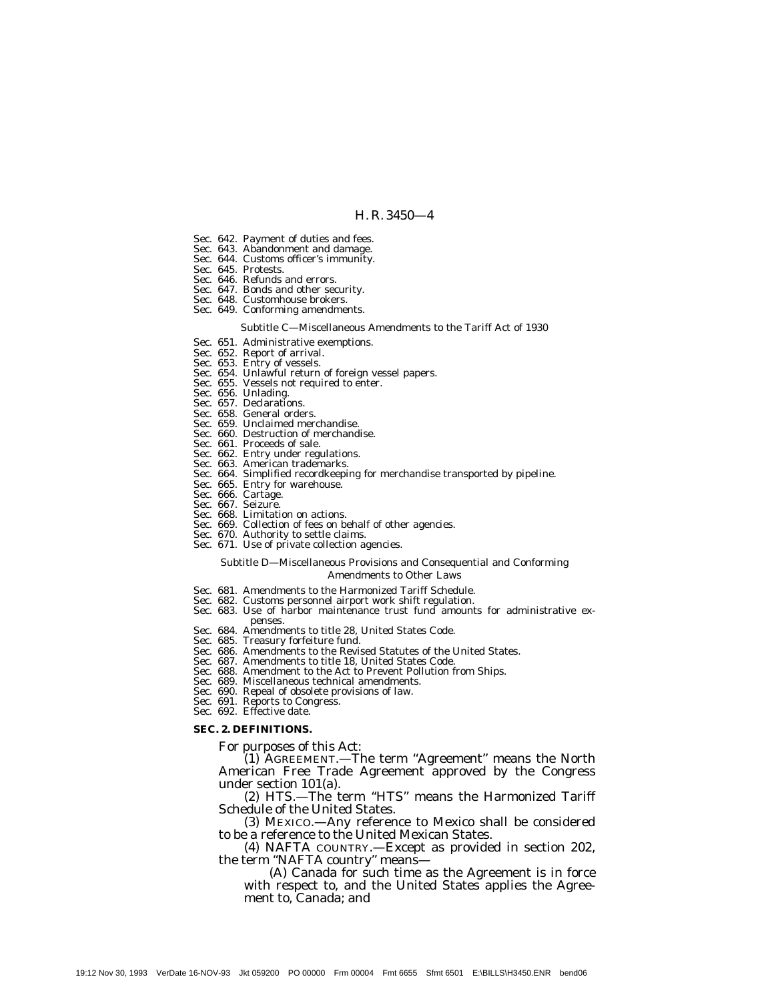- Sec. 642. Payment of duties and fees.
- Sec. 643. Abandonment and damage.
- Sec. 644. Customs officer's immunity.
- Sec. 645. Protests.
- Sec. 646. Refunds and errors.
- Sec. 647. Bonds and other security.
- Sec. 648. Customhouse brokers.
- Sec. 649. Conforming amendments.

#### Subtitle C—Miscellaneous Amendments to the Tariff Act of 1930

- Sec. 651. Administrative exemptions.
- Sec. 652. Report of arrival.
- Sec. 653. Entry of vessels.
- Sec. 654. Unlawful return of foreign vessel papers.
- Sec. 655. Vessels not required to enter.
- Sec. 656. Unlading.
- Sec. 657. Declarations.
- Sec. 658. General orders.
- Sec. 659. Unclaimed merchandise. Sec. 660. Destruction of merchandise.
- Sec. 661. Proceeds of sale.
- Sec. 662. Entry under regulations.
- Sec. 663. American trademarks.
- Sec. 664. Simplified recordkeeping for merchandise transported by pipeline.
- Sec. 665. Entry for warehouse.
- Sec. 666. Cartage.
- Sec. 667. Seizure.
- Sec. 668. Limitation on actions.
- Sec. 669. Collection of fees on behalf of other agencies.
- Sec. 670. Authority to settle claims.
- Sec. 671. Use of private collection agencies.

#### Subtitle D—Miscellaneous Provisions and Consequential and Conforming

- Amendments to Other Laws
- Sec. 681. Amendments to the Harmonized Tariff Schedule.
- Sec. 682. Customs personnel airport work shift regulation.
- Sec. 683. Use of harbor maintenance trust fund amounts for administrative expenses.
- Sec. 684. Amendments to title 28, United States Code.
- Sec. 685. Treasury forfeiture fund.
- Sec. 686. Amendments to the Revised Statutes of the United States.
- Sec. 687. Amendments to title 18, United States Code.
- Sec. 688. Amendment to the Act to Prevent Pollution from Ships.
- Sec. 689. Miscellaneous technical amendments.
- Sec. 690. Repeal of obsolete provisions of law.
- Sec. 691. Reports to Congress. Sec. 692. Effective date.

## **SEC. 2. DEFINITIONS.**

For purposes of this Act:<br>(1) AGREEMENT.—The term "Agreement" means the North American Free Trade Agreement approved by the Congress under section 101(a).

(2) HTS.—The term "HTS" means the Harmonized Tariff Schedule of the United States.

(3) MEXICO.—Any reference to Mexico shall be considered to be a reference to the United Mexican States.

(4) NAFTA COUNTRY.—Except as provided in section 202, the term ''NAFTA country'' means—

(A) Canada for such time as the Agreement is in force with respect to, and the United States applies the Agreement to, Canada; and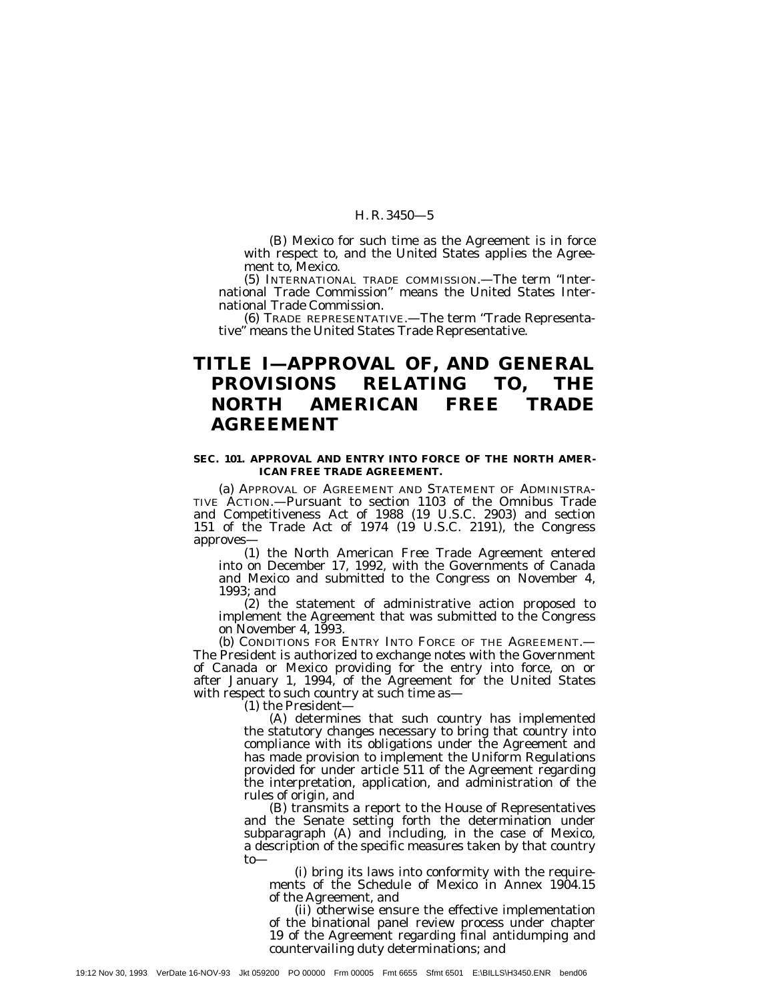(B) Mexico for such time as the Agreement is in force with respect to, and the United States applies the Agreement to, Mexico.

(5) INTERNATIONAL TRADE COMMISSION.—The term ''International Trade Commission'' means the United States International Trade Commission.

(6) TRADE REPRESENTATIVE.—The term ''Trade Representative'' means the United States Trade Representative.

# **TITLE I—APPROVAL OF, AND GENERAL PROVISIONS RELATING TO, THE NORTH AMERICAN FREE TRADE AGREEMENT**

#### **SEC. 101. APPROVAL AND ENTRY INTO FORCE OF THE NORTH AMER-ICAN FREE TRADE AGREEMENT.**

(a) APPROVAL OF AGREEMENT AND STATEMENT OF ADMINISTRA-TIVE ACTION.—Pursuant to section 1103 of the Omnibus Trade and Competitiveness Act of 1988 (19 U.S.C. 2903) and section 151 of the Trade Act of 1974 (19 U.S.C. 2191), the Congress approves—

(1) the North American Free Trade Agreement entered into on December 17, 1992, with the Governments of Canada and Mexico and submitted to the Congress on November 4, 1993; and

(2) the statement of administrative action proposed to implement the Agreement that was submitted to the Congress on November 4, 1993.

(b) CONDITIONS FOR ENTRY INTO FORCE OF THE AGREEMENT.— The President is authorized to exchange notes with the Government of Canada or Mexico providing for the entry into force, on or after January 1, 1994, of the Agreement for the United States with respect to such country at such time as—

(1) the President—

(A) determines that such country has implemented the statutory changes necessary to bring that country into compliance with its obligations under the Agreement and has made provision to implement the Uniform Regulations provided for under article 511 of the Agreement regarding the interpretation, application, and administration of the rules of origin, and

(B) transmits a report to the House of Representatives and the Senate setting forth the determination under subparagraph (A) and including, in the case of Mexico, a description of the specific measures taken by that country to—

(i) bring its laws into conformity with the requirements of the Schedule of Mexico in Annex 1904.15 of the Agreement, and

(ii) otherwise ensure the effective implementation of the binational panel review process under chapter 19 of the Agreement regarding final antidumping and countervailing duty determinations; and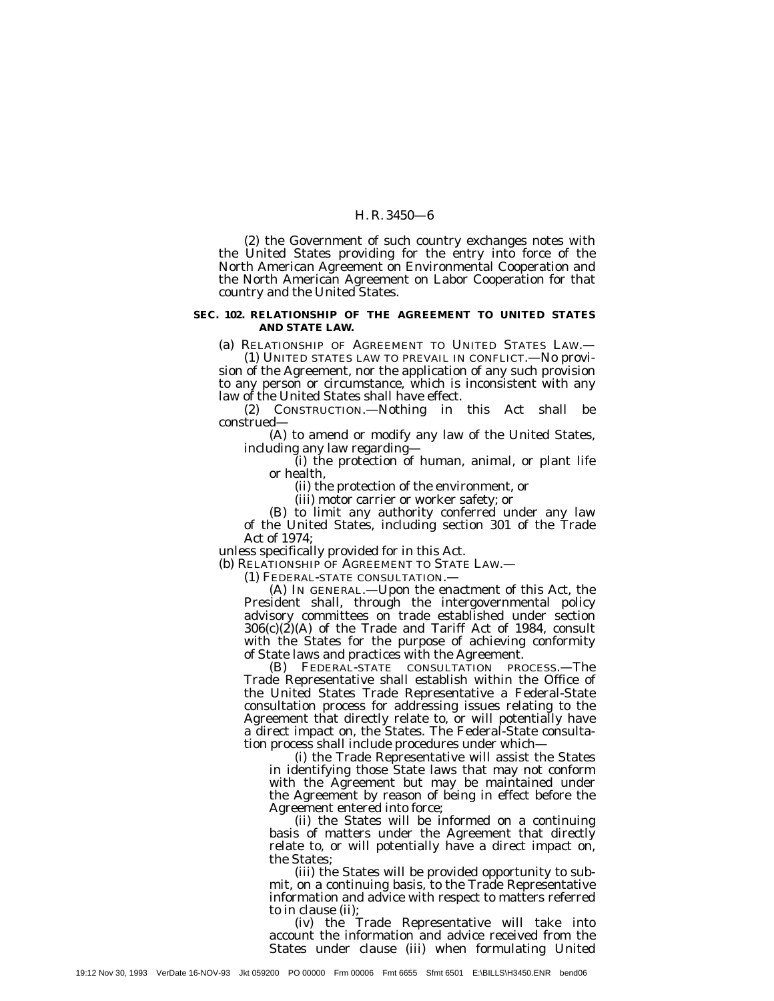(2) the Government of such country exchanges notes with the United States providing for the entry into force of the North American Agreement on Environmental Cooperation and the North American Agreement on Labor Cooperation for that country and the United States.

#### **SEC. 102. RELATIONSHIP OF THE AGREEMENT TO UNITED STATES AND STATE LAW.**

(a) RELATIONSHIP OF AGREEMENT TO UNITED STATES LAW.—

(1) UNITED STATES LAW TO PREVAIL IN CONFLICT.—No provision of the Agreement, nor the application of any such provision to any person or circumstance, which is inconsistent with any law of the United States shall have effect.

(2) CONSTRUCTION.—Nothing in this Act shall be construed—

(A) to amend or modify any law of the United States, including any law regarding—

(i) the protection of human, animal, or plant life or health,

(ii) the protection of the environment, or

(iii) motor carrier or worker safety; or

(B) to limit any authority conferred under any law of the United States, including section 301 of the Trade Act of 1974;

unless specifically provided for in this Act.

(b) RELATIONSHIP OF AGREEMENT TO STATE LAW.—

(1) FEDERAL-STATE CONSULTATION.—

(A) IN GENERAL.—Upon the enactment of this Act, the President shall, through the intergovernmental policy advisory committees on trade established under section  $306(c)(2)$ (A) of the Trade and Tariff Act of 1984, consult with the States for the purpose of achieving conformity of State laws and practices with the Agreement.

(B) FEDERAL-STATE CONSULTATION PROCESS.—The Trade Representative shall establish within the Office of the United States Trade Representative a Federal-State consultation process for addressing issues relating to the Agreement that directly relate to, or will potentially have a direct impact on, the States. The Federal-State consultation process shall include procedures under which—

(i) the Trade Representative will assist the States in identifying those State laws that may not conform with the Agreement but may be maintained under the Agreement by reason of being in effect before the Agreement entered into force;

(ii) the States will be informed on a continuing basis of matters under the Agreement that directly relate to, or will potentially have a direct impact on, the States;

(iii) the States will be provided opportunity to submit, on a continuing basis, to the Trade Representative information and advice with respect to matters referred to in clause (ii);

(iv) the Trade Representative will take into account the information and advice received from the States under clause (iii) when formulating United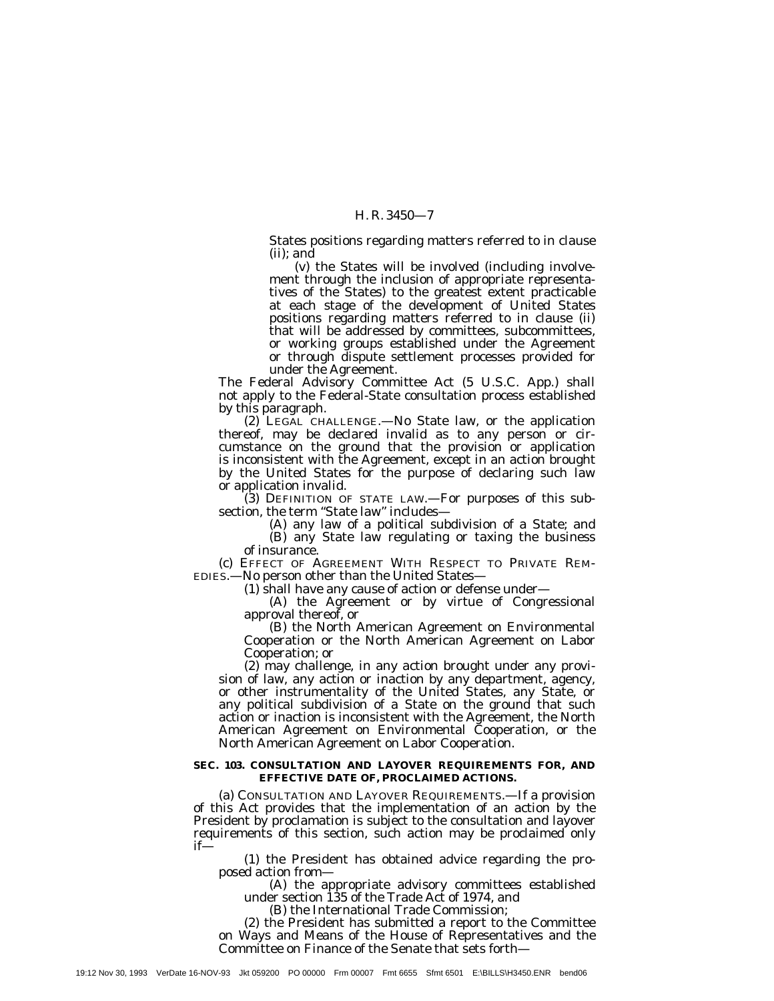States positions regarding matters referred to in clause (ii); and

(v) the States will be involved (including involvement through the inclusion of appropriate representatives of the States) to the greatest extent practicable at each stage of the development of United States positions regarding matters referred to in clause (ii) that will be addressed by committees, subcommittees, or working groups established under the Agreement or through dispute settlement processes provided for under the Agreement.

The Federal Advisory Committee Act (5 U.S.C. App.) shall not apply to the Federal-State consultation process established by this paragraph.

(2) LEGAL CHALLENGE.—No State law, or the application thereof, may be declared invalid as to any person or circumstance on the ground that the provision or application is inconsistent with the Agreement, except in an action brought by the United States for the purpose of declaring such law or application invalid.

(3) DEFINITION OF STATE LAW.—For purposes of this subsection, the term "State law" includes-

(A) any law of a political subdivision of a State; and

(B) any State law regulating or taxing the business of insurance.

(c) EFFECT OF AGREEMENT WITH RESPECT TO PRIVATE REM-EDIES.—No person other than the United States—

(1) shall have any cause of action or defense under—

(A) the Agreement or by virtue of Congressional approval thereof, or

(B) the North American Agreement on Environmental Cooperation or the North American Agreement on Labor Cooperation; or

(2) may challenge, in any action brought under any provision of law, any action or inaction by any department, agency, or other instrumentality of the United States, any State, or any political subdivision of a State on the ground that such action or inaction is inconsistent with the Agreement, the North American Agreement on Environmental Cooperation, or the North American Agreement on Labor Cooperation.

#### **SEC. 103. CONSULTATION AND LAYOVER REQUIREMENTS FOR, AND EFFECTIVE DATE OF, PROCLAIMED ACTIONS.**

(a) CONSULTATION AND LAYOVER REQUIREMENTS.—If a provision of this Act provides that the implementation of an action by the President by proclamation is subject to the consultation and layover requirements of this section, such action may be proclaimed only if—

(1) the President has obtained advice regarding the proposed action from—

(A) the appropriate advisory committees established under section 135 of the Trade Act of 1974, and

(B) the International Trade Commission;

(2) the President has submitted a report to the Committee on Ways and Means of the House of Representatives and the Committee on Finance of the Senate that sets forth—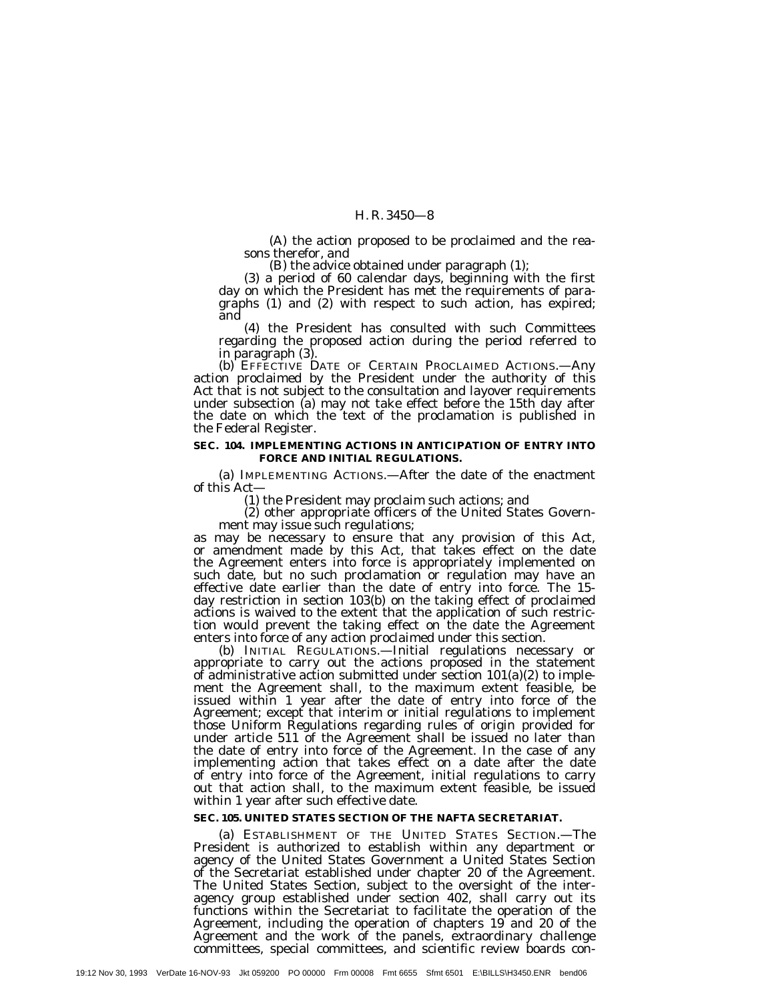(A) the action proposed to be proclaimed and the reasons therefor, and<br>(B) the advice obtained under paragraph (1);

(3) a period of 60 calendar days, beginning with the first day on which the President has met the requirements of paragraphs (1) and (2) with respect to such action, has expired; and

(4) the President has consulted with such Committees regarding the proposed action during the period referred to in paragraph (3).

(b) EFFECTIVE DATE OF CERTAIN PROCLAIMED ACTIONS.—Any action proclaimed by the President under the authority of this Act that is not subject to the consultation and layover requirements under subsection (a) may not take effect before the 15th day after the date on which the text of the proclamation is published in the Federal Register.

#### **SEC. 104. IMPLEMENTING ACTIONS IN ANTICIPATION OF ENTRY INTO FORCE AND INITIAL REGULATIONS.**

(a) IMPLEMENTING ACTIONS.—After the date of the enactment of this Act—

(1) the President may proclaim such actions; and<br>(2) other appropriate officers of the United States Govern-

ment may issue such regulations; as may be necessary to ensure that any provision of this Act, or amendment made by this Act, that takes effect on the date the Agreement enters into force is appropriately implemented on such date, but no such proclamation or regulation may have an effective date earlier than the date of entry into force. The 15 day restriction in section 103(b) on the taking effect of proclaimed actions is waived to the extent that the application of such restriction would prevent the taking effect on the date the Agreement enters into force of any action proclaimed under this section.

(b) INITIAL REGULATIONS.—Initial regulations necessary or appropriate to carry out the actions proposed in the statement of administrative action submitted under section 101(a)(2) to implement the Agreement shall, to the maximum extent feasible, be issued within 1 year after the date of entry into force of the Agreement; except that interim or initial regulations to implement those Uniform Regulations regarding rules of origin provided for under article 511 of the Agreement shall be issued no later than the date of entry into force of the Agreement. In the case of any implementing action that takes effect on a date after the date of entry into force of the Agreement, initial regulations to carry out that action shall, to the maximum extent feasible, be issued within 1 year after such effective date.

#### **SEC. 105. UNITED STATES SECTION OF THE NAFTA SECRETARIAT.**

(a) ESTABLISHMENT OF THE UNITED STATES SECTION.—The President is authorized to establish within any department or agency of the United States Government a United States Section of the Secretariat established under chapter 20 of the Agreement. The United States Section, subject to the oversight of the interagency group established under section 402, shall carry out its functions within the Secretariat to facilitate the operation of the Agreement, including the operation of chapters 19 and 20 of the Agreement and the work of the panels, extraordinary challenge committees, special committees, and scientific review boards con-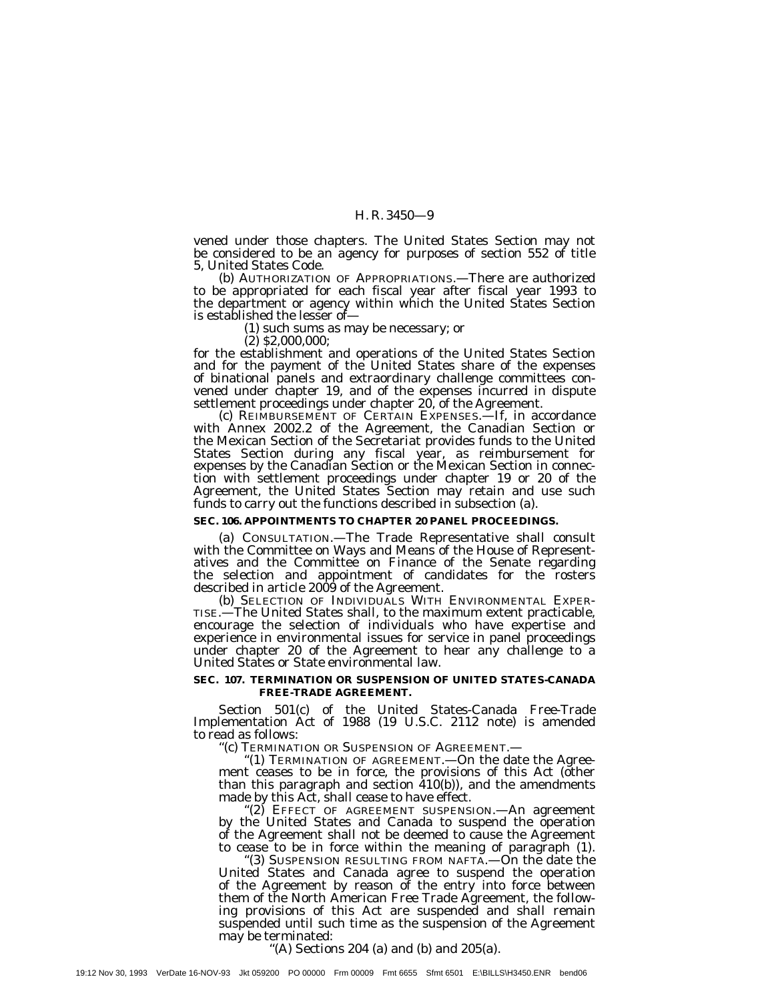vened under those chapters. The United States Section may not be considered to be an agency for purposes of section 552 of title 5, United States Code.

(b) AUTHORIZATION OF APPROPRIATIONS.—There are authorized to be appropriated for each fiscal year after fiscal year 1993 to the department or agency within which the United States Section is established the lesser of—

(1) such sums as may be necessary; or

(2) \$2,000,000;

for the establishment and operations of the United States Section and for the payment of the United States share of the expenses of binational panels and extraordinary challenge committees convened under chapter 19, and of the expenses incurred in dispute settlement proceedings under chapter 20, of the Agreement.<br>(c) REIMBURSEMENT OF CERTAIN EXPENSES.—If, in accordance

with Annex 2002.2 of the Agreement, the Canadian Section or the Mexican Section of the Secretariat provides funds to the United States Section during any fiscal year, as reimbursement for expenses by the Canadian Section or the Mexican Section in connection with settlement proceedings under chapter 19 or 20 of the Agreement, the United States Section may retain and use such funds to carry out the functions described in subsection (a).

#### **SEC. 106. APPOINTMENTS TO CHAPTER 20 PANEL PROCEEDINGS.**

(a) CONSULTATION.—The Trade Representative shall consult with the Committee on Ways and Means of the House of Representatives and the Committee on Finance of the Senate regarding the selection and appointment of candidates for the rosters described in article 2009 of the Agreement.

(b) SELECTION OF INDIVIDUALS WITH ENVIRONMENTAL EXPERTISE.—The United States shall, to the maximum extent practicable, encourage the selection of individuals who have expertise and experience in environmental issues for service in panel proceedings under chapter 20 of the Agreement to hear any challenge to a United States or State environmental law.

#### **SEC. 107. TERMINATION OR SUSPENSION OF UNITED STATES-CANADA FREE-TRADE AGREEMENT.**

Section 501(c) of the United States-Canada Free-Trade Implementation Act of 1988 (19 U.S.C. 2112 note) is amended to read as follows:<br>"(c) TERMINATION OR SUSPENSION OF AGREEMENT.-

"(1) TERMINATION OF AGREEMENT.—On the date the Agree-<br>ment ceases to be in force, the provisions of this Act (other than this paragraph and section  $410(b)$ ), and the amendments made by this Act, shall cease to have effect.

"(2) EFFECT OF AGREEMENT SUSPENSION.—An agreement by the United States and Canada to suspend the operation of the Agreement shall not be deemed to cause the Agreement to cease to be in force within the meaning of paragraph (1).

''(3) SUSPENSION RESULTING FROM NAFTA.—On the date the United States and Canada agree to suspend the operation of the Agreement by reason of the entry into force between them of the North American Free Trade Agreement, the following provisions of this Act are suspended and shall remain suspended until such time as the suspension of the Agreement may be terminated:

"(A) Sections 204 (a) and (b) and  $205(a)$ .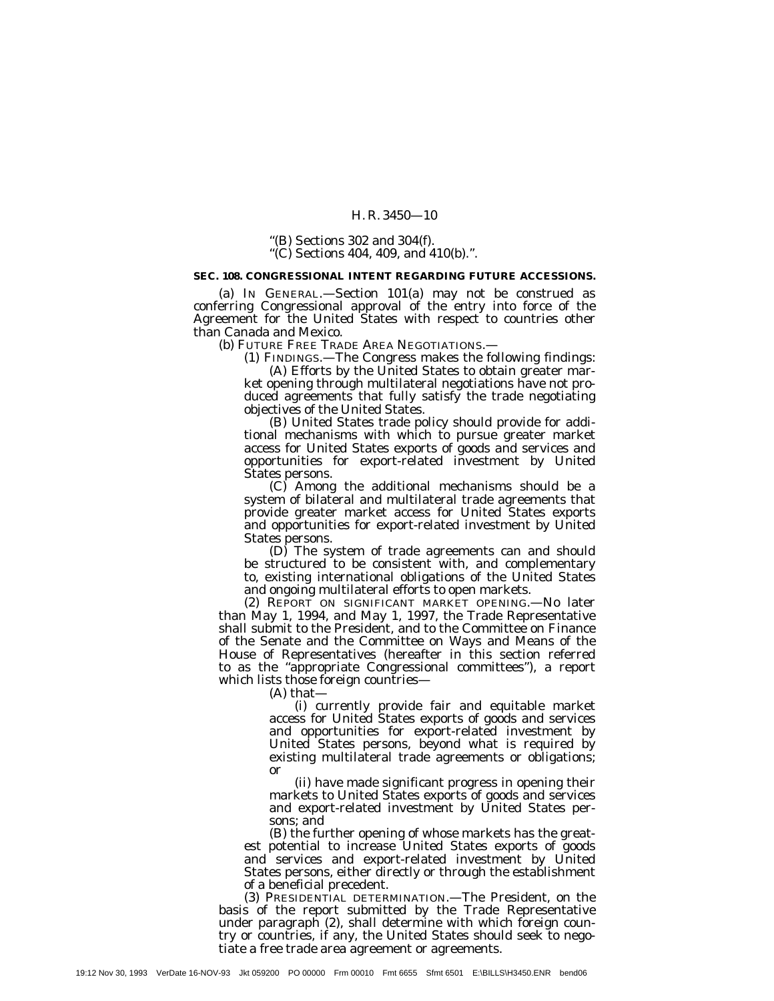''(B) Sections 302 and 304(f).

''(C) Sections 404, 409, and 410(b).''.

#### **SEC. 108. CONGRESSIONAL INTENT REGARDING FUTURE ACCESSIONS.**

(a) IN GENERAL.—Section 101(a) may not be construed as conferring Congressional approval of the entry into force of the Agreement for the United States with respect to countries other than Canada and Mexico.

(b) FUTURE FREE TRADE AREA NEGOTIATIONS.—

(1) FINDINGS.—The Congress makes the following findings: (A) Efforts by the United States to obtain greater mar-

ket opening through multilateral negotiations have not produced agreements that fully satisfy the trade negotiating objectives of the United States.

(B) United States trade policy should provide for additional mechanisms with which to pursue greater market access for United States exports of goods and services and opportunities for export-related investment by United States persons.

(C) Among the additional mechanisms should be a system of bilateral and multilateral trade agreements that provide greater market access for United States exports and opportunities for export-related investment by United States persons.

(D) The system of trade agreements can and should be structured to be consistent with, and complementary to, existing international obligations of the United States and ongoing multilateral efforts to open markets.

(2) REPORT ON SIGNIFICANT MARKET OPENING.—No later than May 1, 1994, and May 1, 1997, the Trade Representative shall submit to the President, and to the Committee on Finance of the Senate and the Committee on Ways and Means of the House of Representatives (hereafter in this section referred to as the ''appropriate Congressional committees''), a report which lists those foreign countries—

(A) that—

(i) currently provide fair and equitable market access for United States exports of goods and services and opportunities for export-related investment by United States persons, beyond what is required by existing multilateral trade agreements or obligations; or

(ii) have made significant progress in opening their markets to United States exports of goods and services and export-related investment by United States persons; and

(B) the further opening of whose markets has the greatest potential to increase United States exports of goods and services and export-related investment by United States persons, either directly or through the establishment of a beneficial precedent.

(3) PRESIDENTIAL DETERMINATION.—The President, on the basis of the report submitted by the Trade Representative under paragraph (2), shall determine with which foreign country or countries, if any, the United States should seek to negotiate a free trade area agreement or agreements.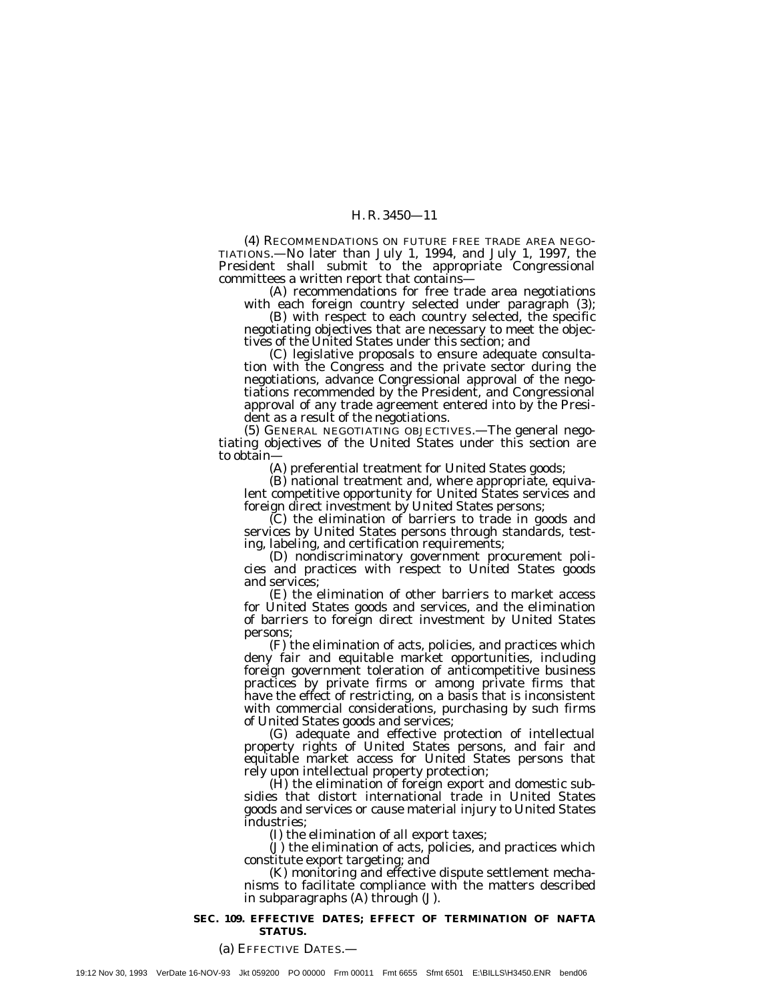(4) RECOMMENDATIONS ON FUTURE FREE TRADE AREA NEGO-TIATIONS.—No later than July 1, 1994, and July 1, 1997, the President shall submit to the appropriate Congressional committees a written report that contains—

(A) recommendations for free trade area negotiations with each foreign country selected under paragraph (3);

(B) with respect to each country selected, the specific negotiating objectives that are necessary to meet the objectives of the United States under this section; and

(C) legislative proposals to ensure adequate consultation with the Congress and the private sector during the negotiations, advance Congressional approval of the negotiations recommended by the President, and Congressional approval of any trade agreement entered into by the President as a result of the negotiations.

(5) GENERAL NEGOTIATING OBJECTIVES.—The general negotiating objectives of the United States under this section are to obtain—

(A) preferential treatment for United States goods;

(B) national treatment and, where appropriate, equivalent competitive opportunity for United States services and foreign direct investment by United States persons;

(C) the elimination of barriers to trade in goods and services by United States persons through standards, testing, labeling, and certification requirements;

(D) nondiscriminatory government procurement policies and practices with respect to United States goods and services;

(E) the elimination of other barriers to market access for United States goods and services, and the elimination of barriers to foreign direct investment by United States persons;

(F) the elimination of acts, policies, and practices which deny fair and equitable market opportunities, including foreign government toleration of anticompetitive business practices by private firms or among private firms that have the effect of restricting, on a basis that is inconsistent with commercial considerations, purchasing by such firms of United States goods and services;

of United States goods and services; (G) adequate and effective protection of intellectual property rights of United States persons, and fair and equitable market access for United States persons that

rely upon intellectual property protection;<br>
(H) the elimination of foreign export and domestic sub-<br>
sidies that distort international trade in United States goods and services or cause material injury to United States industries;

(I) the elimination of all export taxes;

(J) the elimination of acts, policies, and practices which constitute export targeting; and

(K) monitoring and effective dispute settlement mechanisms to facilitate compliance with the matters described in subparagraphs (A) through (J).

#### **SEC. 109. EFFECTIVE DATES; EFFECT OF TERMINATION OF NAFTA STATUS.**

(a) EFFECTIVE DATES.—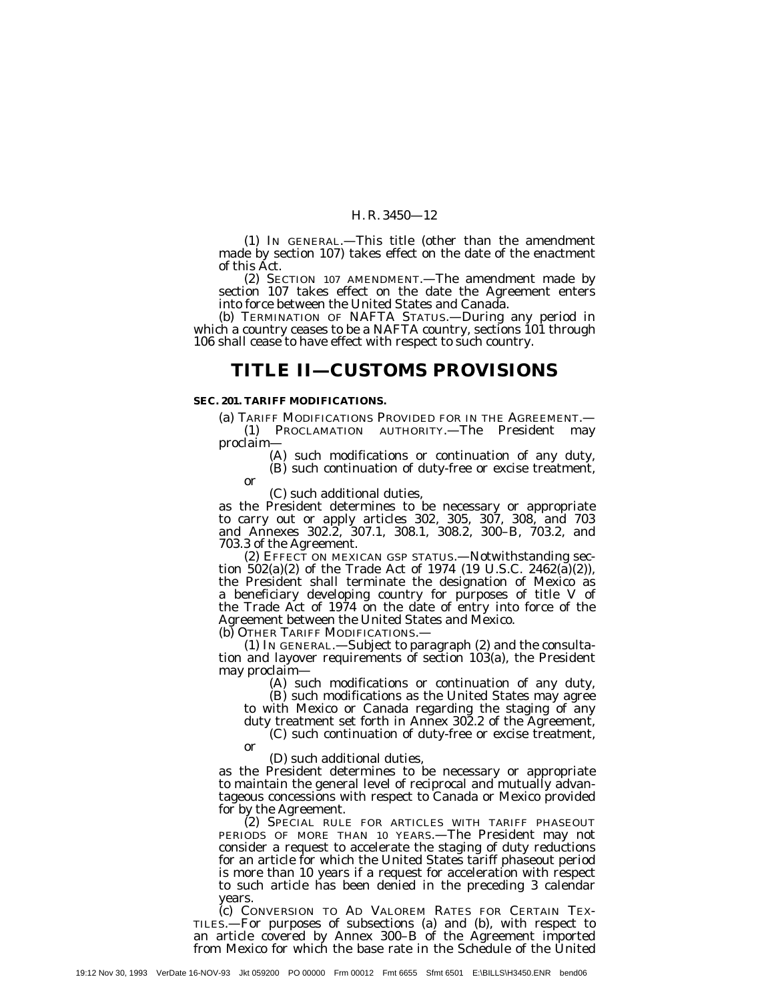(1) IN GENERAL.—This title (other than the amendment made by section 107) takes effect on the date of the enactment of this Act.

(2) SECTION 107 AMENDMENT.—The amendment made by section 107 takes effect on the date the Agreement enters into force between the United States and Canada.

(b) TERMINATION OF NAFTA STATUS.—During any period in which a country ceases to be a NAFTA country, sections 101 through 106 shall cease to have effect with respect to such country.

## **TITLE II—CUSTOMS PROVISIONS**

#### **SEC. 201. TARIFF MODIFICATIONS.**

(a) TARIFF MODIFICATIONS PROVIDED FOR IN THE AGREEMENT.— (1) PROCLAMATION AUTHORITY.—The President may

proclaim—

or

or

(A) such modifications or continuation of any duty, (B) such continuation of duty-free or excise treatment,

(C) such additional duties,

as the President determines to be necessary or appropriate to carry out or apply articles 302, 305, 307, 308, and 703 and Annexes 302.2, 307.1, 308.1, 308.2, 300–B, 703.2, and 703.3 of the Agreement.

(2) EFFECT ON MEXICAN GSP STATUS.—Notwithstanding section  $502(a)(2)$  of the Trade Act of 1974 (19 U.S.C. 2462 $(a)(2)$ ), the President shall terminate the designation of Mexico as a beneficiary developing country for purposes of title V of the Trade Act of 1974 on the date of entry into force of the Agreement between the United States and Mexico.

(b) OTHER TARIFF MODIFICATIONS.— (1) IN GENERAL.—Subject to paragraph (2) and the consulta- tion and layover requirements of section 103(a), the President may proclaim—<br>(A) such modifications or continuation of any duty,<br>(B) such modifications as the United States may agree

(B) such modifications as the United States may agree to with Mexico or Canada regarding the staging of any duty treatment set forth in Annex 302.2 of the Agreement, (C) such continuation of duty-free or excise treatment,

(D) such additional duties,

as the President determines to be necessary or appropriate to maintain the general level of reciprocal and mutually advantageous concessions with respect to Canada or Mexico provided for by the Agreement.

(2) SPECIAL RULE FOR ARTICLES WITH TARIFF PHASEOUT PERIODS OF MORE THAN 10 YEARS.—The President may not consider a request to accelerate the staging of duty reductions for an article for which the United States tariff phaseout period is more than 10 years if a request for acceleration with respect to such article has been denied in the preceding 3 calendar years.

(c) CONVERSION TO AD VALOREM RATES FOR CERTAIN TEX-TILES.—For purposes of subsections (a) and (b), with respect to an article covered by Annex 300–B of the Agreement imported from Mexico for which the base rate in the Schedule of the United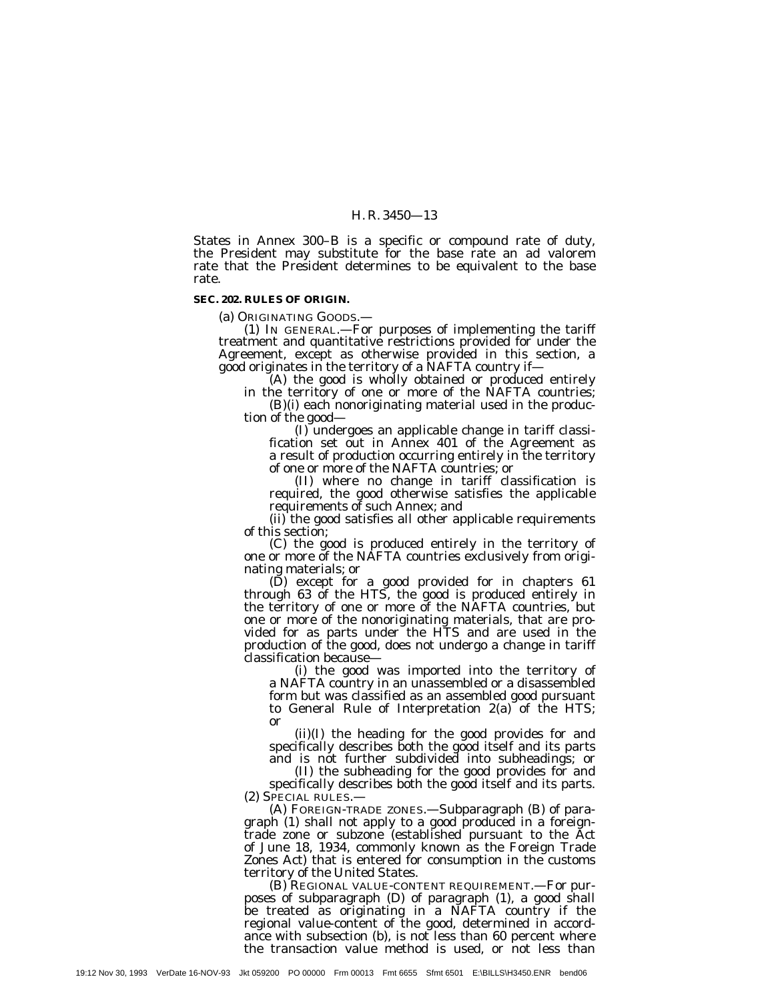States in Annex 300–B is a specific or compound rate of duty, the President may substitute for the base rate an ad valorem rate that the President determines to be equivalent to the base rate.

#### **SEC. 202. RULES OF ORIGIN.**

(a) ORIGINATING GOODS.—

(1) IN GENERAL.—For purposes of implementing the tariff treatment and quantitative restrictions provided for under the Agreement, except as otherwise provided in this section, a good originates in the territory of a NAFTA country if—

(A) the good is wholly obtained or produced entirely in the territory of one or more of the NAFTA countries;

(B)(i) each nonoriginating material used in the production of the good—

(I) undergoes an applicable change in tariff classification set out in Annex 401 of the Agreement as a result of production occurring entirely in the territory of one or more of the NAFTA countries; or

(II) where no change in tariff classification is required, the good otherwise satisfies the applicable requirements of such Annex; and

(ii) the good satisfies all other applicable requirements of this section;

(C) the good is produced entirely in the territory of one or more of the NAFTA countries exclusively from originating materials; or

(D) except for a good provided for in chapters 61 through 63 of the HTS, the good is produced entirely in the territory of one or more of the NAFTA countries, but one or more of the nonoriginating materials, that are provided for as parts under the HTS and are used in the production of the good, does not undergo a change in tariff classification because—<br>(i) the good was imported into the territory of

a NAFTA country in an unassembled or a disassembled form but was classified as an assembled good pursuant to General Rule of Interpretation 2(a) of the HTS; or

(ii)(I) the heading for the good provides for and specifically describes both the good itself and its parts

and is not further subdivided into subheadings; or (II) the subheading for the good provides for and specifically describes both the good itself and its parts. (2) SPECIAL RULES.—

(A) FOREIGN-TRADE ZONES.—Subparagraph (B) of paragraph (1) shall not apply to a good produced in a foreigntrade zone or subzone (established pursuant to the Act of June 18, 1934, commonly known as the Foreign Trade Zones Act) that is entered for consumption in the customs territory of the United States.

(B) REGIONAL VALUE-CONTENT REQUIREMENT.—For purposes of subparagraph (D) of paragraph (1), a good shall be treated as originating in a NAFTA country if the regional value-content of the good, determined in accordance with subsection (b), is not less than 60 percent where the transaction value method is used, or not less than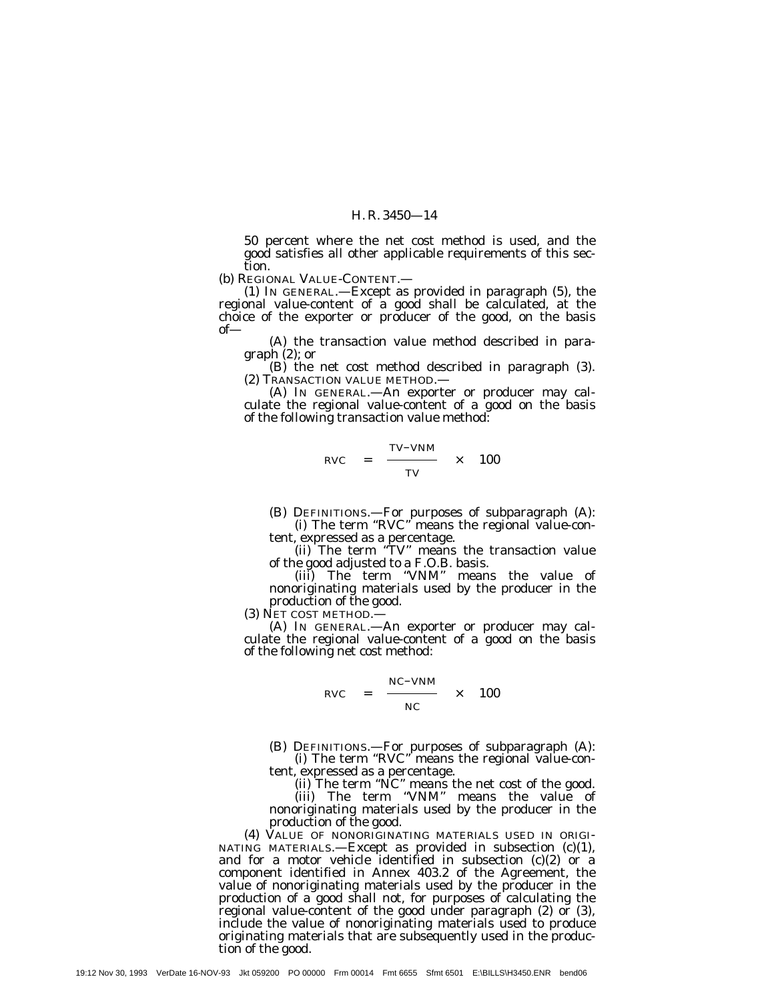50 percent where the net cost method is used, and the good satisfies all other applicable requirements of this section.

(b) REGIONAL VALUE-CONTENT.—

(1) IN GENERAL.—Except as provided in paragraph (5), the regional value-content of a good shall be calculated, at the choice of the exporter or producer of the good, on the basis of—

(A) the transaction value method described in paragraph (2); or

(B) the net cost method described in paragraph (3). (2) TRANSACTION VALUE METHOD.—

(A) IN GENERAL.—An exporter or producer may calculate the regional value-content of a good on the basis of the following transaction value method:

$$
RVC = \frac{TV - VNM}{TV} \times 100
$$

(B) DEFINITIONS.—For purposes of subparagraph (A): (i) The term ''RVC'' means the regional value-con-

tent, expressed as a percentage. (ii) The term ''TV'' means the transaction value

of the good adjusted to a F.O.B. basis. (iii) The term ''VNM'' means the value of nonoriginating materials used by the producer in the

(3) NET COST METHOD.—<br>
(A) IN GENERAL.—An exporter or producer may cal- culate the regional value-content of a good on the basis of the following net cost method:

$$
RVC = \frac{NC-VNM}{NC} \times 100
$$

(B) DEFINITIONS.—For purposes of subparagraph (A):<br>(i) The term "RVC" means the regional value-con-<br>tent, expressed as a percentage.

tent, expressed as a percentage. (ii) The term ''NC'' means the net cost of the good.

(iii) The term ''VNM'' means the value of nonoriginating materials used by the producer in the production of the good.

(4) VALUE OF NONORIGINATING MATERIALS USED IN ORIGI-NATING MATERIALS.—Except as provided in subsection (c)(1), and for a motor vehicle identified in subsection (c)(2) or a component identified in Annex 403.2 of the Agreement, the value of nonoriginating materials used by the producer in the production of a good shall not, for purposes of calculating the regional value-content of the good under paragraph (2) or (3), include the value of nonoriginating materials used to produce originating materials that are subsequently used in the production of the good.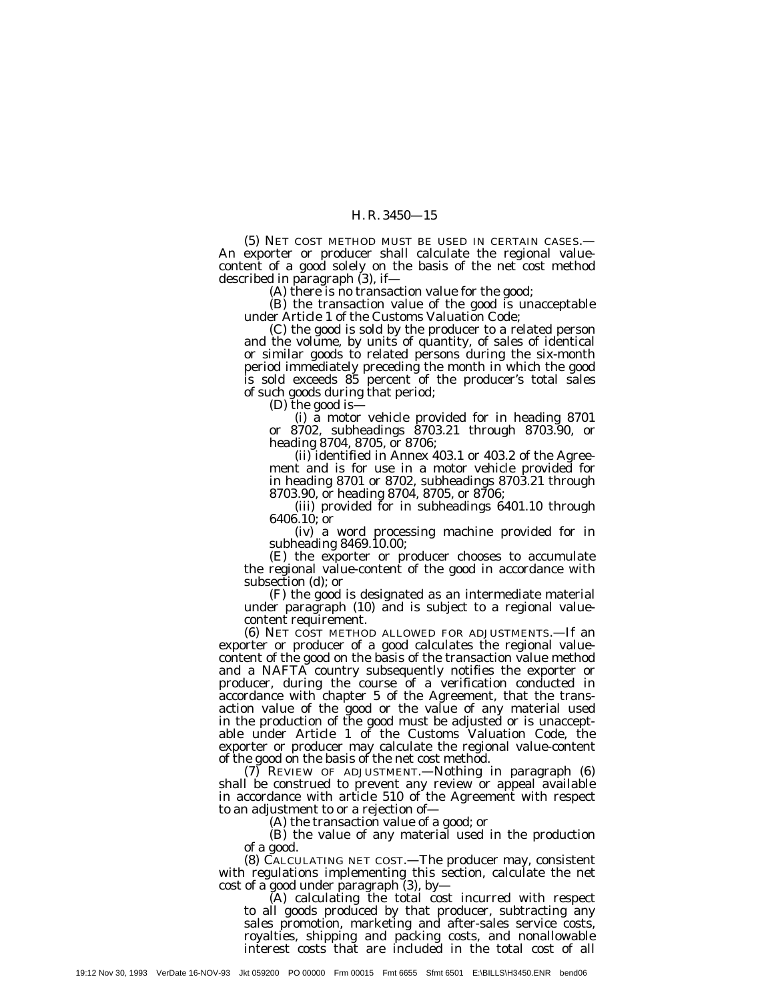(5) NET COST METHOD MUST BE USED IN CERTAIN CASES.— An exporter or producer shall calculate the regional valuecontent of a good solely on the basis of the net cost method described in paragraph (3), if—

(A) there is no transaction value for the good;

(B) the transaction value of the good is unacceptable under Article 1 of the Customs Valuation Code;

(C) the good is sold by the producer to a related person and the volume, by units of quantity, of sales of identical or similar goods to related persons during the six-month period immediately preceding the month in which the good is sold exceeds 85 percent of the producer's total sales of such goods during that period;

(D) the good is—

(i) a motor vehicle provided for in heading 8701 or 8702, subheadings 8703.21 through 8703.90, or heading 8704, 8705, or 8706;

(ii) identified in Annex 403.1 or 403.2 of the Agreement and is for use in a motor vehicle provided for in heading 8701 or 8702, subheadings 8703.21 through 8703.90, or heading 8704, 8705, or 8706;

(iii) provided for in subheadings 6401.10 through 6406.10; or

(iv) a word processing machine provided for in subheading 8469.10.00;

(E) the exporter or producer chooses to accumulate the regional value-content of the good in accordance with subsection (d); or

(F) the good is designated as an intermediate material under paragraph (10) and is subject to a regional valuecontent requirement.

(6) NET COST METHOD ALLOWED FOR ADJUSTMENTS.—If an exporter or producer of a good calculates the regional valuecontent of the good on the basis of the transaction value method and a NAFTA country subsequently notifies the exporter or producer, during the course of a verification conducted in accordance with chapter 5 of the Agreement, that the transaction value of the good or the value of any material used in the production of the good must be adjusted or is unacceptable under Article 1 of the Customs Valuation Code, the exporter or producer may calculate the regional value-content of the good on the basis of the net cost method.

 $(7)$  REVIEW OF ADJUSTMENT.—Nothing in paragraph  $(6)$  shall be construed to prevent any review or appeal available in accordance with article 510 of the Agreement with respect to an adjustment to or a rejection of—

(A) the transaction value of a good; or

(B) the value of any material used in the production of a good.

(8) CALCULATING NET COST.—The producer may, consistent with regulations implementing this section, calculate the net cost of a good under paragraph  $(3)$ , by-

(A) calculating the total cost incurred with respect to all goods produced by that producer, subtracting any sales promotion, marketing and after-sales service costs, royalties, shipping and packing costs, and nonallowable interest costs that are included in the total cost of all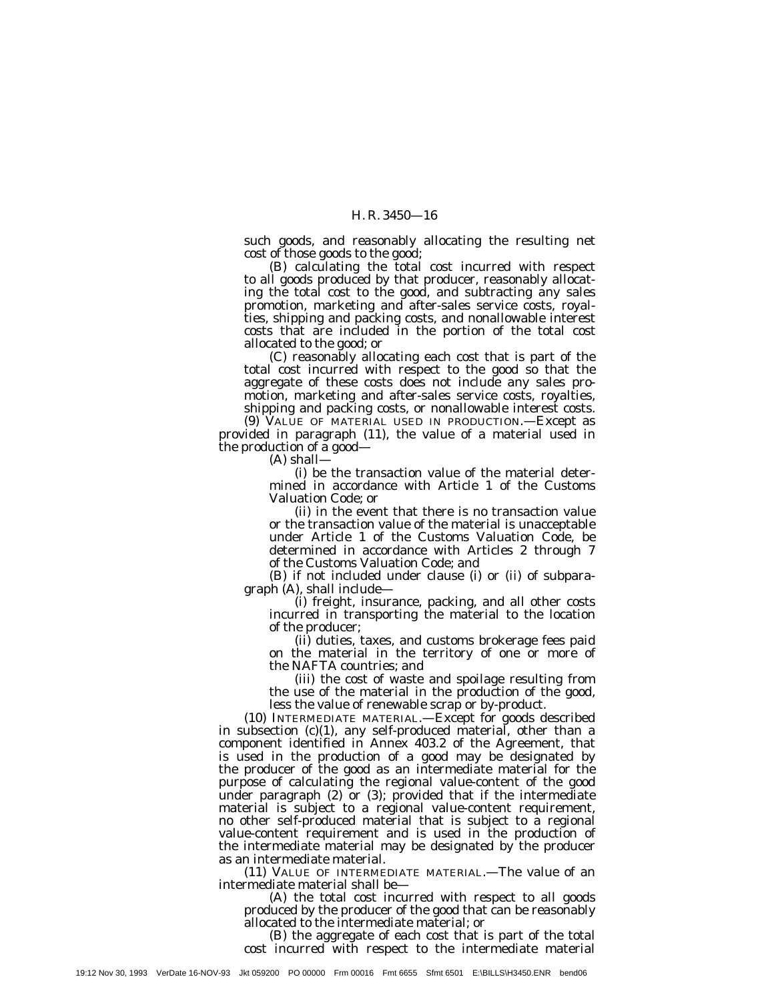such goods, and reasonably allocating the resulting net cost of those goods to the good;

(B) calculating the total cost incurred with respect to all goods produced by that producer, reasonably allocating the total cost to the good, and subtracting any sales promotion, marketing and after-sales service costs, royalties, shipping and packing costs, and nonallowable interest costs that are included in the portion of the total cost allocated to the good; or

(C) reasonably allocating each cost that is part of the total cost incurred with respect to the good so that the aggregate of these costs does not include any sales promotion, marketing and after-sales service costs, royalties, shipping and packing costs, or nonallowable interest costs.

(9) VALUE OF MATERIAL USED IN PRODUCTION.—Except as provided in paragraph (11), the value of a material used in the production of a good—

(A) shall—

(i) be the transaction value of the material determined in accordance with Article 1 of the Customs Valuation Code; or

(ii) in the event that there is no transaction value or the transaction value of the material is unacceptable under Article 1 of the Customs Valuation Code, be determined in accordance with Articles 2 through 7 of the Customs Valuation Code; and

(B) if not included under clause (i) or (ii) of subparagraph (A), shall include—

(i) freight, insurance, packing, and all other costs incurred in transporting the material to the location of the producer;

(ii) duties, taxes, and customs brokerage fees paid on the material in the territory of one or more of the NAFTA countries; and

(iii) the cost of waste and spoilage resulting from the use of the material in the production of the good, less the value of renewable scrap or by-product.

(10) INTERMEDIATE MATERIAL.—Except for goods described in subsection (c)(1), any self-produced material, other than a component identified in Annex 403.2 of the Agreement, that is used in the production of a good may be designated by the producer of the good as an intermediate material for the purpose of calculating the regional value-content of the good under paragraph (2) or (3); provided that if the intermediate material is subject to a regional value-content requirement, no other self-produced material that is subject to a regional value-content requirement and is used in the production of the intermediate material may be designated by the producer as an intermediate material.

(11) VALUE OF INTERMEDIATE MATERIAL.—The value of an intermediate material shall be—

(A) the total cost incurred with respect to all goods produced by the producer of the good that can be reasonably allocated to the intermediate material; or

(B) the aggregate of each cost that is part of the total cost incurred with respect to the intermediate material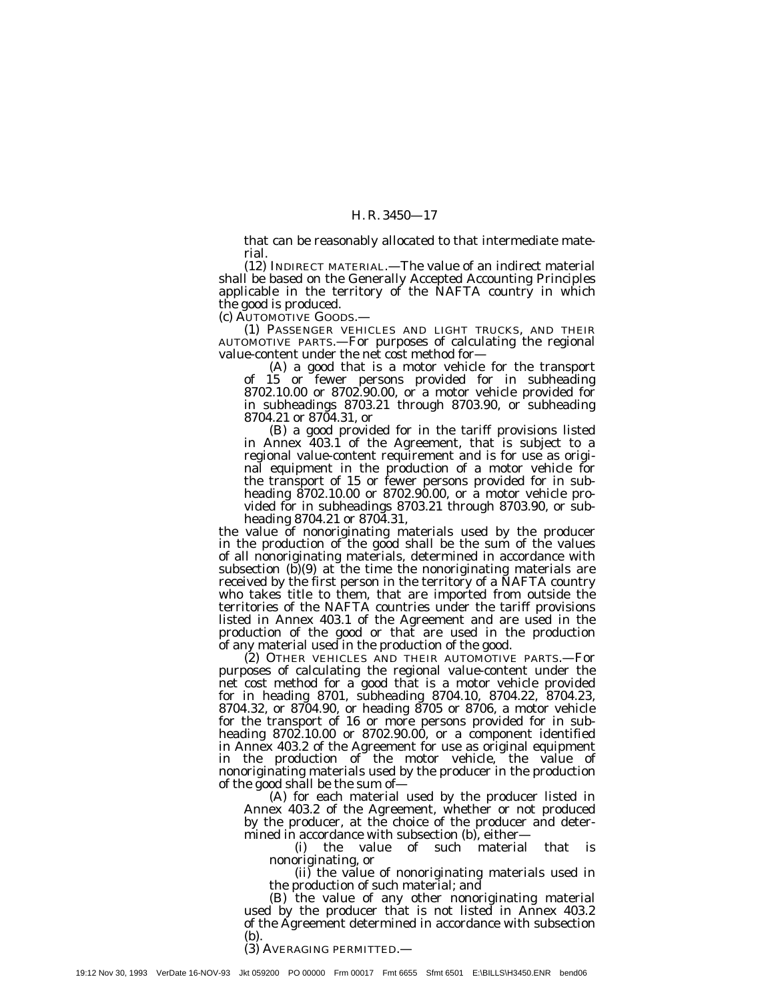that can be reasonably allocated to that intermediate material.

(12) INDIRECT MATERIAL.—The value of an indirect material shall be based on the Generally Accepted Accounting Principles applicable in the territory of the NAFTA country in which the good is produced.

(c) AUTOMOTIVE GOODS.—

(1) PASSENGER VEHICLES AND LIGHT TRUCKS, AND THEIR AUTOMOTIVE PARTS.—For purposes of calculating the regional value-content under the net cost method for—

(A) a good that is a motor vehicle for the transport of 15 or fewer persons provided for in subheading 8702.10.00 or 8702.90.00, or a motor vehicle provided for in subheadings 8703.21 through 8703.90, or subheading 8704.21 or 8704.31, or

(B) a good provided for in the tariff provisions listed in Annex 403.1 of the Agreement, that is subject to a regional value-content requirement and is for use as original equipment in the production of a motor vehicle for the transport of 15 or fewer persons provided for in subheading 8702.10.00 or 8702.90.00, or a motor vehicle provided for in subheadings 8703.21 through 8703.90, or subheading 8704.21 or 8704.31,

the value of nonoriginating materials used by the producer in the production of the good shall be the sum of the values of all nonoriginating materials, determined in accordance with subsection  $(b)(9)$  at the time the nonoriginating materials are received by the first person in the territory of a NAFTA country who takes title to them, that are imported from outside the territories of the NAFTA countries under the tariff provisions listed in Annex 403.1 of the Agreement and are used in the production of the good or that are used in the production

of any material used in the production of the good. (2) OTHER VEHICLES AND THEIR AUTOMOTIVE PARTS.—For purposes of calculating the regional value-content under the net cost method for a good that is a motor vehicle provided for in heading 8701, subheading 8704.10, 8704.22, 8704.23, 8704.32, or 8704.90, or heading 8705 or 8706, a motor vehicle for the transport of 16 or more persons provided for in subheading 8702.10.00 or 8702.90.00, or a component identified in Annex 403.2 of the Agreement for use as original equipment in the production of the motor vehicle, the value of nonoriginating materials used by the producer in the production of the good shall be the sum of— $(A)$  for each material used by the producer listed in

Annex 403.2 of the Agreement, whether or not produced by the producer, at the choice of the producer and determined in accordance with subsection (b), either-

(i) the value of such material that is nonoriginating, or

(ii) the value of nonoriginating materials used in the production of such material; and

(B) the value of any other nonoriginating material used by the producer that is not listed in Annex 403.2 of the Agreement determined in accordance with subsection (b).

(3) AVERAGING PERMITTED.—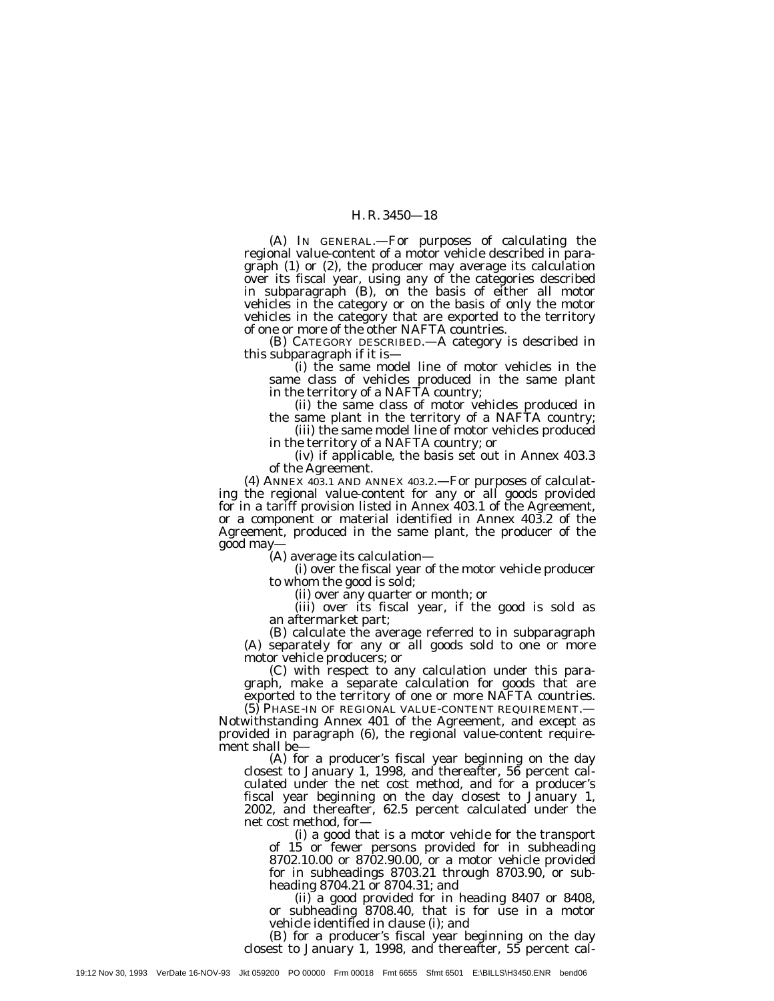(A) IN GENERAL.—For purposes of calculating the regional value-content of a motor vehicle described in paragraph (1) or (2), the producer may average its calculation over its fiscal year, using any of the categories described in subparagraph (B), on the basis of either all motor vehicles in the category or on the basis of only the motor vehicles in the category that are exported to the territory of one or more of the other NAFTA countries.

(B) CATEGORY DESCRIBED.—A category is described in this subparagraph if it is—

(i) the same model line of motor vehicles in the same class of vehicles produced in the same plant in the territory of a NAFTA country;

(ii) the same class of motor vehicles produced in the same plant in the territory of a NAFTA country;

(iii) the same model line of motor vehicles produced in the territory of a NAFTA country; or

(iv) if applicable, the basis set out in Annex 403.3 of the Agreement.

(4) ANNEX 403.1 AND ANNEX 403.2.—For purposes of calculating the regional value-content for any or all goods provided for in a tariff provision listed in Annex 403.1 of the Agreement, or a component or material identified in Annex 403.2 of the Agreement, produced in the same plant, the producer of the good may—

(A) average its calculation—

(i) over the fiscal year of the motor vehicle producer

(ii) over any quarter or month; or

(iii) over its fiscal year, if the good is sold as

an aftermarket part;<br>(B) calculate the average referred to in subparagraph (A) separately for any or all goods sold to one or more motor vehicle producers; or

(C) with respect to any calculation under this para- graph, make a separate calculation for goods that are

exported to the territory of one or more NAFTA countries.<br>(5) PHASE-IN OF REGIONAL VALUE-CONTENT REQUIREMENT.— Notwithstanding Annex 401 of the Agreement, and except as provided in paragraph (6), the regional value-content requirement shall be—

(A) for a producer's fiscal year beginning on the day closest to January 1, 1998, and thereafter, 56 percent calculated under the net cost method, and for a producer's fiscal year beginning on the day closest to January 1, 2002, and thereafter, 62.5 percent calculated under the net cost method, for—

(i) a good that is a motor vehicle for the transport of 15 or fewer persons provided for in subheading 8702.10.00 or 8702.90.00, or a motor vehicle provided for in subheadings 8703.21 through 8703.90, or subheading 8704.21 or 8704.31; and

(ii) a good provided for in heading 8407 or 8408, or subheading 8708.40, that is for use in a motor vehicle identified in clause (i); and

(B) for a producer's fiscal year beginning on the day closest to January 1, 1998, and thereafter, 55 percent cal-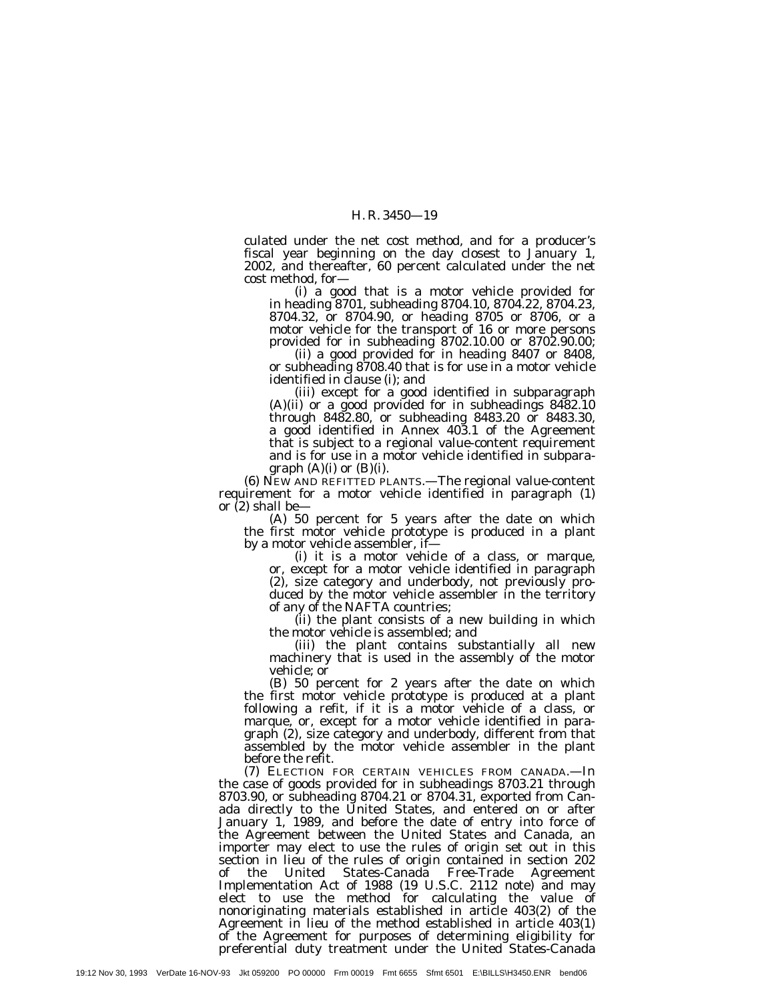culated under the net cost method, and for a producer's fiscal year beginning on the day closest to January 1, 2002, and thereafter, 60 percent calculated under the net cost method, for—

(i) a good that is a motor vehicle provided for in heading 8701, subheading 8704.10, 8704.22, 8704.23, 8704.32, or 8704.90, or heading 8705 or 8706, or a motor vehicle for the transport of 16 or more persons provided for in subheading 8702.10.00 or 8702.90.00;

(ii) a good provided for in heading 8407 or 8408, or subheading 8708.40 that is for use in a motor vehicle identified in clause (i); and

(iii) except for a good identified in subparagraph (A)(ii) or a good provided for in subheadings 8482.10 through 8482.80, or subheading 8483.20 or 8483.30, a good identified in Annex 403.1 of the Agreement that is subject to a regional value-content requirement and is for use in a motor vehicle identified in subparagraph  $(A)(i)$  or  $(B)(i)$ .

(6) NEW AND REFITTED PLANTS.—The regional value-content requirement for a motor vehicle identified in paragraph (1) or  $(2)$  shall be-

(A) 50 percent for 5 years after the date on which the first motor vehicle prototype is produced in a plant by a motor vehicle assembler, if—

(i) it is a motor vehicle of a class, or marque, or, except for a motor vehicle identified in paragraph (2), size category and underbody, not previously produced by the motor vehicle assembler in the territory of any of the NAFTA countries;

 $\begin{array}{c} \text{(ii) the plant consists of a new building in which} \\ \text{the motor vehicle is assembled; and} \\ \text{(iii) the plant contains substantially all new} \end{array}$ 

machinery that is used in the assembly of the motor vehicle; or

(B) 50 percent for 2 years after the date on which the first motor vehicle prototype is produced at a plant following a refit, if it is a motor vehicle of a class, or marque, or, except for a motor vehicle identified in paragraph (2), size category and underbody, different from that assembled by the motor vehicle assembler in the plant before the refit.

(7) ELECTION FOR CERTAIN VEHICLES FROM CANADA.—In the case of goods provided for in subheadings 8703.21 through 8703.90, or subheading 8704.21 or 8704.31, exported from Canada directly to the United States, and entered on or after January 1, 1989, and before the date of entry into force of the Agreement between the United States and Canada, an importer may elect to use the rules of origin set out in this section in lieu of the rules of origin contained in section 202 of the United States-Canada Free-Trade Agreement Implementation Act of 1988 (19 U.S.C. 2112 note) and may elect to use the method for calculating the value of nonoriginating materials established in article 403(2) of the Agreement in lieu of the method established in article 403(1) of the Agreement for purposes of determining eligibility for preferential duty treatment under the United States-Canada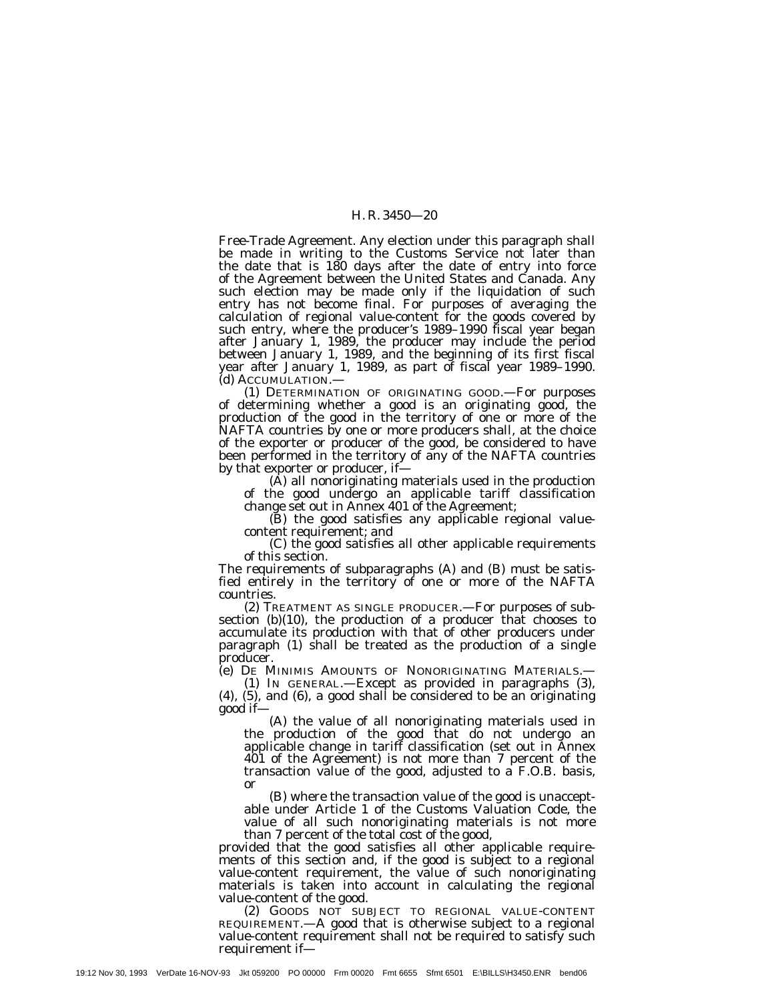Free-Trade Agreement. Any election under this paragraph shall be made in writing to the Customs Service not later than the date that is 180 days after the date of entry into force of the Agreement between the United States and Canada. Any such election may be made only if the liquidation of such entry has not become final. For purposes of averaging the calculation of regional value-content for the goods covered by such entry, where the producer's 1989–1990 fiscal year began after January 1, 1989, the producer may include the period between January 1, 1989, and the beginning of its first fiscal year after January 1, 1989, as part of fiscal year 1989–1990. (d) ACCUMULATION.—

(1) DETERMINATION OF ORIGINATING GOOD.—For purposes of determining whether a good is an originating good, the production of the good in the territory of one or more of the NAFTA countries by one or more producers shall, at the choice of the exporter or producer of the good, be considered to have been performed in the territory of any of the NAFTA countries by that exporter or producer, if—

(A) all nonoriginating materials used in the production of the good undergo an applicable tariff classification change set out in Annex 401 of the Agreement;

(B) the good satisfies any applicable regional valuecontent requirement; and

(C) the good satisfies all other applicable requirements of this section.

The requirements of subparagraphs (A) and (B) must be satisfied entirely in the territory of one or more of the NAFTA countries.

(2) TREATMENT AS SINGLE PRODUCER.—For purposes of subsection (b)(10), the production of a producer that chooses to accumulate its production with that of other producers under paragraph (1) shall be treated as the production of a single producer.<br>(e) DE MINIMIS AMOUNTS OF NONORIGINATING MATERIALS.-

(1) IN GENERAL.—Except as provided in paragraphs (3), (4), (5), and (6), a good shall be considered to be an originating good if—

good if—(A) the value of all nonoriginating materials used in the production of the good that do not undergo an applicable change in tariff classification (set out in Annex 401 of the Agreement) is not more than 7 percent of the transaction value of the good, adjusted to a F.O.B. basis, or

(B) where the transaction value of the good is unacceptable under Article 1 of the Customs Valuation Code, the value of all such nonoriginating materials is not more than 7 percent of the total cost of the good,

provided that the good satisfies all other applicable requirements of this section and, if the good is subject to a regional value-content requirement, the value of such nonoriginating materials is taken into account in calculating the regional value-content of the good.

(2) GOODS NOT SUBJECT TO REGIONAL VALUE-CONTENT REQUIREMENT.—A good that is otherwise subject to a regional value-content requirement shall not be required to satisfy such requirement if—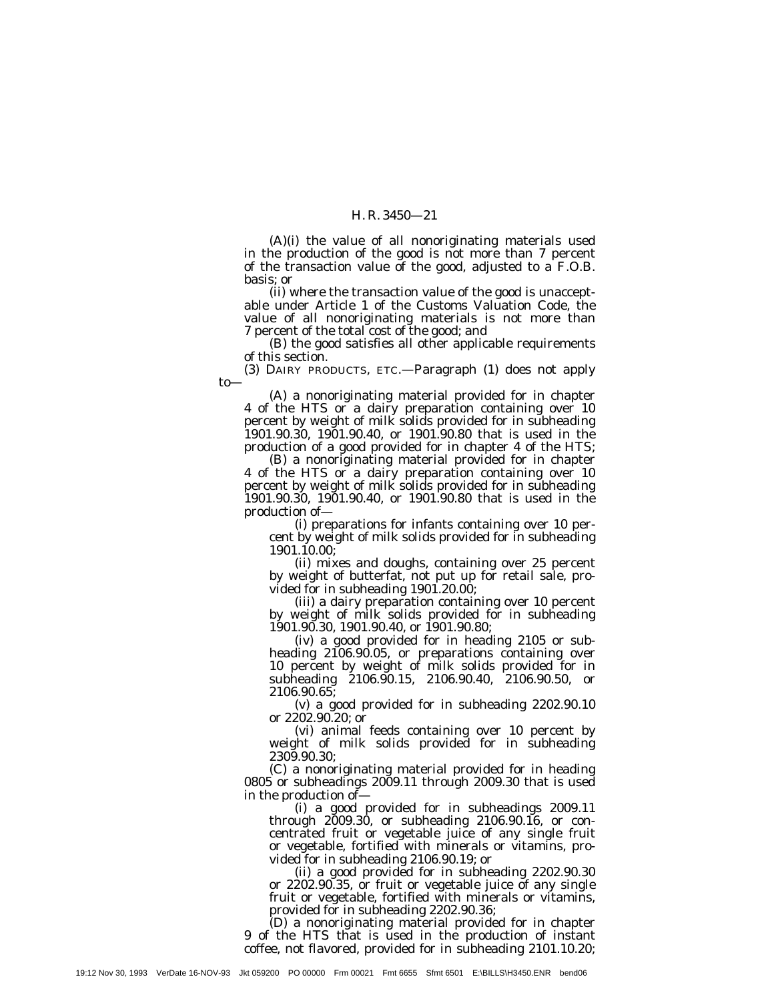(A)(i) the value of all nonoriginating materials used in the production of the good is not more than 7 percent of the transaction value of the good, adjusted to a F.O.B. basis; or

(ii) where the transaction value of the good is unacceptable under Article 1 of the Customs Valuation Code, the value of all nonoriginating materials is not more than 7 percent of the total cost of the good; and

(B) the good satisfies all other applicable requirements of this section.

(3) DAIRY PRODUCTS, ETC.—Paragraph (1) does not apply to—

(A) a nonoriginating material provided for in chapter 4 of the HTS or a dairy preparation containing over 10 percent by weight of milk solids provided for in subheading 1901.90.30, 1901.90.40, or 1901.90.80 that is used in the production of a good provided for in chapter 4 of the HTS;

(B) a nonoriginating material provided for in chapter 4 of the HTS or a dairy preparation containing over 10 percent by weight of milk solids provided for in subheading 1901.90.30, 1901.90.40, or 1901.90.80 that is used in the production of—

(i) preparations for infants containing over 10 percent by weight of milk solids provided for in subheading 1901.10.00;

(ii) mixes and doughs, containing over 25 percent by weight of butterfat, not put up for retail sale, provided for in subheading 1901.20.00;

(iii) a dairy preparation containing over 10 percent by weight of milk solids provided for in subheading 1901.90.30, 1901.90.40, or 1901.90.80;

(iv) a good provided for in heading 2105 or subheading 2106.90.05, or preparations containing over 10 percent by weight of milk solids provided for in subheading 2106.90.15, 2106.90.40, 2106.90.50, or 2106.90.65;

(v) a good provided for in subheading 2202.90.10 or 2202.90.20; or

(vi) animal feeds containing over 10 percent by weight of milk solids provided for in subheading 2309.90.30;

(C) a nonoriginating material provided for in heading 0805 or subheadings 2009.11 through 2009.30 that is used in the production of—

(i) a good provided for in subheadings 2009.11 through 2009.30, or subheading 2106.90.16, or concentrated fruit or vegetable juice of any single fruit or vegetable, fortified with minerals or vitamins, provided for in subheading 2106.90.19; or

(ii) a good provided for in subheading 2202.90.30 or 2202.90.35, or fruit or vegetable juice of any single fruit or vegetable, fortified with minerals or vitamins, provided for in subheading 2202.90.36;

(D) a nonoriginating material provided for in chapter 9 of the HTS that is used in the production of instant coffee, not flavored, provided for in subheading 2101.10.20;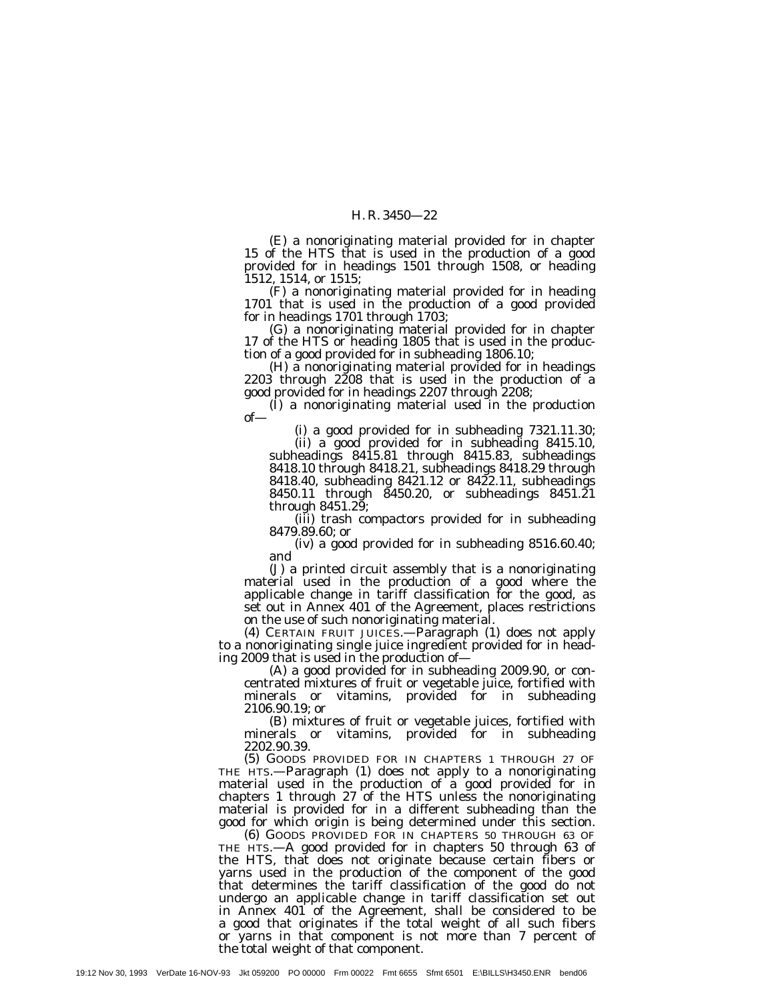(E) a nonoriginating material provided for in chapter 15 of the HTS that is used in the production of a good provided for in headings 1501 through 1508, or heading 1512, 1514, or 1515;

(F) a nonoriginating material provided for in heading 1701 that is used in the production of a good provided for in headings 1701 through 1703;

(G) a nonoriginating material provided for in chapter 17 of the HTS or heading 1805 that is used in the production of a good provided for in subheading 1806.10;

(H) a nonoriginating material provided for in headings 2203 through 2208 that is used in the production of a good provided for in headings 2207 through 2208;

 $(I)$  a nonoriginating material used in the production of—

(i) a good provided for in subheading 7321.11.30;

(ii) a good provided for in subheading 8415.10, subheadings 8415.81 through 8415.83, subheadings 8418.10 through 8418.21, subheadings 8418.29 through 8418.40, subheading 8421.12 or 8422.11, subheadings 8450.11 through 8450.20, or subheadings 8451.21 through 8451.29;

(iii) trash compactors provided for in subheading 8479.89.60; or

(iv) a good provided for in subheading 8516.60.40; and

(J) a printed circuit assembly that is a nonoriginating material used in the production of a good where the applicable change in tariff classification for the good, as set out in Annex 401 of the Agreement, places restrictions on the use of such nonoriginating material.<br>(4) CERTAIN FRUIT JUICES.—Paragraph (1) does not apply

to a nonoriginating single juice ingredient provided for in head-<br>ing 2009 that is used in the production of—

(A) a good provided for in subheading 2009.90, or concentrated mixtures of fruit or vegetable juice, fortified with minerals or vitamins, provided for in subheading 2106.90.19; or<br>(B) mixtures of fruit or vegetable juices, fortified with

minerals or vitamins, provided for in subheading 2202.90.39.

(5) GOODS PROVIDED FOR IN CHAPTERS 1 THROUGH 27 OF THE HTS.—Paragraph (1) does not apply to a nonoriginating THE HTS.—Paragraph (1) does not apply to a nonoriginating material used in the production of a good provided for in chapters 1 through 27 of the HTS unless the nonoriginating material is provided for in a different subheading than the good for which origin is being determined under this section.

(6) GOODS PROVIDED FOR IN CHAPTERS 50 THROUGH 63 OF THE HTS.—A good provided for in chapters 50 through 63 of the HTS, that does not originate because certain fibers or yarns used in the production of the component of the good that determines the tariff classification of the good do not undergo an applicable change in tariff classification set out in Annex 401 of the Agreement, shall be considered to be a good that originates if the total weight of all such fibers or yarns in that component is not more than 7 percent of the total weight of that component.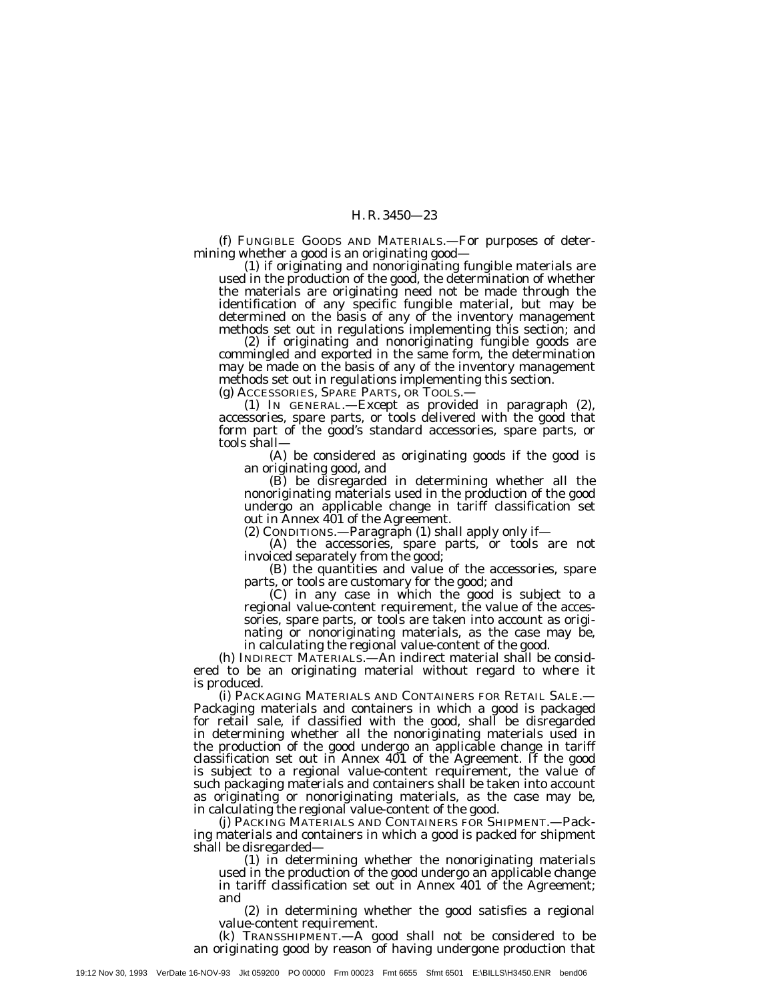(f) FUNGIBLE GOODS AND MATERIALS.—For purposes of determining whether a good is an originating good—

(1) if originating and nonoriginating fungible materials are used in the production of the good, the determination of whether the materials are originating need not be made through the identification of any specific fungible material, but may be determined on the basis of any of the inventory management methods set out in regulations implementing this section; and

(2) if originating and nonoriginating fungible goods are commingled and exported in the same form, the determination may be made on the basis of any of the inventory management methods set out in regulations implementing this section.

(g) ACCESSORIES, SPARE PARTS, OR TOOLS.—

(1) IN GENERAL.—Except as provided in paragraph (2), accessories, spare parts, or tools delivered with the good that form part of the good's standard accessories, spare parts, or tools shall—

(A) be considered as originating goods if the good is an originating good, and

(B) be disregarded in determining whether all the nonoriginating materials used in the production of the good undergo an applicable change in tariff classification set out in Annex 401 of the Agreement.

(2) CONDITIONS.—Paragraph (1) shall apply only if—

(A) the accessories, spare parts, or tools are not invoiced separately from the good;

(B) the quantities and value of the accessories, spare parts, or tools are customary for the good; and

 $(C)$  in any case in which the good is subject to a regional value-content requirement, the value of the accessories, spare parts, or tools are taken into account as originating or nonoriginating materials, as the case may be,

in calculating the regional value-content of the good. (h) INDIRECT MATERIALS.—An indirect material shall be consid-(h) INDIRECT MATERIALS.—An indirect material shall be considered to be an originating material without regard to where it is produced.<br>(i) PACKAGING MATERIALS AND CONTAINERS FOR RETAIL SALE.—

Packaging materials and containers in which a good is packaged for retail sale, if classified with the good, shall be disregarded in determining whether all the nonoriginating materials used in the production of the good undergo an applicable change in tariff classification set out in Annex 401 of the Agreement. If the good is subject to a regional value-content requirement, the value of such packaging materials and containers shall be taken into account as originating or nonoriginating materials, as the case may be, in calculating the regional value-content of the good.

(j) PACKING MATERIALS AND CONTAINERS FOR SHIPMENT.—Packing materials and containers in which a good is packed for shipment shall be disregarded—

(1) in determining whether the nonoriginating materials used in the production of the good undergo an applicable change in tariff classification set out in Annex 401 of the Agreement; and

(2) in determining whether the good satisfies a regional value-content requirement.

(k) TRANSSHIPMENT.—A good shall not be considered to be an originating good by reason of having undergone production that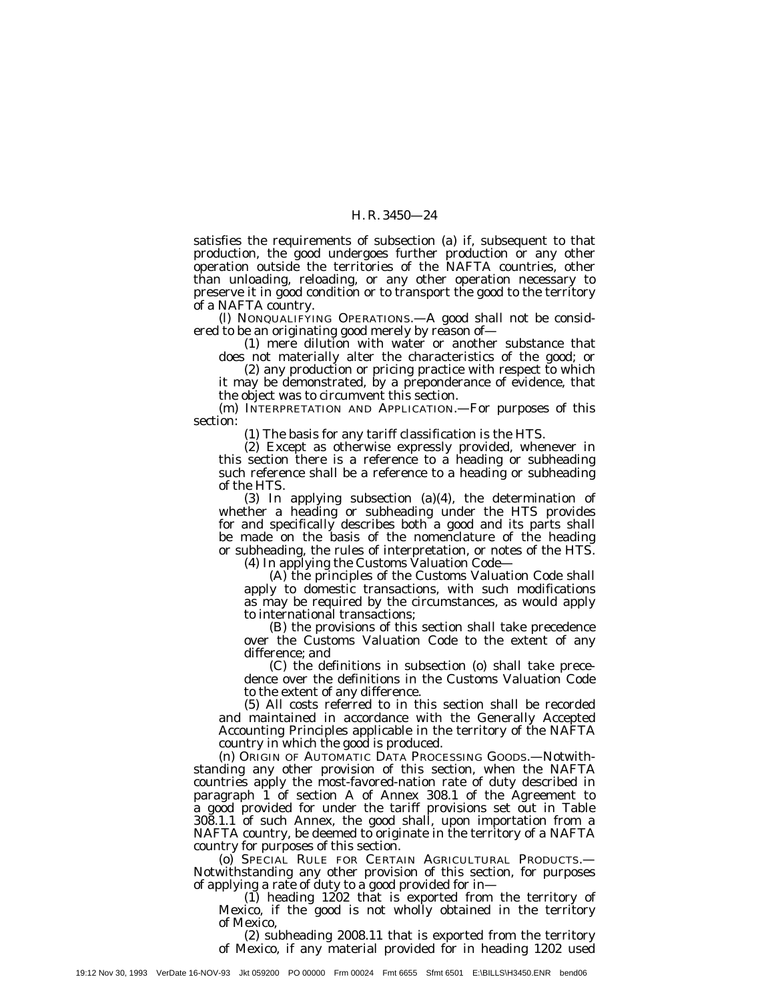satisfies the requirements of subsection (a) if, subsequent to that production, the good undergoes further production or any other operation outside the territories of the NAFTA countries, other than unloading, reloading, or any other operation necessary to preserve it in good condition or to transport the good to the territory of a NAFTA country.

(l) NONQUALIFYING OPERATIONS.—A good shall not be considered to be an originating good merely by reason of—

(1) mere dilution with water or another substance that does not materially alter the characteristics of the good; or

(2) any production or pricing practice with respect to which it may be demonstrated, by a preponderance of evidence, that the object was to circumvent this section.

(m) INTERPRETATION AND APPLICATION.—For purposes of this section:

(1) The basis for any tariff classification is the HTS.

(2) Except as otherwise expressly provided, whenever in this section there is a reference to a heading or subheading such reference shall be a reference to a heading or subheading of the HTS.

(3) In applying subsection (a)(4), the determination of whether a heading or subheading under the HTS provides for and specifically describes both a good and its parts shall be made on the basis of the nomenclature of the heading or subheading, the rules of interpretation, or notes of the HTS.

(4) In applying the Customs Valuation Code—

(A) the principles of the Customs Valuation Code shall apply to domestic transactions, with such modifications as may be required by the circumstances, as would apply to international transactions;

(B) the provisions of this section shall take precedence over the Customs Valuation Code to the extent of any difference; and

(C) the definitions in subsection (o) shall take precedence over the definitions in the Customs Valuation Code to the extent of any difference.

(5) All costs referred to in this section shall be recorded and maintained in accordance with the Generally Accepted Accounting Principles applicable in the territory of the NAFTA country in which the good is produced.

(n) ORIGIN OF AUTOMATIC DATA PROCESSING GOODS.—Notwithstanding any other provision of this section, when the NAFTA countries apply the most-favored-nation rate of duty described in paragraph 1 of section A of Annex 308.1 of the Agreement to a good provided for under the tariff provisions set out in Table 308.1.1 of such Annex, the good shall, upon importation from a NAFTA country, be deemed to originate in the territory of a NAFTA country for purposes of this section.

(o) SPECIAL RULE FOR CERTAIN AGRICULTURAL PRODUCTS.— Notwithstanding any other provision of this section, for purposes of applying a rate of duty to a good provided for in—

(1) heading 1202 that is exported from the territory of Mexico, if the good is not wholly obtained in the territory of Mexico,

(2) subheading 2008.11 that is exported from the territory of Mexico, if any material provided for in heading 1202 used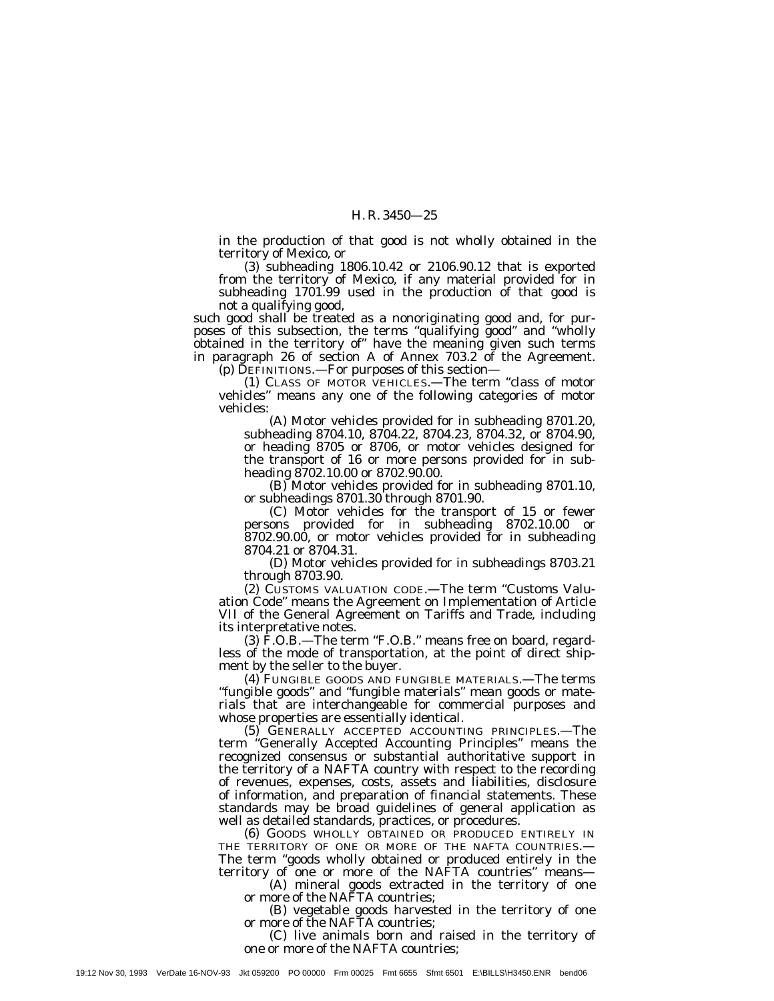in the production of that good is not wholly obtained in the territory of Mexico, or

(3) subheading 1806.10.42 or 2106.90.12 that is exported from the territory of Mexico, if any material provided for in subheading 1701.99 used in the production of that good is not a qualifying good,

such good shall be treated as a nonoriginating good and, for purposes of this subsection, the terms ''qualifying good'' and ''wholly obtained in the territory of'' have the meaning given such terms in paragraph 26 of section A of Annex 703.2 of the Agreement. (p) DEFINITIONS.—For purposes of this section—

(1) CLASS OF MOTOR VEHICLES.—The term ''class of motor vehicles'' means any one of the following categories of motor vehicles:

(A) Motor vehicles provided for in subheading 8701.20, subheading 8704.10, 8704.22, 8704.23, 8704.32, or 8704.90, or heading 8705 or 8706, or motor vehicles designed for the transport of 16 or more persons provided for in subheading 8702.10.00 or 8702.90.00.

(B) Motor vehicles provided for in subheading 8701.10, or subheadings 8701.30 through 8701.90.

(C) Motor vehicles for the transport of 15 or fewer persons provided for in subheading 8702.10.00 or 8702.90.00, or motor vehicles provided for in subheading 8704.21 or 8704.31.

(D) Motor vehicles provided for in subheadings 8703.21 through 8703.90.

(2) CUSTOMS VALUATION CODE.—The term ''Customs Valuation Code'' means the Agreement on Implementation of Article VII of the General Agreement on Tariffs and Trade, including its interpretative notes.

 $(3)$   $\dot{F}$ .O.B.—The term "F.O.B." means free on board, regardless of the mode of transportation, at the point of direct shipment by the seller to the buyer.

(4) FUNGIBLE GOODS AND FUNGIBLE MATERIALS.—The terms ''fungible goods'' and ''fungible materials'' mean goods or materials that are interchangeable for commercial purposes and whose properties are essentially identical.

(5) GENERALLY ACCEPTED ACCOUNTING PRINCIPLES.—The term ''Generally Accepted Accounting Principles'' means the recognized consensus or substantial authoritative support in the territory of a NAFTA country with respect to the recording of revenues, expenses, costs, assets and liabilities, disclosure of information, and preparation of financial statements. These standards may be broad guidelines of general application as well as detailed standards, practices, or procedures.

(6) GOODS WHOLLY OBTAINED OR PRODUCED ENTIRELY IN THE TERRITORY OF ONE OR MORE OF THE NAFTA COUNTRIES.— The term ''goods wholly obtained or produced entirely in the territory of one or more of the NAFTA countries'' means—

(A) mineral goods extracted in the territory of one or more of the NAFTA countries;

(B) vegetable goods harvested in the territory of one or more of the NAFTA countries;

(C) live animals born and raised in the territory of one or more of the NAFTA countries;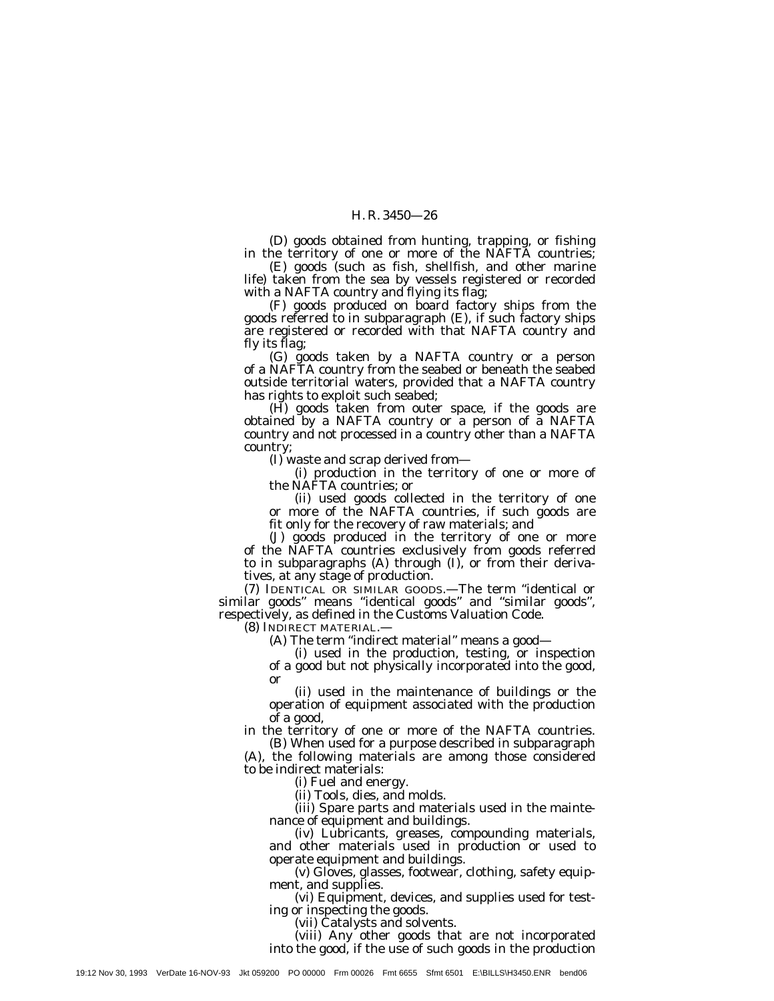(D) goods obtained from hunting, trapping, or fishing in the territory of one or more of the NAFTA countries;

(E) goods (such as fish, shellfish, and other marine life) taken from the sea by vessels registered or recorded with a NAFTA country and flying its flag;

(F) goods produced on board factory ships from the goods referred to in subparagraph (E), if such factory ships are registered or recorded with that NAFTA country and fly its flag;

(G) goods taken by a NAFTA country or a person of a NAFTA country from the seabed or beneath the seabed outside territorial waters, provided that a NAFTA country has rights to exploit such seabed;

(H) goods taken from outer space, if the goods are obtained by a NAFTA country or a person of a NAFTA country and not processed in a country other than a NAFTA country;

(I) waste and scrap derived from—

(i) production in the territory of one or more of the NAFTA countries; or

(ii) used goods collected in the territory of one or more of the NAFTA countries, if such goods are fit only for the recovery of raw materials; and

(J) goods produced in the territory of one or more of the NAFTA countries exclusively from goods referred to in subparagraphs (A) through (I), or from their derivatives, at any stage of production.

(7) IDENTICAL OR SIMILAR GOODS.—The term ''identical or similar goods'' means ''identical goods'' and ''similar goods'', respectively, as defined in the Customs Valuation Code.

(8) INDIRECT MATERIAL.—

(A) The term ''indirect material'' means a good—

(i) used in the production, testing, or inspection of a good but not physically incorporated into the good, or

(ii) used in the maintenance of buildings or the operation of equipment associated with the production of a good,

in the territory of one or more of the NAFTA countries.

(B) When used for a purpose described in subparagraph (A), the following materials are among those considered to be indirect materials:

(i) Fuel and energy.

(ii) Tools, dies, and molds.

(iii) Spare parts and materials used in the maintenance of equipment and buildings.

(iv) Lubricants, greases, compounding materials, and other materials used in production or used to operate equipment and buildings.

(v) Gloves, glasses, footwear, clothing, safety equipment, and supplies.

(vi) Equipment, devices, and supplies used for testing or inspecting the goods.

(vii) Catalysts and solvents.

(viii) Any other goods that are not incorporated into the good, if the use of such goods in the production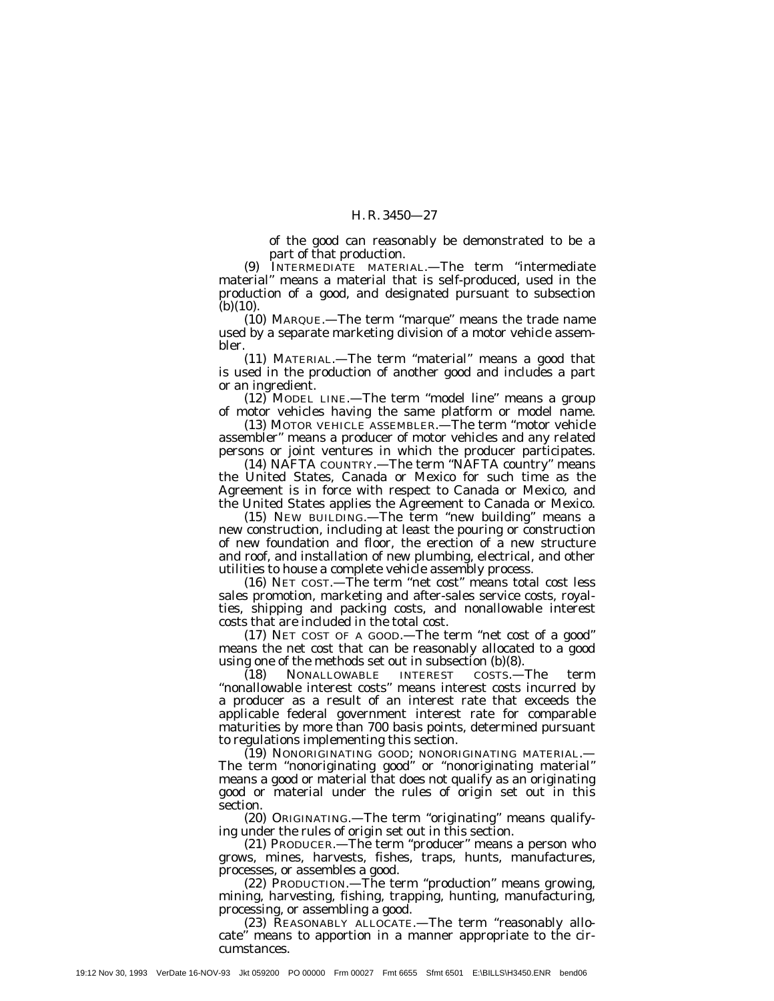of the good can reasonably be demonstrated to be a part of that production.

(9) INTERMEDIATE MATERIAL.—The term ''intermediate material'' means a material that is self-produced, used in the production of a good, and designated pursuant to subsection  $(b)(10)$ .

(10) MARQUE.—The term ''marque'' means the trade name used by a separate marketing division of a motor vehicle assembler.

(11) MATERIAL.—The term ''material'' means a good that is used in the production of another good and includes a part or an ingredient.

(12) MODEL LINE.—The term ''model line'' means a group of motor vehicles having the same platform or model name.

(13) MOTOR VEHICLE ASSEMBLER.—The term ''motor vehicle assembler'' means a producer of motor vehicles and any related persons or joint ventures in which the producer participates.

(14) NAFTA COUNTRY.—The term ''NAFTA country'' means the United States, Canada or Mexico for such time as the Agreement is in force with respect to Canada or Mexico, and the United States applies the Agreement to Canada or Mexico.

(15) NEW BUILDING.—The term ''new building'' means a new construction, including at least the pouring or construction of new foundation and floor, the erection of a new structure and roof, and installation of new plumbing, electrical, and other utilities to house a complete vehicle assembly process.

(16) NET COST.—The term ''net cost'' means total cost less sales promotion, marketing and after-sales service costs, royalties, shipping and packing costs, and nonallowable interest costs that are included in the total cost.

(17) NET COST OF A GOOD.—The term ''net cost of a good'' means the net cost that can be reasonably allocated to a good using one of the methods set out in subsection (b)(8).

(18) NONALLOWABLE INTEREST COSTS.—The term ''nonallowable interest costs'' means interest costs incurred by a producer as a result of an interest rate that exceeds the applicable federal government interest rate for comparable maturities by more than 700 basis points, determined pursuant to regulations implementing this section.

(19) NONORIGINATING GOOD; NONORIGINATING MATERIAL.— The term ''nonoriginating good'' or ''nonoriginating material'' means a good or material that does not qualify as an originating good or material under the rules of origin set out in this section.

(20) ORIGINATING.—The term ''originating'' means qualifying under the rules of origin set out in this section.

(21) PRODUCER.—The term ''producer'' means a person who grows, mines, harvests, fishes, traps, hunts, manufactures, processes, or assembles a good.

(22) PRODUCTION.—The term ''production'' means growing, mining, harvesting, fishing, trapping, hunting, manufacturing, processing, or assembling a good.

(23) REASONABLY ALLOCATE.—The term ''reasonably allocate'' means to apportion in a manner appropriate to the circumstances.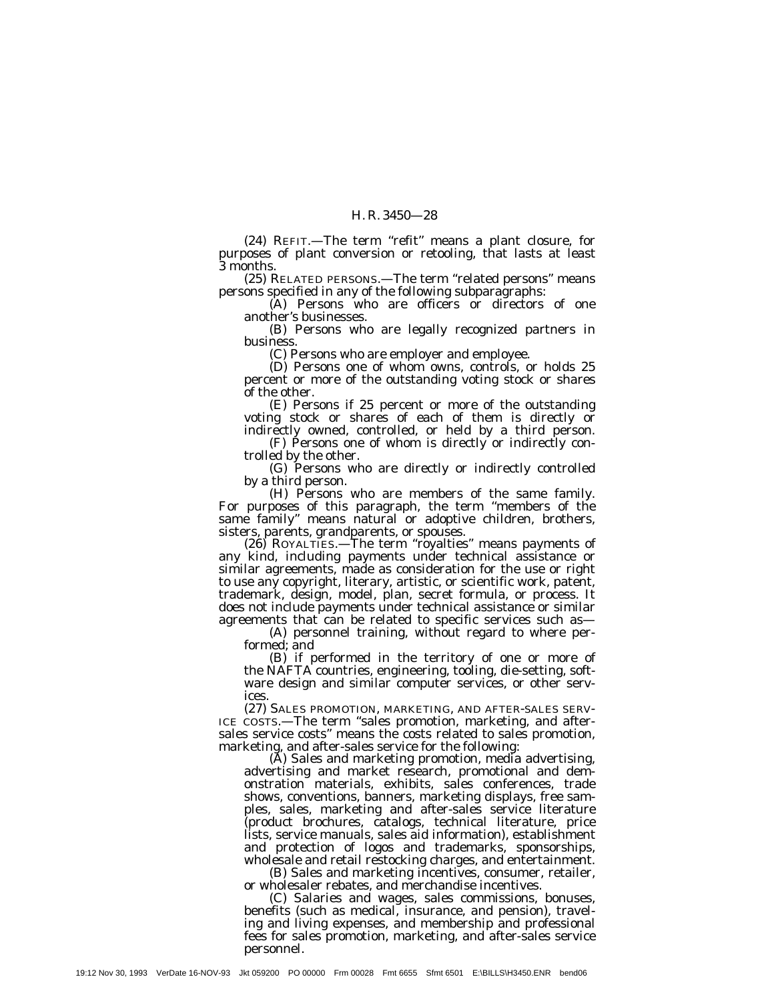(24) REFIT.—The term ''refit'' means a plant closure, for purposes of plant conversion or retooling, that lasts at least 3 months.

(25) RELATED PERSONS.—The term ''related persons'' means persons specified in any of the following subparagraphs:

(A) Persons who are officers or directors of one another's businesses.

(B) Persons who are legally recognized partners in business.

(C) Persons who are employer and employee.

(D) Persons one of whom owns, controls, or holds 25 percent or more of the outstanding voting stock or shares of the other.

(E) Persons if 25 percent or more of the outstanding voting stock or shares of each of them is directly or indirectly owned, controlled, or held by a third person.

(F) Persons one of whom is directly or indirectly controlled by the other.

(G) Persons who are directly or indirectly controlled by a third person.

(H) Persons who are members of the same family. For purposes of this paragraph, the term ''members of the same family'' means natural or adoptive children, brothers, sisters, parents, grandparents, or spouses.

(26) ROYALTIES.—The term ''royalties'' means payments of any kind, including payments under technical assistance or similar agreements, made as consideration for the use or right to use any copyright, literary, artistic, or scientific work, patent, trademark, design, model, plan, secret formula, or process. It does not include payments under technical assistance or similar agreements that can be related to specific services such as—

agreements that can be related to specific services such as—<br>(A) personnel training, without regard to where performed; and

(B) if performed in the territory of one or more of the NAFTA countries, engineering, tooling, die-setting, software design and similar computer services, or other services.

(27) SALES PROMOTION, MARKETING, AND AFTER-SALES SERV- ICE COSTS.—The term ''sales promotion, marketing, and after- sales service costs'' means the costs related to sales promotion,

marketing, and after-sales service for the following: (A) Sales and marketing promotion, media advertising, advertising and market research, promotional and demonstration materials, exhibits, sales conferences, trade shows, conventions, banners, marketing displays, free samples, sales, marketing and after-sales service literature (product brochures, catalogs, technical literature, price lists, service manuals, sales aid information), establishment and protection of logos and trademarks, sponsorships, wholesale and retail restocking charges, and entertainment.

(B) Sales and marketing incentives, consumer, retailer, or wholesaler rebates, and merchandise incentives.

(C) Salaries and wages, sales commissions, bonuses, benefits (such as medical, insurance, and pension), traveling and living expenses, and membership and professional fees for sales promotion, marketing, and after-sales service personnel.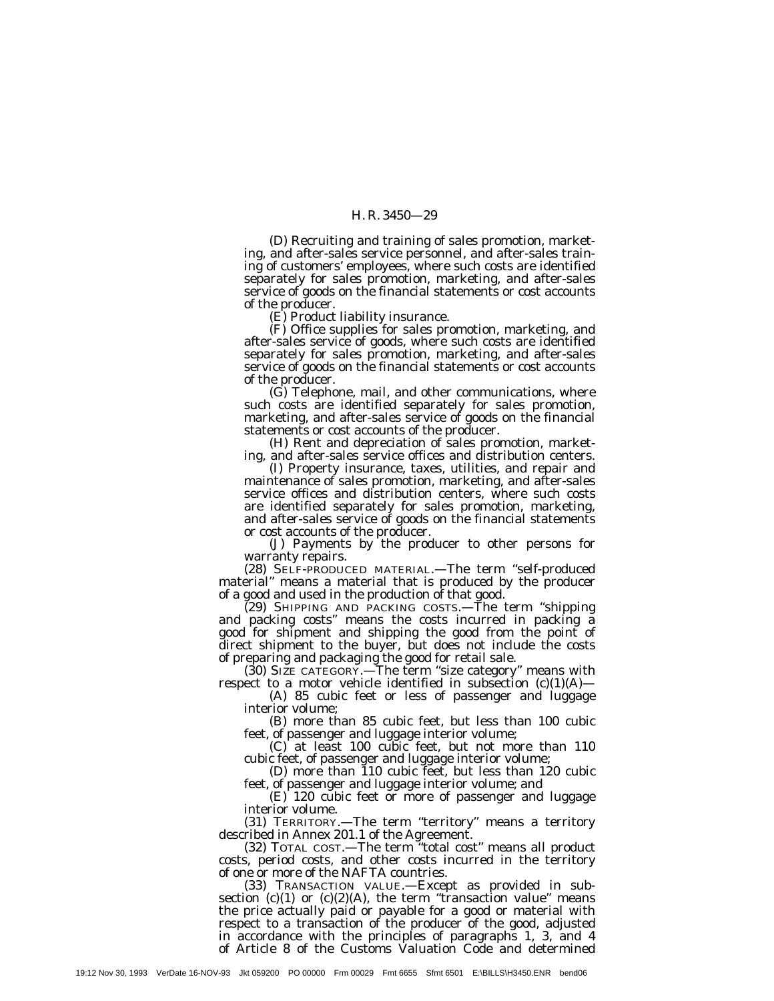(D) Recruiting and training of sales promotion, marketing, and after-sales service personnel, and after-sales training of customers' employees, where such costs are identified separately for sales promotion, marketing, and after-sales service of goods on the financial statements or cost accounts of the producer.

(E) Product liability insurance.

(F) Office supplies for sales promotion, marketing, and after-sales service of goods, where such costs are identified separately for sales promotion, marketing, and after-sales service of goods on the financial statements or cost accounts of the producer.

(G) Telephone, mail, and other communications, where such costs are identified separately for sales promotion, marketing, and after-sales service of goods on the financial statements or cost accounts of the producer.

(H) Rent and depreciation of sales promotion, marketing, and after-sales service offices and distribution centers.

(I) Property insurance, taxes, utilities, and repair and maintenance of sales promotion, marketing, and after-sales service offices and distribution centers, where such costs are identified separately for sales promotion, marketing, and after-sales service of goods on the financial statements or cost accounts of the producer.

(J) Payments by the producer to other persons for warranty repairs.

(28) SELF-PRODUCED MATERIAL.—The term ''self-produced material'' means a material that is produced by the producer

of a good and used in the production of that good. (29) SHIPPING AND PACKING COSTS.—The term ''shipping and packing costs'' means the costs incurred in packing a good for shipment and shipping the good from the point of direct shipment to the buyer, but does not include the costs

of preparing and packaging the good for retail sale.<br>(30) SIZE CATEGORY.—The term "size category" means with<br>respect to a motor vehicle identified in subsection (c)(1)(A)—

(A) 85 cubic feet or less of passenger and luggage interior volume;

(B) more than 85 cubic feet, but less than 100 cubic feet, of passenger and luggage interior volume; (C) at least 100 cubic feet, but not more than 110

cubic feet, of passenger and luggage interior volume; (D) more than 110 cubic feet, but less than 120 cubic

feet, of passenger and luggage interior volume; and (E) 120 cubic feet or more of passenger and luggage

interior volume.

(31) TERRITORY.—The term ''territory'' means a territory described in Annex 201.1 of the Agreement.

(32) TOTAL COST.—The term ''total cost'' means all product costs, period costs, and other costs incurred in the territory of one or more of the NAFTA countries.

(33) TRANSACTION VALUE.—Except as provided in subsection (c)(1) or (c)(2)(A), the term ''transaction value'' means the price actually paid or payable for a good or material with respect to a transaction of the producer of the good, adjusted in accordance with the principles of paragraphs 1, 3, and 4 of Article 8 of the Customs Valuation Code and determined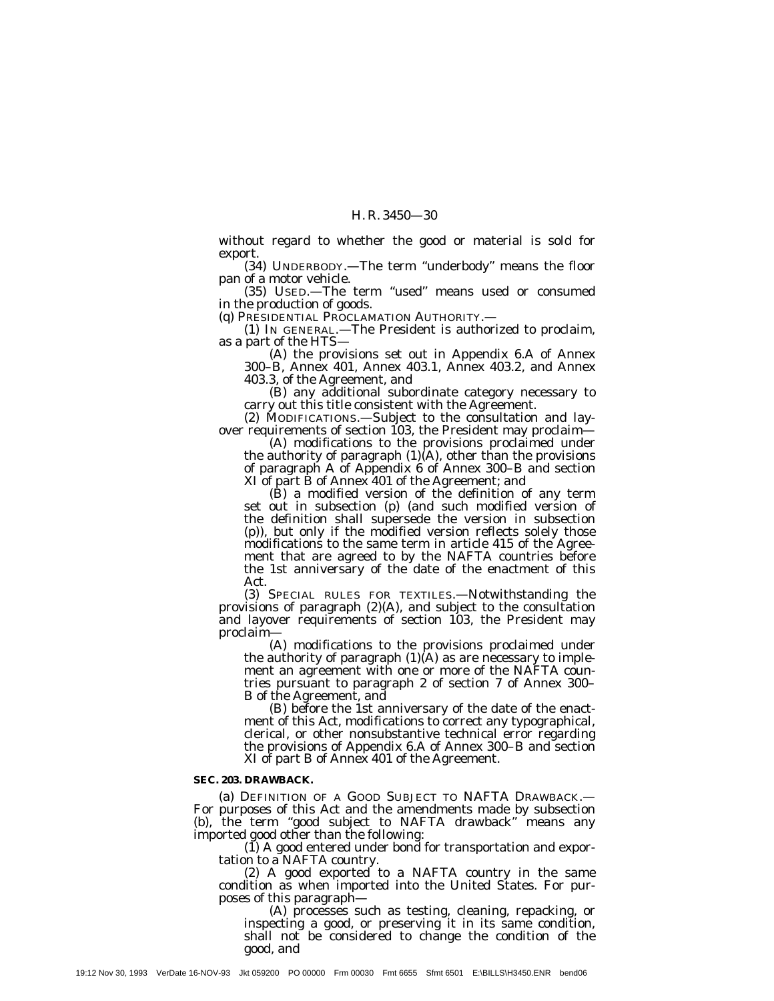without regard to whether the good or material is sold for export.

(34) UNDERBODY.—The term ''underbody'' means the floor pan of a motor vehicle.

(35) USED.—The term ''used'' means used or consumed in the production of goods.

(q) PRESIDENTIAL PROCLAMATION AUTHORITY.—

(1) IN GENERAL.—The President is authorized to proclaim, as a part of the HTS—

(A) the provisions set out in Appendix 6.A of Annex 300–B, Annex 401, Annex 403.1, Annex 403.2, and Annex 403.3, of the Agreement, and

(B) any additional subordinate category necessary to carry out this title consistent with the Agreement.

(2) MODIFICATIONS.—Subject to the consultation and layover requirements of section 103, the President may proclaim-

(A) modifications to the provisions proclaimed under the authority of paragraph (1)(A), other than the provisions of paragraph A of Appendix 6 of Annex 300–B and section XI of part B of Annex 401 of the Agreement; and

(B) a modified version of the definition of any term set out in subsection (p) (and such modified version of the definition shall supersede the version in subsection (p)), but only if the modified version reflects solely those modifications to the same term in article 415 of the Agreement that are agreed to by the NAFTA countries before the 1st anniversary of the date of the enactment of this Act.

(3) SPECIAL RULES FOR TEXTILES.—Notwithstanding the provisions of paragraph (2)(A), and subject to the consultation and layover requirements of section 103, the President may proclaim—

(A) modifications to the provisions proclaimed under the authority of paragraph  $(1)(A)$  as are necessary to implement an agreement with one or more of the NAFTA countries pursuant to paragraph 2 of section 7 of Annex 300–

B of the Agreement, and (B) before the 1st anniversary of the date of the enact- ment of this Act, modifications to correct any typographical, clerical, or other nonsubstantive technical error regarding the provisions of Appendix 6.A of Annex 300–B and section XI of part B of Annex 401 of the Agreement.

#### **SEC. 203. DRAWBACK.**

(a) DEFINITION OF A GOOD SUBJECT TO NAFTA DRAWBACK.— For purposes of this Act and the amendments made by subsection (b), the term ''good subject to NAFTA drawback'' means any imported good other than the following:

(1) A good entered under bond for transportation and exportation to a NAFTA country.

(2) A good exported to a NAFTA country in the same condition as when imported into the United States. For purposes of this paragraph—

(A) processes such as testing, cleaning, repacking, or inspecting a good, or preserving it in its same condition, shall not be considered to change the condition of the good, and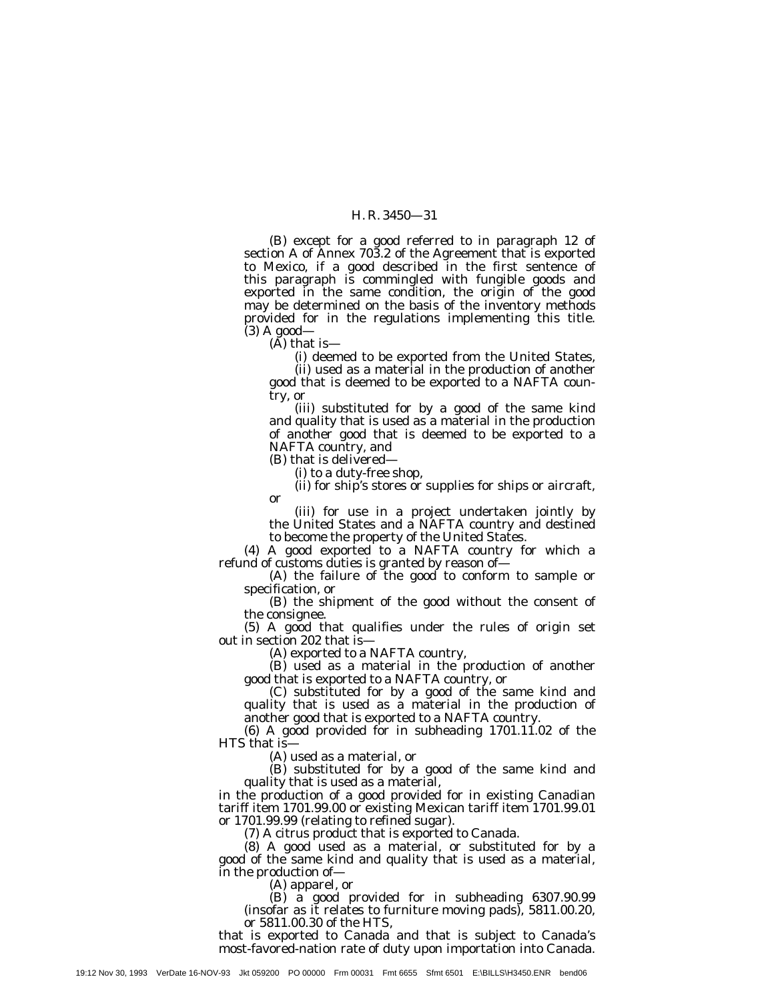(B) except for a good referred to in paragraph 12 of section A of Annex 703.2 of the Agreement that is exported to Mexico, if a good described in the first sentence of this paragraph is commingled with fungible goods and exported in the same condition, the origin of the good may be determined on the basis of the inventory methods provided for in the regulations implementing this title. (3) A good—

 $(A)$  that is—

(i) deemed to be exported from the United States,

(ii) used as a material in the production of another good that is deemed to be exported to a NAFTA country, or

(iii) substituted for by a good of the same kind and quality that is used as a material in the production of another good that is deemed to be exported to a NAFTA country, and

(B) that is delivered—

(i) to a duty-free shop,

(ii) for ship's stores or supplies for ships or aircraft, or

(iii) for use in a project undertaken jointly by the United States and a NAFTA country and destined to become the property of the United States.

(4) A good exported to a NAFTA country for which a refund of customs duties is granted by reason of—

(A) the failure of the good to conform to sample or specification, or

(B) the shipment of the good without the consent of the consignee.

(5) A good that qualifies under the rules of origin set out in section 202 that is-

(A) exported to a NAFTA country,

(B) used as a material in the production of another good that is exported to a NAFTA country, or

(C) substituted for by a good of the same kind and quality that is used as a material in the production of another good that is exported to a NAFTA country.

 $(6)$  A good provided for in subheading 1701.11.02 of the HTS that is—

(A) used as a material, or

(B) substituted for by a good of the same kind and quality that is used as a material,

in the production of a good provided for in existing Canadian tariff item 1701.99.00 or existing Mexican tariff item 1701.99.01 or 1701.99.99 (relating to refined sugar).

(7) A citrus product that is exported to Canada.

(8) A good used as a material, or substituted for by a good of the same kind and quality that is used as a material, in the production of—

(A) apparel, or

(B) a good provided for in subheading 6307.90.99 (insofar as it relates to furniture moving pads), 5811.00.20, or 5811.00.30 of the HTS,

that is exported to Canada and that is subject to Canada's most-favored-nation rate of duty upon importation into Canada.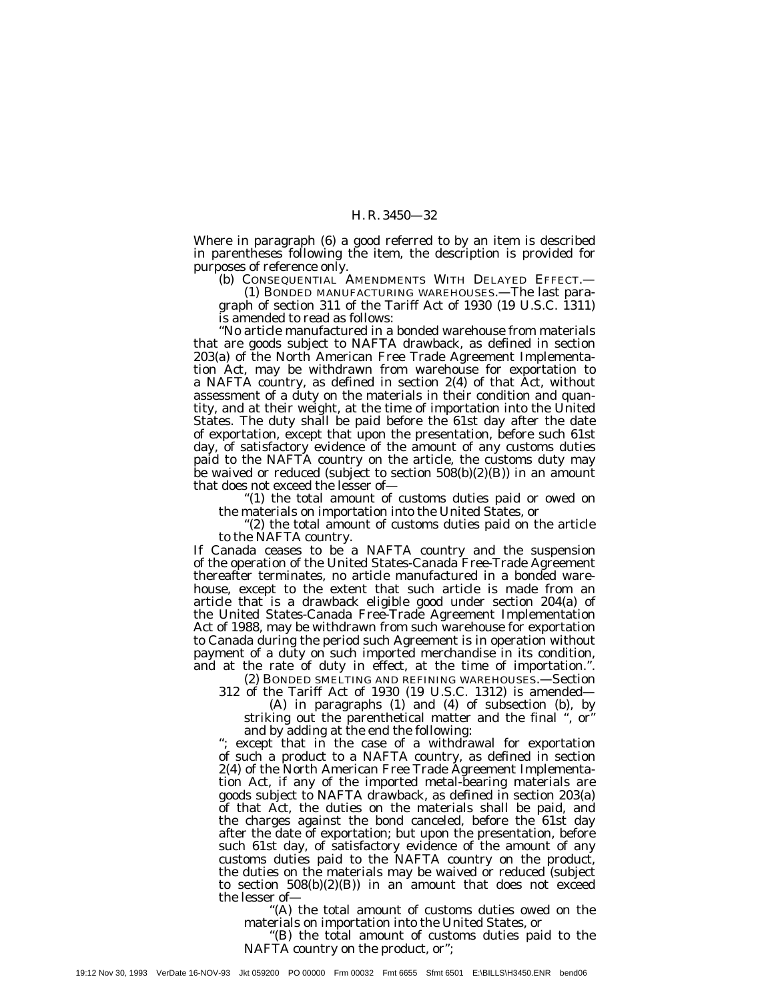Where in paragraph (6) a good referred to by an item is described in parentheses following the item, the description is provided for purposes of reference only.

(b) CONSEQUENTIAL AMENDMENTS WITH DELAYED EFFECT.—

(1) BONDED MANUFACTURING WAREHOUSES.—The last paragraph of section 311 of the Tariff Act of 1930 (19 U.S.C. 1311) is amended to read as follows:

''No article manufactured in a bonded warehouse from materials that are goods subject to NAFTA drawback, as defined in section 203(a) of the North American Free Trade Agreement Implementation Act, may be withdrawn from warehouse for exportation to a NAFTA country, as defined in section 2(4) of that Act, without assessment of a duty on the materials in their condition and quantity, and at their weight, at the time of importation into the United States. The duty shall be paid before the 61st day after the date of exportation, except that upon the presentation, before such 61st day, of satisfactory evidence of the amount of any customs duties paid to the NAFTA country on the article, the customs duty may be waived or reduced (subject to section 508(b)(2)(B)) in an amount that does not exceed the lesser of—

''(1) the total amount of customs duties paid or owed on the materials on importation into the United States, or

"(2) the total amount of customs duties paid on the article to the NAFTA country.

If Canada ceases to be a NAFTA country and the suspension of the operation of the United States-Canada Free-Trade Agreement thereafter terminates, no article manufactured in a bonded warehouse, except to the extent that such article is made from an article that is a drawback eligible good under section 204(a) of the United States-Canada Free-Trade Agreement Implementation Act of 1988, may be withdrawn from such warehouse for exportation to Canada during the period such Agreement is in operation without payment of a duty on such imported merchandise in its condition, and at the rate of duty in effect, at the time of importation."

(2) BONDED SMELTING AND REFINING WAREHOUSES.—Section 312 of the Tariff Act of 1930 (19 U.S.C. 1312) is amended—

(A) in paragraphs (1) and (4) of subsection (b), by striking out the parenthetical matter and the final ", or" and by adding at the end the following:

"; except that in the case of a withdrawal for exportation of such a product to a NAFTA country, as defined in section 2(4) of the North American Free Trade Agreement Implementation Act, if any of the imported metal-bearing materials are goods subject to NAFTA drawback, as defined in section 203(a) of that Act, the duties on the materials shall be paid, and the charges against the bond canceled, before the 61st day after the date of exportation; but upon the presentation, before such 61st day, of satisfactory evidence of the amount of any customs duties paid to the NAFTA country on the product, the duties on the materials may be waived or reduced (subject to section  $508(b)(2)(B)$ ) in an amount that does not exceed the lesser of—

''(A) the total amount of customs duties owed on the materials on importation into the United States, or

''(B) the total amount of customs duties paid to the NAFTA country on the product, or'';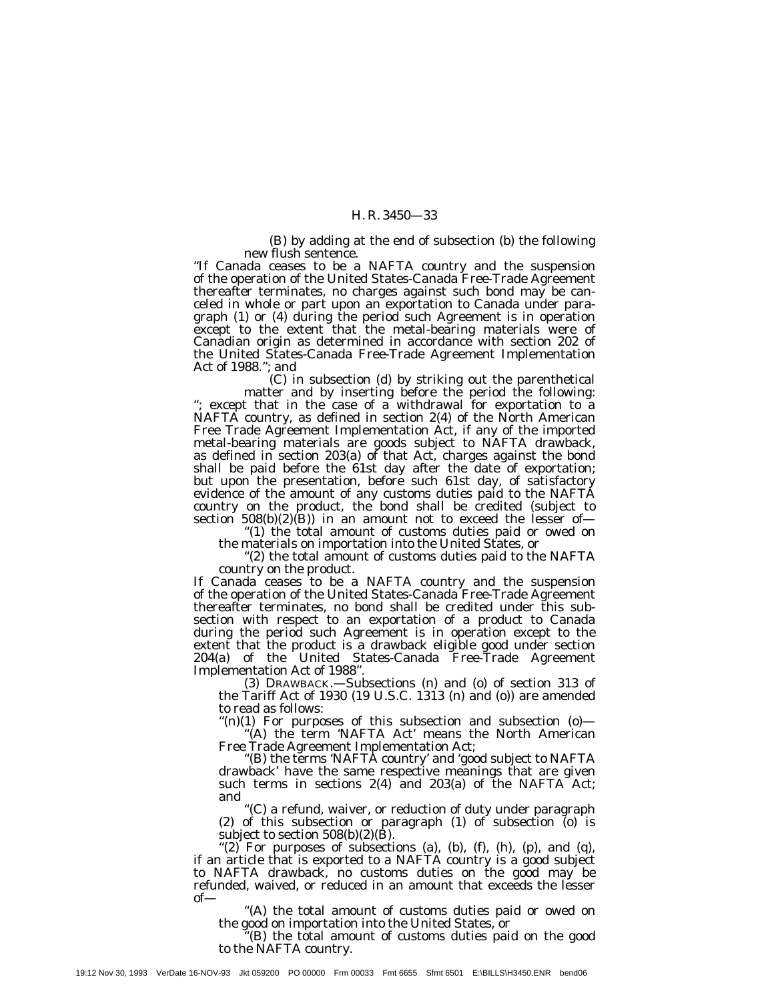(B) by adding at the end of subsection (b) the following new flush sentence.

''If Canada ceases to be a NAFTA country and the suspension of the operation of the United States-Canada Free-Trade Agreement thereafter terminates, no charges against such bond may be canceled in whole or part upon an exportation to Canada under paragraph (1) or (4) during the period such Agreement is in operation except to the extent that the metal-bearing materials were of Canadian origin as determined in accordance with section 202 of the United States-Canada Free-Trade Agreement Implementation Act of 1988.''; and

(C) in subsection (d) by striking out the parenthetical matter and by inserting before the period the following: ''; except that in the case of a withdrawal for exportation to a NAFTA country, as defined in section  $2(4)$  of the North American Free Trade Agreement Implementation Act, if any of the imported metal-bearing materials are goods subject to NAFTA drawback, as defined in section 203(a) of that Act, charges against the bond shall be paid before the 61st day after the date of exportation; but upon the presentation, before such 61st day, of satisfactory evidence of the amount of any customs duties paid to the NAFTA country on the product, the bond shall be credited (subject to section 508(b)(2)(B)) in an amount not to exceed the lesser of—

''(1) the total amount of customs duties paid or owed on the materials on importation into the United States, or

''(2) the total amount of customs duties paid to the NAFTA country on the product.

If Canada ceases to be a NAFTA country and the suspension of the operation of the United States-Canada Free-Trade Agreement thereafter terminates, no bond shall be credited under this subsection with respect to an exportation of a product to Canada during the period such Agreement is in operation except to the extent that the product is a drawback eligible good under section 204(a) of the United States-Canada Free-Trade Agreement Implementation Act of 1988''.

(3) DRAWBACK.—Subsections (n) and (o) of section 313 of the Tariff Act of 1930 (19 U.S.C. 1313 (n) and (o)) are amended to read as follows:

" $(n)(1)$  For purposes of this subsection and subsection  $(0)$ — "(A) the term 'NAFTA Act' means the North American Free Trade Agreement Implementation Act;

"(B) the terms 'NAFTA country' and 'good subject to NAFTA drawback' have the same respective meanings that are given such terms in sections  $2(4)$  and  $203(a)$  of the NAFTA Act; and

'(C) a refund, waiver, or reduction of duty under paragraph (2) of this subsection or paragraph (1) of subsection  $\overline{(0)}$  is subject to section  $508(b)(2)(\hat{B})$ .

" $(2)$  For purposes of subsections  $(a)$ ,  $(b)$ ,  $(f)$ ,  $(h)$ ,  $(p)$ , and  $(q)$ , if an article that is exported to a NAFTA country is a good subject to NAFTA drawback, no customs duties on the good may be refunded, waived, or reduced in an amount that exceeds the lesser of—

''(A) the total amount of customs duties paid or owed on the good on importation into the United States, or

 $f(B)$  the total amount of customs duties paid on the good to the NAFTA country.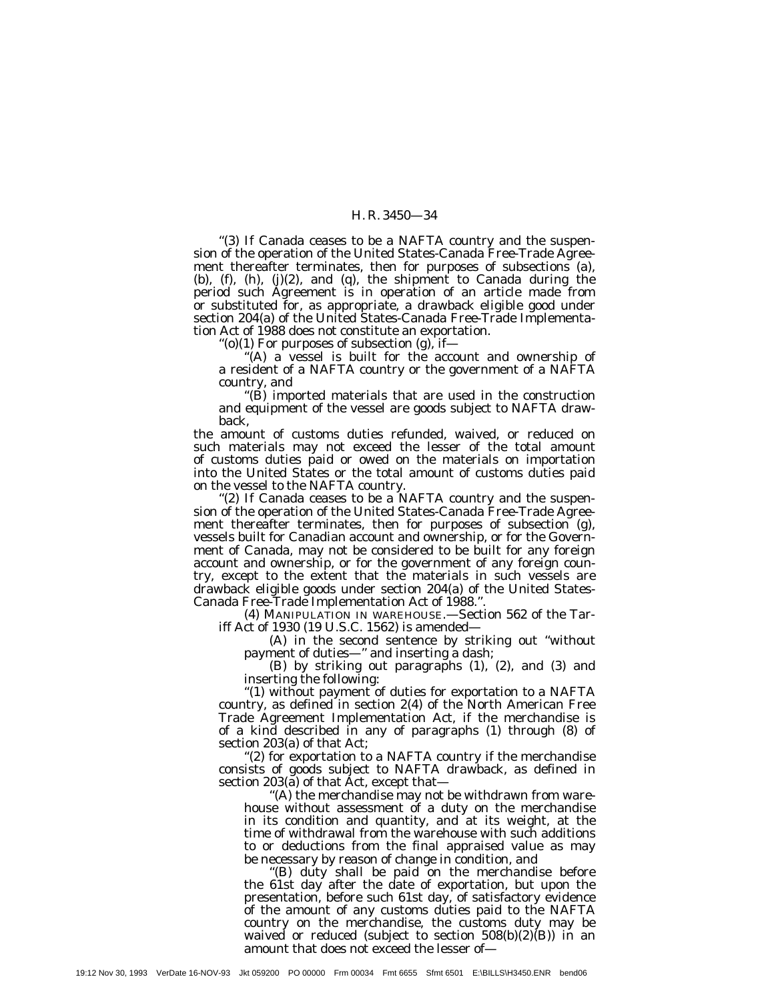"(3) If Canada ceases to be a NAFTA country and the suspension of the operation of the United States-Canada Free-Trade Agreement thereafter terminates, then for purposes of subsections (a), (b), (f), (h), (j)(2), and (q), the shipment to Canada during the period such Agreement is in operation of an article made from or substituted for, as appropriate, a drawback eligible good under section 204(a) of the United States-Canada Free-Trade Implementation Act of 1988 does not constitute an exportation.

"(0)(1) For purposes of subsection (g), if—

"(A) a vessel is built for the account and ownership of a resident of a NAFTA country or the government of a NAFTA country, and

''(B) imported materials that are used in the construction and equipment of the vessel are goods subject to NAFTA drawback,

the amount of customs duties refunded, waived, or reduced on such materials may not exceed the lesser of the total amount of customs duties paid or owed on the materials on importation into the United States or the total amount of customs duties paid on the vessel to the NAFTA country.

"(2) If Canada ceases to be a NAFTA country and the suspension of the operation of the United States-Canada Free-Trade Agreement thereafter terminates, then for purposes of subsection (g), vessels built for Canadian account and ownership, or for the Government of Canada, may not be considered to be built for any foreign account and ownership, or for the government of any foreign country, except to the extent that the materials in such vessels are drawback eligible goods under section 204(a) of the United States-Canada Free-Trade Implementation Act of 1988.''.

(4) MANIPULATION IN WAREHOUSE.—Section 562 of the Tariff Act of 1930 (19 U.S.C. 1562) is amended—

(A) in the second sentence by striking out ''without payment of duties—'' and inserting a dash;

(B) by striking out paragraphs (1), (2), and (3) and inserting the following:

''(1) without payment of duties for exportation to a NAFTA country, as defined in section 2(4) of the North American Free Trade Agreement Implementation Act, if the merchandise is of a kind described in any of paragraphs (1) through (8) of section 203(a) of that Act;

"(2) for exportation to a NAFTA country if the merchandise consists of goods subject to NAFTA drawback, as defined in section  $203(a)$  of that Act, except that-

'(A) the merchandise may not be withdrawn from warehouse without assessment of a duty on the merchandise in its condition and quantity, and at its weight, at the time of withdrawal from the warehouse with such additions to or deductions from the final appraised value as may be necessary by reason of change in condition, and

''(B) duty shall be paid on the merchandise before the 61st day after the date of exportation, but upon the presentation, before such 61st day, of satisfactory evidence of the amount of any customs duties paid to the NAFTA country on the merchandise, the customs duty may be waived or reduced (subject to section  $508(b)(2)(B)$ ) in an amount that does not exceed the lesser of—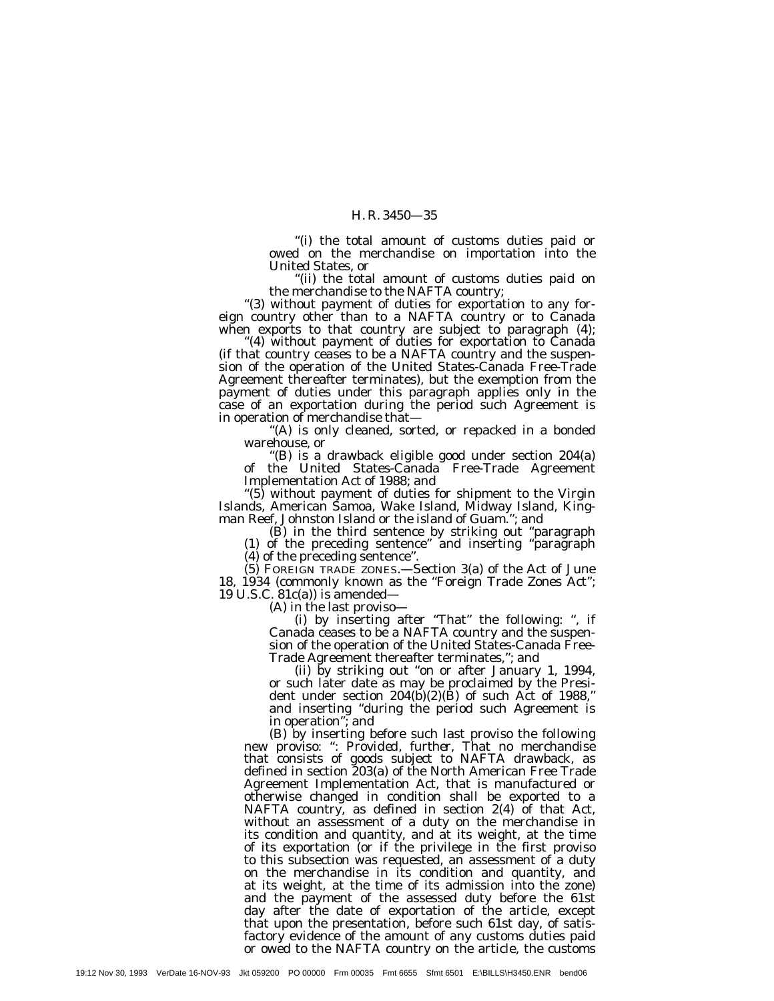''(i) the total amount of customs duties paid or owed on the merchandise on importation into the United States, or

''(ii) the total amount of customs duties paid on the merchandise to the NAFTA country;

''(3) without payment of duties for exportation to any foreign country other than to a NAFTA country or to Canada when exports to that country are subject to paragraph (4);

''(4) without payment of duties for exportation to Canada (if that country ceases to be a NAFTA country and the suspension of the operation of the United States-Canada Free-Trade Agreement thereafter terminates), but the exemption from the payment of duties under this paragraph applies only in the case of an exportation during the period such Agreement is in operation of merchandise that—

''(A) is only cleaned, sorted, or repacked in a bonded warehouse, or

''(B) is a drawback eligible good under section 204(a) of the United States-Canada Free-Trade Agreement Implementation Act of 1988; and

''(5) without payment of duties for shipment to the Virgin Islands, American Samoa, Wake Island, Midway Island, Kingman Reef, Johnston Island or the island of Guam.''; and

(B) in the third sentence by striking out ''paragraph

(1) of the preceding sentence'' and inserting ''paragraph (4) of the preceding sentence''.

(5) FOREIGN TRADE ZONES.—Section 3(a) of the Act of June 18, 1934 (commonly known as the ''Foreign Trade Zones Act''; 19 U.S.C. 81c(a)) is amended—

(A) in the last proviso—

(i) by inserting after ''That'' the following: '', if Canada ceases to be a NAFTA country and the suspension of the operation of the United States-Canada Free-Trade Agreement thereafter terminates,"; and

(ii) by striking out "on or after January 1, 1994, or such later date as may be proclaimed by the President under section  $204(b)(2)(B)$  of such Act of 1988," and inserting "during the period such Agreement is in operation''; and

(B) by inserting before such last proviso the following new proviso: *'': Provided, further,* That no merchandise that consists of goods subject to NAFTA drawback, as defined in section 203(a) of the North American Free Trade Agreement Implementation Act, that is manufactured or otherwise changed in condition shall be exported to a NAFTA country, as defined in section 2(4) of that Act, without an assessment of a duty on the merchandise in its condition and quantity, and at its weight, at the time of its exportation (or if the privilege in the first proviso to this subsection was requested, an assessment of a duty on the merchandise in its condition and quantity, and at its weight, at the time of its admission into the zone) and the payment of the assessed duty before the 61st day after the date of exportation of the article, except that upon the presentation, before such 61st day, of satisfactory evidence of the amount of any customs duties paid or owed to the NAFTA country on the article, the customs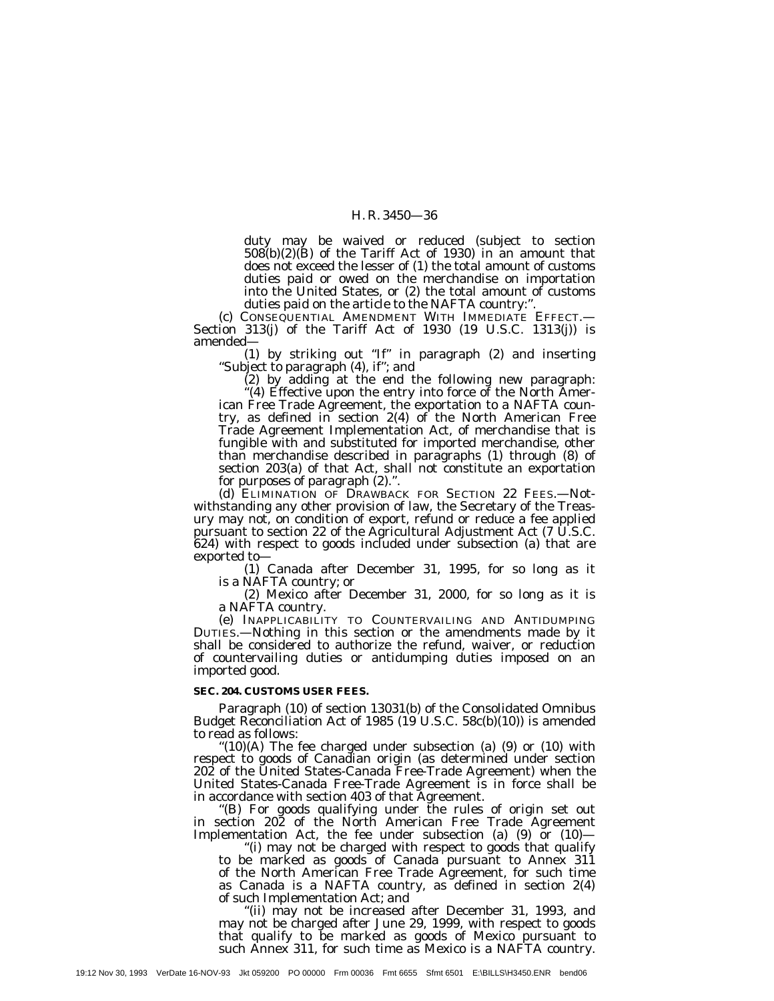duty may be waived or reduced (subject to section 508(b)(2)(B) of the Tariff Act of 1930) in an amount that does not exceed the lesser of (1) the total amount of customs duties paid or owed on the merchandise on importation into the United States, or (2) the total amount of customs duties paid on the article to the NAFTA country:''.

(c) CONSEQUENTIAL AMENDMENT WITH IMMEDIATE EFFECT.— Section 313(j) of the Tariff Act of 1930 (19 U.S.C. 1313(j)) is amended—

(1) by striking out ''If'' in paragraph (2) and inserting ''Subject to paragraph (4), if''; and

(2) by adding at the end the following new paragraph: ''(4) Effective upon the entry into force of the North American Free Trade Agreement, the exportation to a NAFTA country, as defined in section 2(4) of the North American Free

Trade Agreement Implementation Act, of merchandise that is fungible with and substituted for imported merchandise, other than merchandise described in paragraphs (1) through (8) of section 203(a) of that Act, shall not constitute an exportation for purposes of paragraph (2).''.

(d) ELIMINATION OF DRAWBACK FOR SECTION 22 FEES.—Notwithstanding any other provision of law, the Secretary of the Treasury may not, on condition of export, refund or reduce a fee applied pursuant to section 22 of the Agricultural Adjustment Act (7 U.S.C. 624) with respect to goods included under subsection (a) that are exported to—

(1) Canada after December 31, 1995, for so long as it

 $(2)$  Mexico after December 31, 2000, for so long as it is a NAFTA country.

(e) INAPPLICABILITY TO COUNTERVAILING AND ANTIDUMPING DUTIES.—Nothing in this section or the amendments made by it shall be considered to authorize the refund, waiver, or reduction of countervailing duties or antidumping duties imposed on an imported good.

#### **SEC. 204. CUSTOMS USER FEES.**

Paragraph (10) of section 13031(b) of the Consolidated Omnibus Budget Reconciliation Act of 1985 (19 U.S.C. 58c(b)(10)) is amended to read as follows:

''(10)(A) The fee charged under subsection (a) (9) or (10) with respect to goods of Canadian origin (as determined under section 202 of the United States-Canada Free-Trade Agreement) when the United States-Canada Free-Trade Agreement is in force shall be in accordance with section 403 of that Agreement.

''(B) For goods qualifying under the rules of origin set out in section 202 of the North American Free Trade Agreement Implementation Act, the fee under subsection (a)  $(9)$  or  $(10)$ —

''(i) may not be charged with respect to goods that qualify to be marked as goods of Canada pursuant to Annex 311 of the North American Free Trade Agreement, for such time as Canada is a NAFTA country, as defined in section 2(4) of such Implementation Act; and

"(ii) may not be increased after December 31, 1993, and may not be charged after June 29, 1999, with respect to goods that qualify to be marked as goods of Mexico pursuant to such Annex 311, for such time as Mexico is a NAFTA country.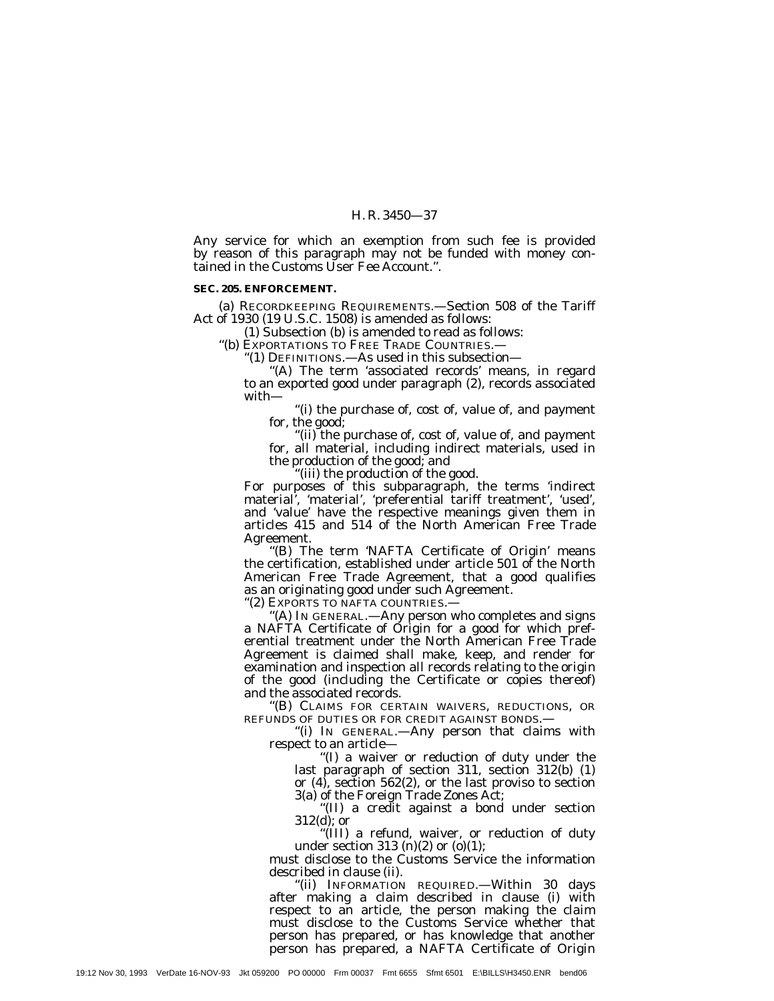Any service for which an exemption from such fee is provided by reason of this paragraph may not be funded with money contained in the Customs User Fee Account.''.

#### **SEC. 205. ENFORCEMENT.**

(a) RECORDKEEPING REQUIREMENTS.—Section 508 of the Tariff Act of 1930 (19 U.S.C. 1508) is amended as follows:

(1) Subsection (b) is amended to read as follows:

''(b) EXPORTATIONS TO FREE TRADE COUNTRIES.—

''(1) DEFINITIONS.—As used in this subsection—

"(A) The term 'associated records' means, in regard to an exported good under paragraph (2), records associated with—

''(i) the purchase of, cost of, value of, and payment for, the good;

''(ii) the purchase of, cost of, value of, and payment for, all material, including indirect materials, used in the production of the good; and

'(iii) the production of the good.

For purposes of this subparagraph, the terms 'indirect material', 'material', 'preferential tariff treatment', 'used', and 'value' have the respective meanings given them in articles 415 and 514 of the North American Free Trade Agreement.

'(B) The term 'NAFTA Certificate of Origin' means the certification, established under article 501 of the North American Free Trade Agreement, that a good qualifies as an originating good under such Agreement.

"(2) EXPORTS TO NAFTA COUNTRIES.-

''(A) IN GENERAL.—Any person who completes and signs a NAFTA Certificate of Origin for a good for which preferential treatment under the North American Free Trade Agreement is claimed shall make, keep, and render for examination and inspection all records relating to the origin of the good (including the Certificate or copies thereof) and the associated records.

''(B) CLAIMS FOR CERTAIN WAIVERS, REDUCTIONS, OR REFUNDS OF DUTIES OR FOR CREDIT AGAINST BONDS.—

''(i) IN GENERAL.—Any person that claims with respect to an article—

''(I) a waiver or reduction of duty under the last paragraph of section 311, section 312(b) (1) or (4), section 562(2), or the last proviso to section 3(a) of the Foreign Trade Zones Act;

''(II) a credit against a bond under section 312(d); or

'(III) a refund, waiver, or reduction of duty under section 313 (n)(2) or  $(0)(1)$ ;

must disclose to the Customs Service the information described in clause (ii).

''(ii) INFORMATION REQUIRED.—Within 30 days after making a claim described in clause (i) with respect to an article, the person making the claim must disclose to the Customs Service whether that person has prepared, or has knowledge that another person has prepared, a NAFTA Certificate of Origin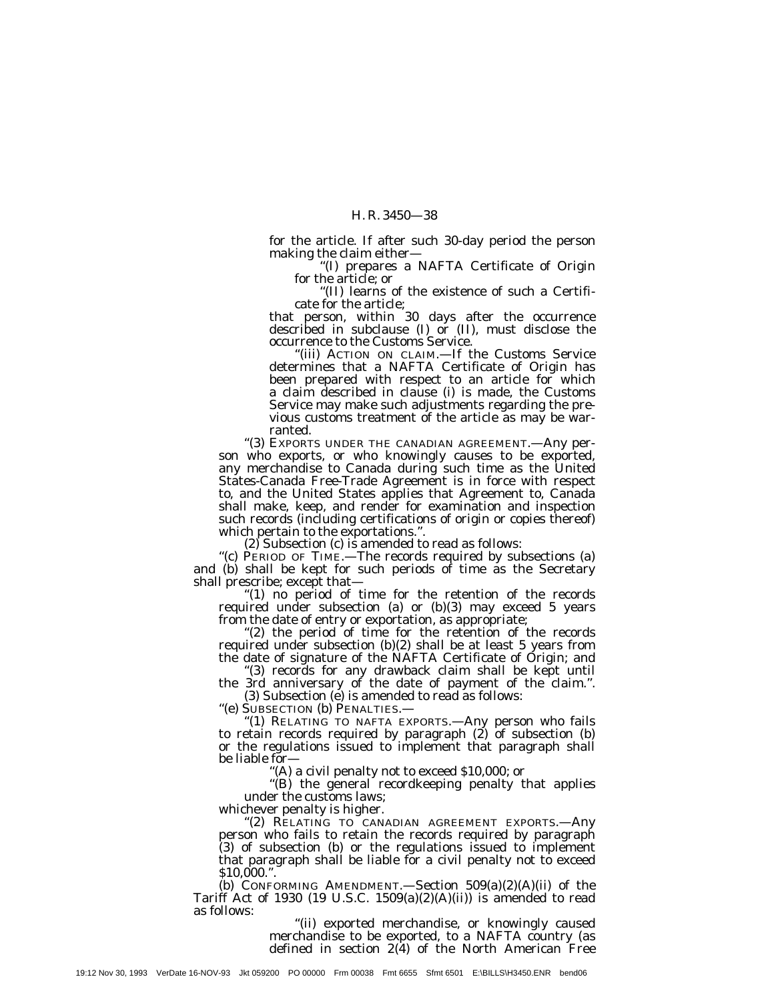for the article. If after such 30-day period the person making the claim either—

''(I) prepares a NAFTA Certificate of Origin for the article; or

''(II) learns of the existence of such a Certificate for the article;

that person, within 30 days after the occurrence described in subclause (I) or (II), must disclose the occurrence to the Customs Service.

''(iii) ACTION ON CLAIM.—If the Customs Service determines that a NAFTA Certificate of Origin has been prepared with respect to an article for which a claim described in clause (i) is made, the Customs Service may make such adjustments regarding the previous customs treatment of the article as may be warranted.

''(3) EXPORTS UNDER THE CANADIAN AGREEMENT.—Any person who exports, or who knowingly causes to be exported, any merchandise to Canada during such time as the United States-Canada Free-Trade Agreement is in force with respect to, and the United States applies that Agreement to, Canada shall make, keep, and render for examination and inspection such records (including certifications of origin or copies thereof) which pertain to the exportations.''.

(2) Subsection (c) is amended to read as follows:

"(c) PERIOD OF TIME.—The records required by subsections (a) and (b) shall be kept for such periods of time as the Secretary shall prescribe; except that—

''(1) no period of time for the retention of the records required under subsection (a) or (b)(3) may exceed 5 years from the date of entry or exportation, as appropriate; from the date of entry or exportation, as appropriate; ''(2) the period of time for the retention of the records

required under subsection (b)(2) shall be at least 5 years from the date of signature of the NAFTA Certificate of Origin; and ''(3) records for any drawback claim shall be kept until

the 3rd anniversary of the date of payment of the claim.".<br>
(3) Subsection (e) is amended to read as follows:<br>
"(e) SUBSECTION (b) PENALTIES.—

"(1) RELATING TO NAFTA EXPORTS.—Any person who fails to retain records required by paragraph (2) of subsection (b) or the regulations issued to implement that paragraph shall be liable for—

''(A) a civil penalty not to exceed \$10,000; or

"(B) the general recordkeeping penalty that applies under the customs laws;

whichever penalty is higher.

''(2) RELATING TO CANADIAN AGREEMENT EXPORTS.—Any person who fails to retain the records required by paragraph (3) of subsection (b) or the regulations issued to implement that paragraph shall be liable for a civil penalty not to exceed \$10,000.''.

(b) CONFORMING AMENDMENT.—Section 509(a)(2)(A)(ii) of the Tariff Act of 1930 (19 U.S.C. 1509(a)(2)(A)(ii)) is amended to read as follows:

> ''(ii) exported merchandise, or knowingly caused merchandise to be exported, to a NAFTA country (as defined in section  $2(\hat{4})$  of the North American Free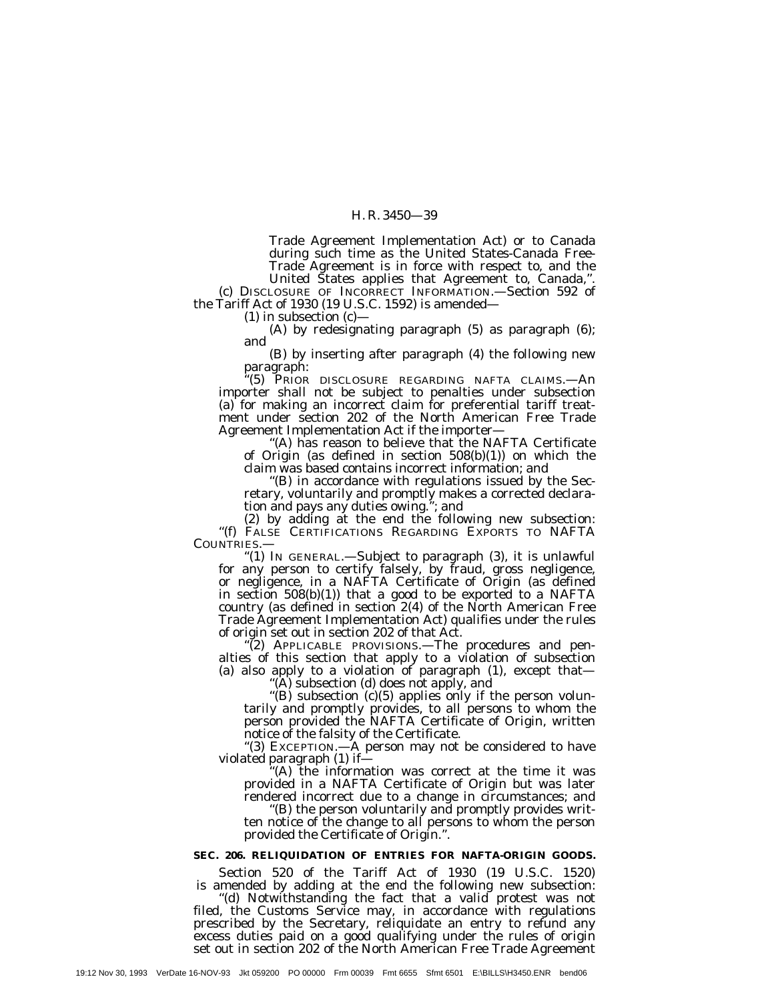Trade Agreement Implementation Act) or to Canada during such time as the United States-Canada Free-Trade Agreement is in force with respect to, and the

United States applies that Agreement to, Canada,''. (c) DISCLOSURE OF INCORRECT INFORMATION.—Section 592 of the Tariff Act of 1930 (19 U.S.C. 1592) is amended—

(1) in subsection  $(c)$ 

(A) by redesignating paragraph (5) as paragraph (6); and

(B) by inserting after paragraph (4) the following new paragraph:

"(5) PRIOR DISCLOSURE REGARDING NAFTA CLAIMS.—An importer shall not be subject to penalties under subsection (a) for making an incorrect claim for preferential tariff treatment under section 202 of the North American Free Trade Agreement Implementation Act if the importer—

''(A) has reason to believe that the NAFTA Certificate of Origin (as defined in section 508(b)(1)) on which the claim was based contains incorrect information; and

''(B) in accordance with regulations issued by the Secretary, voluntarily and promptly makes a corrected declaration and pays any duties owing.''; and

(2) by adding at the end the following new subsection: ''(f) FALSE CERTIFICATIONS REGARDING EXPORTS TO NAFTA COUNTRIES.—

''(1) IN GENERAL.—Subject to paragraph (3), it is unlawful for any person to certify falsely, by fraud, gross negligence, or negligence, in a NAFTA Certificate of Origin (as defined in section 508(b)(1)) that a good to be exported to a NAFTA country (as defined in section 2(4) of the North American Free Trade Agreement Implementation Act) qualifies under the rules

 $\tilde{a}(2)$  APPLICABLE PROVISIONS.—The procedures and penalties of this section that apply to a violation of subsection (a) also apply to a violation of paragraph  $(1)$ , except that—<br>"(A) subsection (d) does not apply, and

''(B) subsection (c)(5) applies only if the person voluntarily and promptly provides, to all persons to whom the person provided the NAFTA Certificate of Origin, written notice of the falsity of the Certificate.

''(3) EXCEPTION.—A person may not be considered to have violated paragraph (1) if— ''(A) the information was correct at the time it was

provided in a NAFTA Certificate of Origin but was later rendered incorrect due to a change in circumstances; and

''(B) the person voluntarily and promptly provides written notice of the change to all persons to whom the person provided the Certificate of Origin.''.

#### **SEC. 206. RELIQUIDATION OF ENTRIES FOR NAFTA-ORIGIN GOODS.**

Section 520 of the Tariff Act of 1930 (19 U.S.C. 1520) is amended by adding at the end the following new subsection:

'(d) Notwithstanding the fact that a valid protest was not filed, the Customs Service may, in accordance with regulations prescribed by the Secretary, reliquidate an entry to refund any excess duties paid on a good qualifying under the rules of origin set out in section 202 of the North American Free Trade Agreement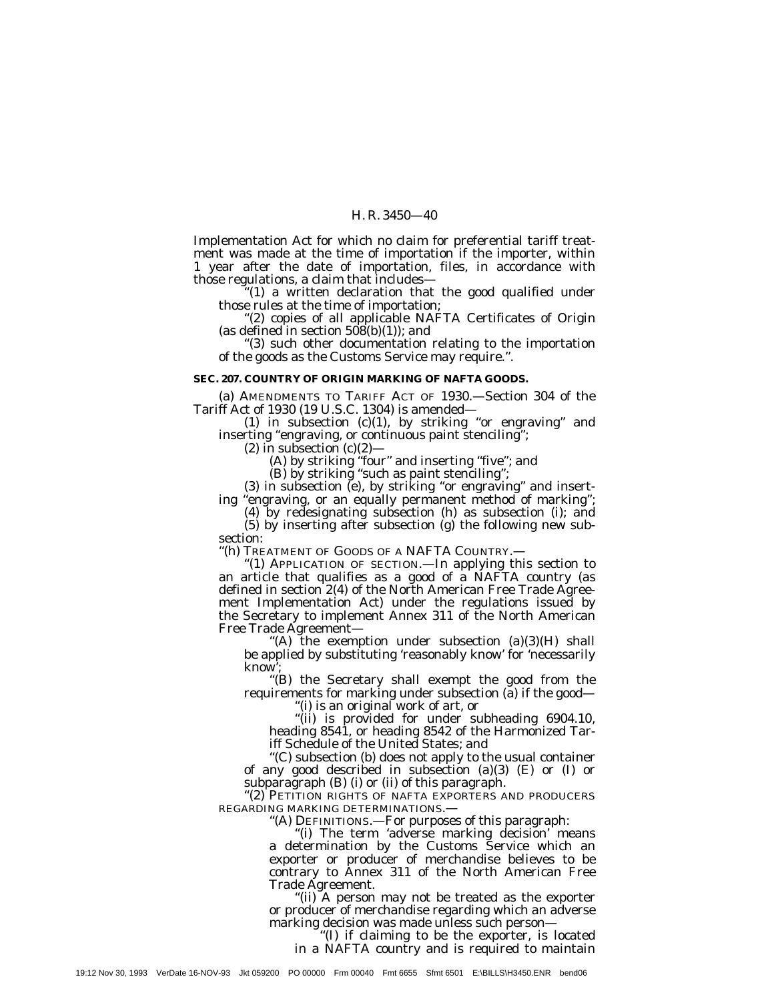Implementation Act for which no claim for preferential tariff treatment was made at the time of importation if the importer, within 1 year after the date of importation, files, in accordance with those regulations, a claim that includes—

''(1) a written declaration that the good qualified under those rules at the time of importation;

"(2) copies of all applicable NAFTA Certificates of Origin (as defined in section  $508(b)(1)$ ); and

''(3) such other documentation relating to the importation of the goods as the Customs Service may require.''.

#### **SEC. 207. COUNTRY OF ORIGIN MARKING OF NAFTA GOODS.**

(a) AMENDMENTS TO TARIFF ACT OF 1930.—Section 304 of the Tariff Act of 1930 (19 U.S.C. 1304) is amended—

(1) in subsection  $(c)(1)$ , by striking "or engraving" and inserting "engraving, or continuous paint stenciling";

(2) in subsection  $(c)(2)$ —

(A) by striking ''four'' and inserting ''five''; and

(B) by striking ''such as paint stenciling'';

(3) in subsection (e), by striking ''or engraving'' and inserting ''engraving, or an equally permanent method of marking'';

(4) by redesignating subsection (h) as subsection (i); and (5) by inserting after subsection (g) the following new subsection:

''(h) TREATMENT OF GOODS OF A NAFTA COUNTRY.—

'(1) APPLICATION OF SECTION.—In applying this section to an article that qualifies as a good of a NAFTA country (as defined in section 2(4) of the North American Free Trade Agreement Implementation Act) under the regulations issued by the Secretary to implement Annex 311 of the North American Free Trade Agreement—

"(A) the exemption under subsection  $(a)(3)(H)$  shall be applied by substituting 'reasonably know' for 'necessarily know<sup>?</sup>

''(B) the Secretary shall exempt the good from the requirements for marking under subsection (a) if the good—

''(i) is an original work of art, or

''(ii) is provided for under subheading 6904.10, heading 8541, or heading 8542 of the Harmonized Tariff Schedule of the United States; and

''(C) subsection (b) does not apply to the usual container of any good described in subsection (a)(3) (E) or (I) or subparagraph (B) (i) or (ii) of this paragraph.

''(2) PETITION RIGHTS OF NAFTA EXPORTERS AND PRODUCERS REGARDING MARKING DETERMINATIONS.—

''(A) DEFINITIONS.—For purposes of this paragraph:

''(i) The term 'adverse marking decision' means a determination by the Customs Service which an exporter or producer of merchandise believes to be contrary to Annex 311 of the North American Free Trade Agreement.

"(ii) A person may not be treated as the exporter or producer of merchandise regarding which an adverse marking decision was made unless such person—

''(I) if claiming to be the exporter, is located in a NAFTA country and is required to maintain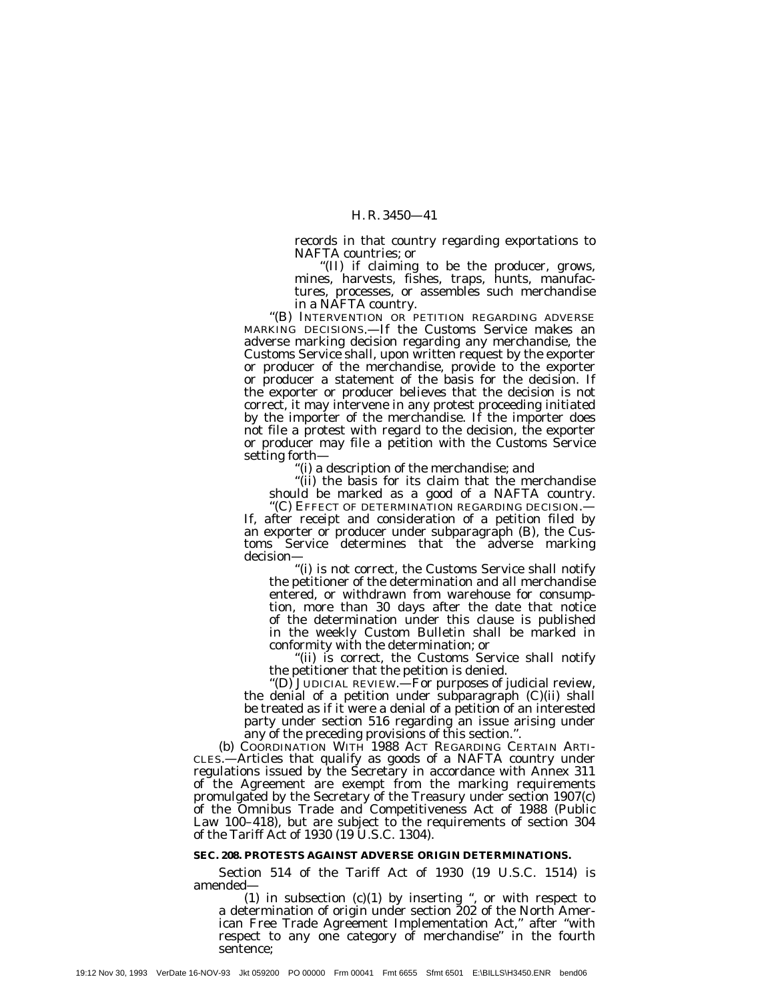records in that country regarding exportations to NAFTA countries; or

''(II) if claiming to be the producer, grows, mines, harvests, fishes, traps, hunts, manufactures, processes, or assembles such merchandise in a NAFTA country.

''(B) INTERVENTION OR PETITION REGARDING ADVERSE MARKING DECISIONS.—If the Customs Service makes an adverse marking decision regarding any merchandise, the Customs Service shall, upon written request by the exporter or producer of the merchandise, provide to the exporter or producer a statement of the basis for the decision. If the exporter or producer believes that the decision is not correct, it may intervene in any protest proceeding initiated by the importer of the merchandise. If the importer does not file a protest with regard to the decision, the exporter or producer may file a petition with the Customs Service setting forth-

''(i) a description of the merchandise; and

''(ii) the basis for its claim that the merchandise should be marked as a good of a NAFTA country.

"(C) EFFECT OF DETERMINATION REGARDING DECISION. If, after receipt and consideration of a petition filed by an exporter or producer under subparagraph (B), the Customs Service determines that the adverse marking decision—

''(i) is not correct, the Customs Service shall notify the petitioner of the determination and all merchandise entered, or withdrawn from warehouse for consumption, more than 30 days after the date that notice of the determination under this clause is published in the weekly Custom Bulletin shall be marked in conformity with the determination; or

"(ii) is correct, the Customs Service shall notify the petitioner that the petition is denied.

''(D) JUDICIAL REVIEW.—For purposes of judicial review, the denial of a petition under subparagraph (C)(ii) shall be treated as if it were a denial of a petition of an interested party under section 516 regarding an issue arising under any of the preceding provisions of this section."

any of the preceding provisions of this section.''. (b) COORDINATION WITH 1988 ACT REGARDING CERTAIN ARTI- CLES.—Articles that qualify as goods of a NAFTA country under regulations issued by the Secretary in accordance with Annex 311 of the Agreement are exempt from the marking requirements promulgated by the Secretary of the Treasury under section 1907(c) of the Omnibus Trade and Competitiveness Act of 1988 (Public Law 100–418), but are subject to the requirements of section 304 of the Tariff Act of 1930 (19 U.S.C. 1304).

# **SEC. 208. PROTESTS AGAINST ADVERSE ORIGIN DETERMINATIONS.**

Section 514 of the Tariff Act of 1930 (19 U.S.C. 1514) is amended—

(1) in subsection  $(c)(1)$  by inserting ", or with respect to a determination of origin under section 202 of the North American Free Trade Agreement Implementation Act,'' after ''with respect to any one category of merchandise'' in the fourth sentence;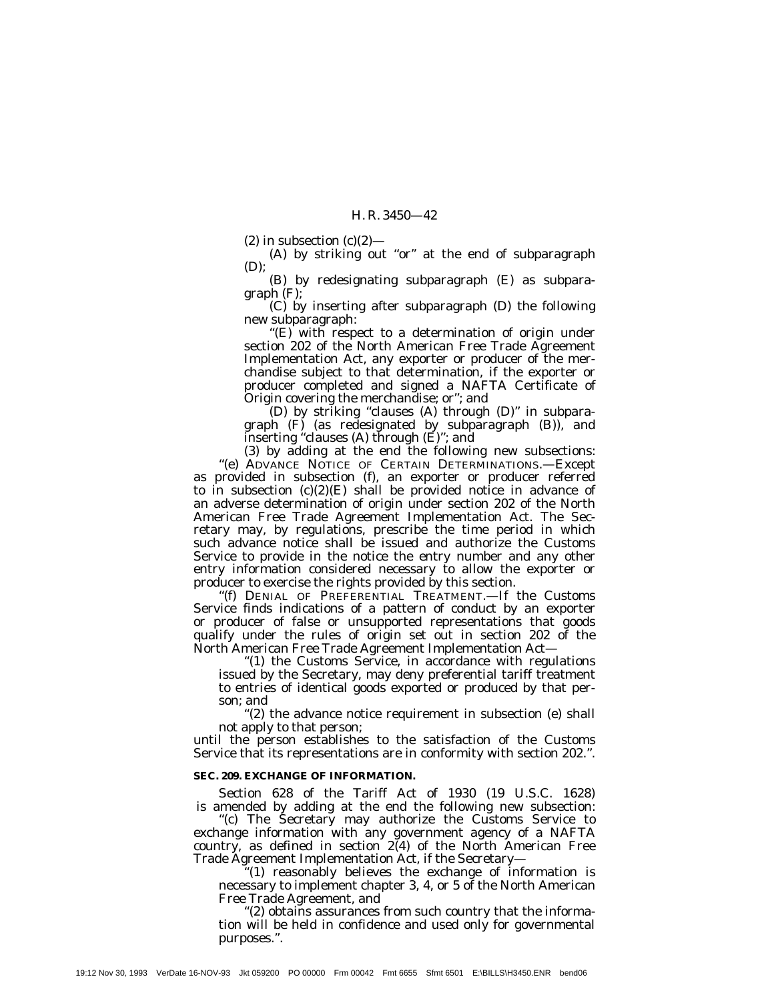(2) in subsection  $(c)(2)$ —

(A) by striking out ''or'' at the end of subparagraph (D);

(B) by redesignating subparagraph (E) as subparagraph (F);

(C) by inserting after subparagraph (D) the following new subparagraph:

"(E) with respect to a determination of origin under section 202 of the North American Free Trade Agreement Implementation Act, any exporter or producer of the merchandise subject to that determination, if the exporter or producer completed and signed a NAFTA Certificate of Origin covering the merchandise; or''; and

(D) by striking ''clauses (A) through (D)'' in subparagraph (F) (as redesignated by subparagraph (B)), and inserting ''clauses (A) through (E)''; and

(3) by adding at the end the following new subsections: ''(e) ADVANCE NOTICE OF CERTAIN DETERMINATIONS.—Except as provided in subsection (f), an exporter or producer referred to in subsection  $(c)(2)(E)$  shall be provided notice in advance of an adverse determination of origin under section 202 of the North American Free Trade Agreement Implementation Act. The Secretary may, by regulations, prescribe the time period in which such advance notice shall be issued and authorize the Customs Service to provide in the notice the entry number and any other entry information considered necessary to allow the exporter or producer to exercise the rights provided by this section.

''(f) DENIAL OF PREFERENTIAL TREATMENT.—If the Customs Service finds indications of a pattern of conduct by an exporter or producer of false or unsupported representations that goods qualify under the rules of origin set out in section 202 of the North American Free Trade Agreement Implementation Act—

''(1) the Customs Service, in accordance with regulations issued by the Secretary, may deny preferential tariff treatment to entries of identical goods exported or produced by that person; and

'(2) the advance notice requirement in subsection (e) shall not apply to that person;

until the person establishes to the satisfaction of the Customs Service that its representations are in conformity with section 202.''.

#### **SEC. 209. EXCHANGE OF INFORMATION.**

Section 628 of the Tariff Act of 1930 (19 U.S.C. 1628) is amended by adding at the end the following new subsection:

''(c) The Secretary may authorize the Customs Service to exchange information with any government agency of a NAFTA country, as defined in section 2(4) of the North American Free Trade Agreement Implementation Act, if the Secretary—

 $(1)$  reasonably believes the exchange of information is necessary to implement chapter 3, 4, or 5 of the North American Free Trade Agreement, and

''(2) obtains assurances from such country that the information will be held in confidence and used only for governmental purposes.''.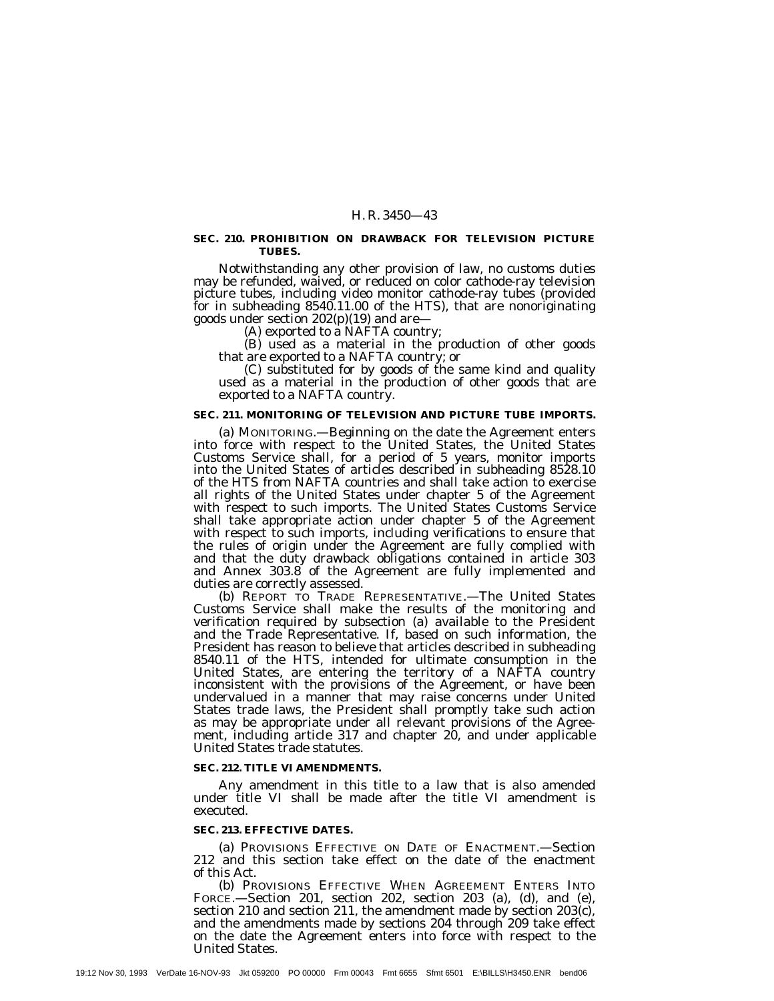### **SEC. 210. PROHIBITION ON DRAWBACK FOR TELEVISION PICTURE TUBES.**

Notwithstanding any other provision of law, no customs duties may be refunded, waived, or reduced on color cathode-ray television picture tubes, including video monitor cathode-ray tubes (provided for in subheading 8540.11.00 of the HTS), that are nonoriginating goods under section 202(p)(19) and are— (A) exported to a NAFTA country;

(B) used as a material in the production of other goods that are exported to a NAFTA country; or

 $(C)$  substituted for by goods of the same kind and quality used as a material in the production of other goods that are exported to a NAFTA country.

## **SEC. 211. MONITORING OF TELEVISION AND PICTURE TUBE IMPORTS.**

(a) MONITORING.—Beginning on the date the Agreement enters into force with respect to the United States, the United States Customs Service shall, for a period of 5 years, monitor imports into the United States of articles described in subheading 8528.10 of the HTS from NAFTA countries and shall take action to exercise all rights of the United States under chapter 5 of the Agreement with respect to such imports. The United States Customs Service shall take appropriate action under chapter 5 of the Agreement with respect to such imports, including verifications to ensure that the rules of origin under the Agreement are fully complied with and that the duty drawback obligations contained in article 303 and Annex 303.8 of the Agreement are fully implemented and duties are correctly assessed.<br>(b) REPORT TO TRADE REPRESENTATIVE.—The United States

Customs Service shall make the results of the monitoring and verification required by subsection (a) available to the President and the Trade Representative. If, based on such information, the President has reason to believe that articles described in subheading 8540.11 of the HTS, intended for ultimate consumption in the United States, are entering the territory of a NAFTA country inconsistent with the provisions of the Agreement, or have been undervalued in a manner that may raise concerns under United States trade laws, the President shall promptly take such action as may be appropriate under all relevant provisions of the Agreement, including article 317 and chapter 20, and under applicable United States trade statutes.

#### **SEC. 212. TITLE VI AMENDMENTS.**

Any amendment in this title to a law that is also amended under title VI shall be made after the title VI amendment is executed.

#### **SEC. 213. EFFECTIVE DATES.**

(a) PROVISIONS EFFECTIVE ON DATE OF ENACTMENT.—Section 212 and this section take effect on the date of the enactment of this Act.

(b) PROVISIONS EFFECTIVE WHEN AGREEMENT ENTERS INTO FORCE.—Section 201, section 202, section 203 (a), (d), and (e), section 210 and section 211, the amendment made by section 203(c), and the amendments made by sections 204 through 209 take effect on the date the Agreement enters into force with respect to the United States.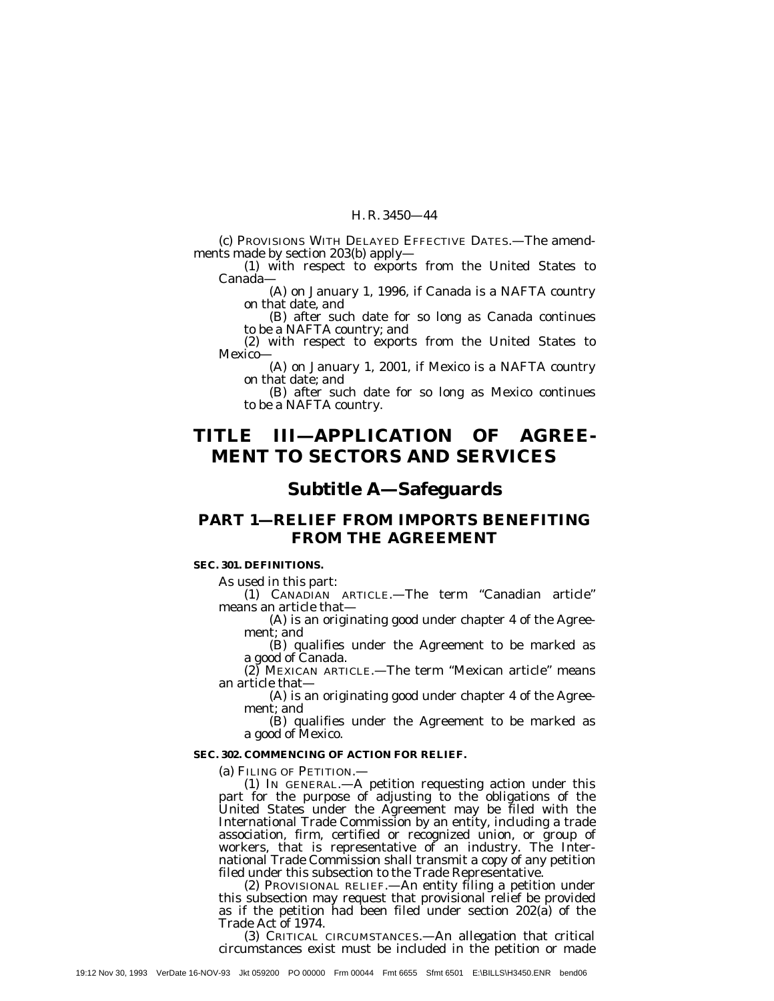(c) PROVISIONS WITH DELAYED EFFECTIVE DATES.—The amendments made by section 203(b) apply—

(1) with respect to exports from the United States to Canada—

(A) on January 1, 1996, if Canada is a NAFTA country on that date, and

(B) after such date for so long as Canada continues to be a NAFTA country; and

(2) with respect to exports from the United States to Mexico—

(A) on January 1, 2001, if Mexico is a NAFTA country on that date; and

(B) after such date for so long as Mexico continues to be a NAFTA country.

# **TITLE III—APPLICATION OF AGREE-MENT TO SECTORS AND SERVICES**

# **Subtitle A—Safeguards**

# **PART 1—RELIEF FROM IMPORTS BENEFITING FROM THE AGREEMENT**

## **SEC. 301. DEFINITIONS.**

As used in this part:

(1) CANADIAN ARTICLE.—The term ''Canadian article'' means an article that—

(A) is an originating good under chapter 4 of the Agreement; and

(B) qualifies under the Agreement to be marked as a good of Canada.

(2) MEXICAN ARTICLE.—The term ''Mexican article'' means an article that—

(A) is an originating good under chapter 4 of the Agreement; and

(B) qualifies under the Agreement to be marked as a good of Mexico.

## **SEC. 302. COMMENCING OF ACTION FOR RELIEF.**

(a) FILING OF PETITION.—<br>(1) IN GENERAL.—A petition requesting action under this part for the purpose of adjusting to the obligations of the United States under the Agreement may be filed with the International Trade Commission by an entity, including a trade association, firm, certified or recognized union, or group of workers, that is representative of an industry. The International Trade Commission shall transmit a copy of any petition filed under this subsection to the Trade Representative.

(2) PROVISIONAL RELIEF.—An entity filing a petition under this subsection may request that provisional relief be provided as if the petition had been filed under section 202(a) of the Trade Act of 1974.

(3) CRITICAL CIRCUMSTANCES.—An allegation that critical circumstances exist must be included in the petition or made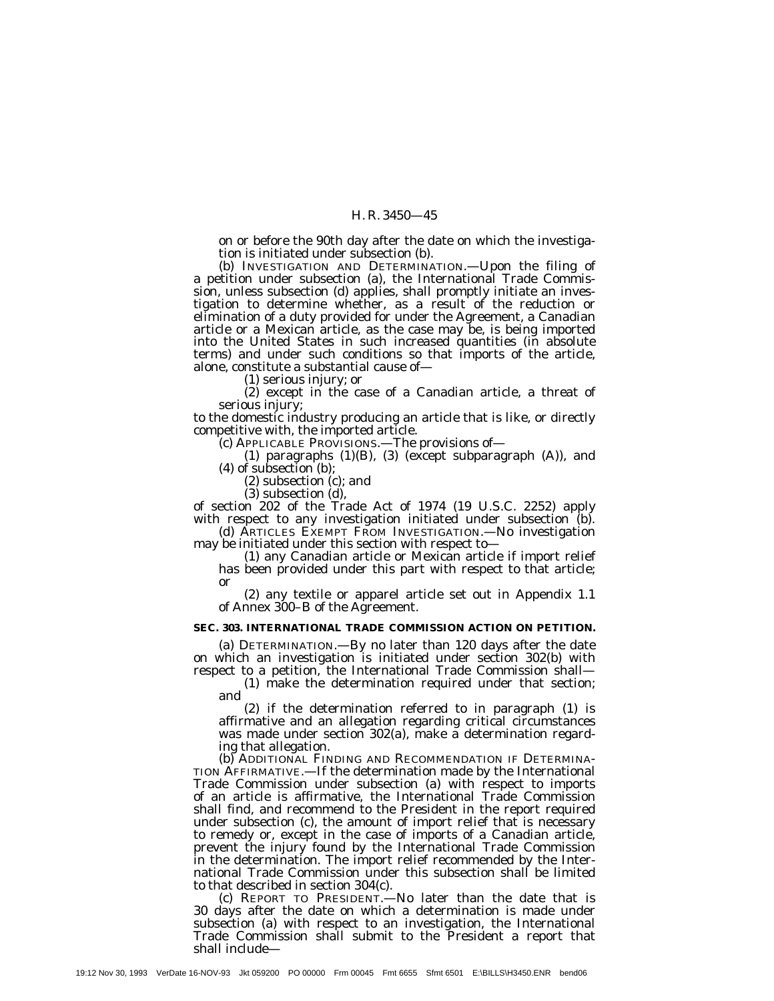on or before the 90th day after the date on which the investigation is initiated under subsection (b).

(b) INVESTIGATION AND DETERMINATION.—Upon the filing of a petition under subsection (a), the International Trade Commission, unless subsection (d) applies, shall promptly initiate an investigation to determine whether, as a result of the reduction or elimination of a duty provided for under the Agreement, a Canadian article or a Mexican article, as the case may be, is being imported into the United States in such increased quantities (in absolute terms) and under such conditions so that imports of the article, alone, constitute a substantial cause of—

(1) serious injury; or

(2) except in the case of a Canadian article, a threat of serious injury;

to the domestic industry producing an article that is like, or directly competitive with, the imported article.

(c) APPLICABLE PROVISIONS.—The provisions of—

(1) paragraphs (1)(B), (3) (except subparagraph (A)), and (4) of subsection (b);

(2) subsection (c); and

(3) subsection (d),

of section 202 of the Trade Act of 1974 (19 U.S.C. 2252) apply with respect to any investigation initiated under subsection (b).

(d) ARTICLES EXEMPT FROM INVESTIGATION.—No investigation may be initiated under this section with respect to—

(1) any Canadian article or Mexican article if import relief has been provided under this part with respect to that article; or

(2) any textile or apparel article set out in Appendix 1.1 of Annex 300–B of the Agreement.

## **SEC. 303. INTERNATIONAL TRADE COMMISSION ACTION ON PETITION.**

(a) DETERMINATION.—By no later than 120 days after the date on which an investigation is initiated under section 302(b) with respect to a petition, the International Trade Commission shall—

(1) make the determination required under that section; and

(2) if the determination referred to in paragraph (1) is affirmative and an allegation regarding critical circumstances was made under section 302(a), make a determination regarding that allegation.

(b) ADDITIONAL FINDING AND RECOMMENDATION IF DETERMINATION AFFIRMATIVE.—If the determination made by the International Trade Commission under subsection (a) with respect to imports of an article is affirmative, the International Trade Commission shall find, and recommend to the President in the report required under subsection (c), the amount of import relief that is necessary to remedy or, except in the case of imports of a Canadian article, prevent the injury found by the International Trade Commission in the determination. The import relief recommended by the International Trade Commission under this subsection shall be limited to that described in section 304(c).

(c) REPORT TO PRESIDENT.—No later than the date that is 30 days after the date on which a determination is made under subsection (a) with respect to an investigation, the International Trade Commission shall submit to the President a report that shall include—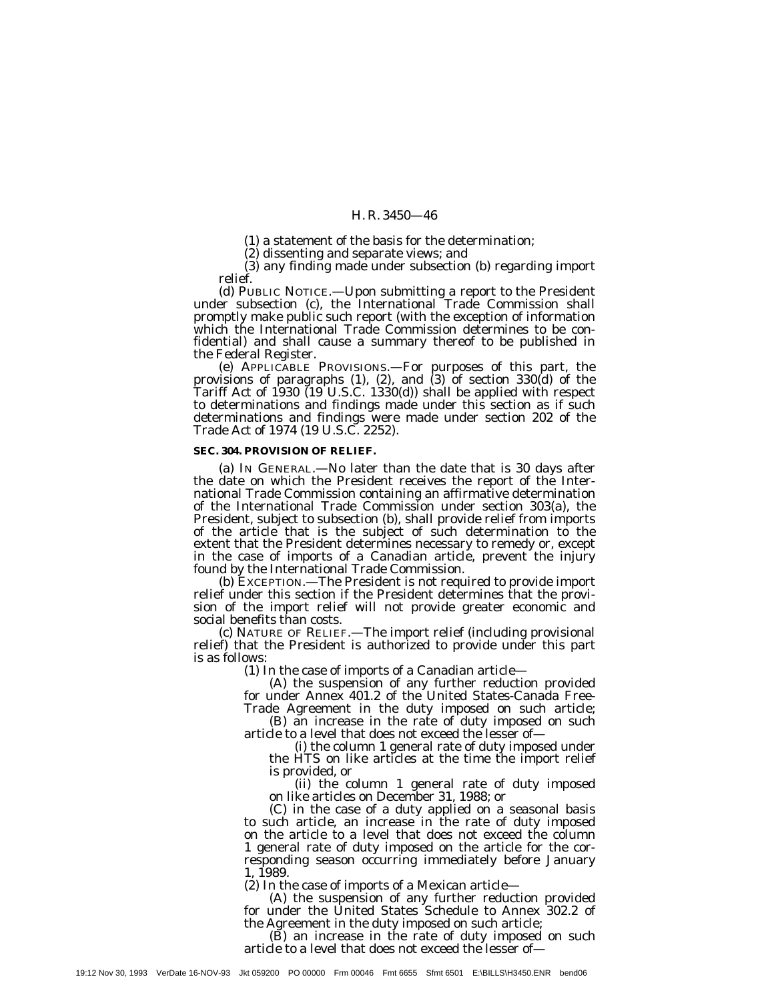(1) a statement of the basis for the determination;

(2) dissenting and separate views; and

(3) any finding made under subsection (b) regarding import relief.

(d) PUBLIC NOTICE.—Upon submitting a report to the President under subsection (c), the International Trade Commission shall promptly make public such report (with the exception of information which the International Trade Commission determines to be confidential) and shall cause a summary thereof to be published in the Federal Register.

(e) APPLICABLE PROVISIONS.—For purposes of this part, the provisions of paragraphs (1), (2), and (3) of section 330(d) of the Tariff Act of 1930 (19 U.S.C. 1330(d)) shall be applied with respect to determinations and findings made under this section as if such determinations and findings were made under section 202 of the Trade Act of 1974 (19 U.S.C. 2252).

### **SEC. 304. PROVISION OF RELIEF.**

(a) IN GENERAL.—No later than the date that is 30 days after the date on which the President receives the report of the International Trade Commission containing an affirmative determination of the International Trade Commission under section 303(a), the President, subject to subsection (b), shall provide relief from imports of the article that is the subject of such determination to the extent that the President determines necessary to remedy or, except in the case of imports of a Canadian article, prevent the injury found by the International Trade Commission.

(b) EXCEPTION.—The President is not required to provide import relief under this section if the President determines that the provision of the import relief will not provide greater economic and social benefits than costs.<br>(c) NATURE OF RELIEF.—The import relief (including provisional

relief) that the President is authorized to provide under this part is as follows:

(1) In the case of imports of a Canadian article—

(A) the suspension of any further reduction provided for under Annex 401.2 of the United States-Canada Free-

Trade Agreement in the duty imposed on such article; (B) an increase in the rate of duty imposed on such article to a level that does not exceed the lesser of—

(i) the column 1 general rate of duty imposed under the HTS on like articles at the time the import relief is provided, or

(ii) the column 1 general rate of duty imposed on like articles on December 31, 1988; or

(C) in the case of a duty applied on a seasonal basis to such article, an increase in the rate of duty imposed on the article to a level that does not exceed the column 1 general rate of duty imposed on the article for the corresponding season occurring immediately before January 1, 1989.

(2) In the case of imports of a Mexican article—

(A) the suspension of any further reduction provided for under the United States Schedule to Annex 302.2 of the Agreement in the duty imposed on such article;

(B) an increase in the rate of duty imposed on such article to a level that does not exceed the lesser of—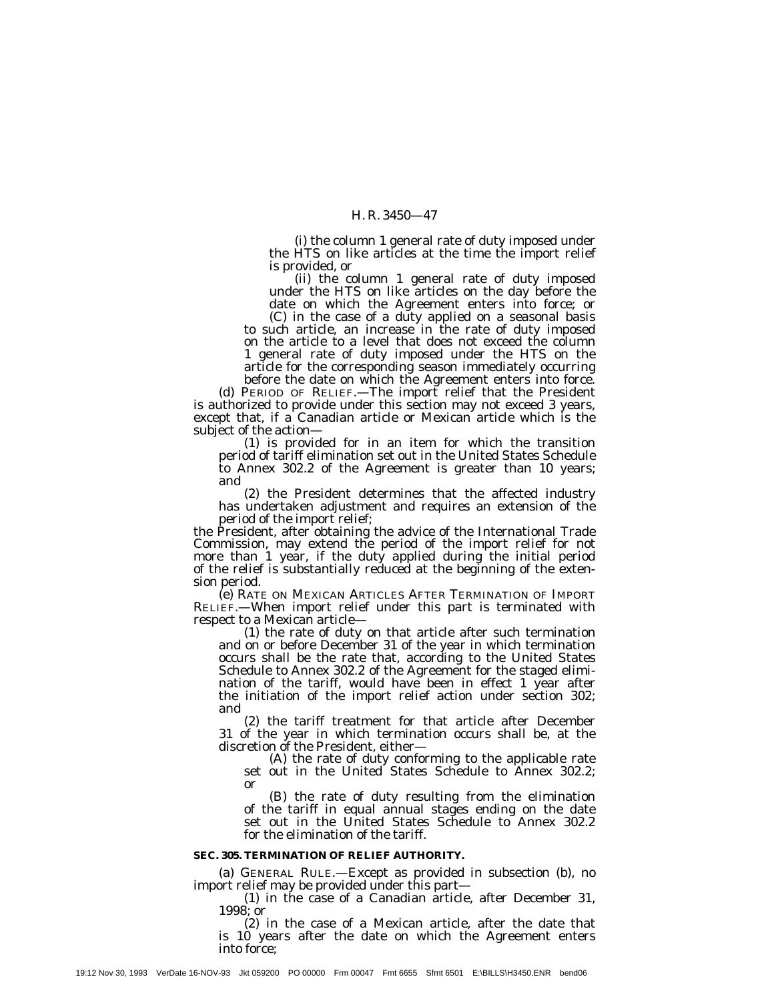(i) the column 1 general rate of duty imposed under the HTS on like articles at the time the import relief is provided, or

(ii) the column 1 general rate of duty imposed under the HTS on like articles on the day before the date on which the Agreement enters into force; or

(C) in the case of a duty applied on a seasonal basis to such article, an increase in the rate of duty imposed on the article to a level that does not exceed the column 1 general rate of duty imposed under the HTS on the article for the corresponding season immediately occurring before the date on which the Agreement enters into force.

(d) PERIOD OF RELIEF.—The import relief that the President is authorized to provide under this section may not exceed 3 years, except that, if a Canadian article or Mexican article which is the subject of the action—

(1) is provided for in an item for which the transition period of tariff elimination set out in the United States Schedule to Annex 302.2 of the Agreement is greater than 10 years; and

(2) the President determines that the affected industry has undertaken adjustment and requires an extension of the period of the import relief;

the President, after obtaining the advice of the International Trade Commission, may extend the period of the import relief for not more than 1 year, if the duty applied during the initial period of the relief is substantially reduced at the beginning of the extension period.

(e) RATE ON MEXICAN ARTICLES AFTER TERMINATION OF IMPORT RELIEF.—When import relief under this part is terminated with respect to a Mexican article—

(1) the rate of duty on that article after such termination and on or before December 31 of the year in which termination occurs shall be the rate that, according to the United States Schedule to Annex 302.2 of the Agreement for the staged elimination of the tariff, would have been in effect 1 year after the initiation of the import relief action under section 302; and

(2) the tariff treatment for that article after December 31 of the year in which termination occurs shall be, at the discretion of the President, either—

(A) the rate of duty conforming to the applicable rate set out in the United States Schedule to Annex 302.2; or

(B) the rate of duty resulting from the elimination of the tariff in equal annual stages ending on the date set out in the United States Schedule to Annex 302.2 for the elimination of the tariff.

#### **SEC. 305. TERMINATION OF RELIEF AUTHORITY.**

(a) GENERAL RULE.—Except as provided in subsection (b), no import relief may be provided under this part—

(1) in the case of a Canadian article, after December 31, 1998; or

(2) in the case of a Mexican article, after the date that is 10 years after the date on which the Agreement enters into force;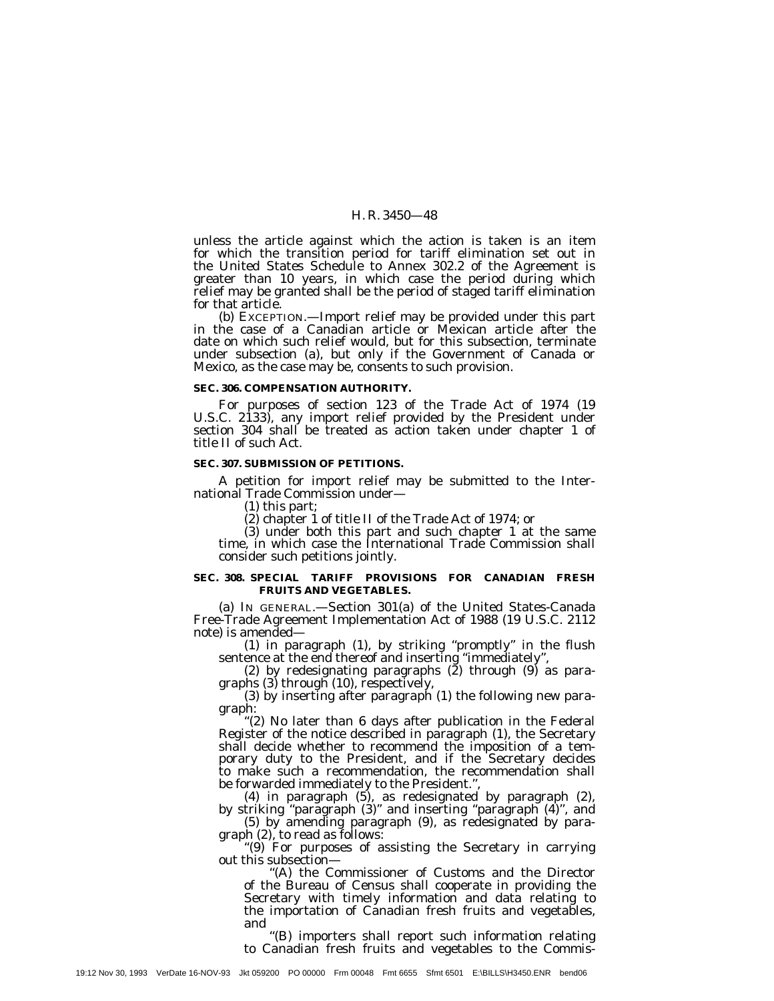unless the article against which the action is taken is an item for which the transition period for tariff elimination set out in the United States Schedule to Annex 302.2 of the Agreement is greater than 10 years, in which case the period during which relief may be granted shall be the period of staged tariff elimination for that article.

(b) EXCEPTION.—Import relief may be provided under this part in the case of a Canadian article or Mexican article after the date on which such relief would, but for this subsection, terminate under subsection (a), but only if the Government of Canada or Mexico, as the case may be, consents to such provision.

#### **SEC. 306. COMPENSATION AUTHORITY.**

For purposes of section 123 of the Trade Act of 1974 (19 U.S.C. 2133), any import relief provided by the President under section 304 shall be treated as action taken under chapter 1 of title II of such Act.

#### **SEC. 307. SUBMISSION OF PETITIONS.**

A petition for import relief may be submitted to the International Trade Commission under—

(1) this part;

(2) chapter 1 of title II of the Trade Act of 1974; or

(3) under both this part and such chapter 1 at the same time, in which case the International Trade Commission shall consider such petitions jointly.

## **SEC. 308. SPECIAL TARIFF PROVISIONS FOR CANADIAN FRESH FRUITS AND VEGETABLES.**

(a) IN GENERAL.—Section 301(a) of the United States-Canada Free-Trade Agreement Implementation Act of 1988 (19 U.S.C. 2112 note) is amended—

(1) in paragraph (1), by striking ''promptly'' in the flush

sentence at the end thereof and inserting "immediately",<br>
(2) by redesignating paragraphs (2) through (9) as paragraphs (3) through (10), respectively,<br>
(3) by inserting after paragraph (1) the following new para-

graph:<br>"(2) No later than 6 days after publication in the Federal<br>Register of the notice described in paragraph (1), the Secretary shall decide whether to recommend the imposition of a temporary duty to the President, and if the Secretary decides to make such a recommendation, the recommendation shall be forwarded immediately to the President.",

(4) in paragraph  $(5)$ , as redesignated by paragraph (2), by striking ''paragraph (3)'' and inserting ''paragraph (4)'', and

(5) by amending paragraph (9), as redesignated by paragraph (2), to read as follows:

''(9) For purposes of assisting the Secretary in carrying out this subsection—

''(A) the Commissioner of Customs and the Director of the Bureau of Census shall cooperate in providing the Secretary with timely information and data relating to the importation of Canadian fresh fruits and vegetables, and

''(B) importers shall report such information relating to Canadian fresh fruits and vegetables to the Commis-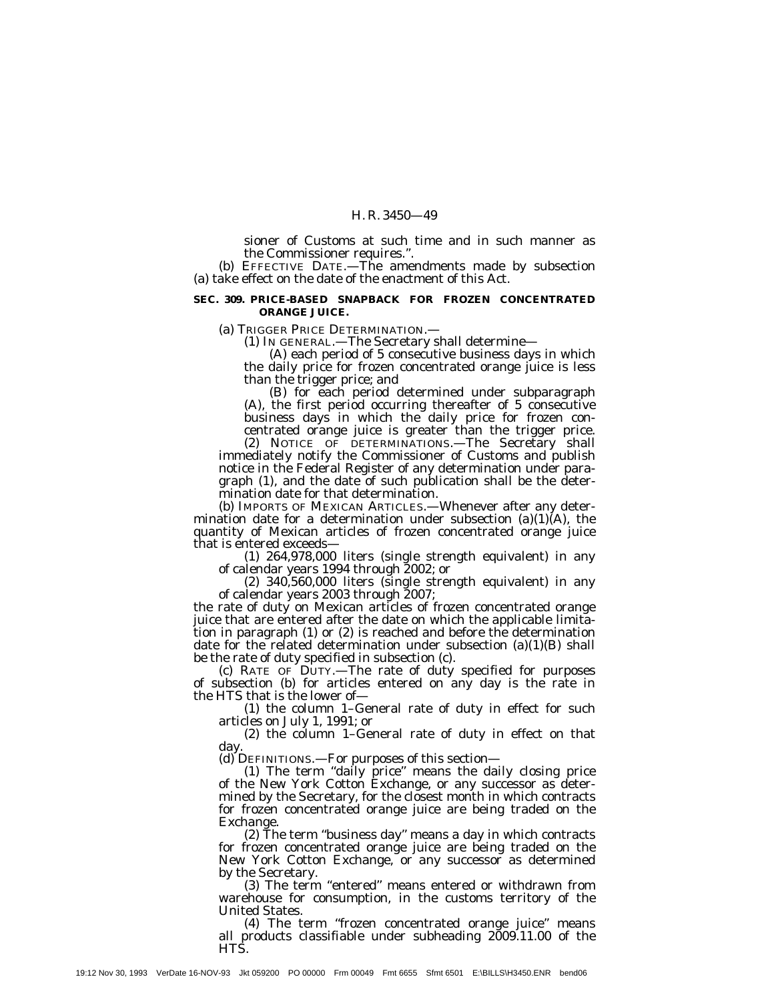sioner of Customs at such time and in such manner as the Commissioner requires.''.

(b) EFFECTIVE DATE.—The amendments made by subsection (a) take effect on the date of the enactment of this Act.

### **SEC. 309. PRICE-BASED SNAPBACK FOR FROZEN CONCENTRATED ORANGE JUICE.**

(a) TRIGGER PRICE DETERMINATION.—

(1) IN GENERAL.—The Secretary shall determine—

(A) each period of 5 consecutive business days in which the daily price for frozen concentrated orange juice is less than the trigger price; and

(B) for each period determined under subparagraph (A), the first period occurring thereafter of 5 consecutive business days in which the daily price for frozen concentrated orange juice is greater than the trigger price.

(2) NOTICE OF DETERMINATIONS.—The Secretary shall immediately notify the Commissioner of Customs and publish notice in the Federal Register of any determination under paragraph (1), and the date of such publication shall be the determination date for that determination.

(b) IMPORTS OF MEXICAN ARTICLES.—Whenever after any determination date for a determination under subsection  $(a)(1)(A)$ , the quantity of Mexican articles of frozen concentrated orange juice that is entered exceeds—

(1) 264,978,000 liters (single strength equivalent) in any of calendar years 1994 through 2002; or

(2) 340,560,000 liters (single strength equivalent) in any of calendar years 2003 through 2007;

the rate of duty on Mexican articles of frozen concentrated orange juice that are entered after the date on which the applicable limitation in paragraph (1) or (2) is reached and before the determination date for the related determination under subsection (a)(1)(B) shall<br>be the rate of duty specified in subsection (c).

be the rate of duty specified in subsection (c). (c) RATE OF DUTY.—The rate of duty specified for purposes of subsection (b) for articles entered on any day is the rate in the HTS that is the lower of—

(1) the column 1–General rate of duty in effect for such

 $(2)$  the column 1–General rate of duty in effect on that day.

(d) DEFINITIONS.—For purposes of this section—

(1) The term ''daily price'' means the daily closing price of the New York Cotton Exchange, or any successor as determined by the Secretary, for the closest month in which contracts for frozen concentrated orange juice are being traded on the Exchange.

(2) The term ''business day'' means a day in which contracts for frozen concentrated orange juice are being traded on the New York Cotton Exchange, or any successor as determined by the Secretary.

(3) The term ''entered'' means entered or withdrawn from warehouse for consumption, in the customs territory of the United States.

(4) The term ''frozen concentrated orange juice'' means all products classifiable under subheading 2009.11.00 of the HTS.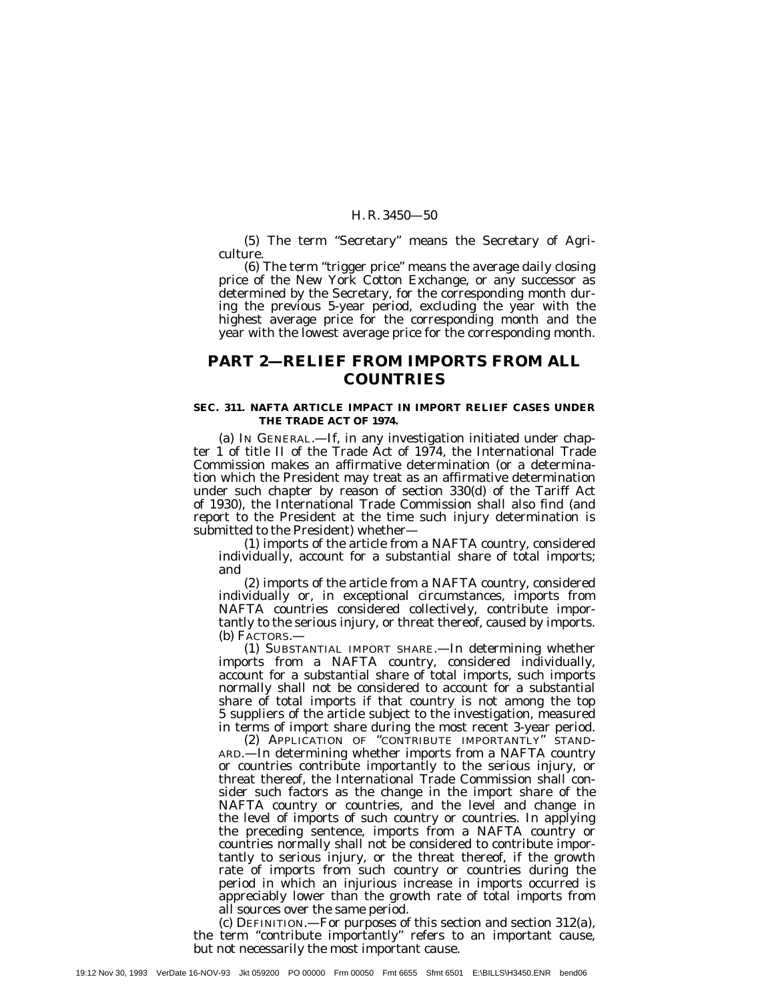(5) The term ''Secretary'' means the Secretary of Agriculture.

(6) The term ''trigger price'' means the average daily closing price of the New York Cotton Exchange, or any successor as determined by the Secretary, for the corresponding month during the previous 5-year period, excluding the year with the highest average price for the corresponding month and the year with the lowest average price for the corresponding month.

# **PART 2—RELIEF FROM IMPORTS FROM ALL COUNTRIES**

## **SEC. 311. NAFTA ARTICLE IMPACT IN IMPORT RELIEF CASES UNDER THE TRADE ACT OF 1974.**

(a) IN GENERAL.—If, in any investigation initiated under chapter 1 of title II of the Trade Act of 1974, the International Trade Commission makes an affirmative determination (or a determination which the President may treat as an affirmative determination under such chapter by reason of section 330(d) of the Tariff Act of 1930), the International Trade Commission shall also find (and report to the President at the time such injury determination is submitted to the President) whether—

(1) imports of the article from a NAFTA country, considered individually, account for a substantial share of total imports; and

(2) imports of the article from a NAFTA country, considered individually or, in exceptional circumstances, imports from NAFTA countries considered collectively, contribute importantly to the serious injury, or threat thereof, caused by imports. (b) FACTORS.—

(1) SUBSTANTIAL IMPORT SHARE.—In determining whether imports from a NAFTA country, considered individually, account for a substantial share of total imports, such imports normally shall not be considered to account for a substantial share of total imports if that country is not among the top 5 suppliers of the article subject to the investigation, measured in terms of import share during the most recent 3-year period.

(2) APPLICATION OF ''CONTRIBUTE IMPORTANTLY'' STAND-ARD.—In determining whether imports from a NAFTA country or countries contribute importantly to the serious injury, or threat thereof, the International Trade Commission shall consider such factors as the change in the import share of the NAFTA country or countries, and the level and change in the level of imports of such country or countries. In applying the preceding sentence, imports from a NAFTA country or countries normally shall not be considered to contribute importantly to serious injury, or the threat thereof, if the growth rate of imports from such country or countries during the period in which an injurious increase in imports occurred is appreciably lower than the growth rate of total imports from all sources over the same period.

(c) DEFINITION.—For purposes of this section and section 312(a), the term ''contribute importantly'' refers to an important cause, but not necessarily the most important cause.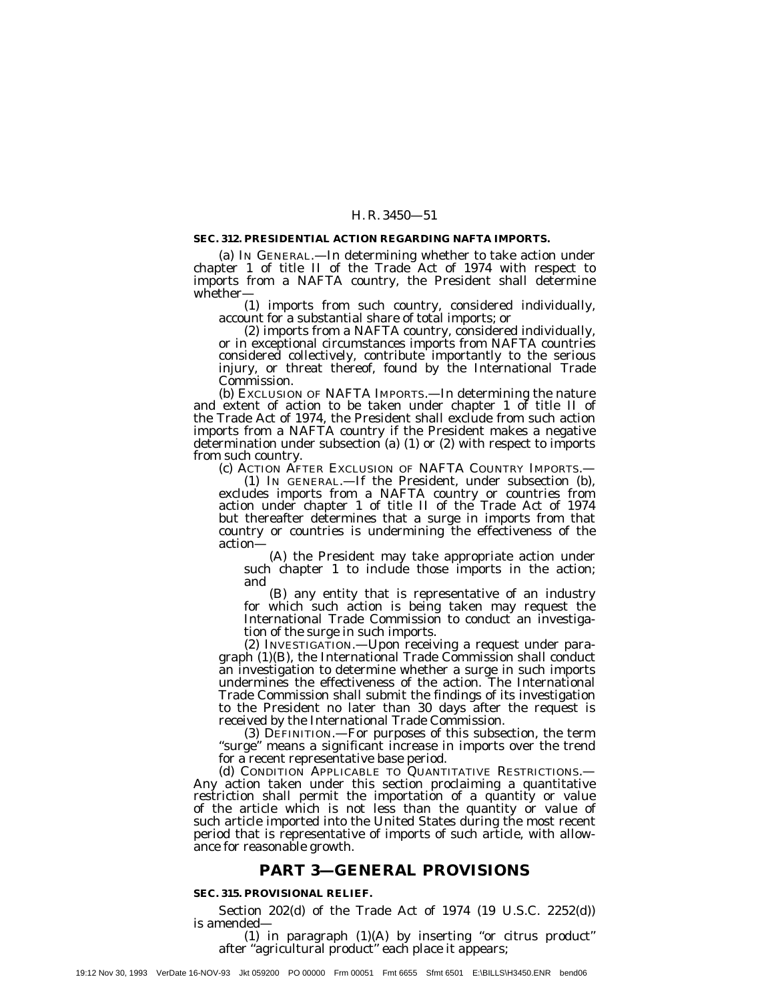#### **SEC. 312. PRESIDENTIAL ACTION REGARDING NAFTA IMPORTS.**

(a) IN GENERAL.—In determining whether to take action under chapter 1 of title II of the Trade Act of 1974 with respect to imports from a NAFTA country, the President shall determine whether—<br>(1) imports from such country, considered individually,

account for a substantial share of total imports; or<br>(2) imports from a NAFTA country, considered individually,<br>or in exceptional circumstances imports from NAFTA countries considered collectively, contribute importantly to the serious injury, or threat thereof, found by the International Trade Commission.

(b) EXCLUSION OF NAFTA IMPORTS.—In determining the nature and extent of action to be taken under chapter 1 of title II of the Trade Act of 1974, the President shall exclude from such action imports from a NAFTA country if the President makes a negative determination under subsection (a) (1) or (2) with respect to imports

(c) ACTION AFTER EXCLUSION OF NAFTA COUNTRY IMPORTS.—  $(1)$  In GENERAL.—If the President, under subsection (b), excludes imports from a NAFTA country or countries from action under chapter 1 of title II of the Trade Act of 1974 but thereafter determines that a surge in imports from that country or countries is undermining the effectiveness of the action—

(A) the President may take appropriate action under such chapter 1 to include those imports in the action; and

(B) any entity that is representative of an industry for which such action is being taken may request the International Trade Commission to conduct an investigation of the surge in such imports.

(2) INVESTIGATION.—Upon receiving a request under paragraph (1)(B), the International Trade Commission shall conduct an investigation to determine whether a surge in such imports undermines the effectiveness of the action. The International Trade Commission shall submit the findings of its investigation to the President no later than 30 days after the request is received by the International Trade Commission.

(3) DEFINITION.—For purposes of this subsection, the term ''surge'' means a significant increase in imports over the trend for a recent representative base period.<br>(d) CONDITION APPLICABLE TO QUANTITATIVE RESTRICTIONS.—

Any action taken under this section proclaiming a quantitative restriction shall permit the importation of a quantity or value of the article which is not less than the quantity or value of such article imported into the United States during the most recent period that is representative of imports of such article, with allowance for reasonable growth.

## **PART 3—GENERAL PROVISIONS**

#### **SEC. 315. PROVISIONAL RELIEF.**

Section 202(d) of the Trade Act of 1974 (19 U.S.C. 2252(d)) is amended—

 $(1)$  in paragraph  $(1)(A)$  by inserting "or citrus product" after ''agricultural product'' each place it appears;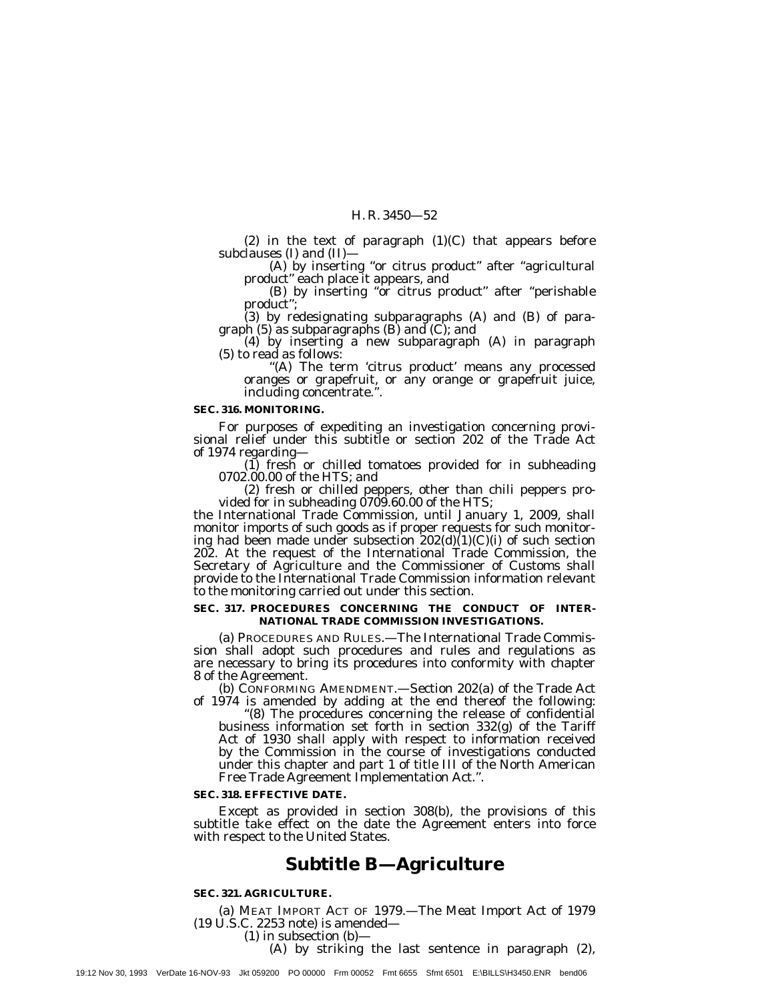(2) in the text of paragraph (1)(C) that appears before subclauses (I) and (II)—

(A) by inserting ''or citrus product'' after ''agricultural product'' each place it appears, and

(B) by inserting "or citrus product" after "perishable product'';

(3) by redesignating subparagraphs (A) and (B) of paragraph (5) as subparagraphs (B) and (C); and

(4) by inserting a new subparagraph (A) in paragraph (5) to read as follows:

"(A) The term 'citrus product' means any processed oranges or grapefruit, or any orange or grapefruit juice, including concentrate.''.

## **SEC. 316. MONITORING.**

For purposes of expediting an investigation concerning provisional relief under this subtitle or section 202 of the Trade Act of 1974 regarding—

(1) fresh or chilled tomatoes provided for in subheading 0702.00.00 of the HTS; and

(2) fresh or chilled peppers, other than chili peppers provided for in subheading 0709.60.00 of the HTS;

the International Trade Commission, until January 1, 2009, shall monitor imports of such goods as if proper requests for such monitoring had been made under subsection 202(d)(1)(C)(i) of such section 202. At the request of the International Trade Commission, the Secretary of Agriculture and the Commissioner of Customs shall provide to the International Trade Commission information relevant to the monitoring carried out under this section.

### **SEC. 317. PROCEDURES CONCERNING THE CONDUCT OF INTER-NATIONAL TRADE COMMISSION INVESTIGATIONS.**

(a) PROCEDURES AND RULES.—The International Trade Commission shall adopt such procedures and rules and regulations as are necessary to bring its procedures into conformity with chapter 8 of the Agreement.

(b) CONFORMING AMENDMENT.—Section 202(a) of the Trade Act of 1974 is amended by adding at the end thereof the following:

'(8) The procedures concerning the release of confidential business information set forth in section 332(g) of the Tariff Act of 1930 shall apply with respect to information received by the Commission in the course of investigations conducted under this chapter and part 1 of title III of the North American Free Trade Agreement Implementation Act.''.

#### **SEC. 318. EFFECTIVE DATE.**

Except as provided in section 308(b), the provisions of this subtitle take effect on the date the Agreement enters into force with respect to the United States.

# **Subtitle B—Agriculture**

#### **SEC. 321. AGRICULTURE.**

(a) MEAT IMPORT ACT OF 1979.—The Meat Import Act of 1979 (19 U.S.C. 2253 note) is amended—

(1) in subsection (b)—

(A) by striking the last sentence in paragraph (2),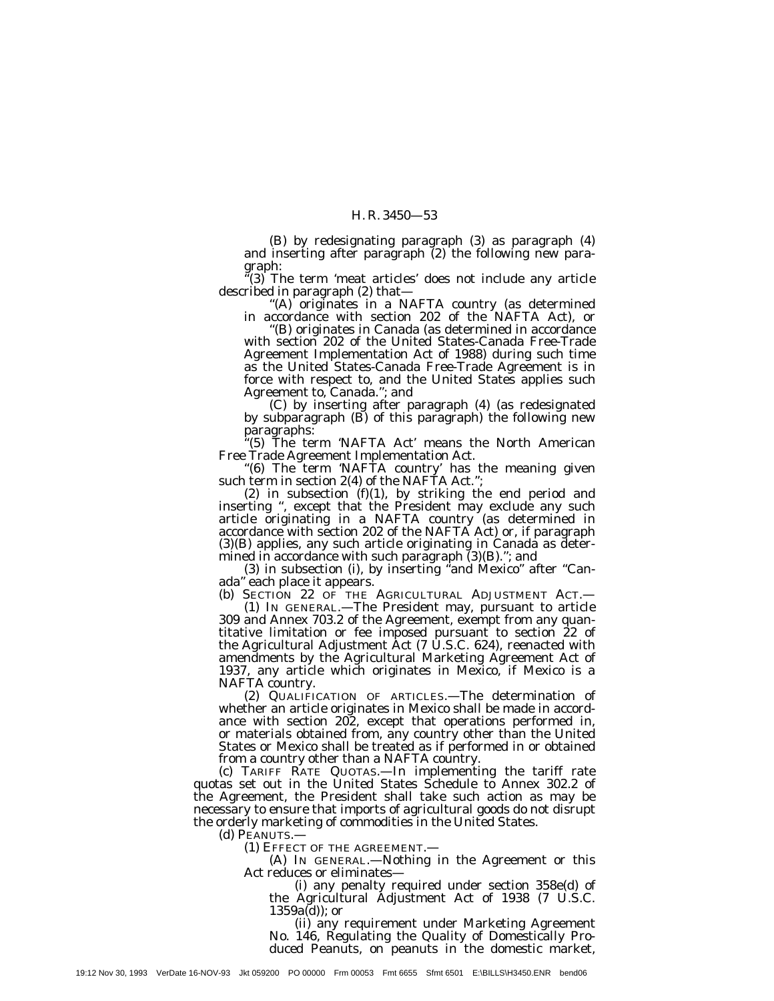(B) by redesignating paragraph (3) as paragraph (4) and inserting after paragraph (2) the following new paragraph:

 $(3)$  The term 'meat articles' does not include any article described in paragraph (2) that—

"(A) originates in a NAFTA country (as determined in accordance with section 202 of the NAFTA Act), or

''(B) originates in Canada (as determined in accordance with section 202 of the United States-Canada Free-Trade Agreement Implementation Act of 1988) during such time as the United States-Canada Free-Trade Agreement is in force with respect to, and the United States applies such Agreement to, Canada.''; and

(C) by inserting after paragraph (4) (as redesignated by subparagraph (B) of this paragraph) the following new paragraphs:

''(5) The term 'NAFTA Act' means the North American Free Trade Agreement Implementation Act.

''(6) The term 'NAFTA country' has the meaning given such term in section 2(4) of the NAFTA Act.'';

(2) in subsection (f)(1), by striking the end period and inserting '', except that the President may exclude any such article originating in a NAFTA country (as determined in accordance with section 202 of the NAFTA Act) or, if paragraph (3)(B) applies, any such article originating in Canada as determined in accordance with such paragraph  $(3)(B)$ ."; and

(3) in subsection (i), by inserting ''and Mexico'' after ''Canada'' each place it appears.

(b) SECTION 22 OF THE AGRICULTURAL ADJUSTMENT ACT.— (1) IN GENERAL.—The President may, pursuant to article

309 and Annex 703.2 of the Agreement, exempt from any quantitative limitation or fee imposed pursuant to section 22 of the Agricultural Adjustment Act (7 U.S.C. 624), reenacted with amendments by the Agricultural Marketing Agreement Act of 1937, any article which originates in Mexico, if Mexico is a

(2) QUALIFICATION OF ARTICLES.—The determination of whether an article originates in Mexico shall be made in accordance with section 202, except that operations performed in, or materials obtained from, any country other than the United States or Mexico shall be treated as if performed in or obtained from a country other than a NAFTA country.

(c) TARIFF RATE QUOTAS.—In implementing the tariff rate quotas set out in the United States Schedule to Annex 302.2 of the Agreement, the President shall take such action as may be necessary to ensure that imports of agricultural goods do not disrupt the orderly marketing of commodities in the United States.

(d) PEANUTS.—

(1) EFFECT OF THE AGREEMENT.—

(A) IN GENERAL.—Nothing in the Agreement or this Act reduces or eliminates—

(i) any penalty required under section 358e(d) of the Agricultural Adjustment Act of 1938 (7 U.S.C. 1359a(d)); or

(ii) any requirement under Marketing Agreement No. 146, Regulating the Quality of Domestically Produced Peanuts, on peanuts in the domestic market,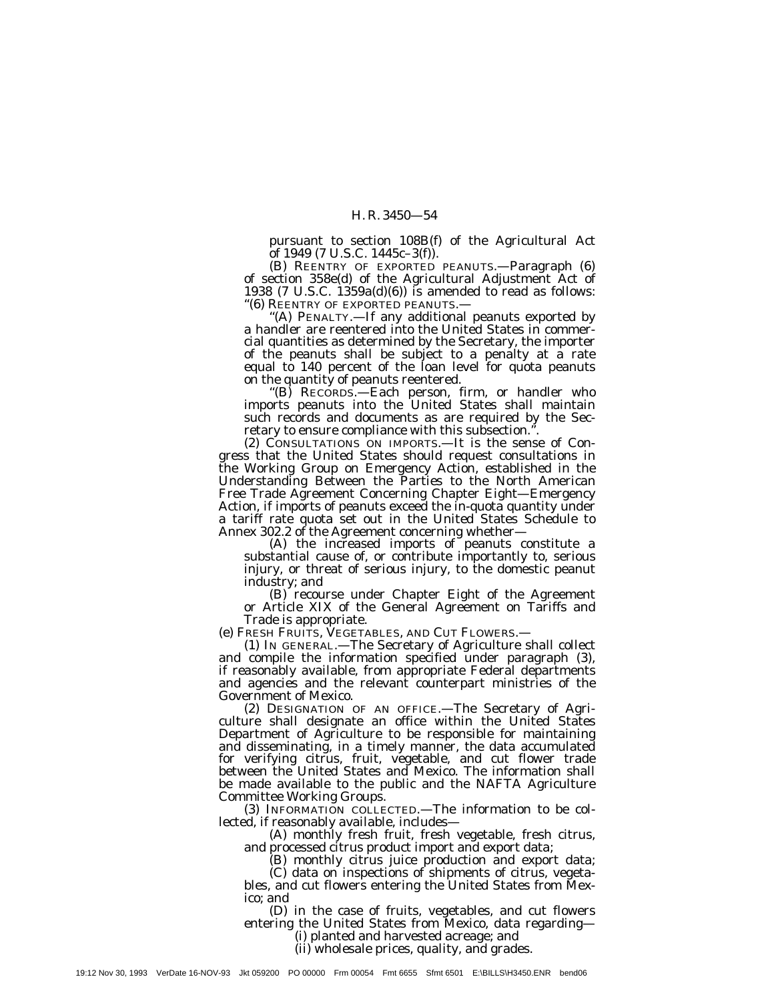pursuant to section 108B(f) of the Agricultural Act of 1949 (7 U.S.C. 1445c–3(f)).

(B) REENTRY OF EXPORTED PEANUTS.—Paragraph (6) of section 358e(d) of the Agricultural Adjustment Act of 1938 (7 U.S.C.  $1359a(d)(6)$ ) is amended to read as follows: ''(6) REENTRY OF EXPORTED PEANUTS.—

''(A) PENALTY.—If any additional peanuts exported by a handler are reentered into the United States in commercial quantities as determined by the Secretary, the importer of the peanuts shall be subject to a penalty at a rate equal to 140 percent of the loan level for quota peanuts on the quantity of peanuts reentered.

''(B) RECORDS.—Each person, firm, or handler who imports peanuts into the United States shall maintain such records and documents as are required by the Secretary to ensure compliance with this subsection.''.

(2) CONSULTATIONS ON IMPORTS.—It is the sense of Congress that the United States should request consultations in the Working Group on Emergency Action, established in the Understanding Between the Parties to the North American Free Trade Agreement Concerning Chapter Eight—Emergency Action, if imports of peanuts exceed the in-quota quantity under a tariff rate quota set out in the United States Schedule to Annex 302.2 of the Agreement concerning whether—

(A) the increased imports of peanuts constitute a substantial cause of, or contribute importantly to, serious injury, or threat of serious injury, to the domestic peanut

industry; and (B) recourse under Chapter Eight of the Agreement or Article XIX of the General Agreement on Tariffs and

Trade is appropriate.<br>(e) FRESH FRUITS, VEGETABLES, AND CUT FLOWERS.

(1) IN GENERAL.—The Secretary of Agriculture shall collect and compile the information specified under paragraph  $(3)$ , if reasonably available, from appropriate Federal departments and agencies and the relevant counterpart ministries of the Government of Mexico.

(2) DESIGNATION OF AN OFFICE.—The Secretary of Agriculture shall designate an office within the United States Department of Agriculture to be responsible for maintaining and disseminating, in a timely manner, the data accumulated for verifying citrus, fruit, vegetable, and cut flower trade between the United States and Mexico. The information shall be made available to the public and the NAFTA Agriculture Committee Working Groups.

(3) INFORMATION COLLECTED.—The information to be collected, if reasonably available, includes—

(A) monthly fresh fruit, fresh vegetable, fresh citrus, and processed citrus product import and export data;

(B) monthly citrus juice production and export data;

(C) data on inspections of shipments of citrus, vegetables, and cut flowers entering the United States from Mexico; and

(D) in the case of fruits, vegetables, and cut flowers entering the United States from Mexico, data regarding—

(i) planted and harvested acreage; and (ii) wholesale prices, quality, and grades.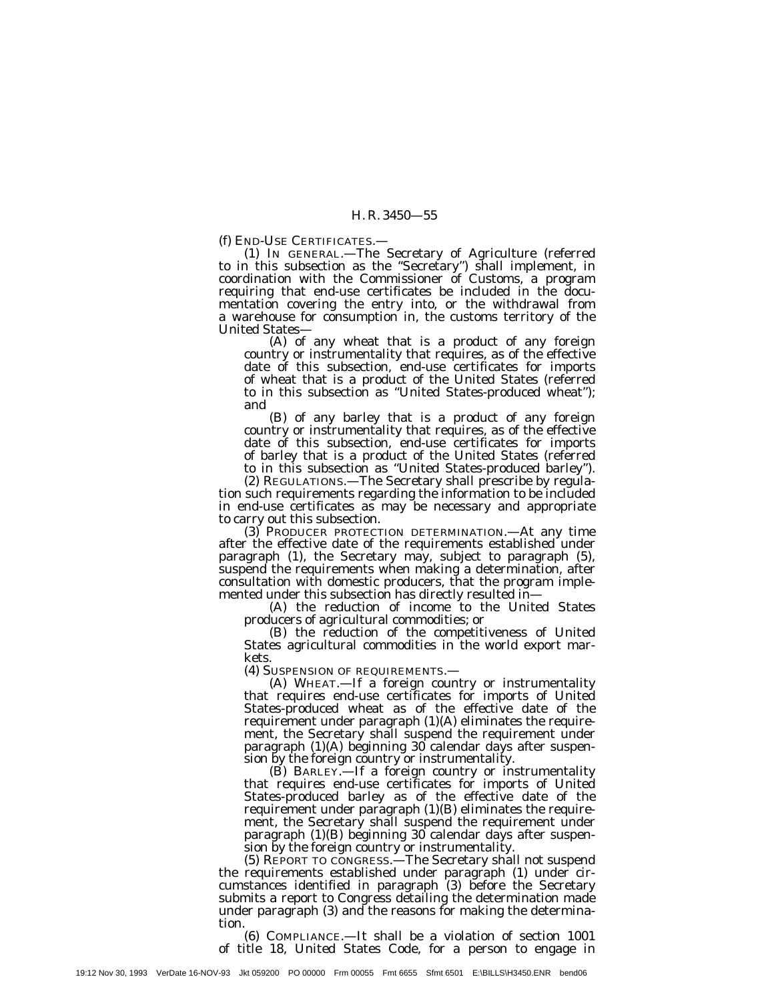(f) END-USE CERTIFICATES.—

(1) IN GENERAL.—The Secretary of Agriculture (referred to in this subsection as the ''Secretary'') shall implement, in coordination with the Commissioner of Customs, a program requiring that end-use certificates be included in the documentation covering the entry into, or the withdrawal from a warehouse for consumption in, the customs territory of the United States—

(A) of any wheat that is a product of any foreign country or instrumentality that requires, as of the effective date of this subsection, end-use certificates for imports of wheat that is a product of the United States (referred to in this subsection as ''United States-produced wheat''); and

(B) of any barley that is a product of any foreign country or instrumentality that requires, as of the effective date of this subsection, end-use certificates for imports of barley that is a product of the United States (referred to in this subsection as ''United States-produced barley'').

(2) REGULATIONS.—The Secretary shall prescribe by regulation such requirements regarding the information to be included in end-use certificates as may be necessary and appropriate to carry out this subsection.

(3) PRODUCER PROTECTION DETERMINATION.—At any time after the effective date of the requirements established under paragraph (1), the Secretary may, subject to paragraph (5), suspend the requirements when making a determination, after consultation with domestic producers, that the program imple-

(A) the reduction of income to the United States producers of agricultural commodities; or

(B) the reduction of the competitiveness of United States agricultural commodities in the world export markets.

(4) SUSPENSION OF REQUIREMENTS.— (A) WHEAT.—If a foreign country or instrumentality that requires end-use certificates for imports of United States-produced wheat as of the effective date of the requirement under paragraph (1)(A) eliminates the requirement, the Secretary shall suspend the requirement under paragraph (1)(A) beginning 30 calendar days after suspension by the foreign country or instrumentality. (B) BARLEY.—If a foreign country or instrumentality

that requires end-use certificates for imports of United States-produced barley as of the effective date of the requirement under paragraph (1)(B) eliminates the requirement, the Secretary shall suspend the requirement under paragraph (1)(B) beginning 30 calendar days after suspension by the foreign country or instrumentality.

(5) REPORT TO CONGRESS.—The Secretary shall not suspend the requirements established under paragraph (1) under circumstances identified in paragraph (3) before the Secretary submits a report to Congress detailing the determination made under paragraph (3) and the reasons for making the determination.

(6) COMPLIANCE.—It shall be a violation of section 1001 of title 18, United States Code, for a person to engage in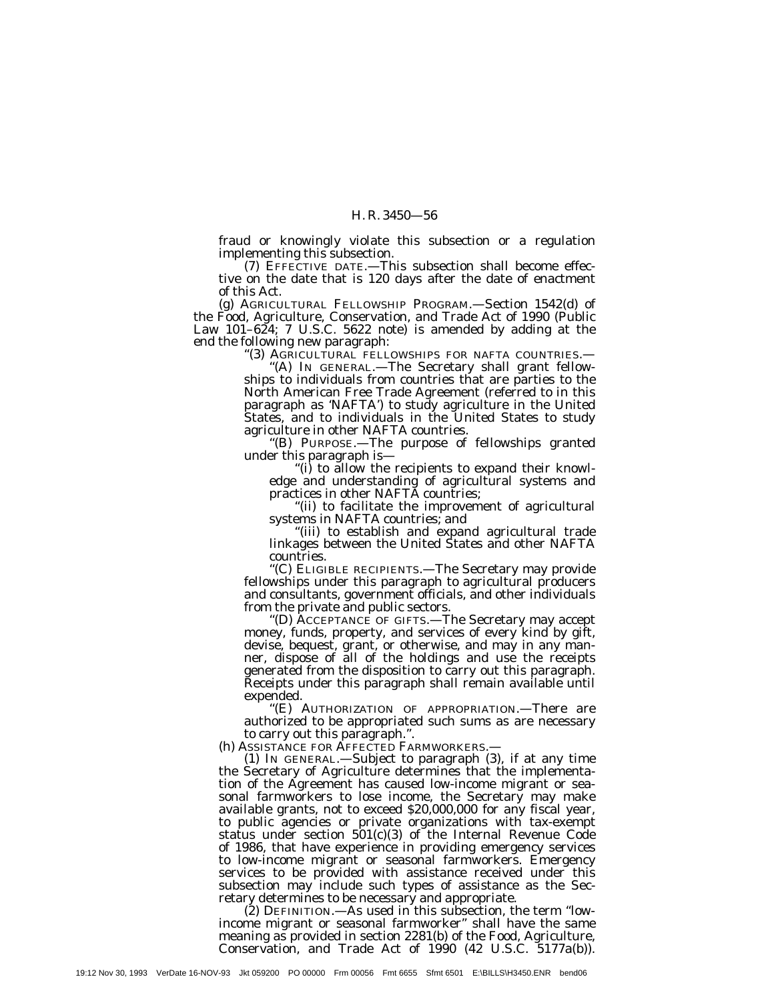fraud or knowingly violate this subsection or a regulation implementing this subsection.

(7) EFFECTIVE DATE.—This subsection shall become effective on the date that is 120 days after the date of enactment of this Act.

(g) AGRICULTURAL FELLOWSHIP PROGRAM.—Section 1542(d) of the Food, Agriculture, Conservation, and Trade Act of 1990 (Public Law 101-624;  $7 \text{ U.S.C. } 5622 \text{ note}$  is amended by adding at the end the following new paragraph:

''(3) AGRICULTURAL FELLOWSHIPS FOR NAFTA COUNTRIES.—

'(A) IN GENERAL.—The Secretary shall grant fellowships to individuals from countries that are parties to the North American Free Trade Agreement (referred to in this paragraph as 'NAFTA') to study agriculture in the United States, and to individuals in the United States to study agriculture in other NAFTA countries.

''(B) PURPOSE.—The purpose of fellowships granted under this paragraph is—

''(i) to allow the recipients to expand their knowledge and understanding of agricultural systems and practices in other NAFTA countries;

''(ii) to facilitate the improvement of agricultural systems in NAFTA countries; and

''(iii) to establish and expand agricultural trade linkages between the United States and other NAFTA countries.

''(C) ELIGIBLE RECIPIENTS.—The Secretary may provide fellowships under this paragraph to agricultural producers and consultants, government officials, and other individuals from the private and public sectors.

'(D) ACCEPTANCE OF GIFTS.—The Secretary may accept money, funds, property, and services of every kind by gift, devise, bequest, grant, or otherwise, and may in any manner, dispose of all of the holdings and use the receipts generated from the disposition to carry out this paragraph. Receipts under this paragraph shall remain available until expended.

''(E) AUTHORIZATION OF APPROPRIATION.—There are authorized to be appropriated such sums as are necessary to carry out this paragraph.".

(h) ASSISTANCE FOR AFFECTED FARMWORKERS.—<br>(1) IN GENERAL.—Subject to paragraph (3), if at any time the Secretary of Agriculture determines that the implementation of the Agreement has caused low-income migrant or seasonal farmworkers to lose income, the Secretary may make available grants, not to exceed \$20,000,000 for any fiscal year, to public agencies or private organizations with tax-exempt status under section 501(c)(3) of the Internal Revenue Code of 1986, that have experience in providing emergency services to low-income migrant or seasonal farmworkers. Emergency services to be provided with assistance received under this subsection may include such types of assistance as the Secretary determines to be necessary and appropriate.

(2) DEFINITION.—As used in this subsection, the term ''lowincome migrant or seasonal farmworker'' shall have the same meaning as provided in section 2281(b) of the Food, Agriculture, Conservation, and Trade Act of 1990 (42 U.S.C. 5177a(b)).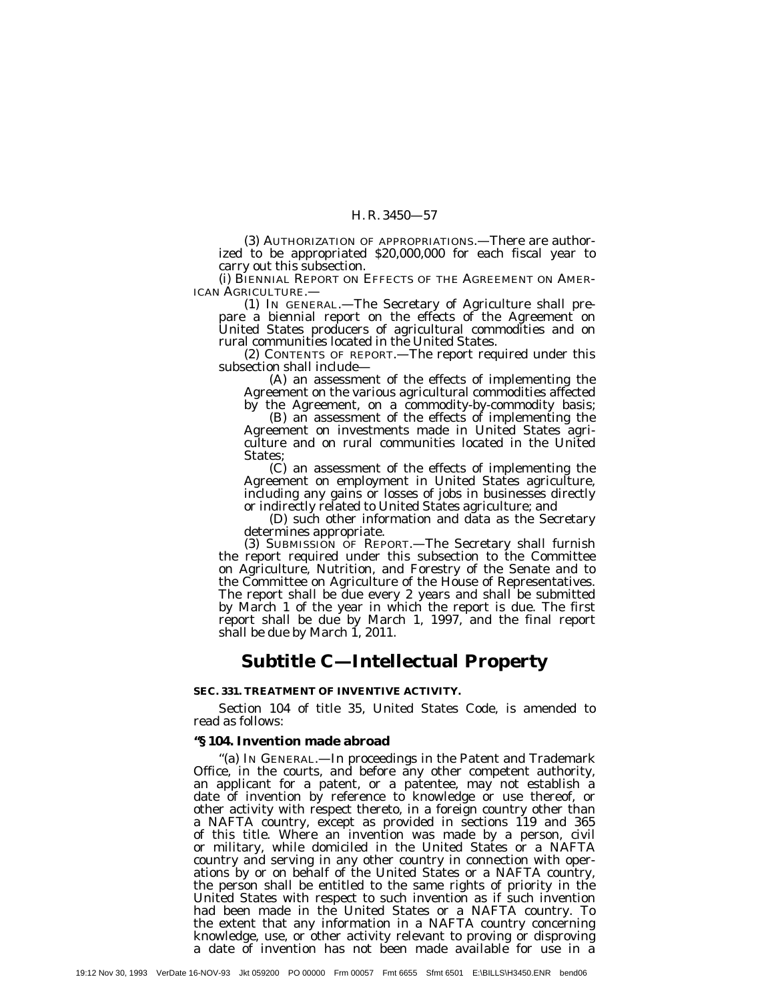(3) AUTHORIZATION OF APPROPRIATIONS.—There are authorized to be appropriated \$20,000,000 for each fiscal year to carry out this subsection.

(i) BIENNIAL REPORT ON EFFECTS OF THE AGREEMENT ON AMER-ICAN AGRICULTURE.

(1) IN GENERAL.—The Secretary of Agriculture shall prepare a biennial report on the effects of the Agreement on United States producers of agricultural commodities and on rural communities located in the United States.

(2) CONTENTS OF REPORT.—The report required under this subsection shall include—

(A) an assessment of the effects of implementing the Agreement on the various agricultural commodities affected by the Agreement, on a commodity-by-commodity basis;

(B) an assessment of the effects of implementing the Agreement on investments made in United States agriculture and on rural communities located in the United States;

(C) an assessment of the effects of implementing the Agreement on employment in United States agriculture, including any gains or losses of jobs in businesses directly or indirectly related to United States agriculture; and

(D) such other information and data as the Secretary determines appropriate.

(3) SUBMISSION OF REPORT.—The Secretary shall furnish the report required under this subsection to the Committee on Agriculture, Nutrition, and Forestry of the Senate and to the Committee on Agriculture of the House of Representatives. The report shall be due every 2 years and shall be submitted by March 1 of the year in which the report is due. The first report shall be due by March 1, 1997, and the final report shall be due by March 1, 2011.

# **Subtitle C—Intellectual Property**

## **SEC. 331. TREATMENT OF INVENTIVE ACTIVITY.**

Section 104 of title 35, United States Code, is amended to read as follows:

### **''§ 104. Invention made abroad**

''(a) IN GENERAL.—In proceedings in the Patent and Trademark Office, in the courts, and before any other competent authority, an applicant for a patent, or a patentee, may not establish a date of invention by reference to knowledge or use thereof, or other activity with respect thereto, in a foreign country other than a NAFTA country, except as provided in sections 119 and 365 of this title. Where an invention was made by a person, civil or military, while domiciled in the United States or a NAFTA country and serving in any other country in connection with operations by or on behalf of the United States or a NAFTA country, the person shall be entitled to the same rights of priority in the United States with respect to such invention as if such invention had been made in the United States or a NAFTA country. To the extent that any information in a NAFTA country concerning knowledge, use, or other activity relevant to proving or disproving a date of invention has not been made available for use in a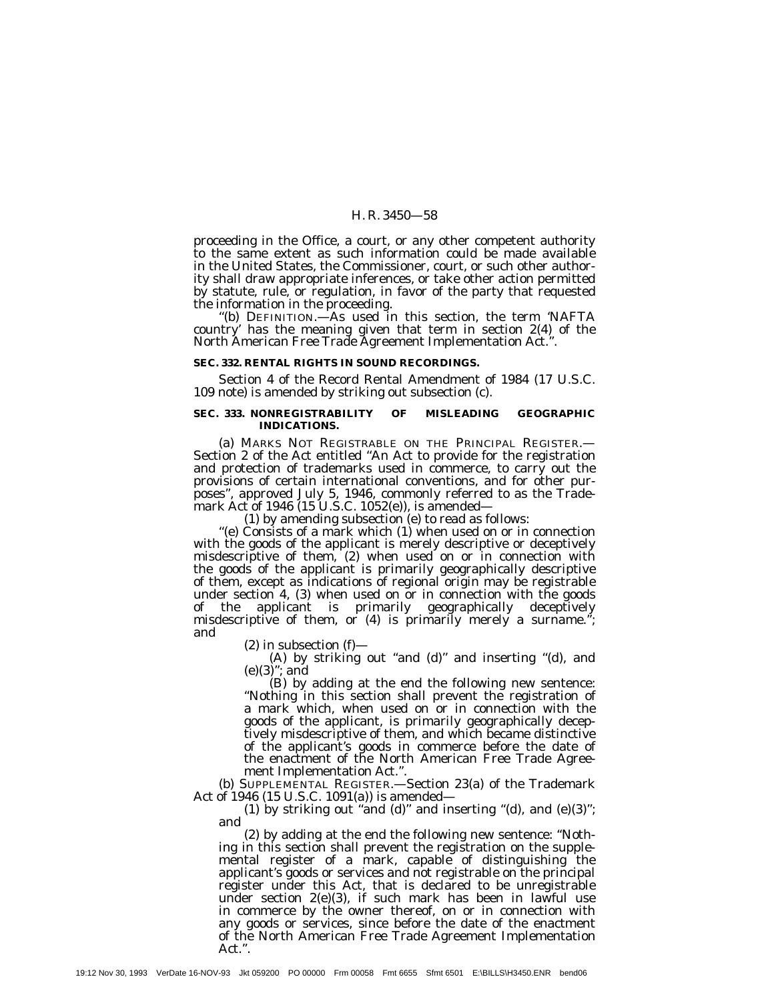proceeding in the Office, a court, or any other competent authority to the same extent as such information could be made available in the United States, the Commissioner, court, or such other authority shall draw appropriate inferences, or take other action permitted by statute, rule, or regulation, in favor of the party that requested the information in the proceeding.

''(b) DEFINITION.—As used in this section, the term 'NAFTA country' has the meaning given that term in section 2(4) of the North American Free Trade Agreement Implementation Act.''.

#### **SEC. 332. RENTAL RIGHTS IN SOUND RECORDINGS.**

Section 4 of the Record Rental Amendment of 1984 (17 U.S.C. 109 note) is amended by striking out subsection (c).

#### **SEC. 333. NONREGISTRABILITY OF MISLEADING GEOGRAPHIC INDICATIONS.**

(a) MARKS NOT REGISTRABLE ON THE PRINCIPAL REGISTER.— Section 2 of the Act entitled ''An Act to provide for the registration and protection of trademarks used in commerce, to carry out the provisions of certain international conventions, and for other purposes'', approved July 5, 1946, commonly referred to as the Trademark Act of 1946 (15 U.S.C. 1052(e)), is amended—

(1) by amending subsection (e) to read as follows:

''(e) Consists of a mark which (1) when used on or in connection with the goods of the applicant is merely descriptive or deceptively misdescriptive of them, (2) when used on or in connection with the goods of the applicant is primarily geographically descriptive of them, except as indications of regional origin may be registrable under section 4, (3) when used on or in connection with the goods of the applicant is primarily geographically deceptively applicant is primarily geographically deceptively misdescriptive of them, or (4) is primarily merely a surname."; and

(2) in subsection (f)—

(A) by striking out "and (d)" and inserting "(d), and  $(e)(3)$ "; and

(B) by adding at the end the following new sentence: ''Nothing in this section shall prevent the registration of a mark which, when used on or in connection with the goods of the applicant, is primarily geographically deceptively misdescriptive of them, and which became distinctive of the applicant's goods in commerce before the date of the enactment of the North American Free Trade Agreement Implementation Act.''.

(b) SUPPLEMENTAL REGISTER.—Section 23(a) of the Trademark Act of 1946 (15 U.S.C. 1091(a)) is amended—

(1) by striking out "and (d)" and inserting " $(d)$ , and  $(e)(3)$ "; and

(2) by adding at the end the following new sentence: ''Nothing in this section shall prevent the registration on the supplemental register of a mark, capable of distinguishing the applicant's goods or services and not registrable on the principal register under this Act, that is declared to be unregistrable under section  $2(e)(3)$ , if such mark has been in lawful use in commerce by the owner thereof, on or in connection with any goods or services, since before the date of the enactment of the North American Free Trade Agreement Implementation Act.''.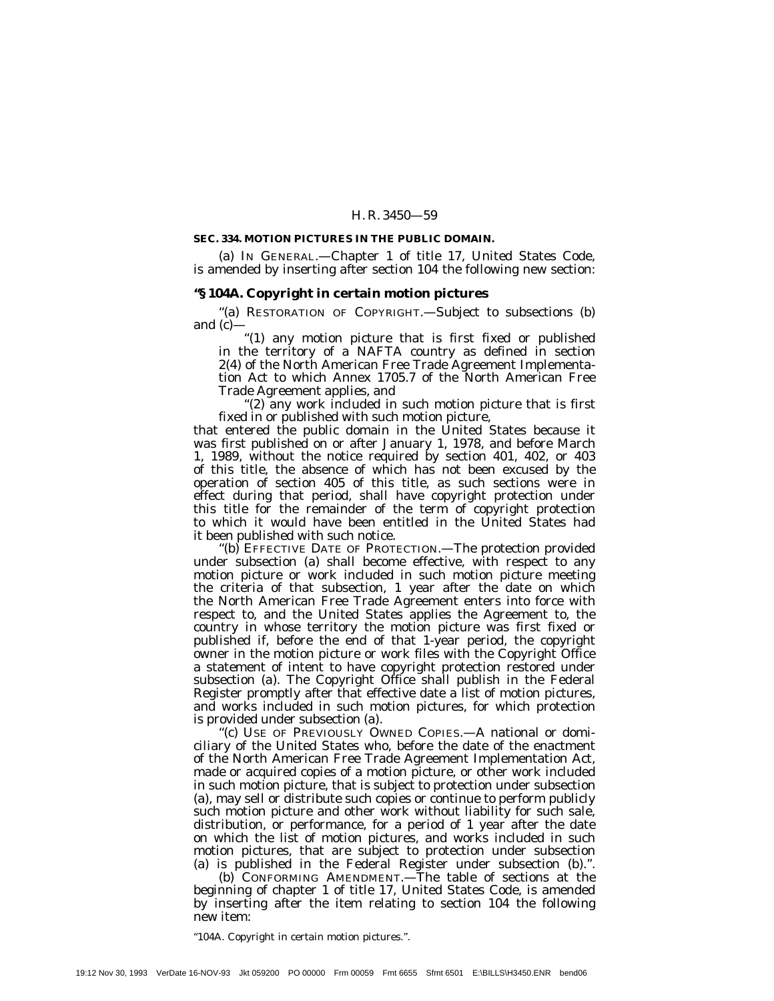#### **SEC. 334. MOTION PICTURES IN THE PUBLIC DOMAIN.**

(a) IN GENERAL.—Chapter 1 of title 17, United States Code, is amended by inserting after section 104 the following new section:

## **''§ 104A. Copyright in certain motion pictures**

''(a) RESTORATION OF COPYRIGHT.—Subject to subsections (b) and (c)—

"(1) any motion picture that is first fixed or published in the territory of a NAFTA country as defined in section 2(4) of the North American Free Trade Agreement Implementation Act to which Annex 1705.7 of the North American Free Trade Agreement applies, and

''(2) any work included in such motion picture that is first fixed in or published with such motion picture,

that entered the public domain in the United States because it was first published on or after January 1, 1978, and before March 1, 1989, without the notice required by section 401, 402, or 403 of this title, the absence of which has not been excused by the operation of section 405 of this title, as such sections were in effect during that period, shall have copyright protection under this title for the remainder of the term of copyright protection to which it would have been entitled in the United States had it been published with such notice.

''(b) EFFECTIVE DATE OF PROTECTION.—The protection provided under subsection (a) shall become effective, with respect to any motion picture or work included in such motion picture meeting the criteria of that subsection, 1 year after the date on which the North American Free Trade Agreement enters into force with respect to, and the United States applies the Agreement to, the country in whose territory the motion picture was first fixed or published if, before the end of that 1-year period, the copyright owner in the motion picture or work files with the Copyright Office a statement of intent to have copyright protection restored under subsection (a). The Copyright Office shall publish in the Federal Register promptly after that effective date a list of motion pictures, and works included in such motion pictures, for which protection is provided under subsection (a).

''(c) USE OF PREVIOUSLY OWNED COPIES.—A national or domiciliary of the United States who, before the date of the enactment of the North American Free Trade Agreement Implementation Act, made or acquired copies of a motion picture, or other work included in such motion picture, that is subject to protection under subsection (a), may sell or distribute such copies or continue to perform publicly such motion picture and other work without liability for such sale, distribution, or performance, for a period of 1 year after the date on which the list of motion pictures, and works included in such motion pictures, that are subject to protection under subsection (a) is published in the Federal Register under subsection (b).''.

(b) CONFORMING AMENDMENT.—The table of sections at the beginning of chapter 1 of title 17, United States Code, is amended by inserting after the item relating to section 104 the following new item:

''104A. Copyright in certain motion pictures.''.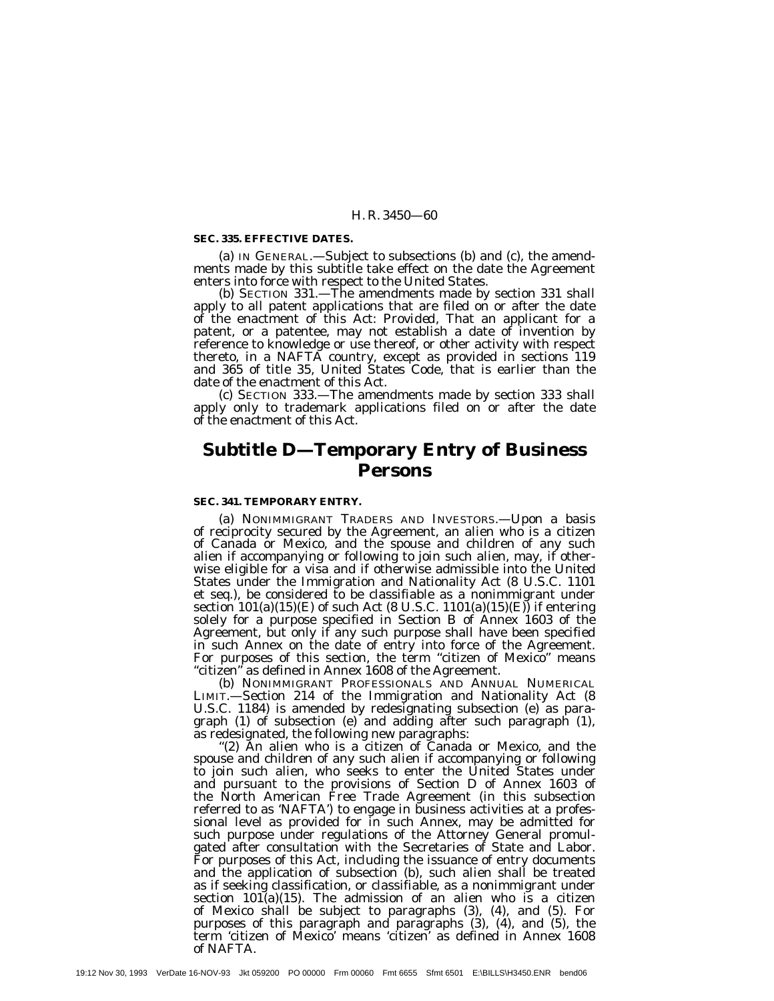#### **SEC. 335. EFFECTIVE DATES.**

(a) IN GENERAL.—Subject to subsections (b) and (c), the amendments made by this subtitle take effect on the date the Agreement enters into force with respect to the United States.

(b) SECTION 331.—The amendments made by section 331 shall apply to all patent applications that are filed on or after the date of the enactment of this Act: *Provided*, That an applicant for a patent, or a patentee, may not establish a date of invention by reference to knowledge or use thereof, or other activity with respect thereto, in a NAFTA country, except as provided in sections 119 and 365 of title 35, United States Code, that is earlier than the date of the enactment of this Act.

(c) SECTION 333.—The amendments made by section 333 shall apply only to trademark applications filed on or after the date of the enactment of this Act.

# **Subtitle D—Temporary Entry of Business Persons**

## **SEC. 341. TEMPORARY ENTRY.**

(a) NONIMMIGRANT TRADERS AND INVESTORS.—Upon a basis of reciprocity secured by the Agreement, an alien who is a citizen of Canada or Mexico, and the spouse and children of any such alien if accompanying or following to join such alien, may, if otherwise eligible for a visa and if otherwise admissible into the United States under the Immigration and Nationality Act (8 U.S.C. 1101 et seq.), be considered to be classifiable as a nonimmigrant under section 101(a)(15)(E) of such Act (8 U.S.C. 1101(a)(15)(E)) if entering solely for a purpose specified in Section B of Annex 1603 of the Agreement, but only if any such purpose shall have been specified in such Annex on the date of entry into force of the Agreement. For purposes of this section, the term "citizen of Mexico" means "citizen" as defined in Annex 1608 of the Agreement.

(b) NONIMMIGRANT PROFESSIONALS AND ANNUAL NUMERICAL<br>LIMIT.—Section 214 of the Immigration and Nationality Act (8 U.S.C. 1184) is amended by redesignating subsection (e) as paragraph (1) of subsection (e) and adding after such paragraph (1), as redesignated, the following new paragraphs: ''(2) An alien who is a citizen of Canada or Mexico, and the

spouse and children of any such alien if accompanying or following to join such alien, who seeks to enter the United States under and pursuant to the provisions of Section D of Annex 1603 of the North American Free Trade Agreement (in this subsection referred to as 'NAFTA') to engage in business activities at a professional level as provided for in such Annex, may be admitted for such purpose under regulations of the Attorney General promulgated after consultation with the Secretaries of State and Labor. For purposes of this Act, including the issuance of entry documents and the application of subsection (b), such alien shall be treated as if seeking classification, or classifiable, as a nonimmigrant under section  $101(a)(15)$ . The admission of an alien who is a citizen of Mexico shall be subject to paragraphs (3), (4), and (5). For purposes of this paragraph and paragraphs (3), (4), and (5), the term 'citizen of Mexico' means 'citizen' as defined in Annex 1608 of NAFTA.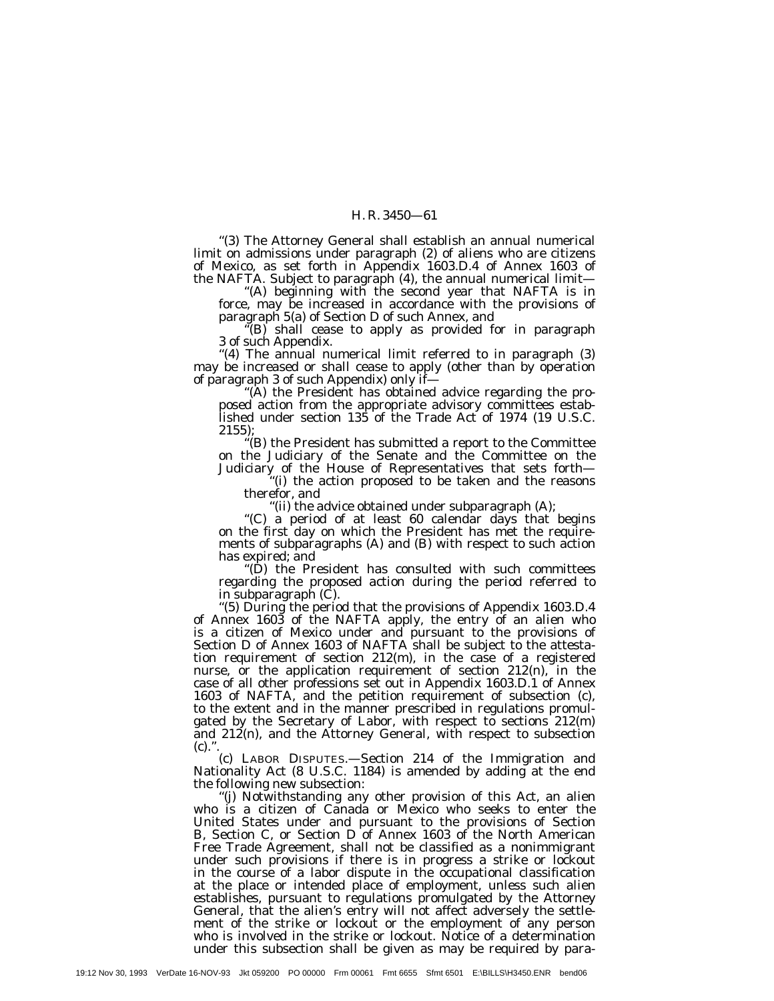''(3) The Attorney General shall establish an annual numerical limit on admissions under paragraph (2) of aliens who are citizens of Mexico, as set forth in Appendix 1603.D.4 of Annex 1603 of the NAFTA. Subject to paragraph (4), the annual numerical limit—

"(A) beginning with the second year that NAFTA is in force, may be increased in accordance with the provisions of paragraph 5(a) of Section D of such Annex, and

''(B) shall cease to apply as provided for in paragraph 3 of such Appendix.

"(4) The annual numerical limit referred to in paragraph (3) may be increased or shall cease to apply (other than by operation of paragraph 3 of such Appendix) only if—

''(A) the President has obtained advice regarding the proposed action from the appropriate advisory committees established under section 135 of the Trade Act of 1974 (19 U.S.C. 2155);

''(B) the President has submitted a report to the Committee on the Judiciary of the Senate and the Committee on the Judiciary of the House of Representatives that sets forth—

(i) the action proposed to be taken and the reasons therefor, and

''(ii) the advice obtained under subparagraph (A);

''(C) a period of at least 60 calendar days that begins on the first day on which the President has met the requirements of subparagraphs (A) and (B) with respect to such action has expired; and

''(D) the President has consulted with such committees regarding the proposed action during the period referred to in subparagraph (C).

''(5) During the period that the provisions of Appendix 1603.D.4 of Annex 1603 of the NAFTA apply, the entry of an alien who is a citizen of Mexico under and pursuant to the provisions of Section D of Annex 1603 of NAFTA shall be subject to the attestation requirement of section 212(m), in the case of a registered nurse, or the application requirement of section 212(n), in the case of all other professions set out in Appendix 1603.D.1 of Annex 1603 of NAFTA, and the petition requirement of subsection (c), to the extent and in the manner prescribed in regulations promulgated by the Secretary of Labor, with respect to sections 212(m) and 212(n), and the Attorney General, with respect to subsection

(c).".<br>(c) LABOR DISPUTES.—Section 214 of the Immigration and Nationality Act (8 U.S.C. 1184) is amended by adding at the end the following new subsection:

"(j) Notwithstanding any other provision of this Act, an alien who is a citizen of Canada or Mexico who seeks to enter the United States under and pursuant to the provisions of Section B, Section C, or Section D of Annex 1603 of the North American Free Trade Agreement, shall not be classified as a nonimmigrant under such provisions if there is in progress a strike or lockout in the course of a labor dispute in the occupational classification at the place or intended place of employment, unless such alien establishes, pursuant to regulations promulgated by the Attorney General, that the alien's entry will not affect adversely the settlement of the strike or lockout or the employment of any person who is involved in the strike or lockout. Notice of a determination under this subsection shall be given as may be required by para-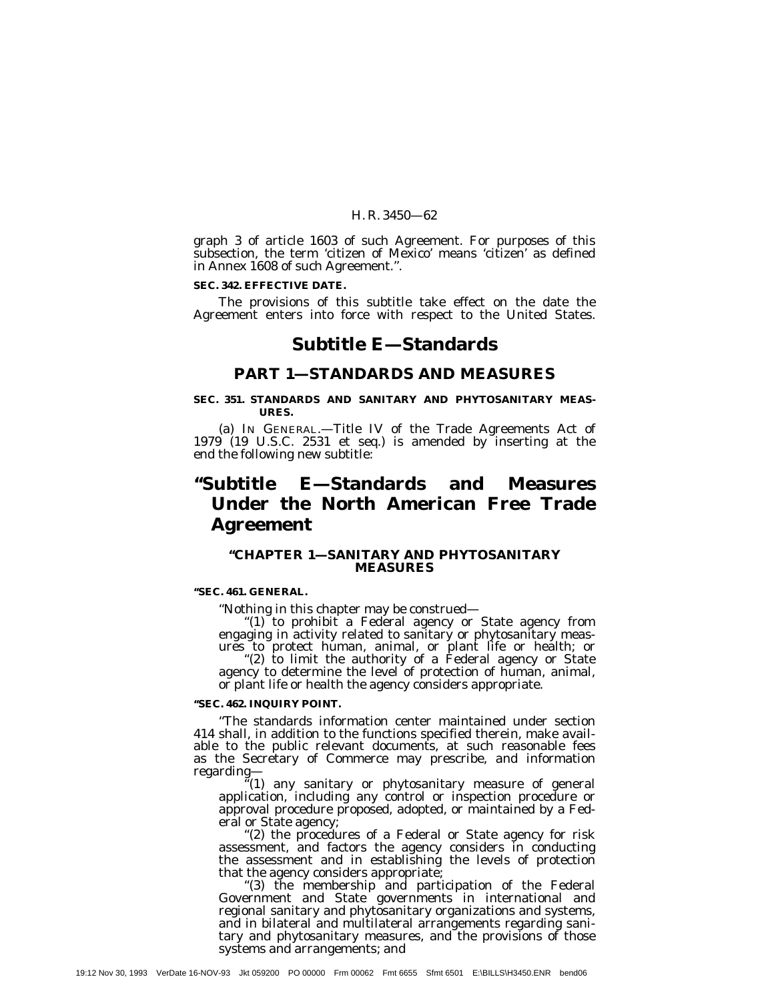graph 3 of article 1603 of such Agreement. For purposes of this subsection, the term 'citizen of Mexico' means 'citizen' as defined in Annex 1608 of such Agreement.''.

### **SEC. 342. EFFECTIVE DATE.**

The provisions of this subtitle take effect on the date the Agreement enters into force with respect to the United States.

# **Subtitle E—Standards**

# **PART 1—STANDARDS AND MEASURES**

#### **SEC. 351. STANDARDS AND SANITARY AND PHYTOSANITARY MEAS-URES.**

(a) IN GENERAL.—Title IV of the Trade Agreements Act of 1979 (19 U.S.C. 2531 et seq.) is amended by inserting at the end the following new subtitle:

# **''Subtitle E—Standards and Measures Under the North American Free Trade Agreement**

## **''CHAPTER 1—SANITARY AND PHYTOSANITARY MEASURES**

## **''SEC. 461. GENERAL.**

''Nothing in this chapter may be construed—

"(1) to prohibit a Federal agency or State agency from engaging in activity related to sanitary or phytosanitary measures to protect human, animal, or plant life or health; or

"(2) to limit the authority of a Federal agency or State agency to determine the level of protection of human, animal, or plant life or health the agency considers appropriate.

#### **''SEC. 462. INQUIRY POINT.**

''The standards information center maintained under section 414 shall, in addition to the functions specified therein, make available to the public relevant documents, at such reasonable fees as the Secretary of Commerce may prescribe, and information

 $r(1)$  any sanitary or phytosanitary measure of general application, including any control or inspection procedure or approval procedure proposed, adopted, or maintained by a Federal or State agency;

"(2) the procedures of a Federal or State agency for risk assessment, and factors the agency considers in conducting the assessment and in establishing the levels of protection that the agency considers appropriate;

"(3) the membership and participation of the Federal Government and State governments in international and regional sanitary and phytosanitary organizations and systems, and in bilateral and multilateral arrangements regarding sanitary and phytosanitary measures, and the provisions of those systems and arrangements; and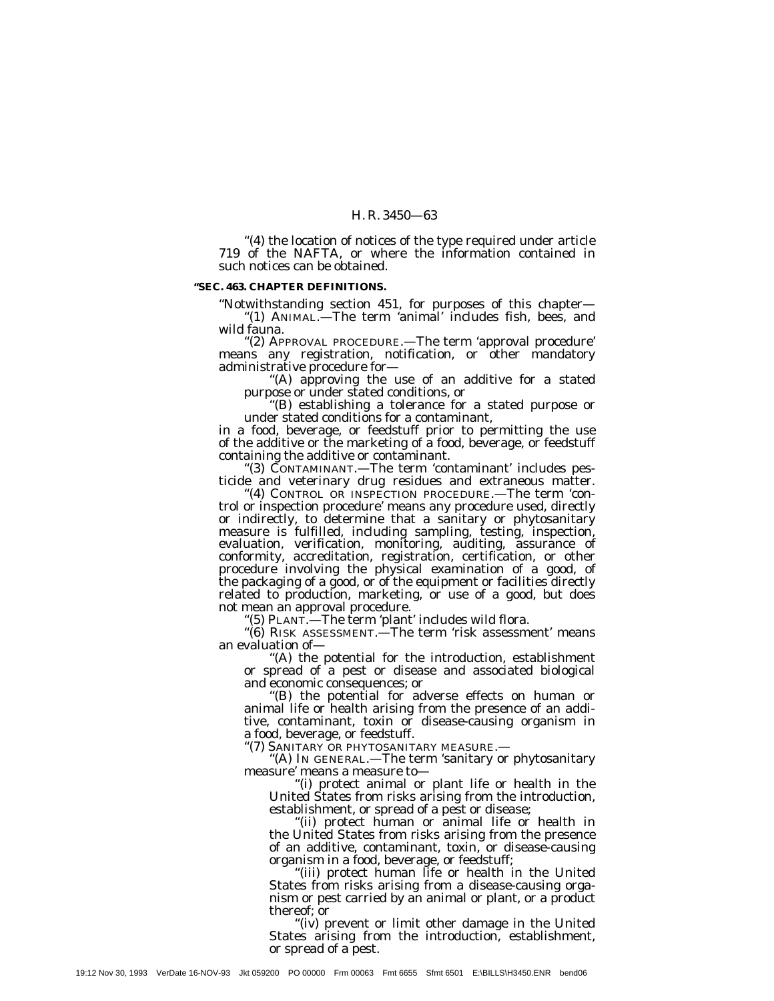''(4) the location of notices of the type required under article 719 of the NAFTA, or where the information contained in such notices can be obtained.

#### **''SEC. 463. CHAPTER DEFINITIONS.**

''Notwithstanding section 451, for purposes of this chapter—

''(1) ANIMAL.—The term 'animal' includes fish, bees, and wild fauna.

''(2) APPROVAL PROCEDURE.—The term 'approval procedure' means any registration, notification, or other mandatory administrative procedure for—

"(A) approving the use of an additive for a stated purpose or under stated conditions, or

''(B) establishing a tolerance for a stated purpose or under stated conditions for a contaminant,

in a food, beverage, or feedstuff prior to permitting the use of the additive or the marketing of a food, beverage, or feedstuff containing the additive or contaminant.

''(3) CONTAMINANT.—The term 'contaminant' includes pesticide and veterinary drug residues and extraneous matter.

''(4) CONTROL OR INSPECTION PROCEDURE.—The term 'control or inspection procedure' means any procedure used, directly or indirectly, to determine that a sanitary or phytosanitary measure is fulfilled, including sampling, testing, inspection, evaluation, verification, monitoring, auditing, assurance of conformity, accreditation, registration, certification, or other procedure involving the physical examination of a good, of the packaging of a good, or of the equipment or facilities directly related to production, marketing, or use of a good, but does not mean an approval procedure.

''(5) PLANT.—The term 'plant' includes wild flora.

''(6) RISK ASSESSMENT.—The term 'risk assessment' means an evaluation of—

''(A) the potential for the introduction, establishment or spread of a pest or disease and associated biological and economic consequences; or

''(B) the potential for adverse effects on human or animal life or health arising from the presence of an additive, contaminant, toxin or disease-causing organism in a food, beverage, or feedstuff.<br>"(7) SANITARY OR PHYTOSANITARY MEASURE.—

"(A) IN GENERAL.— The term 'sanitary or phytosanitary measure' means a measure to—

''(i) protect animal or plant life or health in the United States from risks arising from the introduction, establishment, or spread of a pest or disease;

''(ii) protect human or animal life or health in the United States from risks arising from the presence of an additive, contaminant, toxin, or disease-causing organism in a food, beverage, or feedstuff;

''(iii) protect human life or health in the United States from risks arising from a disease-causing organism or pest carried by an animal or plant, or a product thereof; or

''(iv) prevent or limit other damage in the United States arising from the introduction, establishment, or spread of a pest.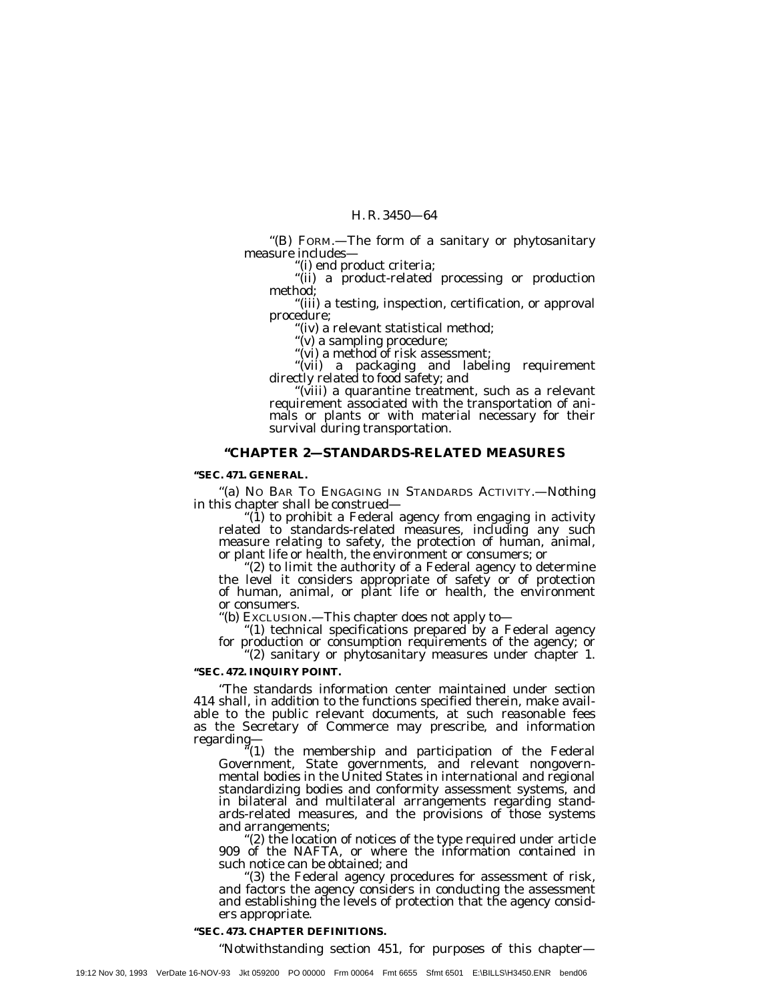''(B) FORM.—The form of a sanitary or phytosanitary measure includes—

'(i) end product criteria;

''(ii) a product-related processing or production method;

''(iii) a testing, inspection, certification, or approval procedure; ''(iv) a relevant statistical method;

''(v) a sampling procedure;

''(vi) a method of risk assessment;

''(vii) a packaging and labeling requirement directly related to food safety; and ''(viii) a quarantine treatment, such as a relevant

requirement associated with the transportation of animals or plants or with material necessary for their survival during transportation.

## **''CHAPTER 2—STANDARDS-RELATED MEASURES**

# **''SEC. 471. GENERAL.**

''(a) NO BAR TO ENGAGING IN STANDARDS ACTIVITY.—Nothing in this chapter shall be construed— ''(1) to prohibit a Federal agency from engaging in activity related to standards-related measures, including any such

measure relating to safety, the protection of human, animal, or plant life or health, the environment or consumers; or

or plant life or health, the environment or consumers; or<br>''(2) to limit the authority of a Federal agency to determine<br>the level it considers appropriate of safety or of protection of human, animal, or plant life or health, the environment or consumers.<br>"(b) Exclusion.—This chapter does not apply to—

"(1) technical specifications prepared by a Federal agency for production or consumption requirements of the agency; or "(2) sanitary or phytosanitary measures under chapter 1.

# **''SEC. 472. INQUIRY POINT.**

''The standards information center maintained under section 414 shall, in addition to the functions specified therein, make available to the public relevant documents, at such reasonable fees as the Secretary of Commerce may prescribe, and information

regarding—<br>(1) the membership and participation of the Federal<br>membership and participation of the Federal Government, State governments, and relevant nongovernmental bodies in the United States in international and regional standardizing bodies and conformity assessment systems, and in bilateral and multilateral arrangements regarding standards-related measures, and the provisions of those systems and arrangements;

"(2) the location of notices of the type required under article 909 of the NAFTA, or where the information contained in such notice can be obtained; and<br>"(3) the Federal agency procedures for assessment of risk,

and factors the agency considers in conducting the assessment and establishing the levels of protection that the agency considers appropriate.

## **''SEC. 473. CHAPTER DEFINITIONS.**

''Notwithstanding section 451, for purposes of this chapter—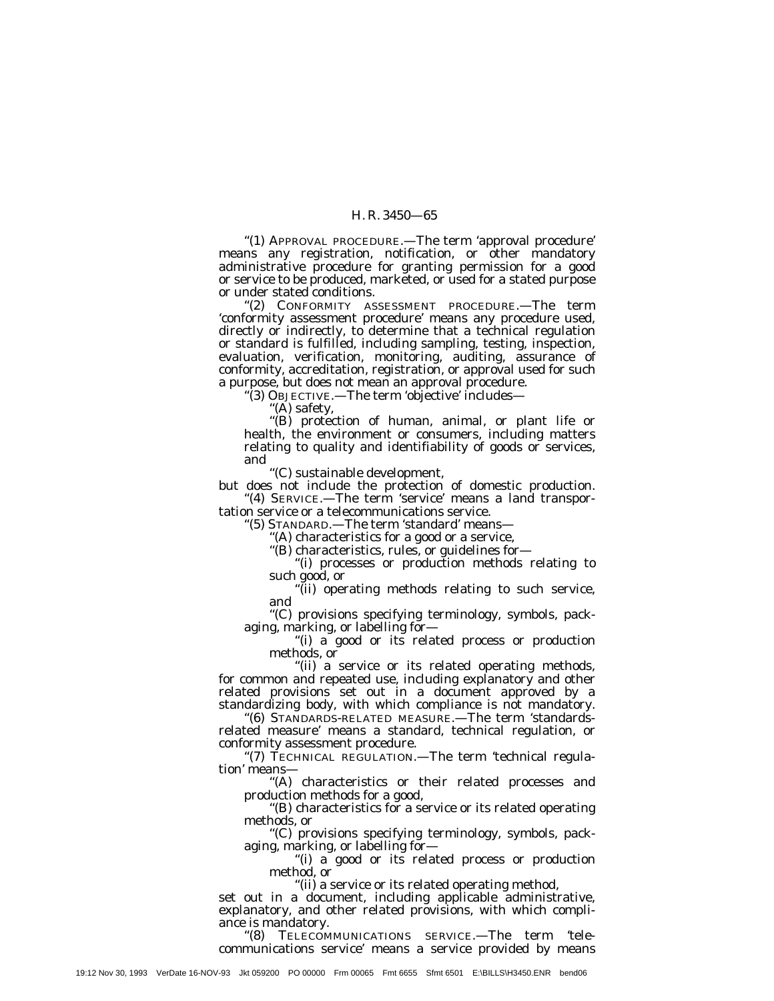''(1) APPROVAL PROCEDURE.—The term 'approval procedure' means any registration, notification, or other mandatory administrative procedure for granting permission for a good or service to be produced, marketed, or used for a stated purpose or under stated conditions.

''(2) CONFORMITY ASSESSMENT PROCEDURE.—The term 'conformity assessment procedure' means any procedure used, directly or indirectly, to determine that a technical regulation or standard is fulfilled, including sampling, testing, inspection, evaluation, verification, monitoring, auditing, assurance of conformity, accreditation, registration, or approval used for such a purpose, but does not mean an approval procedure.

''(3) OBJECTIVE.—The term 'objective' includes—

'(A) safety,

''(B) protection of human, animal, or plant life or health, the environment or consumers, including matters relating to quality and identifiability of goods or services, and

''(C) sustainable development,

but does not include the protection of domestic production. "(4) SERVICE.—The term 'service' means a land transportation service or a telecommunications service.

''(5) STANDARD.—The term 'standard' means—

''(A) characteristics for a good or a service,

''(B) characteristics, rules, or guidelines for—

''(i) processes or production methods relating to such good, or

''(ii) operating methods relating to such service, and

''(C) provisions specifying terminology, symbols, packaging, marking, or labelling for—

''(i) a good or its related process or production methods, or

''(ii) a service or its related operating methods, for common and repeated use, including explanatory and other related provisions set out in a document approved by a standardizing body, with which compliance is not mandatory.

''(6) STANDARDS-RELATED MEASURE.—The term 'standardsrelated measure' means a standard, technical regulation, or conformity assessment procedure.

''(7) TECHNICAL REGULATION.—The term 'technical regulation' means—

'(A) characteristics or their related processes and production methods for a good,

''(B) characteristics for a service or its related operating methods, or

''(C) provisions specifying terminology, symbols, packaging, marking, or labelling for—

''(i) a good or its related process or production method, or

'(ii) a service or its related operating method,

set out in a document, including applicable administrative, explanatory, and other related provisions, with which compliance is mandatory.

''(8) TELECOMMUNICATIONS SERVICE.—The term 'telecommunications service' means a service provided by means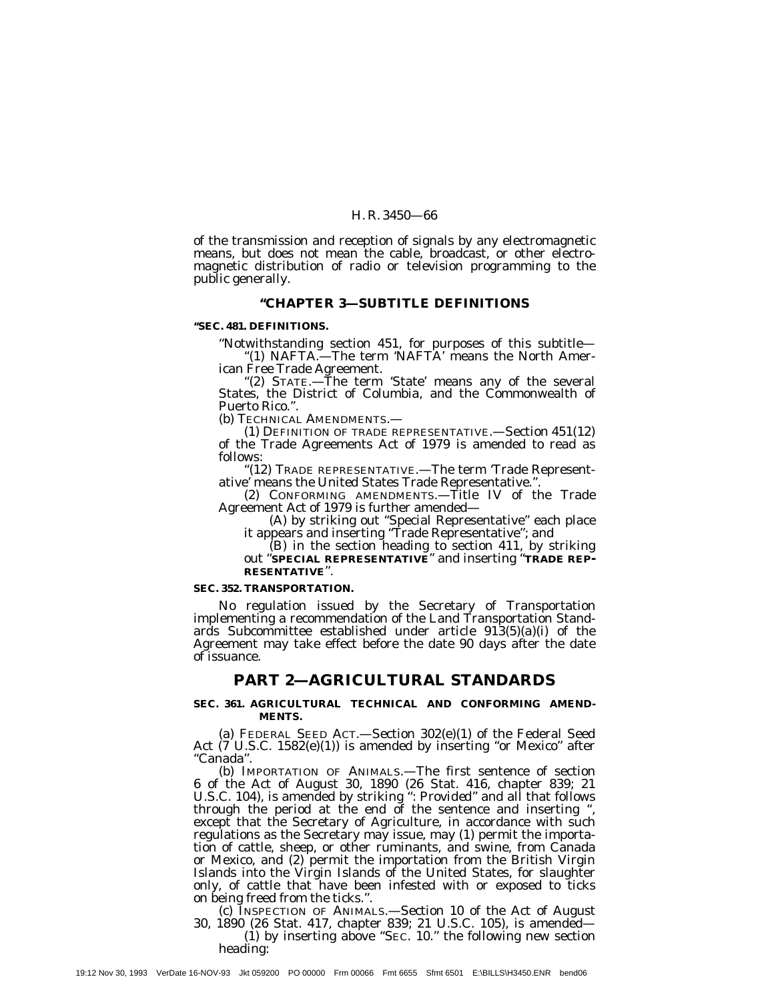of the transmission and reception of signals by any electromagnetic means, but does not mean the cable, broadcast, or other electromagnetic distribution of radio or television programming to the public generally.

#### **''CHAPTER 3—SUBTITLE DEFINITIONS**

#### **''SEC. 481. DEFINITIONS.**

''Notwithstanding section 451, for purposes of this subtitle— ''(1) NAFTA.—The term 'NAFTA' means the North Amer-

ican Free Trade Agreement.

"(2) STATE.—The term 'State' means any of the several States, the District of Columbia, and the Commonwealth of Puerto Rico.''.

(b) TECHNICAL AMENDMENTS.—

(1) DEFINITION OF TRADE REPRESENTATIVE.—Section 451(12) of the Trade Agreements Act of 1979 is amended to read as follows:

''(12) TRADE REPRESENTATIVE.—The term 'Trade Representative' means the United States Trade Representative.''.

(2) CONFORMING AMENDMENTS.—Title IV of the Trade Agreement Act of 1979 is further amended—

(A) by striking out ''Special Representative'' each place it appears and inserting ''Trade Representative''; and

(B) in the section heading to section 411, by striking out ''**SPECIAL REPRESENTATIVE**'' and inserting ''**TRADE REP-RESENTATIVE**''.

#### **SEC. 352. TRANSPORTATION.**

No regulation issued by the Secretary of Transportation implementing a recommendation of the Land Transportation Standards Subcommittee established under article 913(5)(a)(i) of the Agreement may take effect before the date 90 days after the date of issuance.

# **PART 2—AGRICULTURAL STANDARDS**

## **SEC. 361. AGRICULTURAL TECHNICAL AND CONFORMING AMEND-MENTS.**

(a) FEDERAL SEED ACT.—Section 302(e)(1) of the Federal Seed Act  $(7 \text{ U.S.C. } 1582(e)(1))$  is amended by inserting "or Mexico" after ''Canada''.

(b) IMPORTATION OF ANIMALS.—The first sentence of section 6 of the Act of August 30, 1890 (26 Stat. 416, chapter 839; 21 U.S.C. 104), is amended by striking '': *Provided*'' and all that follows through the period at the end of the sentence and inserting " except that the Secretary of Agriculture, in accordance with such regulations as the Secretary may issue, may (1) permit the importation of cattle, sheep, or other ruminants, and swine, from Canada or Mexico, and (2) permit the importation from the British Virgin Islands into the Virgin Islands of the United States, for slaughter only, of cattle that have been infested with or exposed to ticks on being freed from the ticks.''.

(c) INSPECTION OF ANIMALS.—Section 10 of the Act of August 30, 1890 (26 Stat. 417, chapter 839; 21 U.S.C. 105), is amended— (1) by inserting above ''SEC. 10.'' the following new section heading: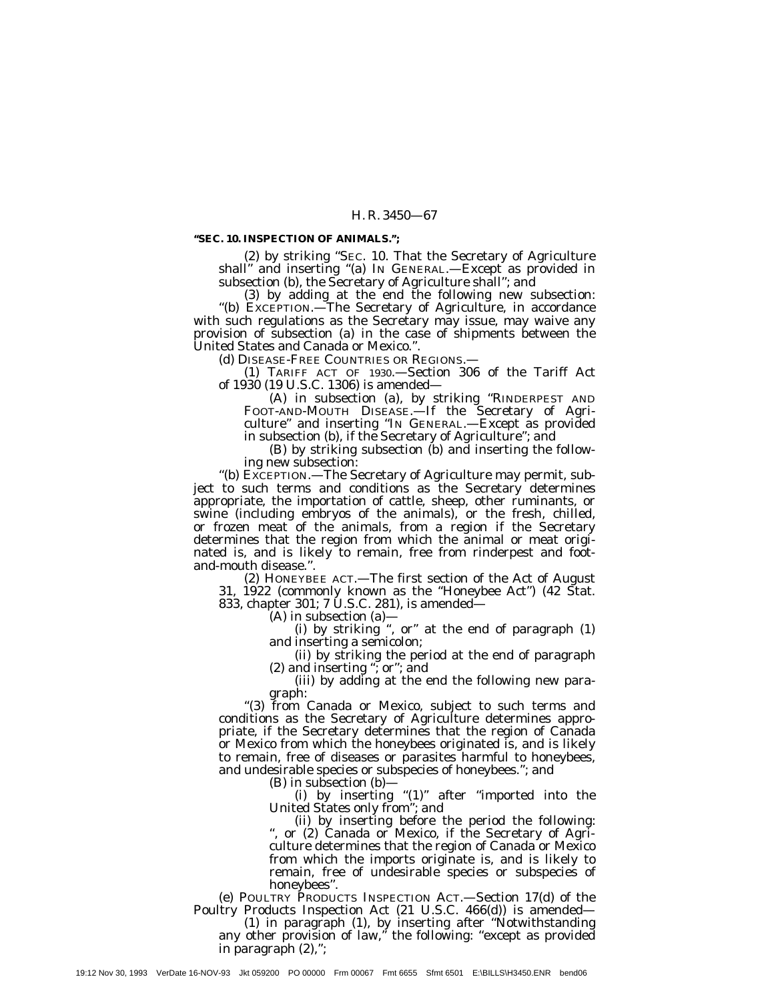## **''SEC. 10. INSPECTION OF ANIMALS.'';**

(2) by striking ''SEC. 10. That the Secretary of Agriculture shall'' and inserting ''(a) IN GENERAL.—Except as provided in subsection (b), the Secretary of Agriculture shall''; and

(3) by adding at the end the following new subsection: ''(b) EXCEPTION.—The Secretary of Agriculture, in accordance with such regulations as the Secretary may issue, may waive any provision of subsection (a) in the case of shipments between the United States and Canada or Mexico.''.

(d) DISEASE-FREE COUNTRIES OR REGIONS.—

(1) TARIFF ACT OF 1930.—Section 306 of the Tariff Act of 1930 (19 U.S.C. 1306) is amended—

(A) in subsection (a), by striking ''RINDERPEST AND FOOT-AND-MOUTH DISEASE.—If the Secretary of Agriculture'' and inserting ''IN GENERAL.—Except as provided in subsection (b), if the Secretary of Agriculture''; and

(B) by striking subsection (b) and inserting the following new subsection:

''(b) EXCEPTION.—The Secretary of Agriculture may permit, subject to such terms and conditions as the Secretary determines appropriate, the importation of cattle, sheep, other ruminants, or swine (including embryos of the animals), or the fresh, chilled, or frozen meat of the animals, from a region if the Secretary determines that the region from which the animal or meat originated is, and is likely to remain, free from rinderpest and footand-mouth disease.''.

(2) HONEYBEE ACT.—The first section of the Act of August 31, 1922 (commonly known as the ''Honeybee Act'') (42 Stat.

833, chapter 301; 7 U.S.C. 281), is amended—

(A) in subsection (a)—

(i) by striking '', or'' at the end of paragraph (1) and inserting a semicolon;

(ii) by striking the period at the end of paragraph (2) and inserting ''; or''; and

(iii) by adding at the end the following new paragraph:

''(3) from Canada or Mexico, subject to such terms and conditions as the Secretary of Agriculture determines appropriate, if the Secretary determines that the region of Canada or Mexico from which the honeybees originated is, and is likely to remain, free of diseases or parasites harmful to honeybees, and undesirable species or subspecies of honeybees.''; and

(B) in subsection (b)—

 $(i)$  by inserting " $(1)$ " after "imported into the United States only from''; and

(ii) by inserting before the period the following: '', or (2) Canada or Mexico, if the Secretary of Agriculture determines that the region of Canada or Mexico from which the imports originate is, and is likely to remain, free of undesirable species or subspecies of honeybees''.

(e) POULTRY PRODUCTS INSPECTION ACT.—Section 17(d) of the Poultry Products Inspection Act (21 U.S.C. 466(d)) is amended—

(1) in paragraph (1), by inserting after ''Notwithstanding any other provision of law,'' the following: ''except as provided in paragraph (2),'';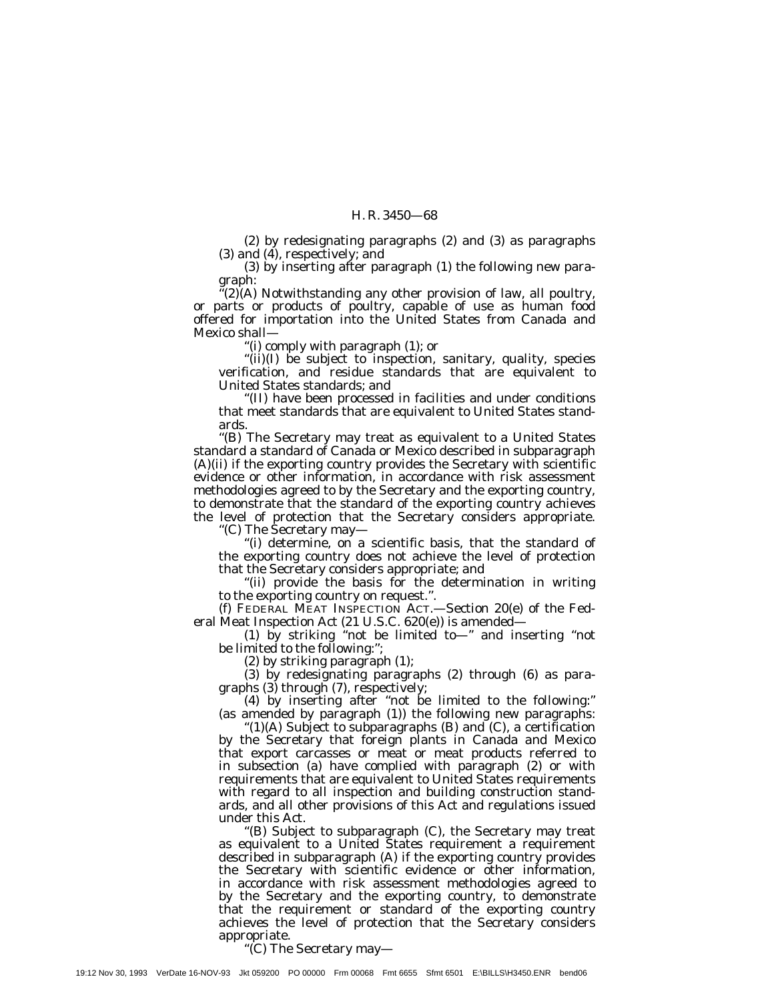(2) by redesignating paragraphs (2) and (3) as paragraphs (3) and (4), respectively; and

(3) by inserting after paragraph (1) the following new paragraph:

 $(2)$  $(A)$  Notwithstanding any other provision of law, all poultry, or parts or products of poultry, capable of use as human food offered for importation into the United States from Canada and Mexico shall—

''(i) comply with paragraph (1); or

"(ii)(I) be subject to inspection, sanitary, quality, species verification, and residue standards that are equivalent to United States standards; and

''(II) have been processed in facilities and under conditions that meet standards that are equivalent to United States standards.

''(B) The Secretary may treat as equivalent to a United States standard a standard of Canada or Mexico described in subparagraph (A)(ii) if the exporting country provides the Secretary with scientific evidence or other information, in accordance with risk assessment methodologies agreed to by the Secretary and the exporting country, to demonstrate that the standard of the exporting country achieves the level of protection that the Secretary considers appropriate.

''(C) The Secretary may—

''(i) determine, on a scientific basis, that the standard of the exporting country does not achieve the level of protection that the Secretary considers appropriate; and

''(ii) provide the basis for the determination in writing to the exporting country on request.''.

(f) FEDERAL MEAT INSPECTION ACT.—Section 20(e) of the Federal Meat Inspection Act (21 U.S.C. 620(e)) is amended—

(1) by striking ''not be limited to—'' and inserting ''not be limited to the following:'';

(2) by striking paragraph (1);

(3) by redesignating paragraphs (2) through (6) as paragraphs (3) through (7), respectively;

(4) by inserting after ''not be limited to the following:'' (as amended by paragraph (1)) the following new paragraphs:

" $(1)(A)$  Subject to subparagraphs  $(B)$  and  $(C)$ , a certification by the Secretary that foreign plants in Canada and Mexico that export carcasses or meat or meat products referred to in subsection (a) have complied with paragraph (2) or with requirements that are equivalent to United States requirements with regard to all inspection and building construction standards, and all other provisions of this Act and regulations issued under this Act.

''(B) Subject to subparagraph (C), the Secretary may treat as equivalent to a United States requirement a requirement described in subparagraph (A) if the exporting country provides the Secretary with scientific evidence or other information, in accordance with risk assessment methodologies agreed to by the Secretary and the exporting country, to demonstrate that the requirement or standard of the exporting country achieves the level of protection that the Secretary considers appropriate.

''(C) The Secretary may—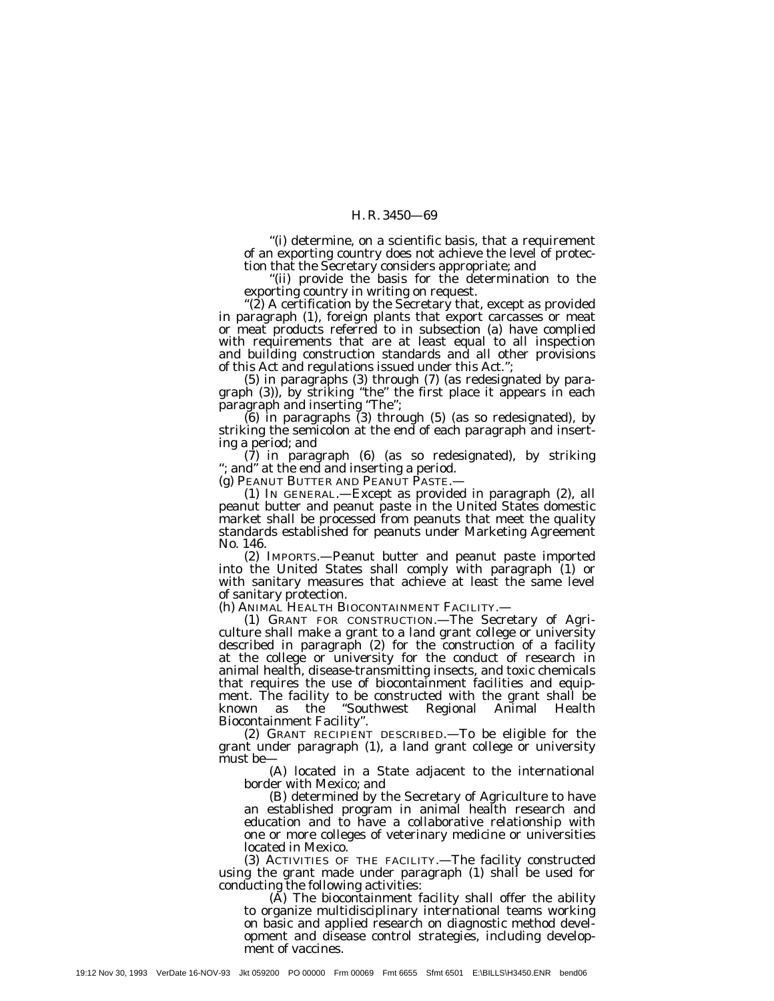''(i) determine, on a scientific basis, that a requirement of an exporting country does not achieve the level of protection that the Secretary considers appropriate; and

''(ii) provide the basis for the determination to the exporting country in writing on request.

"(2) A certification by the Secretary that, except as provided in paragraph (1), foreign plants that export carcasses or meat or meat products referred to in subsection (a) have complied with requirements that are at least equal to all inspection and building construction standards and all other provisions of this Act and regulations issued under this Act.'';

(5) in paragraphs (3) through (7) (as redesignated by paragraph (3)), by striking ''the'' the first place it appears in each paragraph and inserting ''The'';

 $(6)$  in paragraphs  $(3)$  through  $(5)$  (as so redesignated), by striking the semicolon at the end of each paragraph and inserting a period; and

(7) in paragraph (6) (as so redesignated), by striking ''; and'' at the end and inserting a period.

(g) PEANUT BUTTER AND PEANUT PASTE.—

(1) IN GENERAL.—Except as provided in paragraph (2), all peanut butter and peanut paste in the United States domestic market shall be processed from peanuts that meet the quality standards established for peanuts under Marketing Agreement No. 146.

(2) IMPORTS.—Peanut butter and peanut paste imported into the United States shall comply with paragraph (1) or with sanitary measures that achieve at least the same level of sanitary protection.<br>(h) ANIMAL HEALTH BIOCONTAINMENT FACILITY.—

(h) ANIMAL HEALTH BIOCONTAINMENT FACILITY.— (1) GRANT FOR CONSTRUCTION.—The Secretary of Agriculture shall make a grant to a land grant college or university described in paragraph (2) for the construction of a facility at the college or university for the conduct of research in animal health, disease-transmitting insects, and toxic chemicals that requires the use of biocontainment facilities and equipment. The facility to be constructed with the grant shall be known as the ''Southwest Regional Animal Health

(2) GRANT RECIPIENT DESCRIBED.—To be eligible for the grant under paragraph (1), a land grant college or university must be—

(A) located in a State adjacent to the international border with Mexico; and

(B) determined by the Secretary of Agriculture to have an established program in animal health research and education and to have a collaborative relationship with one or more colleges of veterinary medicine or universities located in Mexico.

(3) ACTIVITIES OF THE FACILITY.—The facility constructed using the grant made under paragraph (1) shall be used for conducting the following activities:

(A) The biocontainment facility shall offer the ability to organize multidisciplinary international teams working on basic and applied research on diagnostic method development and disease control strategies, including development of vaccines.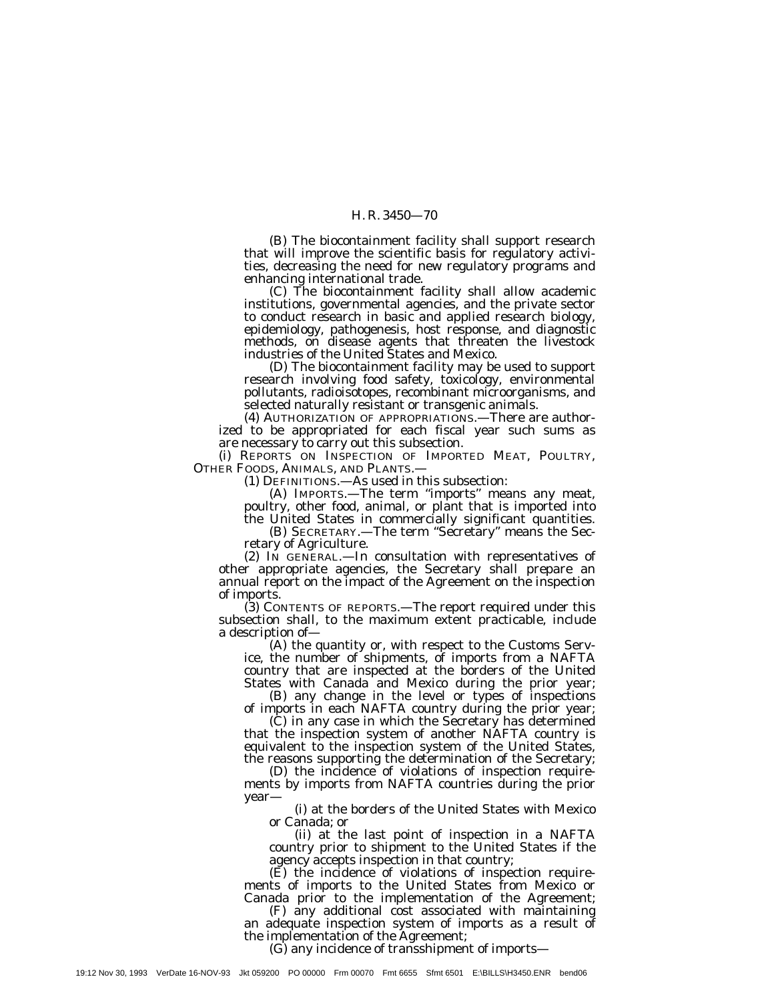(B) The biocontainment facility shall support research that will improve the scientific basis for regulatory activities, decreasing the need for new regulatory programs and enhancing international trade.

(C) The biocontainment facility shall allow academic institutions, governmental agencies, and the private sector to conduct research in basic and applied research biology, epidemiology, pathogenesis, host response, and diagnostic methods, on disease agents that threaten the livestock industries of the United States and Mexico.

(D) The biocontainment facility may be used to support research involving food safety, toxicology, environmental pollutants, radioisotopes, recombinant microorganisms, and selected naturally resistant or transgenic animals.

(4) AUTHORIZATION OF APPROPRIATIONS.—There are authorized to be appropriated for each fiscal year such sums as are necessary to carry out this subsection.

(i) REPORTS ON INSPECTION OF IMPORTED MEAT, POULTRY, OTHER FOODS, ANIMALS, AND PLANTS.—

(1) DEFINITIONS.—As used in this subsection:

(A) IMPORTS.—The term ''imports'' means any meat, poultry, other food, animal, or plant that is imported into the United States in commercially significant quantities.

(B) SECRETARY.—The term ''Secretary'' means the Secretary of Agriculture.

(2) IN GENERAL.—In consultation with representatives of other appropriate agencies, the Secretary shall prepare an annual report on the impact of the Agreement on the inspection of imports.

(3) CONTENTS OF REPORTS.—The report required under this subsection shall, to the maximum extent practicable, include a description of—

(A) the quantity or, with respect to the Customs Service, the number of shipments, of imports from a NAFTA country that are inspected at the borders of the United States with Canada and Mexico during the prior year; (B) any change in the level or types of inspections

of imports in each NAFTA country during the prior year; (C) in any case in which the Secretary has determined

that the inspection system of another NAFTA country is equivalent to the inspection system of the United States, the reasons supporting the determination of the Secretary;

(D) the incidence of violations of inspection requirements by imports from NAFTA countries during the prior year—

(i) at the borders of the United States with Mexico or Canada; or

(ii) at the last point of inspection in a NAFTA country prior to shipment to the United States if the agency accepts inspection in that country;

(E) the incidence of violations of inspection requirements of imports to the United States from Mexico or Canada prior to the implementation of the Agreement;

(F) any additional cost associated with maintaining an adequate inspection system of imports as a result of the implementation of the Agreement;

(G) any incidence of transshipment of imports—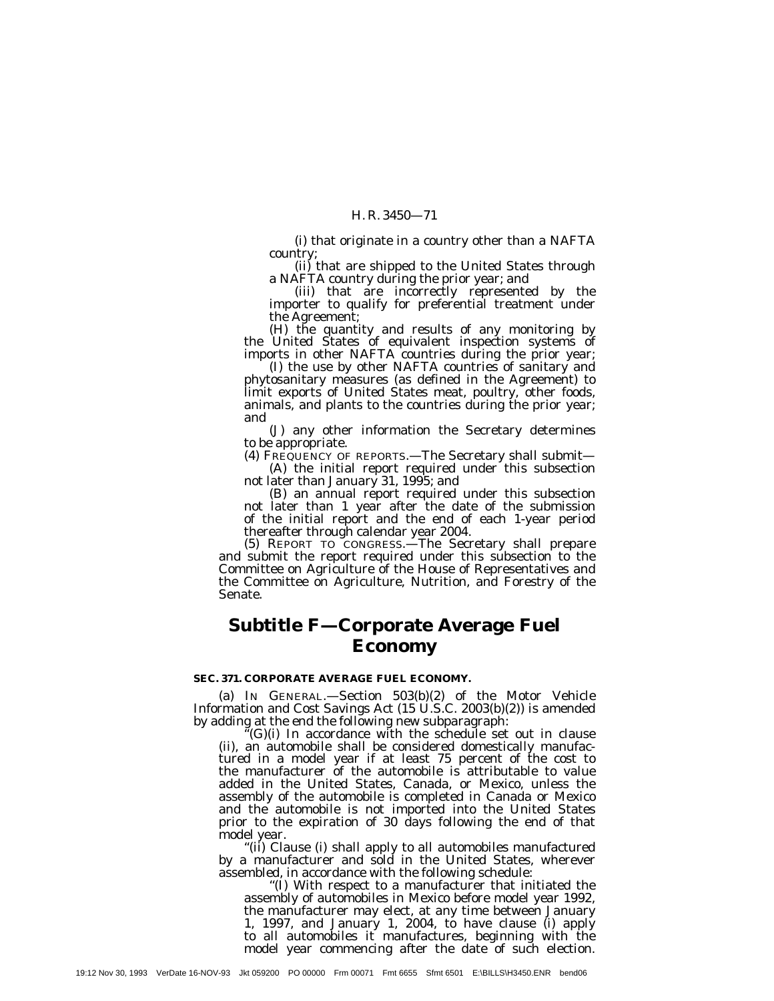(i) that originate in a country other than a NAFTA country;

(ii) that are shipped to the United States through a NAFTA country during the prior year; and

(iii) that are incorrectly represented by the importer to qualify for preferential treatment under the Agreement;

(H) the quantity and results of any monitoring by the United States of equivalent inspection systems of imports in other NAFTA countries during the prior year;

(I) the use by other NAFTA countries of sanitary and phytosanitary measures (as defined in the Agreement) to limit exports of United States meat, poultry, other foods, animals, and plants to the countries during the prior year; and

(J) any other information the Secretary determines to be appropriate.

(4) FREQUENCY OF REPORTS.—The Secretary shall submit—

(A) the initial report required under this subsection not later than January 31, 1995; and

(B) an annual report required under this subsection not later than 1 year after the date of the submission of the initial report and the end of each 1-year period thereafter through calendar year 2004.

(5) REPORT TO CONGRESS.—The Secretary shall prepare and submit the report required under this subsection to the Committee on Agriculture of the House of Representatives and the Committee on Agriculture, Nutrition, and Forestry of the Senate.

# **Subtitle F—Corporate Average Fuel Economy**

## **SEC. 371. CORPORATE AVERAGE FUEL ECONOMY.**

(a) IN GENERAL.—Section 503(b)(2) of the Motor Vehicle Information and Cost Savings Act (15 U.S.C. 2003(b)(2)) is amended by adding at the end the following new subparagraph: ''(G)(i) In accordance with the schedule set out in clause

(ii), an automobile shall be considered domestically manufactured in a model year if at least 75 percent of the cost to the manufacturer of the automobile is attributable to value added in the United States, Canada, or Mexico, unless the assembly of the automobile is completed in Canada or Mexico and the automobile is not imported into the United States prior to the expiration of 30 days following the end of that model year.

''(ii) Clause (i) shall apply to all automobiles manufactured by a manufacturer and sold in the United States, wherever assembled, in accordance with the following schedule:

''(I) With respect to a manufacturer that initiated the assembly of automobiles in Mexico before model year 1992, the manufacturer may elect, at any time between January 1, 1997, and January 1, 2004, to have clause (i) apply to all automobiles it manufactures, beginning with the model year commencing after the date of such election.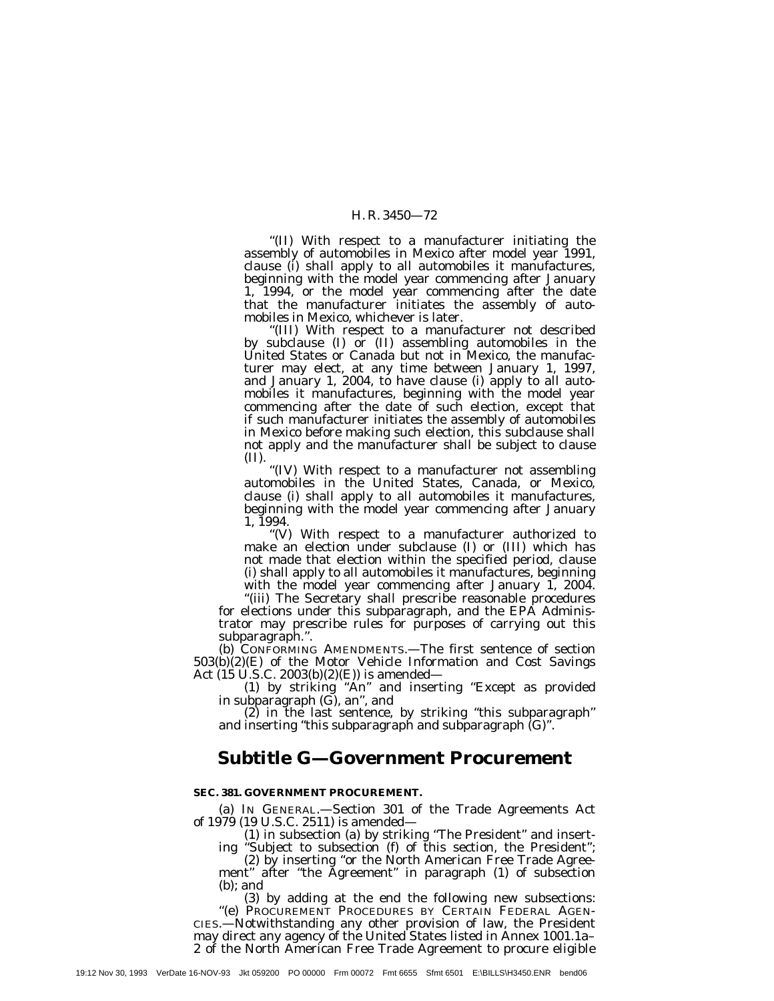''(II) With respect to a manufacturer initiating the assembly of automobiles in Mexico after model year 1991, clause (i) shall apply to all automobiles it manufactures, beginning with the model year commencing after January 1, 1994, or the model year commencing after the date that the manufacturer initiates the assembly of automobiles in Mexico, whichever is later.

''(III) With respect to a manufacturer not described by subclause (I) or (II) assembling automobiles in the United States or Canada but not in Mexico, the manufacturer may elect, at any time between January 1, 1997, and January 1, 2004, to have clause (i) apply to all automobiles it manufactures, beginning with the model year commencing after the date of such election, except that if such manufacturer initiates the assembly of automobiles in Mexico before making such election, this subclause shall not apply and the manufacturer shall be subject to clause (II).

"(IV) With respect to a manufacturer not assembling automobiles in the United States, Canada, or Mexico, clause (i) shall apply to all automobiles it manufactures, beginning with the model year commencing after January 1, 1994.

''(V) With respect to a manufacturer authorized to make an election under subclause (I) or (III) which has not made that election within the specified period, clause (i) shall apply to all automobiles it manufactures, beginning with the model year commencing after January 1, 2004.

"(iii) The Secretary shall prescribe reasonable procedures for elections under this subparagraph, and the EPA Administrator may prescribe rules for purposes of carrying out this subparagraph.''.

(b) CONFORMING AMENDMENTS.—The first sentence of section 503(b)(2)(E) of the Motor Vehicle Information and Cost Savings Act (15 U.S.C. 2003(b)(2)(E)) is amended—

(1) by striking ''An'' and inserting ''Except as provided in subparagraph (G), an'', and

(2) in the last sentence, by striking ''this subparagraph'' and inserting ''this subparagraph and subparagraph (G)''.

# **Subtitle G—Government Procurement**

## **SEC. 381. GOVERNMENT PROCUREMENT.**

(a) IN GENERAL.—Section 301 of the Trade Agreements Act of 1979 (19 U.S.C. 2511) is amended—

(1) in subsection (a) by striking ''The President'' and inserting ''Subject to subsection (f) of this section, the President'';

(2) by inserting ''or the North American Free Trade Agreement'' after ''the Agreement'' in paragraph (1) of subsection (b); and

(3) by adding at the end the following new subsections: ''(e) PROCUREMENT PROCEDURES BY CERTAIN FEDERAL AGEN-CIES.—Notwithstanding any other provision of law, the President may direct any agency of the United States listed in Annex 1001.1a– 2 of the North American Free Trade Agreement to procure eligible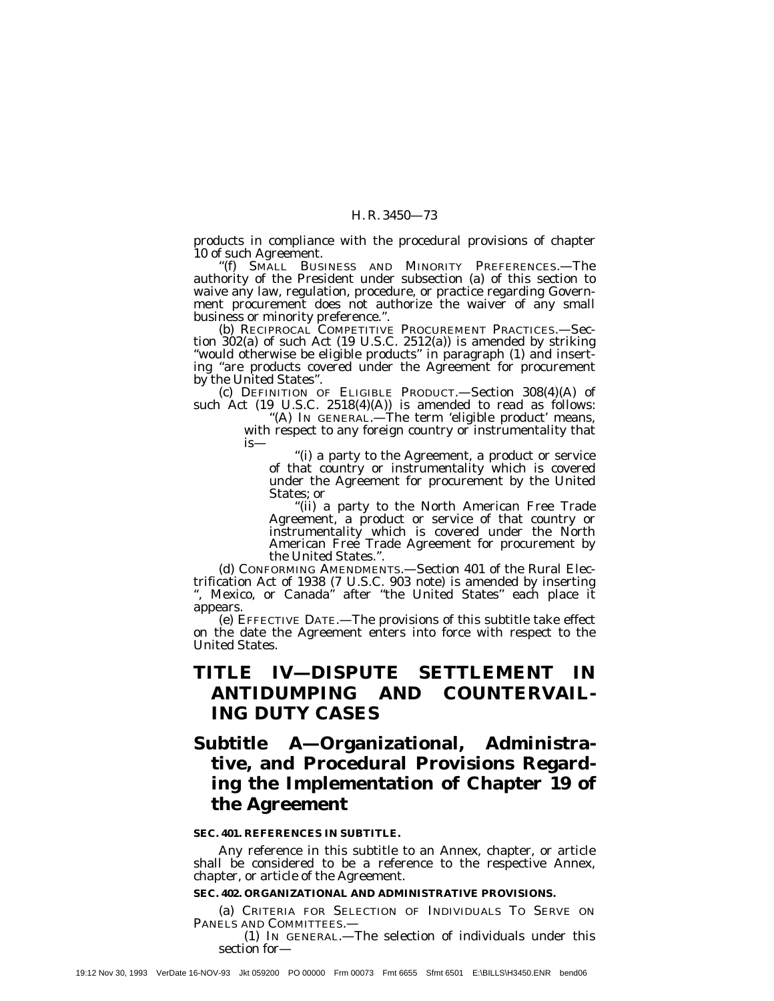products in compliance with the procedural provisions of chapter 10 of such Agreement.

''(f) SMALL BUSINESS AND MINORITY PREFERENCES.—The authority of the President under subsection (a) of this section to waive any law, regulation, procedure, or practice regarding Government procurement does not authorize the waiver of any small business or minority preference.''.

(b) RECIPROCAL COMPETITIVE PROCUREMENT PRACTICES.—Section 302(a) of such Act (19 U.S.C. 2512(a)) is amended by striking "would otherwise be eligible products" in paragraph (1) and inserting ''are products covered under the Agreement for procurement by the United States''.

(c) DEFINITION OF ELIGIBLE PRODUCT.—Section 308(4)(A) of such Act (19 U.S.C. 2518(4)(A)) is amended to read as follows:

''(A) IN GENERAL.—The term 'eligible product' means, with respect to any foreign country or instrumentality that is—

''(i) a party to the Agreement, a product or service of that country or instrumentality which is covered under the Agreement for procurement by the United States; or

''(ii) a party to the North American Free Trade Agreement, a product or service of that country or instrumentality which is covered under the North American Free Trade Agreement for procurement by the United States.''.

(d) CONFORMING AMENDMENTS.—Section 401 of the Rural Electrification Act of 1938 (7 U.S.C. 903 note) is amended by inserting '', Mexico, or Canada'' after ''the United States'' each place it appears.

(e) EFFECTIVE DATE.—The provisions of this subtitle take effect on the date the Agreement enters into force with respect to the United States.

# **TITLE IV—DISPUTE SETTLEMENT IN ANTIDUMPING AND COUNTERVAIL-ING DUTY CASES**

# **Subtitle A—Organizational, Administrative, and Procedural Provisions Regarding the Implementation of Chapter 19 of the Agreement**

#### **SEC. 401. REFERENCES IN SUBTITLE.**

Any reference in this subtitle to an Annex, chapter, or article shall be considered to be a reference to the respective Annex, chapter, or article of the Agreement.

#### **SEC. 402. ORGANIZATIONAL AND ADMINISTRATIVE PROVISIONS.**

(a) CRITERIA FOR SELECTION OF INDIVIDUALS TO SERVE ON PANELS AND COMMITTEES.—

(1) IN GENERAL.—The selection of individuals under this section for—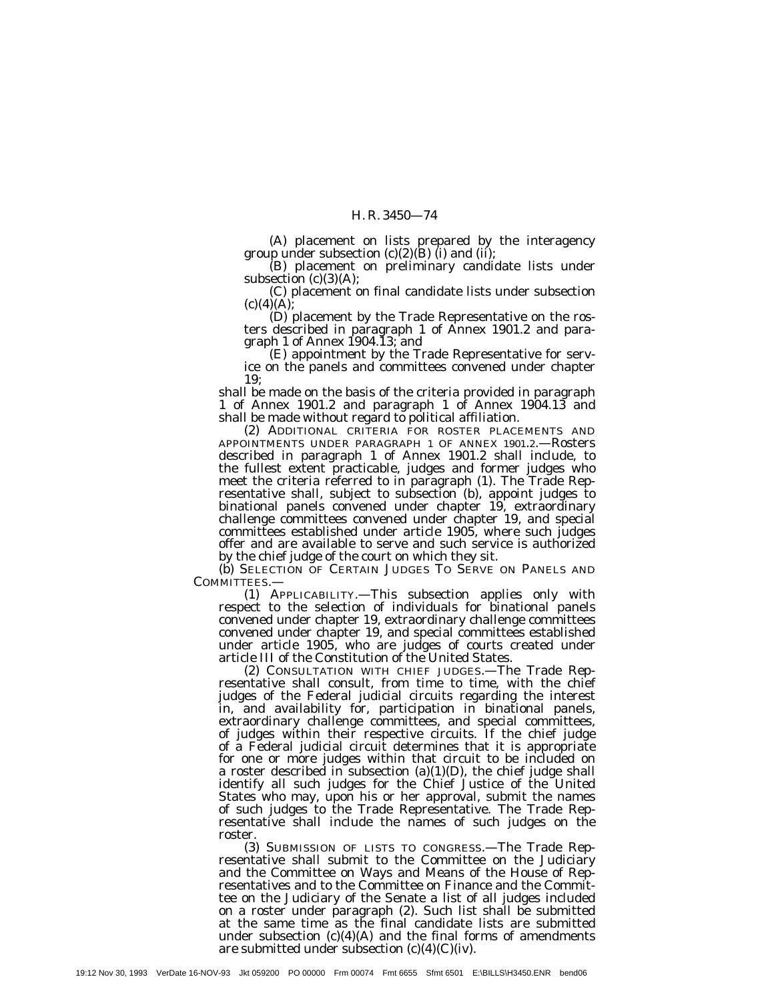(A) placement on lists prepared by the interagency group under subsection (c)(2)(B) (i) and (ii);

(B) placement on preliminary candidate lists under subsection  $(c)(3)(A);$ 

(C) placement on final candidate lists under subsection  $(c)(4)(A)$ ;

(D) placement by the Trade Representative on the rosters described in paragraph 1 of Annex 1901.2 and paragraph 1 of Annex 1904.13; and

(E) appointment by the Trade Representative for service on the panels and committees convened under chapter 19;

shall be made on the basis of the criteria provided in paragraph 1 of Annex 1901.2 and paragraph 1 of Annex 1904.13 and shall be made without regard to political affiliation.

(2) ADDITIONAL CRITERIA FOR ROSTER PLACEMENTS AND APPOINTMENTS UNDER PARAGRAPH 1 OF ANNEX 1901.2.—Rosters described in paragraph 1 of Annex 1901.2 shall include, to the fullest extent practicable, judges and former judges who meet the criteria referred to in paragraph (1). The Trade Representative shall, subject to subsection (b), appoint judges to binational panels convened under chapter 19, extraordinary challenge committees convened under chapter 19, and special committees established under article 1905, where such judges offer and are available to serve and such service is authorized by the chief judge of the court on which they sit.

(b) SELECTION OF CERTAIN JUDGES TO SERVE ON PANELS AND COMMITTEES.— (1) APPLICABILITY.—This subsection applies only with

respect to the selection of individuals for binational panels convened under chapter 19, extraordinary challenge committees convened under chapter 19, and special committees established under article 1905, who are judges of courts created under article III of the Constitution of the United States.

(2) CONSULTATION WITH CHIEF JUDGES.—The Trade Representative shall consult, from time to time, with the chief judges of the Federal judicial circuits regarding the interest in, and availability for, participation in binational panels, extraordinary challenge committees, and special committees, of judges within their respective circuits. If the chief judge of a Federal judicial circuit determines that it is appropriate for one or more judges within that circuit to be included on a roster described in subsection  $(a)(1)(D)$ , the chief judge shall identify all such judges for the Chief Justice of the United States who may, upon his or her approval, submit the names of such judges to the Trade Representative. The Trade Representative shall include the names of such judges on the roster.

(3) SUBMISSION OF LISTS TO CONGRESS.—The Trade Representative shall submit to the Committee on the Judiciary and the Committee on Ways and Means of the House of Representatives and to the Committee on Finance and the Committee on the Judiciary of the Senate a list of all judges included on a roster under paragraph (2). Such list shall be submitted at the same time as the final candidate lists are submitted under subsection  $(c)(4)(A)$  and the final forms of amendments are submitted under subsection (c)(4)(C)(iv).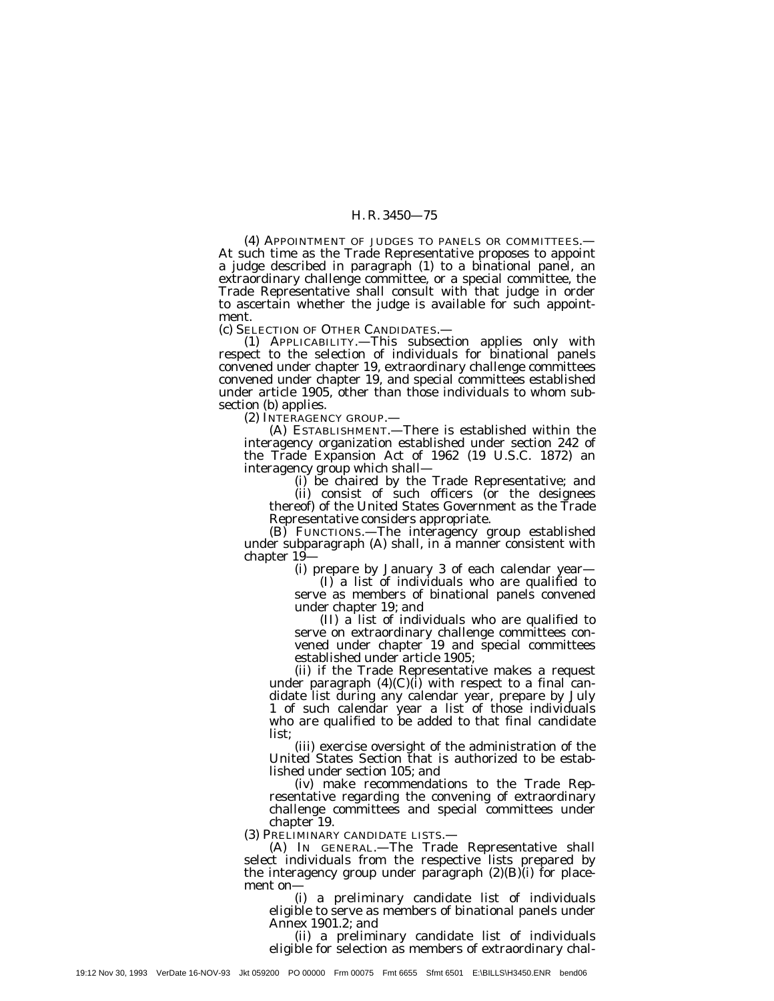(4) APPOINTMENT OF JUDGES TO PANELS OR COMMITTEES.— At such time as the Trade Representative proposes to appoint a judge described in paragraph (1) to a binational panel, an extraordinary challenge committee, or a special committee, the Trade Representative shall consult with that judge in order to ascertain whether the judge is available for such appointment.

(c) SELECTION OF OTHER CANDIDATES.—

(1) APPLICABILITY.—This subsection applies only with respect to the selection of individuals for binational panels convened under chapter 19, extraordinary challenge committees convened under chapter 19, and special committees established under article 1905, other than those individuals to whom subsection (b) applies.

(2) INTERAGENCY GROUP.—

(A) ESTABLISHMENT.—There is established within the interagency organization established under section 242 of the Trade Expansion Act of 1962 (19 U.S.C. 1872) an interagency group which shall—

(i) be chaired by the Trade Representative; and (ii) consist of such officers (or the designees

thereof) of the United States Government as the Trade Representative considers appropriate.

(B) FUNCTIONS.—The interagency group established under subparagraph (A) shall, in a manner consistent with chapter 19—

(i) prepare by January 3 of each calendar year—

(I) a list of individuals who are qualified to serve as members of binational panels convened under chapter 19; and

(II) a list of individuals who are qualified to serve on extraordinary challenge committees convened under chapter 19 and special committees established under article 1905;

(ii) if the Trade Representative makes a request under paragraph  $(4)(C)(i)$  with respect to a final candidate list during any calendar year, prepare by July 1 of such calendar year a list of those individuals who are qualified to be added to that final candidate list;

(iii) exercise oversight of the administration of the United States Section that is authorized to be established under section 105; and

(iv) make recommendations to the Trade Representative regarding the convening of extraordinary challenge committees and special committees under chapter 19.

(3) PRELIMINARY CANDIDATE LISTS.—

(A) IN GENERAL.—The Trade Representative shall select individuals from the respective lists prepared by the interagency group under paragraph (2)(B)(i) for placement on—

(i) a preliminary candidate list of individuals eligible to serve as members of binational panels under Annex 1901.2; and

(ii) a preliminary candidate list of individuals eligible for selection as members of extraordinary chal-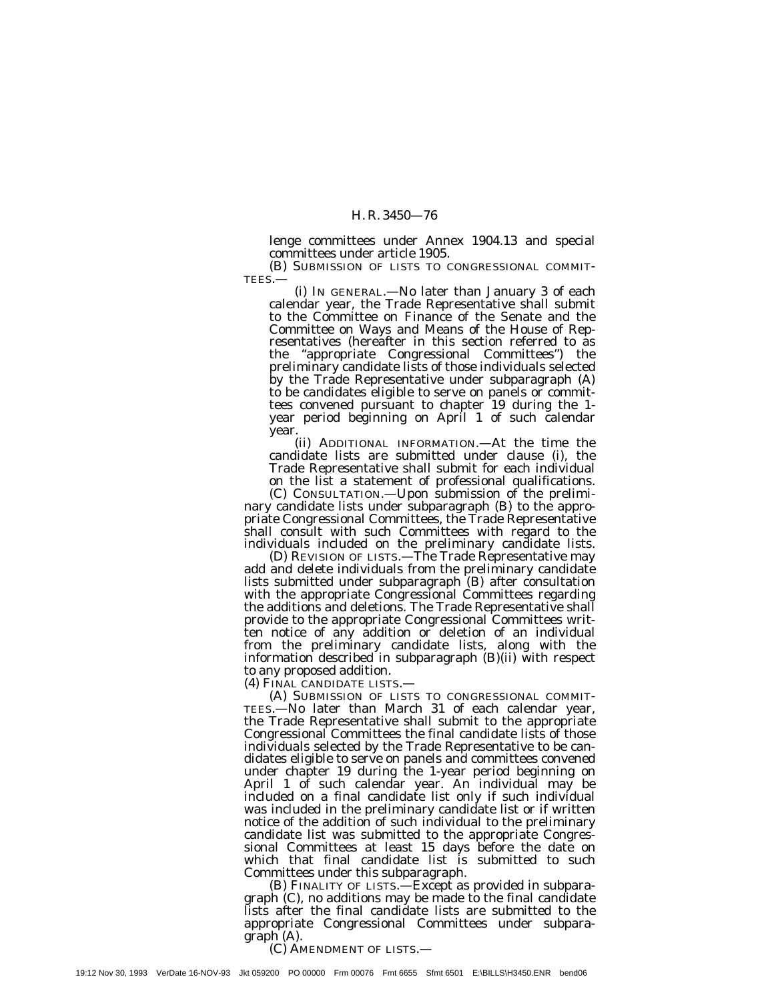lenge committees under Annex 1904.13 and special committees under article 1905.

(B) SUBMISSION OF LISTS TO CONGRESSIONAL COMMIT-TEES.—

(i) IN GENERAL.—No later than January 3 of each calendar year, the Trade Representative shall submit to the Committee on Finance of the Senate and the Committee on Ways and Means of the House of Representatives (hereafter in this section referred to as the ''appropriate Congressional Committees'') the preliminary candidate lists of those individuals selected by the Trade Representative under subparagraph (A) to be candidates eligible to serve on panels or committees convened pursuant to chapter 19 during the 1 year period beginning on April 1 of such calendar year.

(ii) ADDITIONAL INFORMATION.—At the time the candidate lists are submitted under clause (i), the Trade Representative shall submit for each individual

on the list a statement of professional qualifications. (C) CONSULTATION.—Upon submission of the preliminary candidate lists under subparagraph (B) to the appropriate Congressional Committees, the Trade Representative shall consult with such Committees with regard to the individuals included on the preliminary candidate lists.

(D) REVISION OF LISTS.—The Trade Representative may add and delete individuals from the preliminary candidate lists submitted under subparagraph (B) after consultation with the appropriate Congressional Committees regarding the additions and deletions. The Trade Representative shall provide to the appropriate Congressional Committees written notice of any addition or deletion of an individual from the preliminary candidate lists, along with the information described in subparagraph (B)(ii) with respect to any proposed addition.

(4) FINAL CANDIDATE LISTS.— (A) SUBMISSION OF LISTS TO CONGRESSIONAL COMMIT- TEES.—No later than March 31 of each calendar year, the Trade Representative shall submit to the appropriate Congressional Committees the final candidate lists of those individuals selected by the Trade Representative to be candidates eligible to serve on panels and committees convened under chapter 19 during the 1-year period beginning on April 1 of such calendar year. An individual may be included on a final candidate list only if such individual was included in the preliminary candidate list or if written notice of the addition of such individual to the preliminary candidate list was submitted to the appropriate Congressional Committees at least 15 days before the date on which that final candidate list is submitted to such Committees under this subparagraph.

(B) FINALITY OF LISTS.—Except as provided in subparagraph (C), no additions may be made to the final candidate lists after the final candidate lists are submitted to the appropriate Congressional Committees under subparagraph (A).

(C) AMENDMENT OF LISTS.—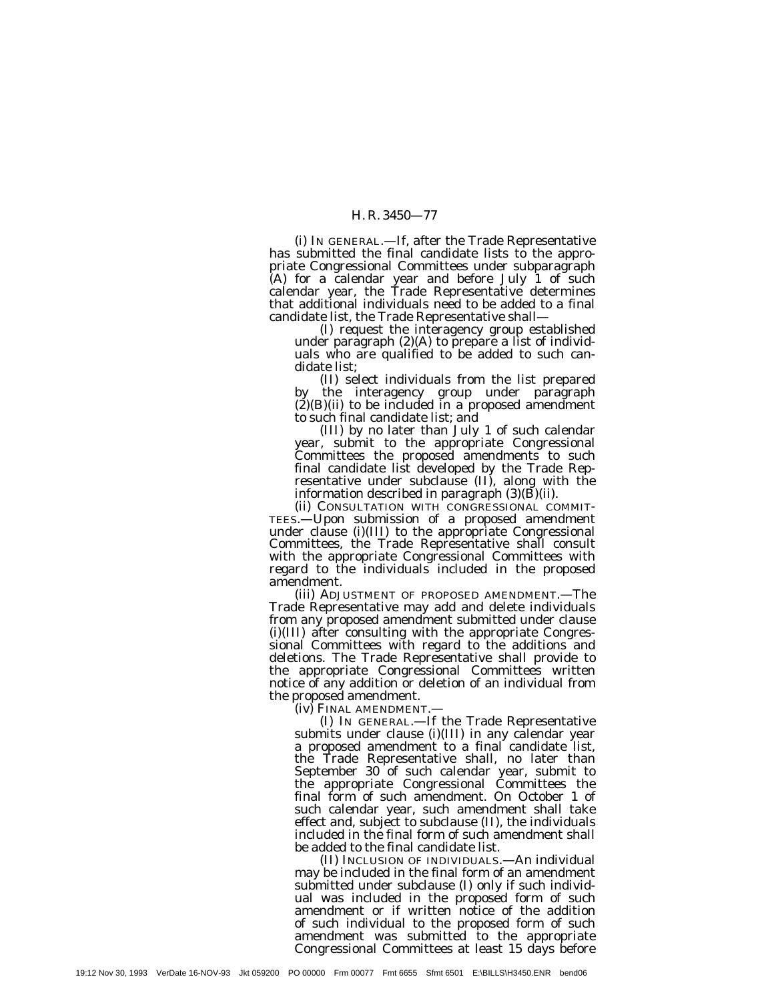(i) IN GENERAL.—If, after the Trade Representative has submitted the final candidate lists to the appropriate Congressional Committees under subparagraph (A) for a calendar year and before July 1 of such calendar year, the Trade Representative determines that additional individuals need to be added to a final candidate list, the Trade Representative shall—

(I) request the interagency group established under paragraph (2)(A) to prepare a list of individuals who are qualified to be added to such candidate list;

(II) select individuals from the list prepared by the interagency group under paragraph  $(2)(B)(ii)$  to be included in a proposed amendment to such final candidate list; and

(III) by no later than July 1 of such calendar year, submit to the appropriate Congressional Committees the proposed amendments to such final candidate list developed by the Trade Representative under subclause (II), along with the information described in paragraph  $(3)(\breve{B})(ii)$ .

(ii) CONSULTATION WITH CONGRESSIONAL COMMIT-TEES.—Upon submission of a proposed amendment under clause (i)(III) to the appropriate Congressional Committees, the Trade Representative shall consult with the appropriate Congressional Committees with regard to the individuals included in the proposed amendment.

(iii) ADJUSTMENT OF PROPOSED AMENDMENT.—The Trade Representative may add and delete individuals from any proposed amendment submitted under clause (i)(III) after consulting with the appropriate Congressional Committees with regard to the additions and deletions. The Trade Representative shall provide to the appropriate Congressional Committees written notice of any addition or deletion of an individual from the proposed amendment.<br>(iv) FINAL AMENDMENT.-

(I) IN GENERAL.—If the Trade Representative submits under clause (i)(III) in any calendar year a proposed amendment to a final candidate list, the Trade Representative shall, no later than September 30 of such calendar year, submit to the appropriate Congressional Committees the final form of such amendment. On October 1 of such calendar year, such amendment shall take effect and, subject to subclause (II), the individuals included in the final form of such amendment shall be added to the final candidate list.

(II) INCLUSION OF INDIVIDUALS.—An individual may be included in the final form of an amendment submitted under subclause (I) only if such individual was included in the proposed form of such amendment or if written notice of the addition of such individual to the proposed form of such amendment was submitted to the appropriate Congressional Committees at least 15 days before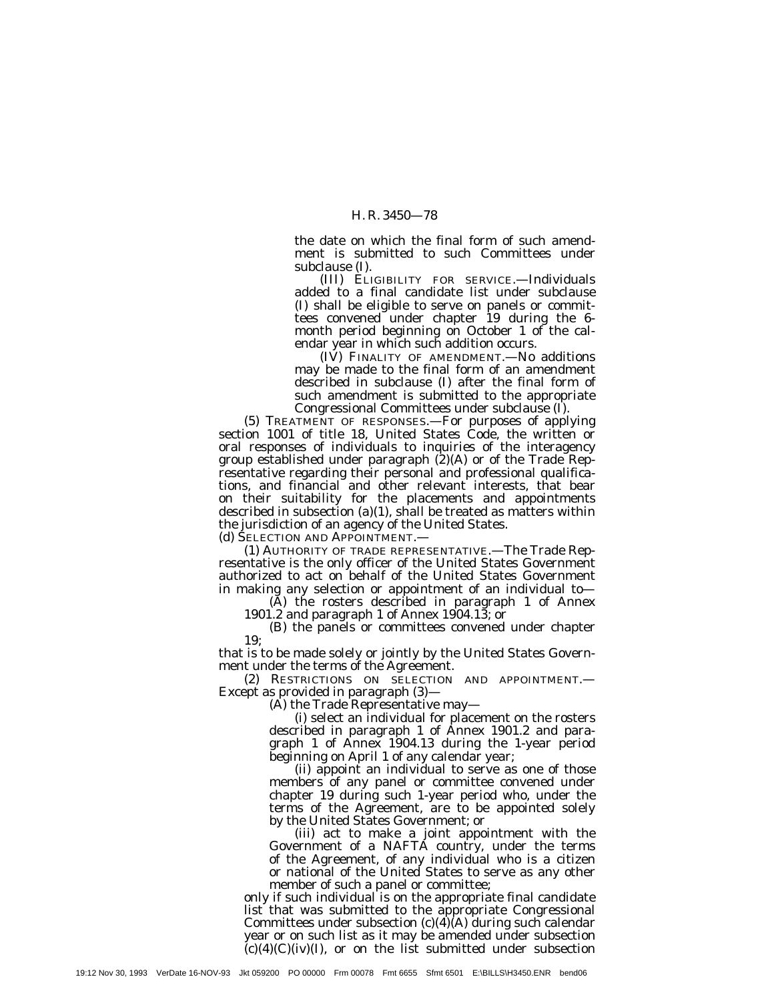the date on which the final form of such amendment is submitted to such Committees under subclause (I).

(III) ELIGIBILITY FOR SERVICE.—Individuals added to a final candidate list under subclause (I) shall be eligible to serve on panels or committees convened under chapter 19 during the 6 month period beginning on October 1 of the calendar year in which such addition occurs.

(IV) FINALITY OF AMENDMENT.—No additions may be made to the final form of an amendment described in subclause (I) after the final form of such amendment is submitted to the appropriate Congressional Committees under subclause (I).

(5) TREATMENT OF RESPONSES.—For purposes of applying section 1001 of title 18, United States Code, the written or oral responses of individuals to inquiries of the interagency group established under paragraph (2)(A) or of the Trade Representative regarding their personal and professional qualifications, and financial and other relevant interests, that bear on their suitability for the placements and appointments described in subsection (a)(1), shall be treated as matters within the jurisdiction of an agency of the United States.

(d) SELECTION AND APPOINTMENT.—

(1) AUTHORITY OF TRADE REPRESENTATIVE.—The Trade Representative is the only officer of the United States Government authorized to act on behalf of the United States Government in making any selection or appointment of an individual to—

(A) the rosters described in paragraph 1 of Annex 1901.2 and paragraph 1 of Annex 1904.13; or

(B) the panels or committees convened under chapter 19;

that is to be made solely or jointly by the United States Government under the terms of the Agreement.

(2) RESTRICTIONS ON SELECTION AND APPOINTMENT.— Except as provided in paragraph (3)—

(A) the Trade Representative may—

(i) select an individual for placement on the rosters described in paragraph 1 of Annex 1901.2 and paragraph 1 of Annex 1904.13 during the 1-year period beginning on April 1 of any calendar year;

(ii) appoint an individual to serve as one of those members of any panel or committee convened under chapter 19 during such 1-year period who, under the terms of the Agreement, are to be appointed solely by the United States Government; or

(iii) act to make a joint appointment with the Government of a NAFTA country, under the terms of the Agreement, of any individual who is a citizen or national of the United States to serve as any other member of such a panel or committee;

only if such individual is on the appropriate final candidate list that was submitted to the appropriate Congressional Committees under subsection  $(c)(4)$  $(A)$  during such calendar year or on such list as it may be amended under subsection  $(c)(4)(C)(iv)(I)$ , or on the list submitted under subsection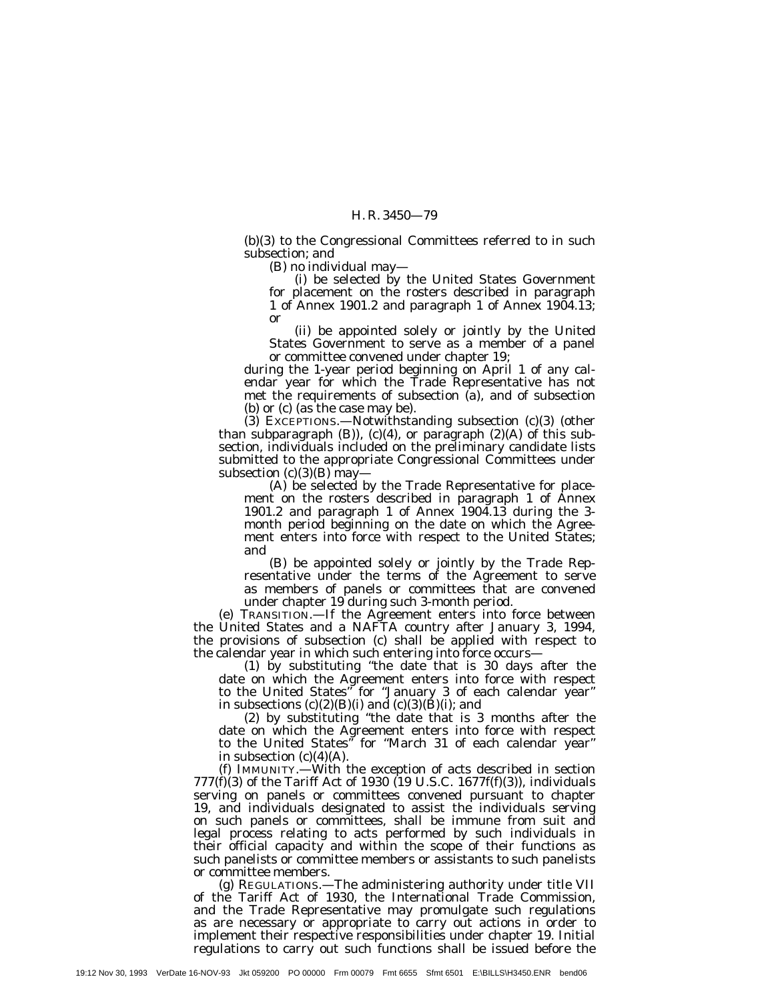(b)(3) to the Congressional Committees referred to in such subsection; and

(B) no individual may—

(i) be selected by the United States Government for placement on the rosters described in paragraph 1 of Annex 1901.2 and paragraph 1 of Annex 1904.13; or

(ii) be appointed solely or jointly by the United States Government to serve as a member of a panel or committee convened under chapter 19;

during the 1-year period beginning on April 1 of any calendar year for which the Trade Representative has not met the requirements of subsection (a), and of subsection (b) or (c) (as the case may be).

(3) EXCEPTIONS.—Notwithstanding subsection (c)(3) (other than subparagraph (B)), (c)(4), or paragraph (2)(A) of this subsection, individuals included on the preliminary candidate lists submitted to the appropriate Congressional Committees under subsection  $(c)(3)(B)$  may-

(A) be selected by the Trade Representative for placement on the rosters described in paragraph 1 of Annex 1901.2 and paragraph 1 of Annex 1904.13 during the 3 month period beginning on the date on which the Agreement enters into force with respect to the United States; and

(B) be appointed solely or jointly by the Trade Representative under the terms of the Agreement to serve as members of panels or committees that are convened under chapter 19 during such 3-month period.

(e) TRANSITION.—If the Agreement enters into force between the United States and a NAFTA country after January 3, 1994, the provisions of subsection (c) shall be applied with respect to the calendar year in which such entering into force occurs—

(1) by substituting ''the date that is 30 days after the date on which the Agreement enters into force with respect to the United States'' for ''January 3 of each calendar year'' in subsections  $(c)(2)(B)(i)$  and  $(c)(3)(\bar{B})(i)$ ; and

(2) by substituting ''the date that is 3 months after the date on which the Agreement enters into force with respect to the United States'' for ''March 31 of each calendar year'' in subsection  $(c)(4)(A)$ .

(f) IMMUNITY.—With the exception of acts described in section 777(f)(3) of the Tariff Act of 1930 (19 U.S.C. 1677f(f)(3)), individuals serving on panels or committees convened pursuant to chapter 19, and individuals designated to assist the individuals serving on such panels or committees, shall be immune from suit and legal process relating to acts performed by such individuals in their official capacity and within the scope of their functions as such panelists or committee members or assistants to such panelists or committee members.

(g) REGULATIONS.—The administering authority under title VII of the Tariff Act of 1930, the International Trade Commission, and the Trade Representative may promulgate such regulations as are necessary or appropriate to carry out actions in order to implement their respective responsibilities under chapter 19. Initial regulations to carry out such functions shall be issued before the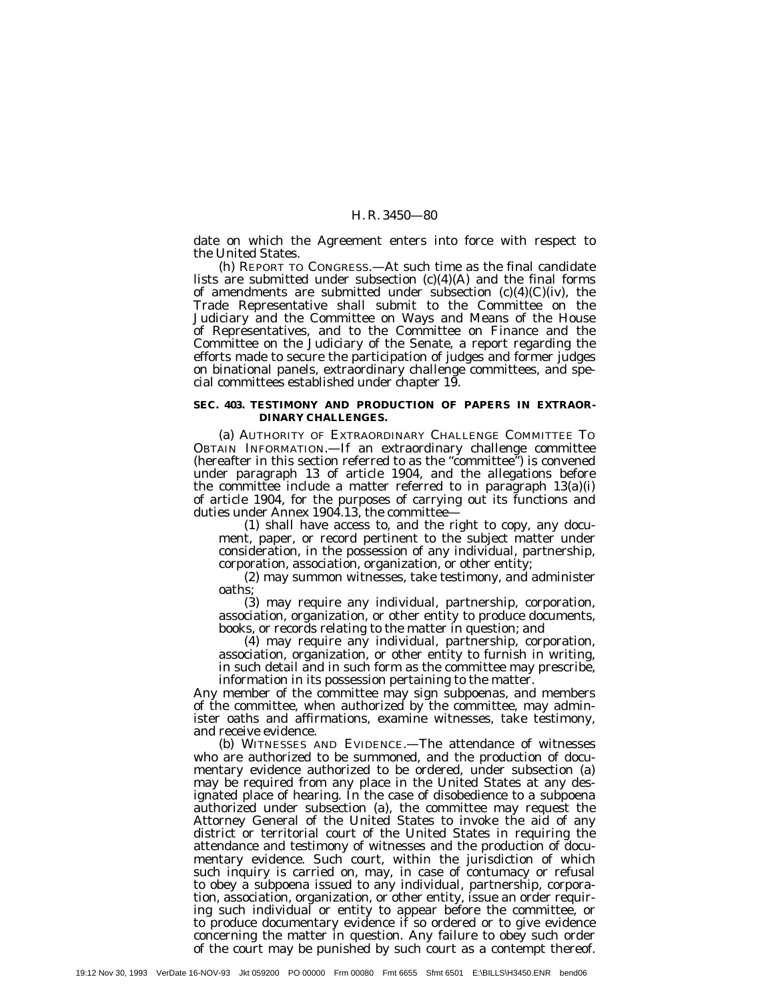date on which the Agreement enters into force with respect to the United States.

(h) REPORT TO CONGRESS.—At such time as the final candidate lists are submitted under subsection (c)(4)(A) and the final forms of amendments are submitted under subsection  $(c)(4)(C)(iv)$ , the Trade Representative shall submit to the Committee on the Judiciary and the Committee on Ways and Means of the House of Representatives, and to the Committee on Finance and the Committee on the Judiciary of the Senate, a report regarding the efforts made to secure the participation of judges and former judges on binational panels, extraordinary challenge committees, and special committees established under chapter 19.

#### **SEC. 403. TESTIMONY AND PRODUCTION OF PAPERS IN EXTRAOR-DINARY CHALLENGES.**

(a) AUTHORITY OF EXTRAORDINARY CHALLENGE COMMITTEE TO OBTAIN INFORMATION.—If an extraordinary challenge committee (hereafter in this section referred to as the ''committee'') is convened under paragraph 13 of article 1904, and the allegations before the committee include a matter referred to in paragraph 13(a)(i) of article 1904, for the purposes of carrying out its functions and duties under Annex 1904.13, the committee—

(1) shall have access to, and the right to copy, any document, paper, or record pertinent to the subject matter under consideration, in the possession of any individual, partnership, corporation, association, organization, or other entity;

(2) may summon witnesses, take testimony, and administer oaths;

(3) may require any individual, partnership, corporation, association, organization, or other entity to produce documents, books, or records relating to the matter in question; and

(4) may require any individual, partnership, corporation, association, organization, or other entity to furnish in writing, in such detail and in such form as the committee may prescribe, information in its possession pertaining to the matter.

Any member of the committee may sign subpoenas, and members of the committee, when authorized by the committee, may administer oaths and affirmations, examine witnesses, take testimony, and receive evidence.

(b) WITNESSES AND EVIDENCE.—The attendance of witnesses who are authorized to be summoned, and the production of documentary evidence authorized to be ordered, under subsection (a) may be required from any place in the United States at any designated place of hearing. In the case of disobedience to a subpoena authorized under subsection (a), the committee may request the Attorney General of the United States to invoke the aid of any district or territorial court of the United States in requiring the attendance and testimony of witnesses and the production of documentary evidence. Such court, within the jurisdiction of which such inquiry is carried on, may, in case of contumacy or refusal to obey a subpoena issued to any individual, partnership, corporation, association, organization, or other entity, issue an order requiring such individual or entity to appear before the committee, or to produce documentary evidence if so ordered or to give evidence concerning the matter in question. Any failure to obey such order of the court may be punished by such court as a contempt thereof.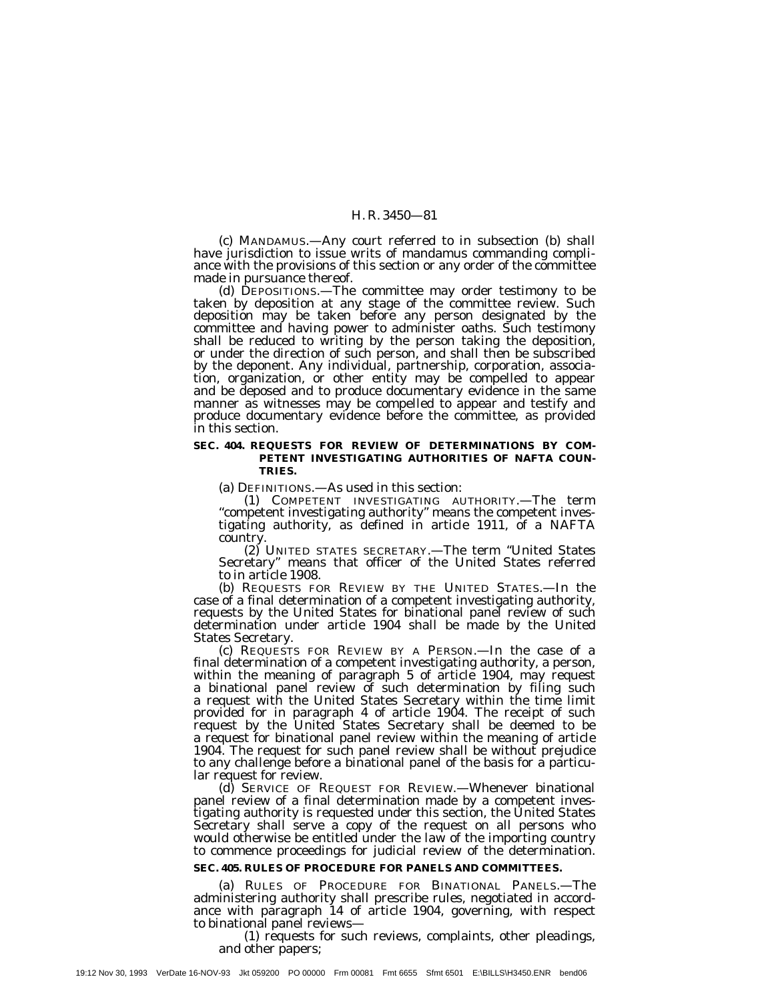(c) MANDAMUS.—Any court referred to in subsection (b) shall have jurisdiction to issue writs of mandamus commanding compliance with the provisions of this section or any order of the committee

made in pursuance thereof. (d) DEPOSITIONS.—The committee may order testimony to be taken by deposition at any stage of the committee review. Such deposition may be taken before any person designated by the committee and having power to administer oaths. Such testimony shall be reduced to writing by the person taking the deposition, or under the direction of such person, and shall then be subscribed by the deponent. Any individual, partnership, corporation, association, organization, or other entity may be compelled to appear and be deposed and to produce documentary evidence in the same manner as witnesses may be compelled to appear and testify and produce documentary evidence before the committee, as provided in this section.

#### **SEC. 404. REQUESTS FOR REVIEW OF DETERMINATIONS BY COM-PETENT INVESTIGATING AUTHORITIES OF NAFTA COUN-TRIES.**

(a) DEFINITIONS.—As used in this section:

(1) COMPETENT INVESTIGATING AUTHORITY.—The term ''competent investigating authority'' means the competent investigating authority, as defined in article 1911, of a NAFTA country. (2) UNITED STATES SECRETARY.—The term ''United States

Secretary'' means that officer of the United States referred to in article 1908.

(b) REQUESTS FOR REVIEW BY THE UNITED STATES.—In the case of a final determination of a competent investigating authority, requests by the United States for binational panel review of such determination under article 1904 shall be made by the United

 $(c)$  REQUESTS FOR REVIEW BY A PERSON.—In the case of a final determination of a competent investigating authority, a person, within the meaning of paragraph 5 of article 1904, may request a binational panel review of such determination by filing such a request with the United States Secretary within the time limit provided for in paragraph 4 of article 1904. The receipt of such request by the United States Secretary shall be deemed to be a request for binational panel review within the meaning of article 1904. The request for such panel review shall be without prejudice to any challenge before a binational panel of the basis for a particu-<br>lar request for review.

(d) SERVICE OF REQUEST FOR REVIEW. - Whenever binational panel review of a final determination made by a competent investigating authority is requested under this section, the United States Secretary shall serve a copy of the request on all persons who would otherwise be entitled under the law of the importing country to commence proceedings for judicial review of the determination.

#### **SEC. 405. RULES OF PROCEDURE FOR PANELS AND COMMITTEES.**

(a) RULES OF PROCEDURE FOR BINATIONAL PANELS.—The administering authority shall prescribe rules, negotiated in accordance with paragraph 14 of article 1904, governing, with respect to binational panel reviews—

(1) requests for such reviews, complaints, other pleadings, and other papers;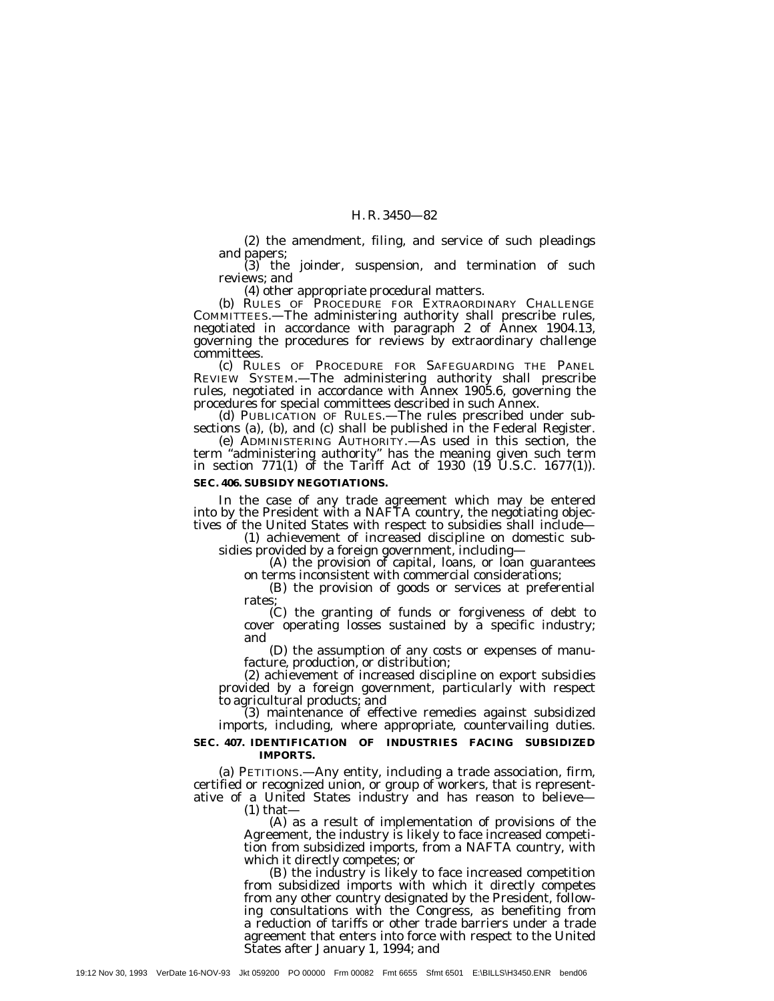(2) the amendment, filing, and service of such pleadings and papers;<br>(3) the joinder, suspension, and termination of such reviews; and (4) other appropriate procedural matters.

(b) RULES OF PROCEDURE FOR EXTRAORDINARY CHALLENGE COMMITTEES.—The administering authority shall prescribe rules, negotiated in accordance with paragraph 2 of Annex 1904.13, governing the procedures for reviews by extraordinary challenge committees.

(c) RULES OF PROCEDURE FOR SAFEGUARDING THE PANEL REVIEW SYSTEM.—The administering authority shall prescribe rules, negotiated in accordance with Annex 1905.6, governing the

procedures for special committees described in such Annex.<br>
(d) PUBLICATION OF RULES.—The rules prescribed under sub-<br>
sections (a), (b), and (c) shall be published in the Federal Register.<br>
(e) ADMINISTERING AUTHORITY.—As

term ''administering authority'' has the meaning given such term in section 771(1) of the Tariff Act of 1930 (19 U.S.C. 1677(1)).

#### **SEC. 406. SUBSIDY NEGOTIATIONS.**

In the case of any trade agreement which may be entered into by the President with a NAFTA country, the negotiating objectives of the United States with respect to subsidies shall include— (1) achievement of increased discipline on domestic sub-

sidies provided by a foreign government, including—<br>(A) the provision of capital, loans, or loan guarantees<br>on terms inconsistent with commercial considerations;

(B) the provision of goods or services at preferential rates;<br>(C) the granting of funds or forgiveness of debt to

cover operating losses sustained by a specific industry; and

(D) the assumption of any costs or expenses of manu- facture, production, or distribution;

(2) achievement of increased discipline on export subsidies provided by a foreign government, particularly with respect

to agricultural products; and (3) maintenance of effective remedies against subsidized imports, including, where appropriate, countervailing duties.

#### **SEC. 407. IDENTIFICATION OF INDUSTRIES FACING SUBSIDIZED IMPORTS.**

(a) PETITIONS.—Any entity, including a trade association, firm, certified or recognized union, or group of workers, that is representative of a United States industry and has reason to believe—<br>(1) that—

> (A) as a result of implementation of provisions of the Agreement, the industry is likely to face increased competition from subsidized imports, from a NAFTA country, with which it directly competes; or

> $(B)$  the industry is likely to face increased competition from subsidized imports with which it directly competes from any other country designated by the President, following consultations with the Congress, as benefiting from a reduction of tariffs or other trade barriers under a trade agreement that enters into force with respect to the United States after January 1, 1994; and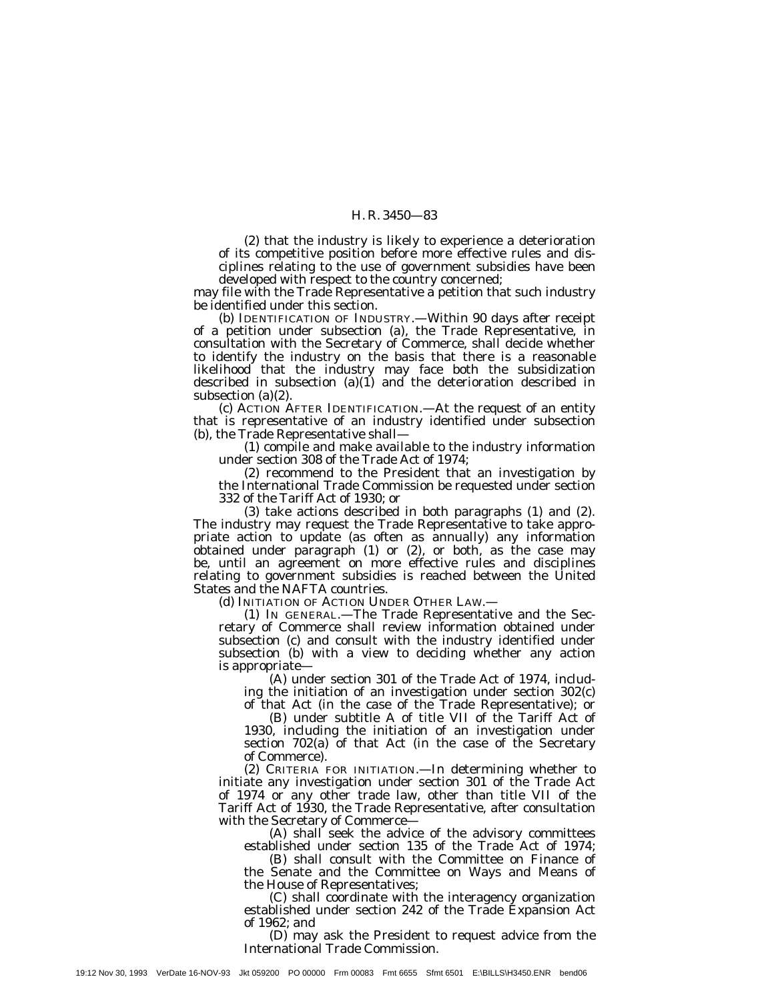(2) that the industry is likely to experience a deterioration of its competitive position before more effective rules and disciplines relating to the use of government subsidies have been developed with respect to the country concerned;

may file with the Trade Representative a petition that such industry be identified under this section.

(b) IDENTIFICATION OF INDUSTRY.—Within 90 days after receipt of a petition under subsection (a), the Trade Representative, in consultation with the Secretary of Commerce, shall decide whether to identify the industry on the basis that there is a reasonable likelihood that the industry may face both the subsidization described in subsection  $(a)(1)$  and the deterioration described in subsection (a)(2).

(c) ACTION AFTER IDENTIFICATION.—At the request of an entity that is representative of an industry identified under subsection (b), the Trade Representative shall—

(1) compile and make available to the industry information under section 308 of the Trade Act of 1974;

(2) recommend to the President that an investigation by the International Trade Commission be requested under section 332 of the Tariff Act of 1930; or

(3) take actions described in both paragraphs (1) and (2). The industry may request the Trade Representative to take appropriate action to update (as often as annually) any information obtained under paragraph (1) or (2), or both, as the case may be, until an agreement on more effective rules and disciplines relating to government subsidies is reached between the United States and the NAFTA countries.

(d) INITIATION OF ACTION UNDER OTHER LAW.—

(1) IN GENERAL.—The Trade Representative and the Secretary of Commerce shall review information obtained under subsection (c) and consult with the industry identified under subsection (b) with a view to deciding whether any action is appropriate—

(A) under section 301 of the Trade Act of 1974, including the initiation of an investigation under section 302(c) of that Act (in the case of the Trade Representative); or

(B) under subtitle A of title VII of the Tariff Act of 1930, including the initiation of an investigation under section 702(a) of that Act (in the case of the Secretary of Commerce).

(2) CRITERIA FOR INITIATION.—In determining whether to initiate any investigation under section 301 of the Trade Act of 1974 or any other trade law, other than title VII of the Tariff Act of 1930, the Trade Representative, after consultation with the Secretary of Commerce—

(A) shall seek the advice of the advisory committees established under section 135 of the Trade Act of 1974;

(B) shall consult with the Committee on Finance of the Senate and the Committee on Ways and Means of the House of Representatives;

(C) shall coordinate with the interagency organization established under section 242 of the Trade Expansion Act of 1962; and

(D) may ask the President to request advice from the International Trade Commission.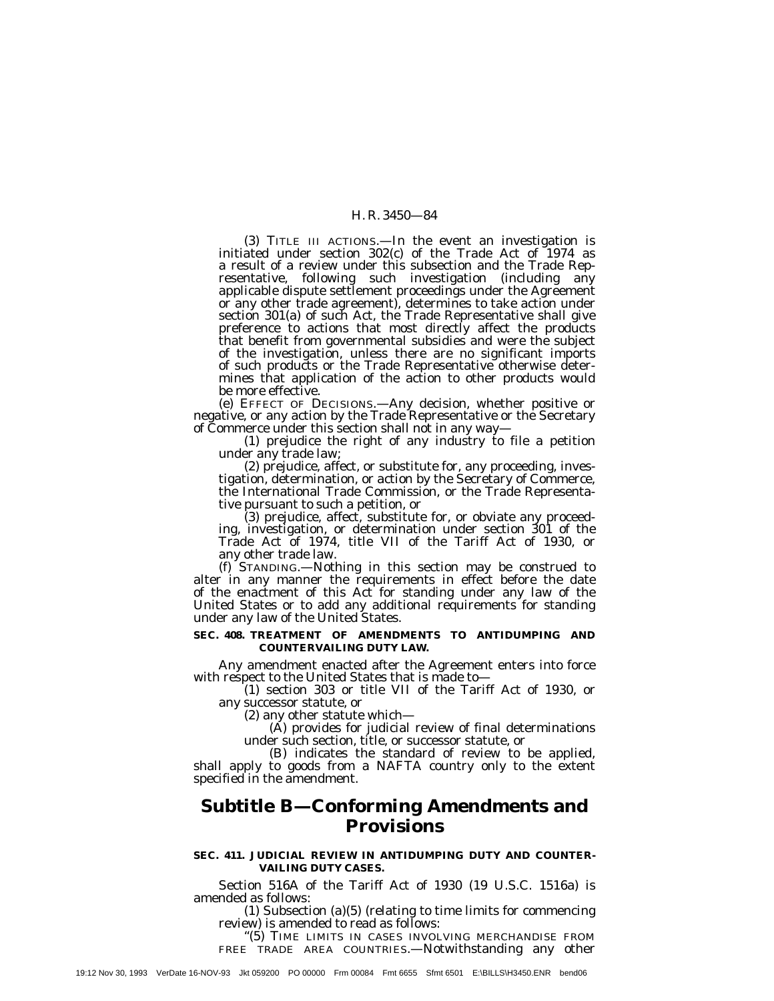(3) TITLE III ACTIONS.—In the event an investigation is initiated under section 302(c) of the Trade Act of 1974 as a result of a review under this subsection and the Trade Representative, following such investigation (including any applicable dispute settlement proceedings under the Agreement or any other trade agreement), determines to take action under section 301(a) of such Act, the Trade Representative shall give preference to actions that most directly affect the products that benefit from governmental subsidies and were the subject of the investigation, unless there are no significant imports of such products or the Trade Representative otherwise determines that application of the action to other products would be more effective.<br>(e) EFFECT OF DECISIONS.—Any decision, whether positive or

negative, or any action by the Trade Representative or the Secretary<br>of Commerce under this section shall not in any way—

(1) prejudice the right of any industry to file a petition under any trade law;

(2) prejudice, affect, or substitute for, any proceeding, investigation, determination, or action by the Secretary of Commerce, the International Trade Commission, or the Trade Representative pursuant to such a petition, or

(3) prejudice, affect, substitute for, or obviate any proceeding, investigation, or determination under section 301 of the Trade Act of 1974, title VII of the Tariff Act of 1930, or any other trade law.

(f) STANDING.—Nothing in this section may be construed to alter in any manner the requirements in effect before the date of the enactment of this Act for standing under any law of the United States or to add any additional requirements for standing under any law of the United States.

#### **SEC. 408. TREATMENT OF AMENDMENTS TO ANTIDUMPING AND COUNTERVAILING DUTY LAW.**

Any amendment enacted after the Agreement enters into force with respect to the United States that is made to—

(1) section 303 or title VII of the Tariff Act of 1930, or any successor statute, or

(2) any other statute which—

(A) provides for judicial review of final determinations under such section, title, or successor statute, or

(B) indicates the standard of review to be applied, shall apply to goods from a NAFTA country only to the extent specified in the amendment.

## **Subtitle B—Conforming Amendments and Provisions**

#### **SEC. 411. JUDICIAL REVIEW IN ANTIDUMPING DUTY AND COUNTER-VAILING DUTY CASES.**

Section 516A of the Tariff Act of 1930 (19 U.S.C. 1516a) is amended as follows:

(1) Subsection (a)(5) (relating to time limits for commencing review) is amended to read as follows:

''(5) TIME LIMITS IN CASES INVOLVING MERCHANDISE FROM FREE TRADE AREA COUNTRIES. - Notwithstanding any other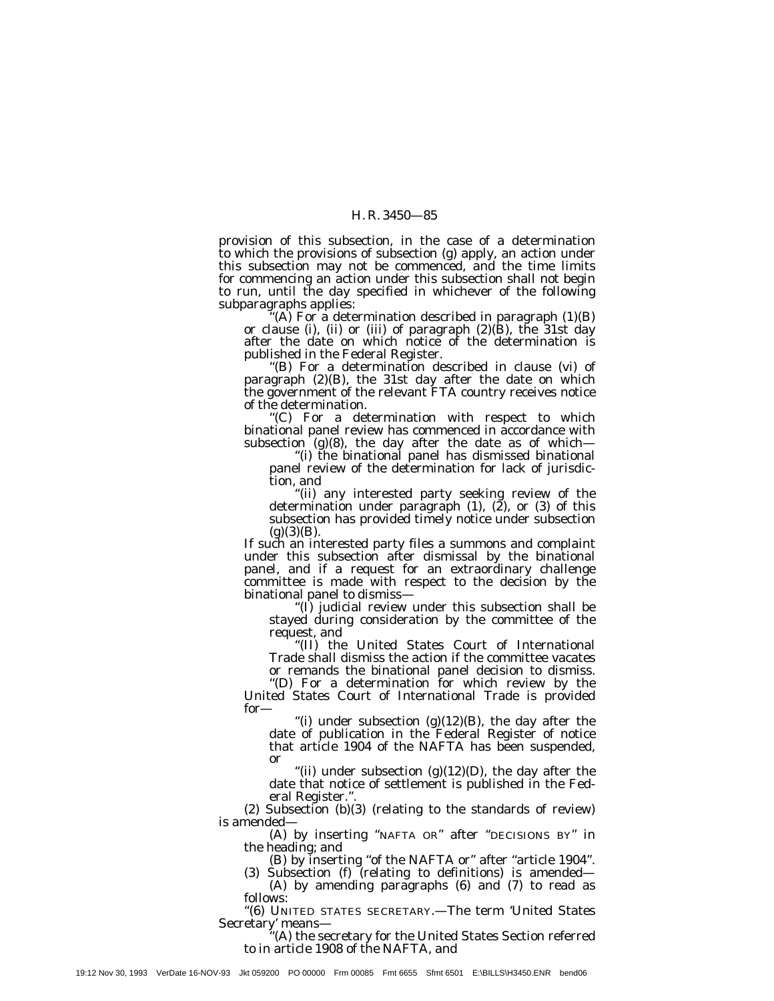provision of this subsection, in the case of a determination to which the provisions of subsection (g) apply, an action under this subsection may not be commenced, and the time limits for commencing an action under this subsection shall not begin to run, until the day specified in whichever of the following subparagraphs applies:

'(A) For a determination described in paragraph  $(1)(B)$ or clause (i), (ii) or (iii) of paragraph (2)(B), the 31st day after the date on which notice of the determination is published in the Federal Register.

''(B) For a determination described in clause (vi) of paragraph (2)(B), the 31st day after the date on which the government of the relevant FTA country receives notice of the determination.

''(C) For a determination with respect to which binational panel review has commenced in accordance with subsection  $(g)(8)$ , the day after the date as of which—

''(i) the binational panel has dismissed binational panel review of the determination for lack of jurisdiction, and

'(ii) any interested party seeking review of the determination under paragraph  $(1)$ ,  $(2)$ , or  $(3)$  of this subsection has provided timely notice under subsection  $(g)(3)(B)$ .

If such an interested party files a summons and complaint under this subsection after dismissal by the binational panel, and if a request for an extraordinary challenge committee is made with respect to the decision by the binational panel to dismiss—

''(I) judicial review under this subsection shall be stayed during consideration by the committee of the request, and

''(II) the United States Court of International Trade shall dismiss the action if the committee vacates

or remands the binational panel decision to dismiss. ''(D) For a determination for which review by the

United States Court of International Trade is provided for—

'(i) under subsection  $(g)(12)(B)$ , the day after the date of publication in the Federal Register of notice that article 1904 of the NAFTA has been suspended, or

"(ii) under subsection  $(g)(12)(D)$ , the day after the date that notice of settlement is published in the Federal Register."

(2) Subsection (b)(3) (relating to the standards of review) is amended—

(A) by inserting ''NAFTA OR'' after ''DECISIONS BY'' in the heading; and

(B) by inserting "of the NAFTA or" after "article 1904". (3) Subsection (f) (relating to definitions) is amended—

(A) by amending paragraphs (6) and (7) to read as follows:

''(6) UNITED STATES SECRETARY.—The term 'United States Secretary' means—

'(A) the secretary for the United States Section referred to in article 1908 of the NAFTA, and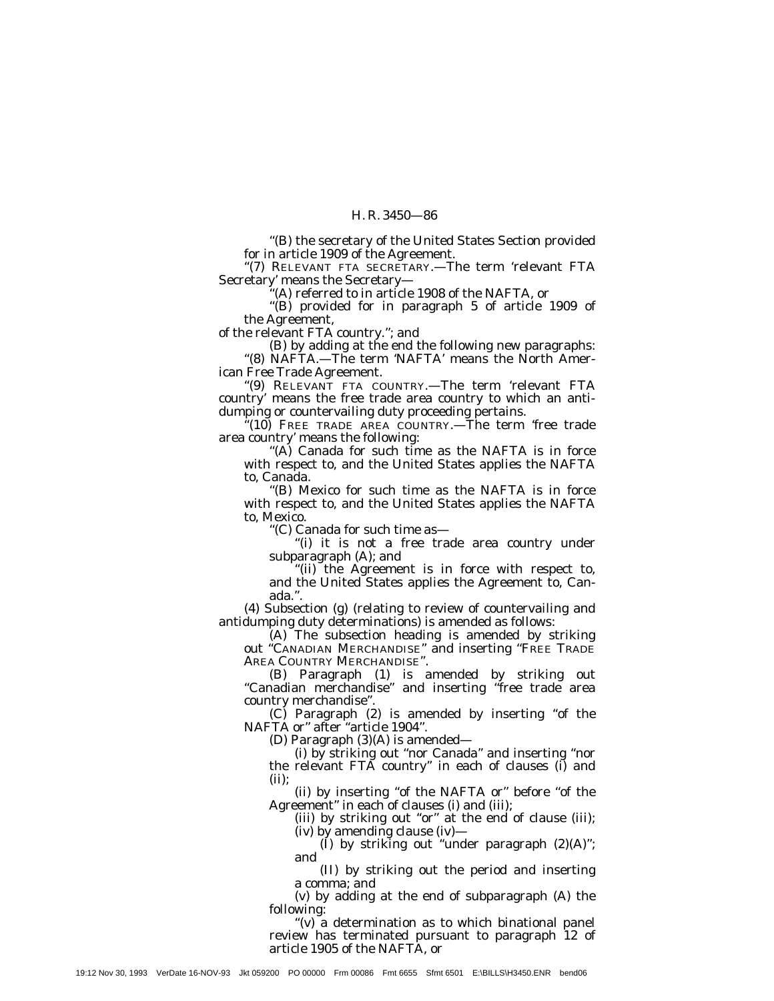''(B) the secretary of the United States Section provided for in article 1909 of the Agreement.

"(7) RELEVANT FTA SECRETARY.—The term 'relevant FTA Secretary' means the Secretary—

(A) referred to in article 1908 of the NAFTA, or

''(B) provided for in paragraph 5 of article 1909 of the Agreement,

of the relevant FTA country.''; and

(B) by adding at the end the following new paragraphs: ''(8) NAFTA.—The term 'NAFTA' means the North American Free Trade Agreement.

''(9) RELEVANT FTA COUNTRY.—The term 'relevant FTA country' means the free trade area country to which an antidumping or countervailing duty proceeding pertains.

 $f(10)$  FREE TRADE AREA COUNTRY.—The term 'free trade area country' means the following:

"(A) Canada for such time as the NAFTA is in force with respect to, and the United States applies the NAFTA to, Canada.

''(B) Mexico for such time as the NAFTA is in force with respect to, and the United States applies the NAFTA to, Mexico.

''(C) Canada for such time as—

''(i) it is not a free trade area country under subparagraph (A); and

"(ii) the Agreement is in force with respect to, and the United States applies the Agreement to, Canada.''.

(4) Subsection (g) (relating to review of countervailing and antidumping duty determinations) is amended as follows:

(A) The subsection heading is amended by striking out "CANADIAN MERCHANDISE" and inserting "FREE TRADE AREA COUNTRY MERCHANDISE''.

(B) Paragraph (1) is amended by striking out ''Canadian merchandise'' and inserting ''free trade area country merchandise''.

(C) Paragraph (2) is amended by inserting ''of the NAFTA or'' after ''article 1904''.

(D) Paragraph (3)(A) is amended—

(i) by striking out ''nor Canada'' and inserting ''nor the relevant FTA country'' in each of clauses (i) and (ii);

(ii) by inserting ''of the NAFTA or'' before ''of the Agreement'' in each of clauses (i) and (iii);

(iii) by striking out "or" at the end of clause (iii); (iv) by amending clause (iv)—

 $(I)$  by striking out "under paragraph  $(2)(A)$ "; and

(II) by striking out the period and inserting a comma; and

(v) by adding at the end of subparagraph (A) the following:

''(v) a determination as to which binational panel review has terminated pursuant to paragraph 12 of article 1905 of the NAFTA, or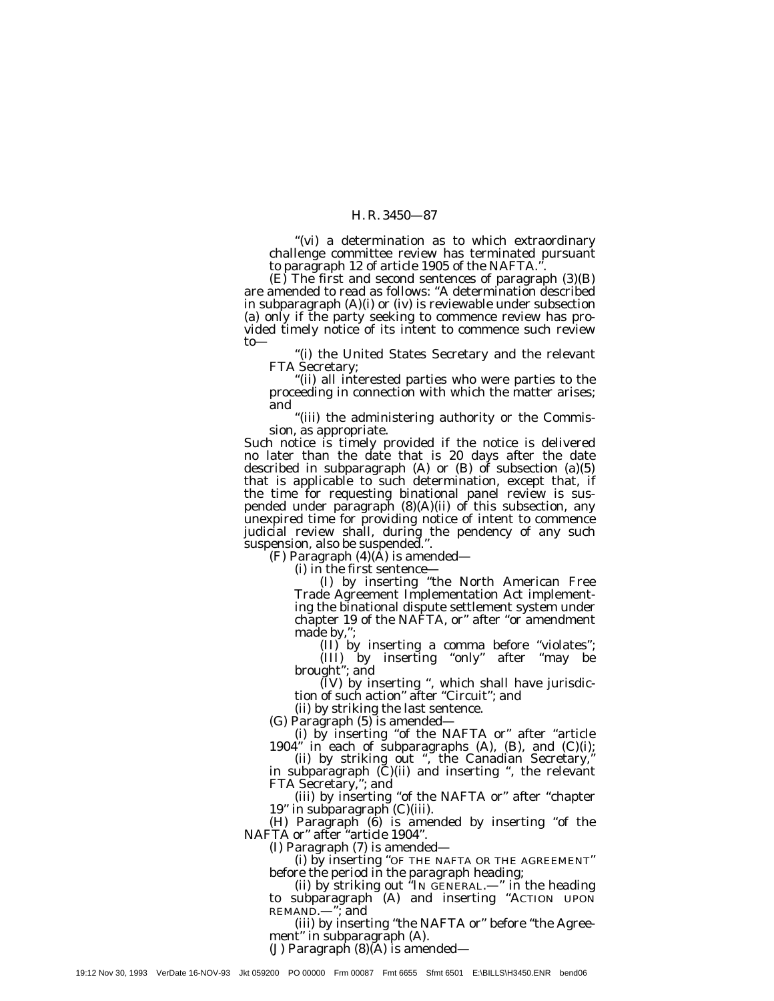''(vi) a determination as to which extraordinary challenge committee review has terminated pursuant to paragraph 12 of article 1905 of the NAFTA.'

(E) The first and second sentences of paragraph (3)(B) are amended to read as follows: ''A determination described in subparagraph (A)(i) or (iv) is reviewable under subsection (a) only if the party seeking to commence review has provided timely notice of its intent to commence such review to—

''(i) the United States Secretary and the relevant FTA Secretary;

''(ii) all interested parties who were parties to the proceeding in connection with which the matter arises; and

''(iii) the administering authority or the Commission, as appropriate.

Such notice is timely provided if the notice is delivered no later than the date that is 20 days after the date described in subparagraph (A) or (B) of subsection (a)(5) that is applicable to such determination, except that, if the time for requesting binational panel review is suspended under paragraph (8)(A)(ii) of this subsection, any unexpired time for providing notice of intent to commence judicial review shall, during the pendency of any such suspension, also be suspended.''.

(F) Paragraph  $(4)(\hat{A})$  is amended—

(i) in the first sentence—

(I) by inserting ''the North American Free Trade Agreement Implementation Act implementing the binational dispute settlement system under chapter 19 of the NAFTA, or'' after ''or amendment

made by,''; (II) by inserting a comma before ''violates''; (III) by inserting ''only'' after ''may be

brought''; and<br>(IV) by inserting '', which shall have jurisdiction of such action" after "Circuit"; and<br>(ii) by striking the last sentence.

(G) Paragraph (5) is amended—<br>
(i) by inserting "of the NAFTA or" after "article<br>
1904" in each of subparagraphs (A), (B), and (C)(i);<br>
(ii) by striking out ", the Canadian Secretary,"<br>
in subparagraph (C)(ii) and inserti

(iii) by inserting "of the NAFTA or" after "chapter 19'' in subparagraph (C)(iii).

(H) Paragraph (6) is amended by inserting ''of the NAFTA or'' after ''article 1904''.

(I) Paragraph (7) is amended—

(i) by inserting ''OF THE NAFTA OR THE AGREEMENT'' before the period in the paragraph heading;

(ii) by striking out ''IN GENERAL.—'' in the heading to subparagraph (A) and inserting ''ACTION UPON REMAND.—''; and

(iii) by inserting ''the NAFTA or'' before ''the Agreement'' in subparagraph (A).

(J) Paragraph  $(8)(A)$  is amended—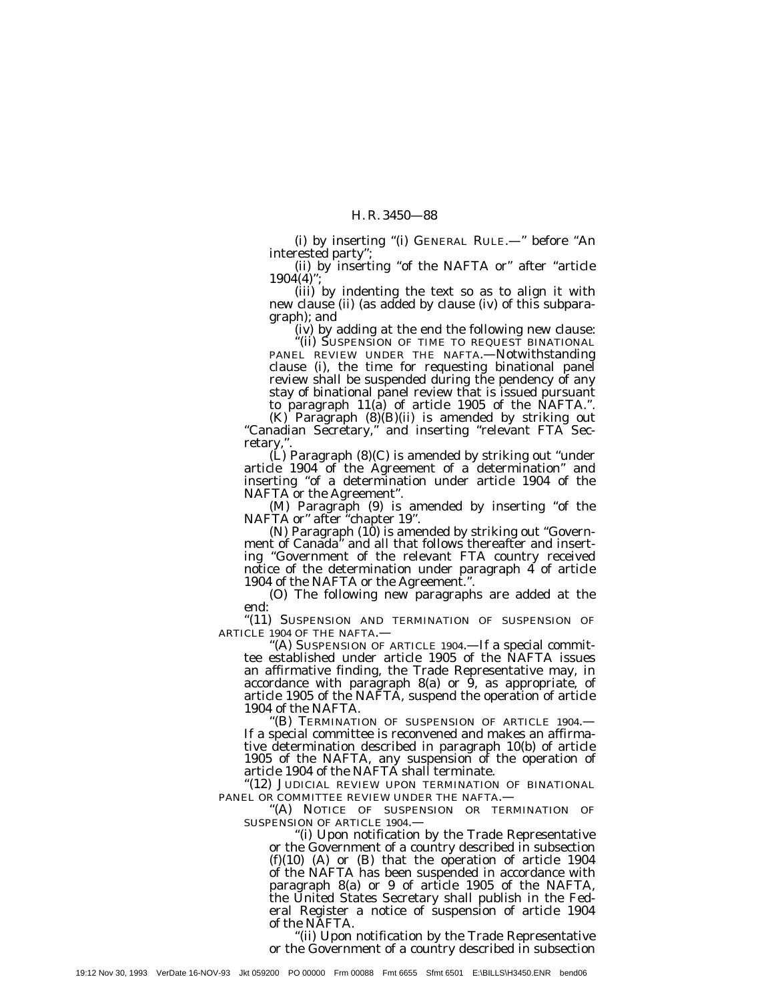(i) by inserting ''(i) GENERAL RULE.—'' before ''An interested party'';

(ii) by inserting ''of the NAFTA or'' after ''article  $1904(4)$ "

(iii) by indenting the text so as to align it with new clause (ii) (as added by clause (iv) of this subparagraph); and

(iv) by adding at the end the following new clause:

''(ii) SUSPENSION OF TIME TO REQUEST BINATIONAL PANEL REVIEW UNDER THE NAFTA. - Notwithstanding clause (i), the time for requesting binational panel review shall be suspended during the pendency of any stay of binational panel review that is issued pursuant to paragraph 11(a) of article 1905 of the NAFTA.''.

 $(K)$  Paragraph  $(8)(B)(ii)$  is amended by striking out ''Canadian Secretary,'' and inserting ''relevant FTA Secretary,

 $(L)$  Paragraph  $(8)(C)$  is amended by striking out "under" article 1904 of the Agreement of a determination'' and inserting ''of a determination under article 1904 of the NAFTA or the Agreement''.

(M) Paragraph (9) is amended by inserting ''of the NAFTA or'' after ''chapter 19''.

(N) Paragraph (10) is amended by striking out ''Government of Canada'' and all that follows thereafter and inserting ''Government of the relevant FTA country received notice of the determination under paragraph  $\tilde{4}$  of article 1904 of the NAFTA or the Agreement.".

(O) The following new paragraphs are added at the end:

"(11) SUSPENSION AND TERMINATION OF SUSPENSION OF ARTICLE 1904 OF THE NAFTA.—<br>"(A) SUSPENSION OF ARTICLE 1904.—If a special commit-

tee established under article 1905 of the NAFTA issues an affirmative finding, the Trade Representative may, in accordance with paragraph  $8(a)$  or  $9$ , as appropriate, of article 1905 of the NAFTA, suspend the operation of article 1904 of the NAFTA.<br>
"(B) TERMINATION OF SUSPENSION OF ARTICLE 1904.

If a special committee is reconvened and makes an affirmative determination described in paragraph 10(b) of article 1905 of the NAFTA, any suspension of the operation of article 1904 of the NAFTA shall terminate.

''(12) JUDICIAL REVIEW UPON TERMINATION OF BINATIONAL PANEL OR COMMITTEE REVIEW UNDER THE NAFTA.—

''(A) NOTICE OF SUSPENSION OR TERMINATION OF SUSPENSION OF ARTICLE 1904.—

''(i) Upon notification by the Trade Representative or the Government of a country described in subsection (f)(10) (A) or (B) that the operation of article 1904 of the NAFTA has been suspended in accordance with paragraph 8(a) or 9 of article 1905 of the NAFTA, the United States Secretary shall publish in the Federal Register a notice of suspension of article 1904 of the NAFTA.

''(ii) Upon notification by the Trade Representative or the Government of a country described in subsection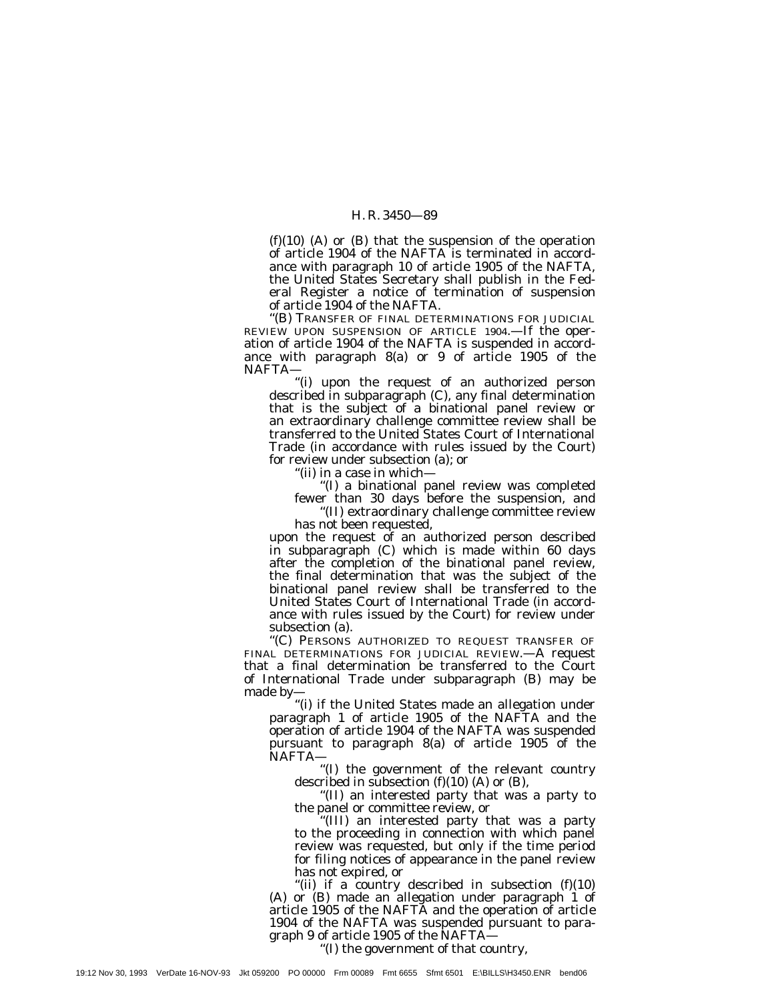(f)(10) (A) or (B) that the suspension of the operation of article 1904 of the NAFTA is terminated in accordance with paragraph 10 of article 1905 of the NAFTA, the United States Secretary shall publish in the Federal Register a notice of termination of suspension of article 1904 of the NAFTA.

''(B) TRANSFER OF FINAL DETERMINATIONS FOR JUDICIAL REVIEW UPON SUSPENSION OF ARTICLE 1904.—If the operation of article 1904 of the NAFTA is suspended in accordance with paragraph 8(a) or 9 of article 1905 of the NAFTA—

''(i) upon the request of an authorized person described in subparagraph (C), any final determination that is the subject of a binational panel review or an extraordinary challenge committee review shall be transferred to the United States Court of International Trade (in accordance with rules issued by the Court) for review under subsection (a); or

''(ii) in a case in which—

'(I) a binational panel review was completed fewer than 30 days before the suspension, and

''(II) extraordinary challenge committee review has not been requested,

upon the request of an authorized person described in subparagraph (C) which is made within 60 days after the completion of the binational panel review, the final determination that was the subject of the binational panel review shall be transferred to the United States Court of International Trade (in accordance with rules issued by the Court) for review under subsection (a).

''(C) PERSONS AUTHORIZED TO REQUEST TRANSFER OF FINAL DETERMINATIONS FOR JUDICIAL REVIEW.—A request that a final determination be transferred to the Court of International Trade under subparagraph (B) may be made by—

''(i) if the United States made an allegation under paragraph 1 of article 1905 of the NAFTA and the operation of article 1904 of the NAFTA was suspended pursuant to paragraph 8(a) of article 1905 of the NAFTA—

''(I) the government of the relevant country described in subsection  $(f)(10)$  (A) or  $(B)$ ,

''(II) an interested party that was a party to the panel or committee review, or

'(III) an interested party that was a party to the proceeding in connection with which panel review was requested, but only if the time period for filing notices of appearance in the panel review has not expired, or

"(ii) if a country described in subsection  $(f)(10)$ (A) or (B) made an allegation under paragraph 1 of article 1905 of the NAFTA and the operation of article 1904 of the NAFTA was suspended pursuant to paragraph 9 of article 1905 of the NAFTA—

''(I) the government of that country,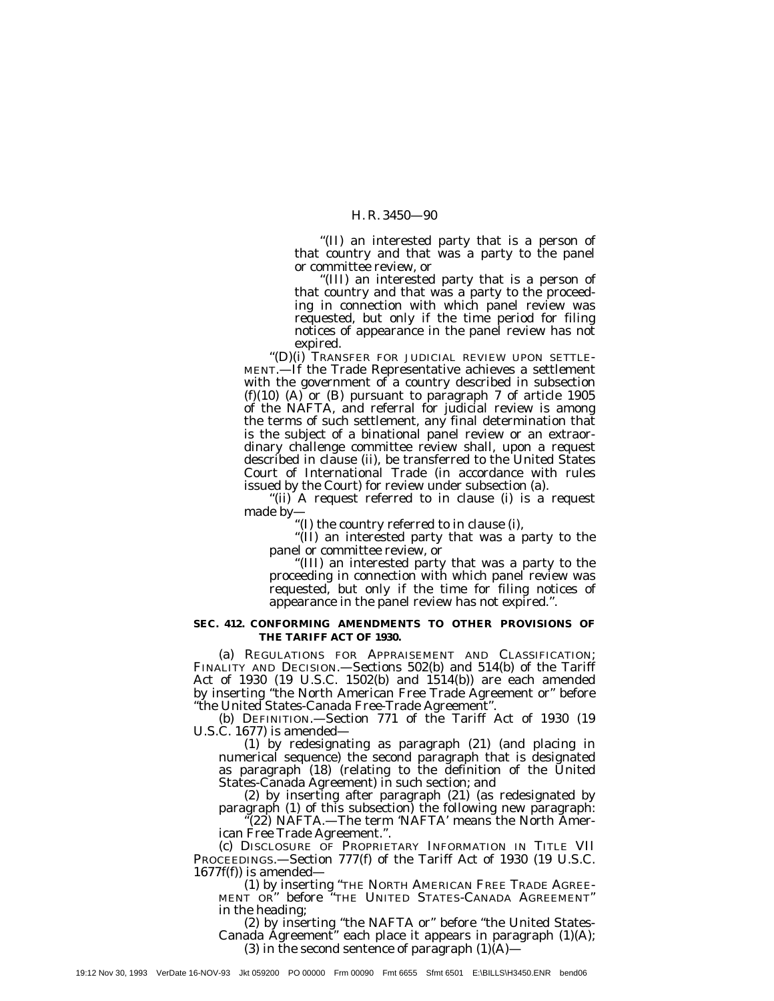''(II) an interested party that is a person of that country and that  $w$ as a party to the panel or committee review, or

''(III) an interested party that is a person of that country and that was a party to the proceeding in connection with which panel review was requested, but only if the time period for filing notices of appearance in the panel review has not expired.

''(D)(i) TRANSFER FOR JUDICIAL REVIEW UPON SETTLE-MENT.—If the Trade Representative achieves a settlement with the government of a country described in subsection  $(f)(10)$  (A) or (B) pursuant to paragraph 7 of article 1905 of the NAFTA, and referral for judicial review is among the terms of such settlement, any final determination that is the subject of a binational panel review or an extraordinary challenge committee review shall, upon a request described in clause (ii), be transferred to the United States Court of International Trade (in accordance with rules issued by the Court) for review under subsection (a).

"(ii) A request referred to in clause (i) is a request made by—

''(I) the country referred to in clause (i),

''(II) an interested party that was a party to the panel or committee review, or

''(III) an interested party that was a party to the proceeding in connection with which panel review was requested, but only if the time for filing notices of appearance in the panel review has not expired.''.

### **SEC. 412. CONFORMING AMENDMENTS TO OTHER PROVISIONS OF THE TARIFF ACT OF 1930.**

(a) REGULATIONS FOR APPRAISEMENT AND CLASSIFICATION; FINALITY AND DECISION.—Sections 502(b) and 514(b) of the Tariff Act of 1930 (19 U.S.C. 1502(b) and 1514(b)) are each amended by inserting ''the North American Free Trade Agreement or'' before ''the United States-Canada Free-Trade Agreement''.

(b) DEFINITION.—Section 771 of the Tariff Act of 1930 (19 U.S.C. 1677) is amended—

(1) by redesignating as paragraph (21) (and placing in numerical sequence) the second paragraph that is designated as paragraph (18) (relating to the definition of the United States-Canada Agreement) in such section; and

(2) by inserting after paragraph (21) (as redesignated by paragraph (1) of this subsection) the following new paragraph:

<sup>7</sup>(22) NAFTA.—The term 'NAFTA' means the North American Free Trade Agreement.''.

(c) DISCLOSURE OF PROPRIETARY INFORMATION IN TITLE VII PROCEEDINGS.—Section 777(f) of the Tariff Act of 1930 (19 U.S.C.  $1677f(f)$ ) is amended—

(1) by inserting ''THE NORTH AMERICAN FREE TRADE AGREE-MENT OR'' before ''THE UNITED STATES-CANADA AGREEMENT'' in the heading;

(2) by inserting ''the NAFTA or'' before ''the United States-Canada Agreement'' each place it appears in paragraph (1)(A); (3) in the second sentence of paragraph  $(1)(A)$ –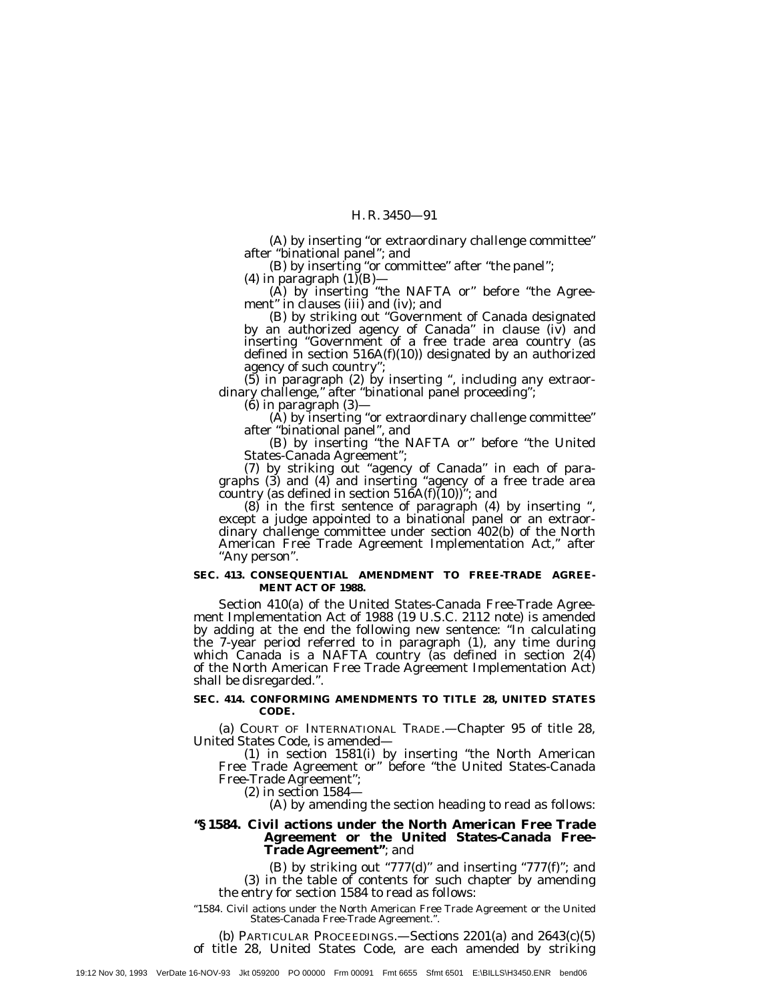(A) by inserting ''or extraordinary challenge committee'' after ''binational panel''; and

(B) by inserting "or committee" after "the panel";

 $(4)$  in paragraph  $(1)(B)$ -

(A) by inserting ''the NAFTA or'' before ''the Agreement'' in clauses (iii) and (iv); and

(B) by striking out ''Government of Canada designated by an authorized agency of Canada'' in clause (iv) and inserting ''Government of a free trade area country (as defined in section 516A(f)(10)) designated by an authorized agency of such country'';

(5) in paragraph (2) by inserting '', including any extraordinary challenge,'' after ''binational panel proceeding'';

(6) in paragraph (3)—

(A) by inserting ''or extraordinary challenge committee'' after ''binational panel'', and

(B) by inserting ''the NAFTA or'' before ''the United States-Canada Agreement'';

(7) by striking out ''agency of Canada'' in each of paragraphs (3) and (4) and inserting ''agency of a free trade area country (as defined in section  $516A(f)(10)$ )"; and

(8) in the first sentence of paragraph (4) by inserting '', except a judge appointed to a binational panel or an extraordinary challenge committee under section 402(b) of the North American Free Trade Agreement Implementation Act,'' after ''Any person''.

#### **SEC. 413. CONSEQUENTIAL AMENDMENT TO FREE-TRADE AGREE-MENT ACT OF 1988.**

Section 410(a) of the United States-Canada Free-Trade Agreement Implementation Act of 1988 (19 U.S.C. 2112 note) is amended by adding at the end the following new sentence: ''In calculating the 7-year period referred to in paragraph (1), any time during which Canada is a NAFTA country (as defined in section 2(4) of the North American Free Trade Agreement Implementation Act) shall be disregarded.''.

#### **SEC. 414. CONFORMING AMENDMENTS TO TITLE 28, UNITED STATES CODE.**

(a) COURT OF INTERNATIONAL TRADE.—Chapter 95 of title 28, United States Code, is amended—

(1) in section 1581(i) by inserting ''the North American Free Trade Agreement or'' before ''the United States-Canada Free-Trade Agreement'';

(2) in section 1584—

(A) by amending the section heading to read as follows:

#### **''§ 1584. Civil actions under the North American Free Trade Agreement or the United States-Canada Free-Trade Agreement''**; and

(B) by striking out "777(d)" and inserting "777(f)"; and (3) in the table of contents for such chapter by amending the entry for section 1584 to read as follows:

"1584. Civil actions under the North American Free Trade Agreement or the United States-Canada Free-Trade Agreement.''.

(b) PARTICULAR PROCEEDINGS.—Sections  $2201(a)$  and  $2643(c)(5)$ of title 28, United States Code, are each amended by striking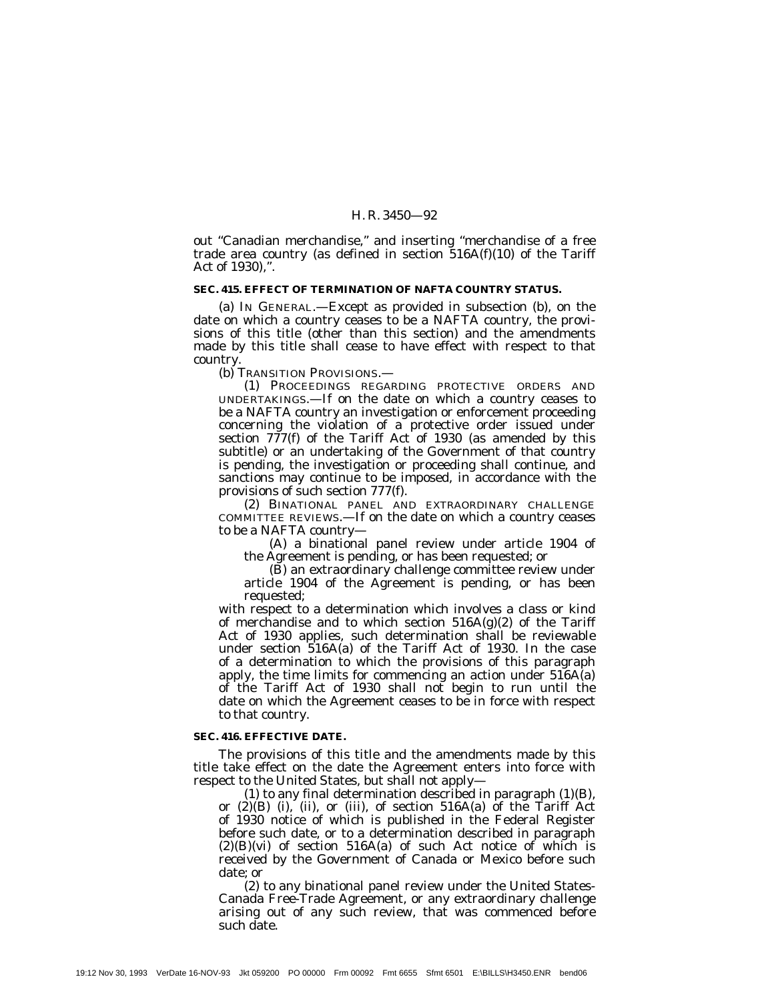out ''Canadian merchandise,'' and inserting ''merchandise of a free trade area country (as defined in section 516A(f)(10) of the Tariff Act of 1930),''.

### **SEC. 415. EFFECT OF TERMINATION OF NAFTA COUNTRY STATUS.**

(a) IN GENERAL.—Except as provided in subsection (b), on the date on which a country ceases to be a NAFTA country, the provisions of this title (other than this section) and the amendments made by this title shall cease to have effect with respect to that country.

(b) TRANSITION PROVISIONS.—

(1) PROCEEDINGS REGARDING PROTECTIVE ORDERS AND UNDERTAKINGS.—If on the date on which a country ceases to be a NAFTA country an investigation or enforcement proceeding concerning the violation of a protective order issued under section  $777(f)$  of the Tariff Act of 1930 (as amended by this subtitle) or an undertaking of the Government of that country is pending, the investigation or proceeding shall continue, and sanctions may continue to be imposed, in accordance with the provisions of such section 777(f).

(2) BINATIONAL PANEL AND EXTRAORDINARY CHALLENGE COMMITTEE REVIEWS.—If on the date on which a country ceases to be a NAFTA country—

(A) a binational panel review under article 1904 of the Agreement is pending, or has been requested; or

(B) an extraordinary challenge committee review under article 1904 of the Agreement is pending, or has been requested;

with respect to a determination which involves a class or kind of merchandise and to which section  $516A(g)(2)$  of the Tariff Act of 1930 applies, such determination shall be reviewable under section 516A(a) of the Tariff Act of 1930. In the case of a determination to which the provisions of this paragraph apply, the time limits for commencing an action under  $516A(a)$ of the Tariff Act of 1930 shall not begin to run until the date on which the Agreement ceases to be in force with respect to that country.

#### **SEC. 416. EFFECTIVE DATE.**

The provisions of this title and the amendments made by this title take effect on the date the Agreement enters into force with respect to the United States, but shall not apply—

(1) to any final determination described in paragraph (1)(B), or  $(2)(B)$  (i), (ii), or (iii), of section  $516A(a)$  of the Tariff Act of 1930 notice of which is published in the Federal Register before such date, or to a determination described in paragraph  $(2)(B)(vi)$  of section 516A(a) of such Act notice of which is received by the Government of Canada or Mexico before such date; or

(2) to any binational panel review under the United States-Canada Free-Trade Agreement, or any extraordinary challenge arising out of any such review, that was commenced before such date.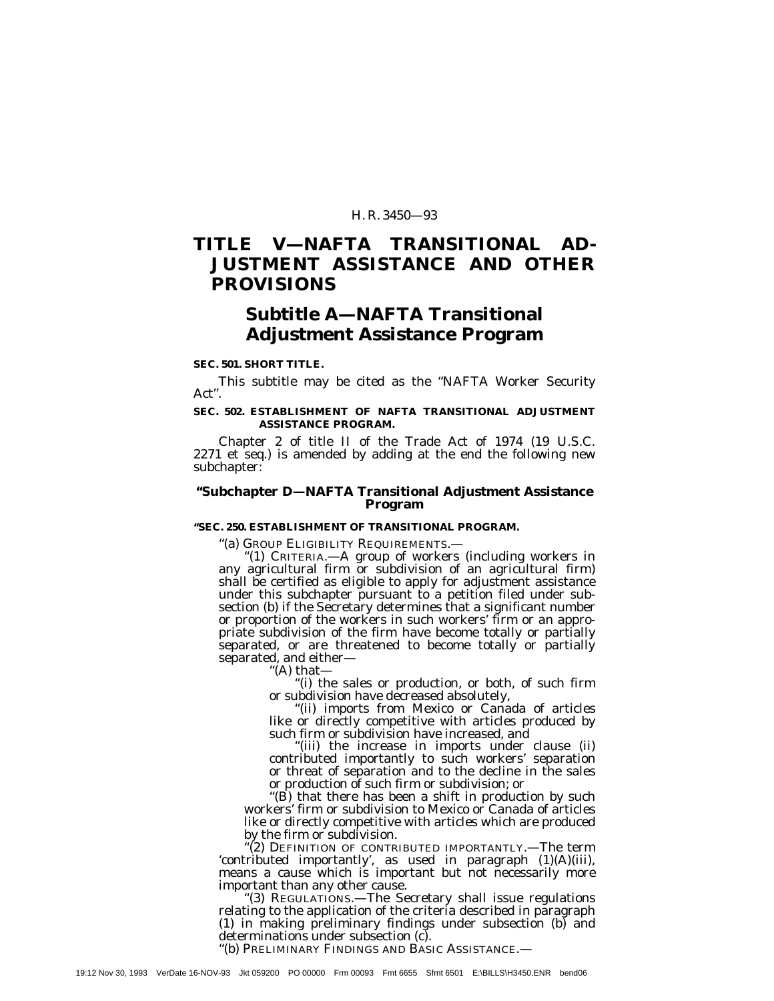# **TITLE V—NAFTA TRANSITIONAL AD-JUSTMENT ASSISTANCE AND OTHER PROVISIONS**

## **Subtitle A—NAFTA Transitional Adjustment Assistance Program**

#### **SEC. 501. SHORT TITLE.**

This subtitle may be cited as the ''NAFTA Worker Security Act''.

## **SEC. 502. ESTABLISHMENT OF NAFTA TRANSITIONAL ADJUSTMENT ASSISTANCE PROGRAM.**

Chapter 2 of title II of the Trade Act of 1974 (19 U.S.C. 2271 et seq.) is amended by adding at the end the following new subchapter:

## **''Subchapter D—NAFTA Transitional Adjustment Assistance Program**

#### **''SEC. 250. ESTABLISHMENT OF TRANSITIONAL PROGRAM.**

''(a) GROUP ELIGIBILITY REQUIREMENTS.—

''(1) CRITERIA.—A group of workers (including workers in any agricultural firm or subdivision of an agricultural firm) shall be certified as eligible to apply for adjustment assistance under this subchapter pursuant to a petition filed under subsection (b) if the Secretary determines that a significant number or proportion of the workers in such workers' firm or an appropriate subdivision of the firm have become totally or partially separated, or are threatened to become totally or partially separated, and either—

''(A) that—

''(i) the sales or production, or both, of such firm or subdivision have decreased absolutely,

''(ii) imports from Mexico or Canada of articles like or directly competitive with articles produced by such firm or subdivision have increased, and

''(iii) the increase in imports under clause (ii) contributed importantly to such workers' separation or threat of separation and to the decline in the sales or production of such firm or subdivision; or

''(B) that there has been a shift in production by such workers' firm or subdivision to Mexico or Canada of articles like or directly competitive with articles which are produced by the firm or subdivision.

''(2) DEFINITION OF CONTRIBUTED IMPORTANTLY.—The term 'contributed importantly', as used in paragraph (1)(A)(iii), means a cause which is important but not necessarily more important than any other cause.<br>''(3) REGULATIONS.—The Secretary shall issue regulations

relating to the application of the criteria described in paragraph (1) in making preliminary findings under subsection (b) and determinations under subsection (c).

''(b) PRELIMINARY FINDINGS AND BASIC ASSISTANCE.—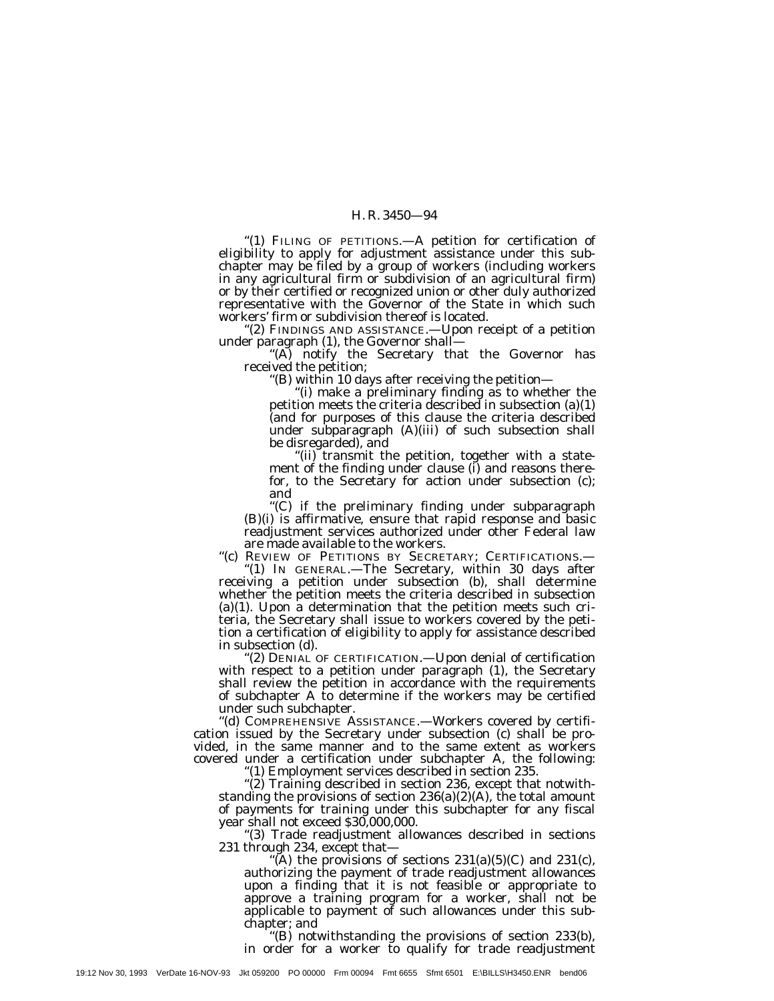''(1) FILING OF PETITIONS.—A petition for certification of eligibility to apply for adjustment assistance under this subchapter may be filed by a group of workers (including workers in any agricultural firm or subdivision of an agricultural firm) or by their certified or recognized union or other duly authorized representative with the Governor of the State in which such workers' firm or subdivision thereof is located.

''(2) FINDINGS AND ASSISTANCE.—Upon receipt of a petition under paragraph (1), the Governor shall—

"(A) notify the Secretary that the Governor has received the petition;

''(B) within 10 days after receiving the petition—

(i) make a preliminary finding as to whether the petition meets the criteria described in subsection (a)(1) (and for purposes of this clause the criteria described under subparagraph (A)(iii) of such subsection shall be disregarded), and

''(ii) transmit the petition, together with a statement of the finding under clause (i) and reasons therefor, to the Secretary for action under subsection (c); and

''(C) if the preliminary finding under subparagraph (B)(i) is affirmative, ensure that rapid response and basic readjustment services authorized under other Federal law are made available to the workers.

''(c) REVIEW OF PETITIONS BY SECRETARY; CERTIFICATIONS.—

''(1) IN GENERAL.—The Secretary, within 30 days after receiving a petition under subsection (b), shall determine whether the petition meets the criteria described in subsection  $(a)(1)$ . Upon a determination that the petition meets such criteria, the Secretary shall issue to workers covered by the petition a certification of eligibility to apply for assistance described in subsection (d).

'(2) DENIAL OF CERTIFICATION.—Upon denial of certification with respect to a petition under paragraph (1), the Secretary shall review the petition in accordance with the requirements of subchapter A to determine if the workers may be certified under such subchapter.

''(d) COMPREHENSIVE ASSISTANCE.—Workers covered by certifi- cation issued by the Secretary under subsection (c) shall be provided, in the same manner and to the same extent as workers covered under a certification under subchapter A, the following: covered under a certification under subchapter A, the following: ''(1) Employment services described in section 235.

''(2) Training described in section 236, except that notwith- standing the provisions of section 236(a)(2)(A), the total amount of payments for training under this subchapter for any fiscal year shall not exceed \$30,000,000.

''(3) Trade readjustment allowances described in sections 231 through 234, except that—

"(A) the provisions of sections  $231(a)(5)(C)$  and  $231(c)$ , authorizing the payment of trade readjustment allowances upon a finding that it is not feasible or appropriate to approve a training program for a worker, shall not be applicable to payment of such allowances under this subchapter; and

'(B) notwithstanding the provisions of section 233(b), in order for a worker to qualify for trade readjustment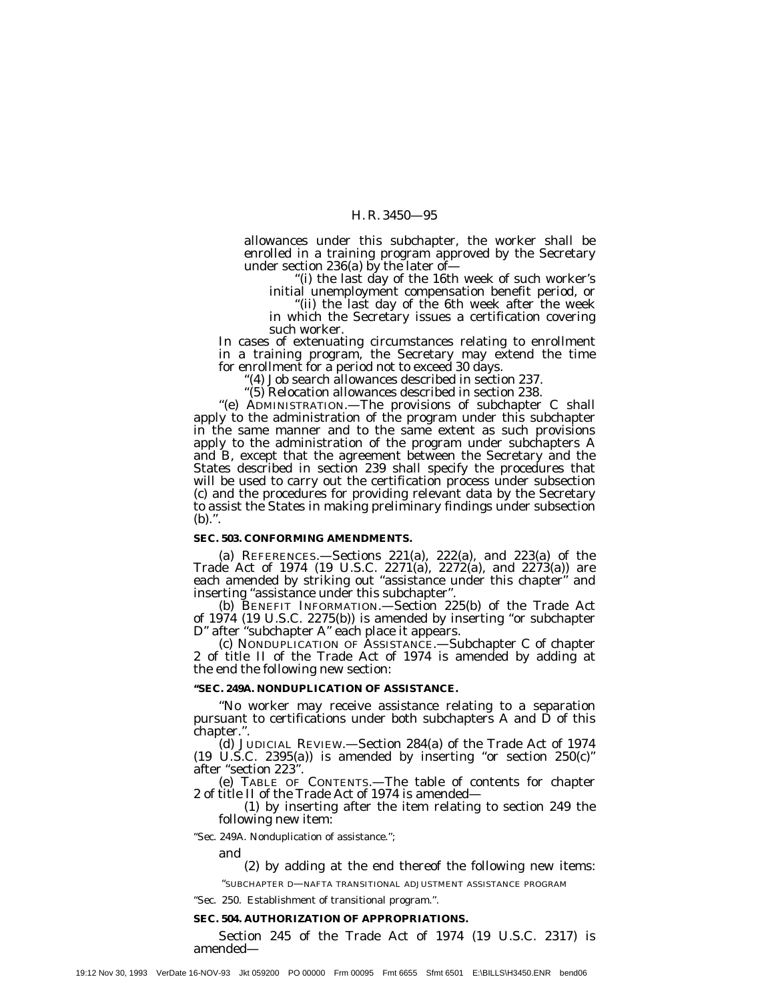allowances under this subchapter, the worker shall be enrolled in a training program approved by the Secretary under section 236(a) by the later of—

''(i) the last day of the 16th week of such worker's initial unemployment compensation benefit period, or

"(ii) the last day of the 6th week after the week in which the Secretary issues a certification covering such worker.

In cases of extenuating circumstances relating to enrollment in a training program, the Secretary may extend the time for enrollment for a period not to exceed 30 days.

''(4) Job search allowances described in section 237.

''(5) Relocation allowances described in section 238.

''(e) ADMINISTRATION.—The provisions of subchapter C shall apply to the administration of the program under this subchapter in the same manner and to the same extent as such provisions apply to the administration of the program under subchapters A and B, except that the agreement between the Secretary and the States described in section 239 shall specify the procedures that will be used to carry out the certification process under subsection (c) and the procedures for providing relevant data by the Secretary to assist the States in making preliminary findings under subsection  $(b)$ .".

#### **SEC. 503. CONFORMING AMENDMENTS.**

(a) REFERENCES.—Sections 221(a), 222(a), and 223(a) of the Trade Act of 1974 (19 U.S.C. 2271(a), 2272(a), and 2273(a)) are each amended by striking out ''assistance under this chapter'' and inserting ''assistance under this subchapter''.

(b) BENEFIT INFORMATION.—Section 225(b) of the Trade Act of 1974 (19 U.S.C. 2275(b)) is amended by inserting ''or subchapter D" after "subchapter A" each place it appears.

(c) NONDUPLICATION OF ASSISTANCE.—Subchapter C of chapter 2 of title II of the Trade Act of 1974 is amended by adding at the end the following new section:

#### **''SEC. 249A. NONDUPLICATION OF ASSISTANCE.**

''No worker may receive assistance relating to a separation pursuant to certifications under both subchapters A and D of this chapter.''.

(d) JUDICIAL REVIEW.—Section 284(a) of the Trade Act of 1974  $(19 \text{ U.S.C. } 2395(a))$  is amended by inserting "or section  $250(c)$ " after ''section 223''.

(e) TABLE OF CONTENTS.—The table of contents for chapter 2 of title II of the Trade Act of 1974 is amended—

(1) by inserting after the item relating to section 249 the following new item:

''Sec. 249A. Nonduplication of assistance.'';

and

(2) by adding at the end thereof the following new items:

''SUBCHAPTER D—NAFTA TRANSITIONAL ADJUSTMENT ASSISTANCE PROGRAM

''Sec. 250. Establishment of transitional program.''.

### **SEC. 504. AUTHORIZATION OF APPROPRIATIONS.**

Section 245 of the Trade Act of 1974 (19 U.S.C. 2317) is amended—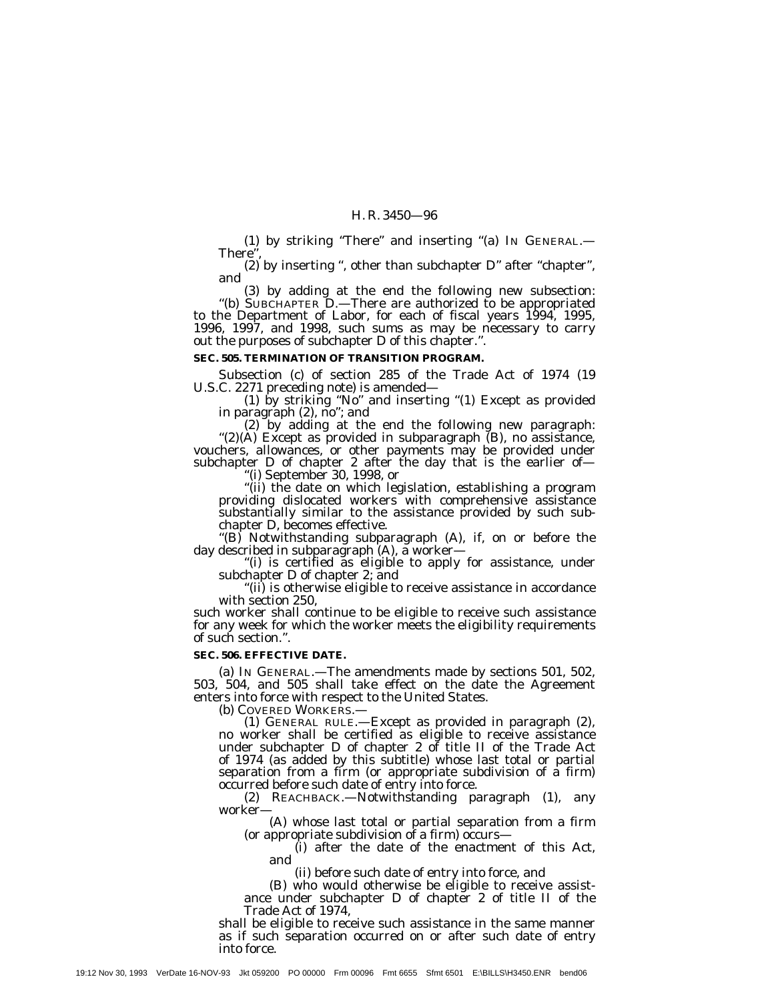(1) by striking ''There'' and inserting ''(a) IN GENERAL.— There'',

(2) by inserting ", other than subchapter  $D$ " after "chapter", and (3) by adding at the end the following new subsection:

"(b) SUBCHAPTER D.-There are authorized to be appropriated to the Department of Labor, for each of fiscal years 1994, 1995, 1996, 1997, and 1998, such sums as may be necessary to carry out the purposes of subchapter D of this chapter.''.

#### **SEC. 505. TERMINATION OF TRANSITION PROGRAM.**

Subsection (c) of section 285 of the Trade Act of 1974 (19

U.S.C. 2271 preceding note) is amended—<br>
(1) by striking "No" and inserting "(1) Except as provided<br>
in paragraph (2), no"; and<br>
(2) by adding at the end the following new paragraph:<br>
"(2)(A) Except as provided in subpara subchapter D of chapter 2 after the day that is the earlier of—<br>"(i) September 30, 1998, or<br>"(ii) the date on which legislation, establishing a program

providing dislocated workers with comprehensive assistance substantially similar to the assistance provided by such subchapter D*,* becomes effective.

"(B)' Notwithstanding subparagraph (A), if, on or before the day described in subparagraph (A), a worker—<br>"(i) is certified as eligible to apply for assistance, under subchapter D of chapter 2; and "(ii) is otherwise elig

such worker shall continue to be eligible to receive such assistance for any week for which the worker meets the eligibility requirements of such section.''.

## **SEC. 506. EFFECTIVE DATE.**

(a) IN GENERAL.—The amendments made by sections 501, 502, 503, 504, and 505 shall take effect on the date the Agreement

(b) COVERED WORKERS.—<br>(1) GENERAL RULE.—Except as provided in paragraph (2), no worker shall be certified as eligible to receive assistance under subchapter D of chapter 2 of title II of the Trade Act of 1974 (as added by this subtitle) whose last total or partial separation from a firm (or appropriate subdivision of a firm) occurred before such date of entry into force.

(2) REACHBACK.—Notwithstanding paragraph (1), any worker—

(A) whose last total or partial separation from a firm (or appropriate subdivision of a firm) occurs—

(i) after the date of the enactment of this Act, and

(ii) before such date of entry into force, and

(B) who would otherwise be eligible to receive assistance under subchapter D of chapter 2 of title II of the Trade Act of 1974,

shall be eligible to receive such assistance in the same manner as if such separation occurred on or after such date of entry into force.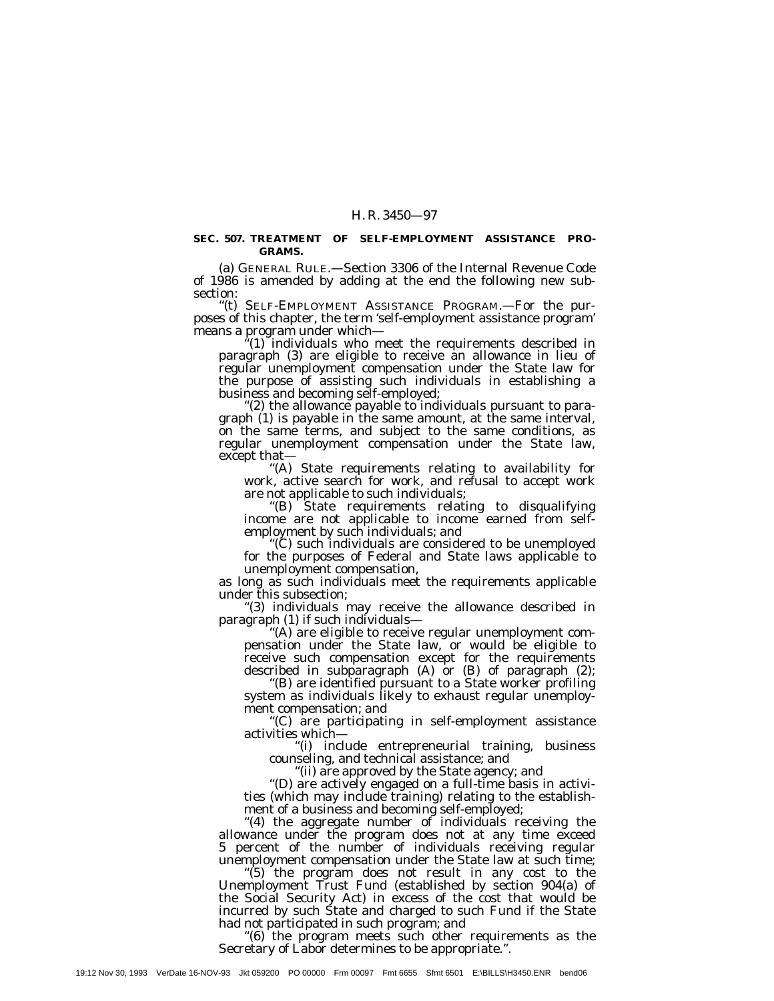#### **SEC. 507. TREATMENT OF SELF-EMPLOYMENT ASSISTANCE PRO-GRAMS.**

(a) GENERAL RULE.—Section 3306 of the Internal Revenue Code of 1986 is amended by adding at the end the following new subsection:

''(t) SELF-EMPLOYMENT ASSISTANCE PROGRAM.—For the purposes of this chapter, the term 'self-employment assistance program'

 $\binom{4}{1}$  individuals who meet the requirements described in paragraph (3) are eligible to receive an allowance in lieu of regular unemployment compensation under the State law for the purpose of assisting such individuals in establishing a business and becoming self-employed;

"(2) the allowance payable to individuals pursuant to paragraph (1) is payable in the same amount, at the same interval, on the same terms, and subject to the same conditions, as regular unemployment compensation under the State law, except that—

"(A) State requirements relating to availability for work, active search for work, and refusal to accept work are not applicable to such individuals;

''(B) State requirements relating to disqualifying income are not applicable to income earned from selfemployment by such individuals; and <br>
"(C) such individuals are considered to be unemployed

for the purposes of Federal and State laws applicable to unemployment compensation,

as long as such individuals meet the requirements applicable under this subsection;

''(3) individuals may receive the allowance described in paragraph (1) if such individuals—

'(A) are eligible to receive regular unemployment compensation under the State law, or would be eligible to receive such compensation except for the requirements described in subparagraph (A) or (B) of paragraph (2);

''(B) are identified pursuant to a State worker profiling system as individuals likely to exhaust regular unemployment compensation; and

''(C) are participating in self-employment assistance activities which—

''(i) include entrepreneurial training, business counseling, and technical assistance; and

''(ii) are approved by the State agency; and

''(D) are actively engaged on a full-time basis in activities (which may include training) relating to the establishment of a business and becoming self-employed;

''(4) the aggregate number of individuals receiving the allowance under the program does not at any time exceed 5 percent of the number of individuals receiving regular unemployment compensation under the State law at such time;

''(5) the program does not result in any cost to the Unemployment Trust Fund (established by section 904(a) of the Social Security Act) in excess of the cost that would be incurred by such State and charged to such Fund if the State had not participated in such program; and

''(6) the program meets such other requirements as the Secretary of Labor determines to be appropriate.''.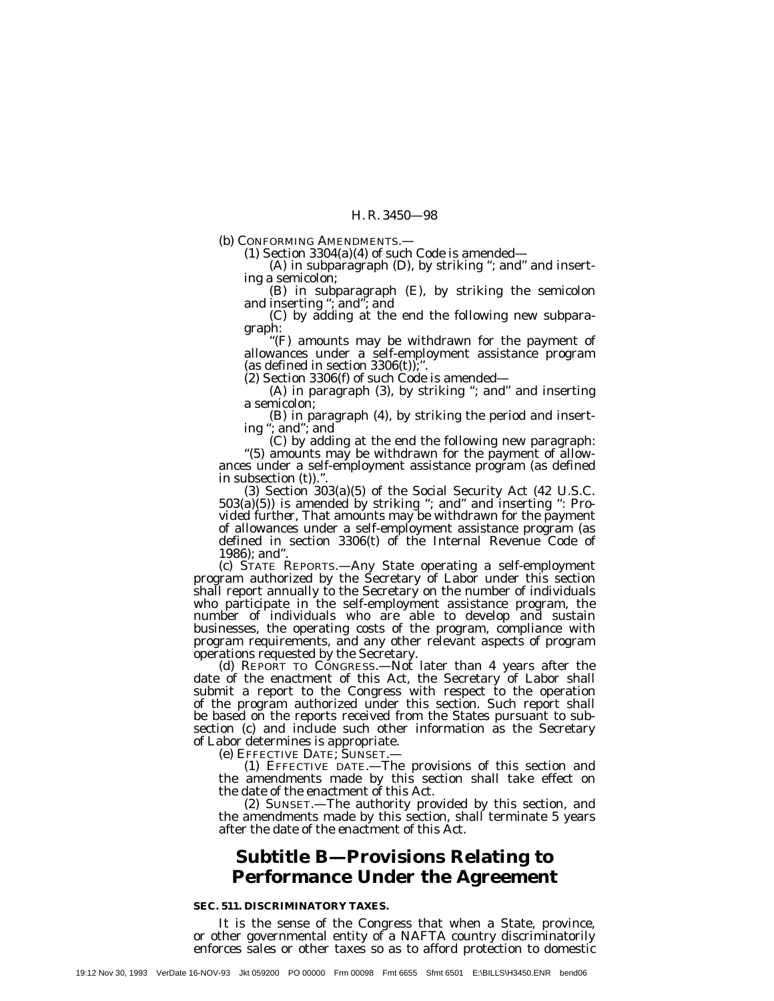(b) CONFORMING AMENDMENTS.—<br>
(1) Section 3304(a)(4) of such Code is amended—<br>
(A) in subparagraph (D), by striking "; and" and insert-

ing a semicolon;<br>
(B) in subparagraph (E), by striking the semicolon<br>
and inserting "; and"; and<br>
(C) by adding at the end the following new subpara-<br>
graph:<br>
"(F) amounts may be withdrawn for the payment of<br>
allowances un (as defined in section  $3306(t)$ );

 $(2)$  Section 3306(f) of such Code is amended—

(A) in paragraph (3), by striking "; and" and inserting a semicolon;<br>(B) in paragraph (4), by striking the period and insert-

ing "; and "; and "<br>(C) by adding at the end the following new paragraph:<br>"(5) amounts may be withdrawn for the payment of allow-<br>ances under a self-employment assistance program (as defined in subsection  $(t)$ )."

(3) Section 303(a)(5) of the Social Security Act (42 U.S.C. 503(a)(5)) is amended by striking ''; and'' and inserting '': *Provided further,* That amounts may be withdrawn for the payment of allowances under a self-employment assistance program (as defined in section 3306(t) of the Internal Revenue Code of 1986); and''.

(c) STATE REPORTS.—Any State operating a self-employment program authorized by the Secretary of Labor under this section shall report annually to the Secretary on the number of individuals who participate in the self-employment assistance program, the number of individuals who are able to develop and sustain businesses, the operating costs of the program, compliance with program requirements, and any other relevant aspects of program

operations requested by the Secretary. (d) REPORT TO CONGRESS.—Not later than 4 years after the date of the enactment of this Act, the Secretary of Labor shall submit a report to the Congress with respect to the operation of the program authorized under this section. Such report shall be based on the reports received from the States pursuant to subsection (c) and include such other information as the Secretary

of Labor determines is appropriate. (e) EFFECTIVE DATE; SUNSET.— (1) EFFECTIVE DATE.—The provisions of this section and the amendments made by this section shall take effect on the date of the enactment of this Act.

(2) SUNSET.—The authority provided by this section, and the amendments made by this section, shall terminate 5 years after the date of the enactment of this Act.

## **Subtitle B—Provisions Relating to Performance Under the Agreement**

#### **SEC. 511. DISCRIMINATORY TAXES.**

It is the sense of the Congress that when a State, province, or other governmental entity of a NAFTA country discriminatorily enforces sales or other taxes so as to afford protection to domestic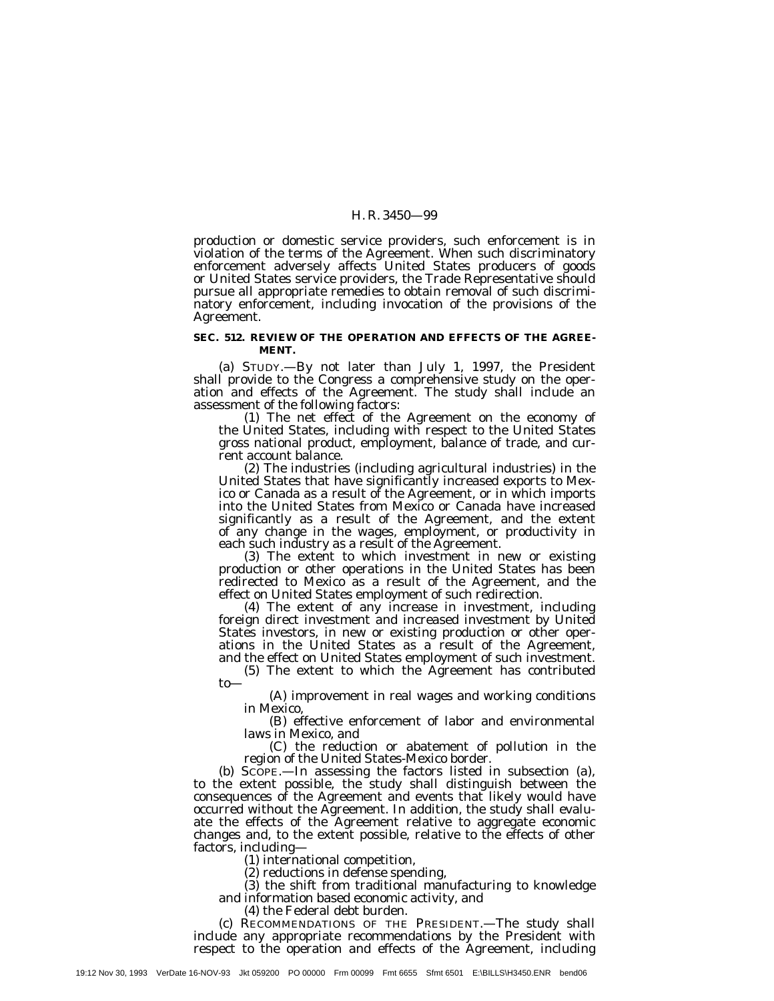production or domestic service providers, such enforcement is in violation of the terms of the Agreement. When such discriminatory enforcement adversely affects United States producers of goods or United States service providers, the Trade Representative should pursue all appropriate remedies to obtain removal of such discriminatory enforcement, including invocation of the provisions of the Agreement.

#### **SEC. 512. REVIEW OF THE OPERATION AND EFFECTS OF THE AGREE-MENT.**

(a) STUDY.—By not later than July 1, 1997, the President shall provide to the Congress a comprehensive study on the operation and effects of the Agreement. The study shall include an assessment of the following factors:

(1) The net effect of the Agreement on the economy of the United States, including with respect to the United States gross national product, employment, balance of trade, and current account balance.

(2) The industries (including agricultural industries) in the United States that have significantly increased exports to Mexico or Canada as a result of the Agreement, or in which imports into the United States from Mexico or Canada have increased significantly as a result of the Agreement, and the extent of any change in the wages, employment, or productivity in each such industry as a result of the Agreement.

(3) The extent to which investment in new or existing production or other operations in the United States has been redirected to Mexico as a result of the Agreement, and the effect on United States employment of such redirection.

(4) The extent of any increase in investment, including foreign direct investment and increased investment by United States investors, in new or existing production or other operations in the United States as a result of the Agreement, and the effect on United States employment of such investment. (5) The extent to which the Agreement has contributed

to—

(A) improvement in real wages and working conditions in Mexico,

(B) effective enforcement of labor and environmental laws in Mexico, and

(C) the reduction or abatement of pollution in the

(b) SCOPE.—In assessing the factors listed in subsection (a), to the extent possible, the study shall distinguish between the consequences of the Agreement and events that likely would have occurred without the Agreement. In addition, the study shall evaluate the effects of the Agreement relative to aggregate economic changes and, to the extent possible, relative to the effects of other factors, including—

(1) international competition,

(2) reductions in defense spending,

(3) the shift from traditional manufacturing to knowledge and information based economic activity, and

(4) the Federal debt burden.

(c) RECOMMENDATIONS OF THE PRESIDENT.—The study shall include any appropriate recommendations by the President with respect to the operation and effects of the Agreement, including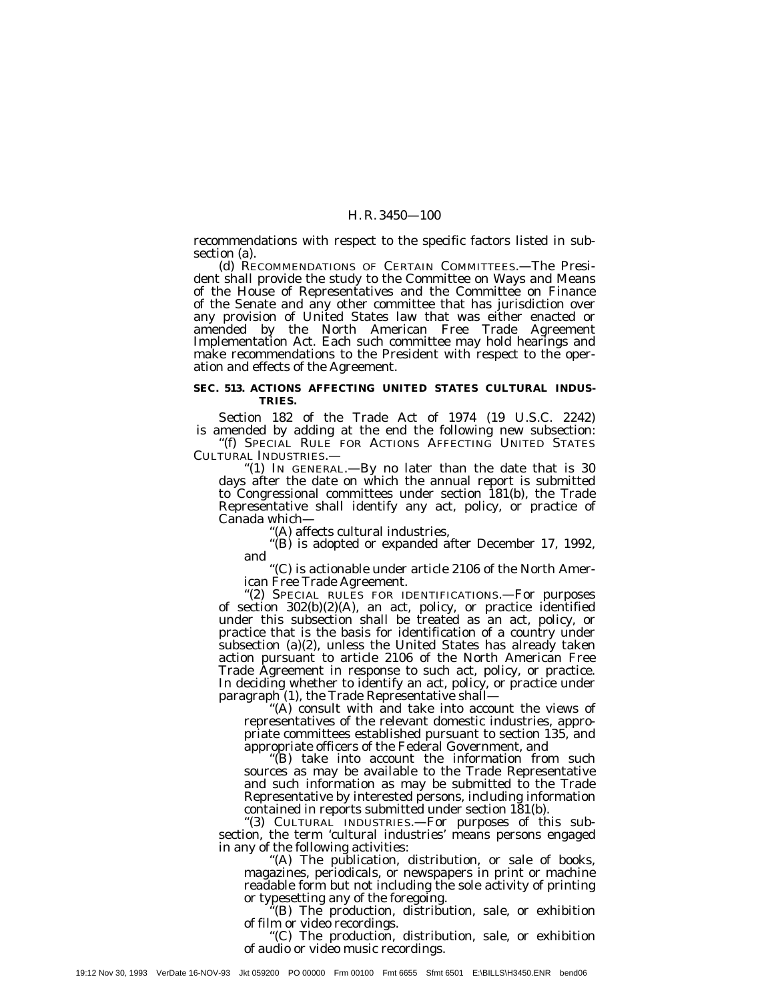recommendations with respect to the specific factors listed in subsection (a).

(d) RECOMMENDATIONS OF CERTAIN COMMITTEES.—The President shall provide the study to the Committee on Ways and Means of the House of Representatives and the Committee on Finance of the Senate and any other committee that has jurisdiction over any provision of United States law that was either enacted or amended by the North American Free Trade Agreement Implementation Act. Each such committee may hold hearings and make recommendations to the President with respect to the operation and effects of the Agreement.

## **SEC. 513. ACTIONS AFFECTING UNITED STATES CULTURAL INDUS-TRIES.**

Section 182 of the Trade Act of 1974 (19 U.S.C. 2242) is amended by adding at the end the following new subsection:

''(f) SPECIAL RULE FOR ACTIONS AFFECTING UNITED STATES CULTURAL INDUSTRIES.—

''(1) IN GENERAL.—By no later than the date that is 30 days after the date on which the annual report is submitted to Congressional committees under section 181(b), the Trade Representative shall identify any act, policy, or practice of Canada which—

'(A) affects cultural industries,

"(B) is adopted or expanded after December 17, 1992, and

''(C) is actionable under article 2106 of the North American Free Trade Agreement.

''(2) SPECIAL RULES FOR IDENTIFICATIONS.—For purposes of section 302(b)(2)(A), an act, policy, or practice identified under this subsection shall be treated as an act, policy, or practice that is the basis for identification of a country under subsection (a)(2), unless the United States has already taken action pursuant to article 2106 of the North American Free Trade Agreement in response to such act, policy, or practice. In deciding whether to identify an act, policy, or practice under paragraph (1), the Trade Representative shall—

'(A) consult with and take into account the views of representatives of the relevant domestic industries, appropriate committees established pursuant to section 135, and appropriate officers of the Federal Government, and

''(B) take into account the information from such sources as may be available to the Trade Representative and such information as may be submitted to the Trade Representative by interested persons, including information contained in reports submitted under section 181(b).

''(3) CULTURAL INDUSTRIES.—For purposes of this subsection, the term 'cultural industries' means persons engaged in any of the following activities:

''(A) The publication, distribution, or sale of books, magazines, periodicals, or newspapers in print or machine readable form but not including the sole activity of printing or typesetting any of the foregoing.

(B) The production, distribution, sale, or exhibition of film or video recordings.

''(C) The production, distribution, sale, or exhibition of audio or video music recordings.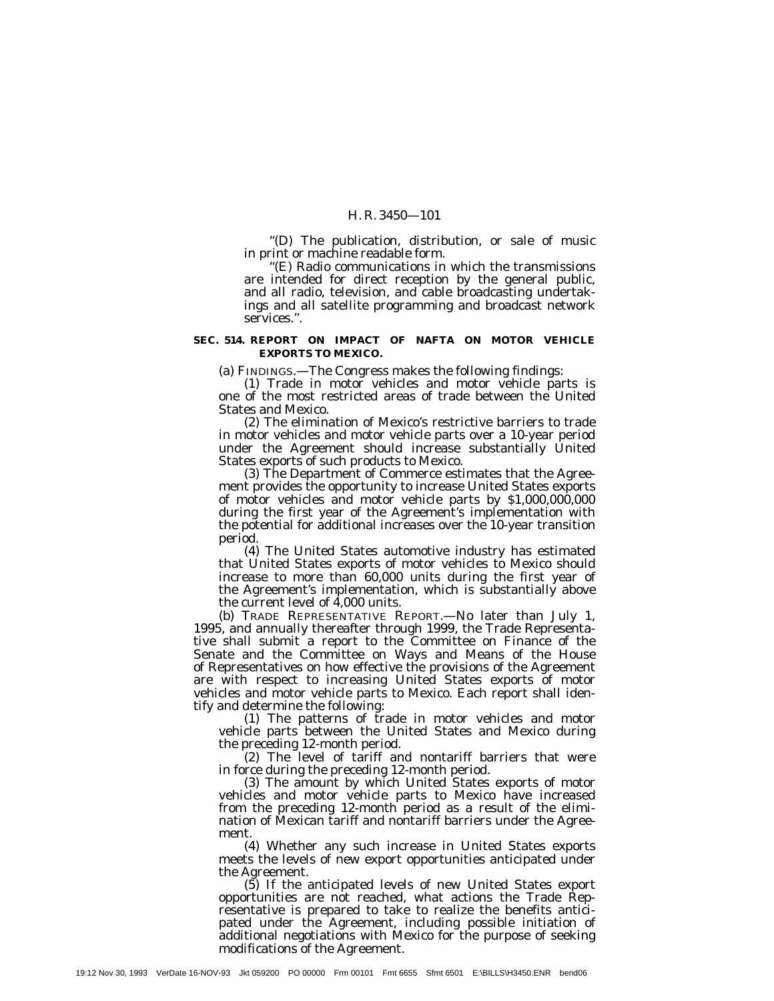''(D) The publication, distribution, or sale of music in print or machine readable form.

''(E) Radio communications in which the transmissions are intended for direct reception by the general public, and all radio, television, and cable broadcasting undertakings and all satellite programming and broadcast network services.''.

### **SEC. 514. REPORT ON IMPACT OF NAFTA ON MOTOR VEHICLE EXPORTS TO MEXICO.**

(a) FINDINGS.—The Congress makes the following findings:

(1) Trade in motor vehicles and motor vehicle parts is one of the most restricted areas of trade between the United States and Mexico.

(2) The elimination of Mexico's restrictive barriers to trade in motor vehicles and motor vehicle parts over a 10-year period under the Agreement should increase substantially United States exports of such products to Mexico.

(3) The Department of Commerce estimates that the Agreement provides the opportunity to increase United States exports of motor vehicles and motor vehicle parts by \$1,000,000,000 during the first year of the Agreement's implementation with the potential for additional increases over the 10-year transition period.

(4) The United States automotive industry has estimated that United States exports of motor vehicles to Mexico should increase to more than 60,000 units during the first year of the Agreement's implementation, which is substantially above the current level of 4,000 units.

(b) TRADE REPRESENTATIVE REPORT.—No later than July 1, 1995, and annually thereafter through 1999, the Trade Representative shall submit a report to the Committee on Finance of the Senate and the Committee on Ways and Means of the House of Representatives on how effective the provisions of the Agreement are with respect to increasing United States exports of motor vehicles and motor vehicle parts to Mexico. Each report shall identify and determine the following:

(1) The patterns of trade in motor vehicles and motor vehicle parts between the United States and Mexico during the preceding 12-month period.

(2) The level of tariff and nontariff barriers that were in force during the preceding 12-month period.

(3) The amount by which United States exports of motor vehicles and motor vehicle parts to Mexico have increased from the preceding 12-month period as a result of the elimination of Mexican tariff and nontariff barriers under the Agreement.

(4) Whether any such increase in United States exports meets the levels of new export opportunities anticipated under the Agreement.

(5) If the anticipated levels of new United States export opportunities are not reached, what actions the Trade Representative is prepared to take to realize the benefits anticipated under the Agreement, including possible initiation of additional negotiations with Mexico for the purpose of seeking modifications of the Agreement.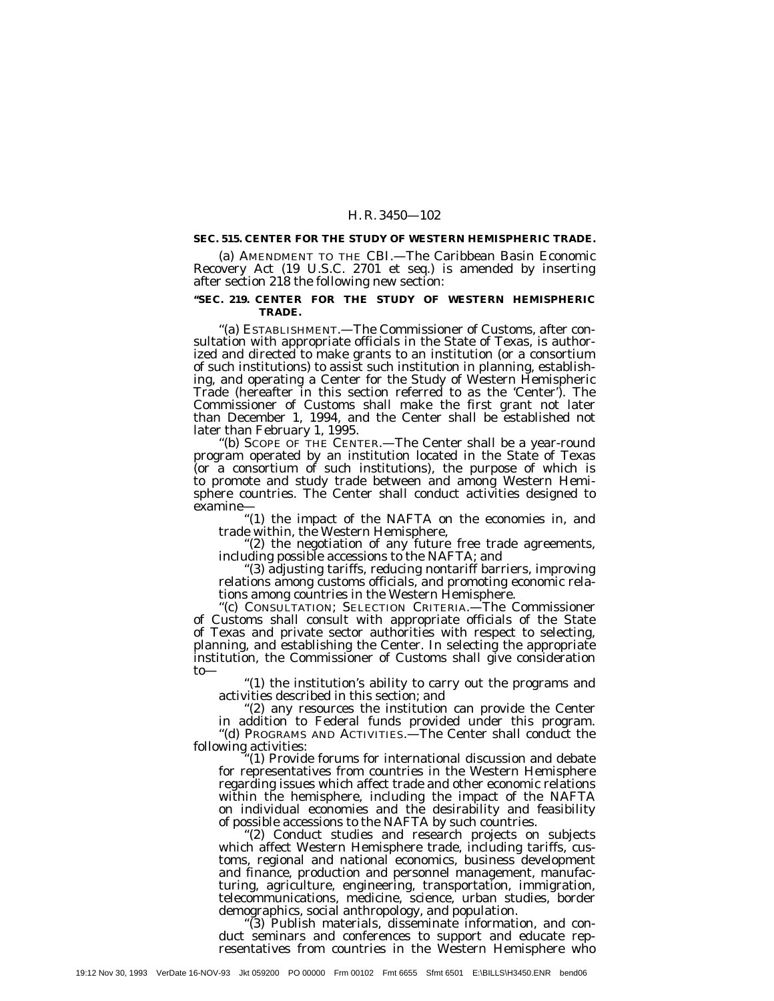#### **SEC. 515. CENTER FOR THE STUDY OF WESTERN HEMISPHERIC TRADE.**

(a) AMENDMENT TO THE CBI.—The Caribbean Basin Economic Recovery Act (19 U.S.C. 2701 et seq.) is amended by inserting after section 218 the following new section:

#### **''SEC. 219. CENTER FOR THE STUDY OF WESTERN HEMISPHERIC TRADE.**

''(a) ESTABLISHMENT.—The Commissioner of Customs, after consultation with appropriate officials in the State of Texas, is authorized and directed to make grants to an institution (or a consortium of such institutions) to assist such institution in planning, establishing, and operating a Center for the Study of Western Hemispheric Trade (hereafter in this section referred to as the 'Center'). The Commissioner of Customs shall make the first grant not later than December 1, 1994, and the Center shall be established not later than February 1, 1995.

''(b) SCOPE OF THE CENTER.—The Center shall be a year-round program operated by an institution located in the State of Texas (or a consortium of such institutions), the purpose of which is to promote and study trade between and among Western Hemisphere countries. The Center shall conduct activities designed to examine—

"(1) the impact of the NAFTA on the economies in, and trade within, the Western Hemisphere,

"(2) the negotiation of any future free trade agreements, including possible accessions to the NAFTA; and

''(3) adjusting tariffs, reducing nontariff barriers, improving relations among customs officials, and promoting economic relations among countries in the Western Hemisphere.

''(c) CONSULTATION; SELECTION CRITERIA.—The Commissioner of Customs shall consult with appropriate officials of the State of Texas and private sector authorities with respect to selecting, planning, and establishing the Center. In selecting the appropriate institution, the Commissioner of Customs shall give consideration to—

''(1) the institution's ability to carry out the programs and activities described in this section; and

"(2) any resources the institution can provide the Center in addition to Federal funds provided under this program. ''(d) PROGRAMS AND ACTIVITIES.—The Center shall conduct the

following activities:<br>"(1) Provide forums for international discussion and debate for representatives from countries in the Western Hemisphere regarding issues which affect trade and other economic relations within the hemisphere, including the impact of the NAFTA on individual economies and the desirability and feasibility of possible accessions to the NAFTA by such countries.

"(2) Conduct studies and research projects on subjects which affect Western Hemisphere trade, including tariffs, customs, regional and national economics, business development and finance, production and personnel management, manufacturing, agriculture, engineering, transportation, immigration, telecommunications, medicine, science, urban studies, border demographics, social anthropology, and population.

''(3) Publish materials, disseminate information, and conduct seminars and conferences to support and educate representatives from countries in the Western Hemisphere who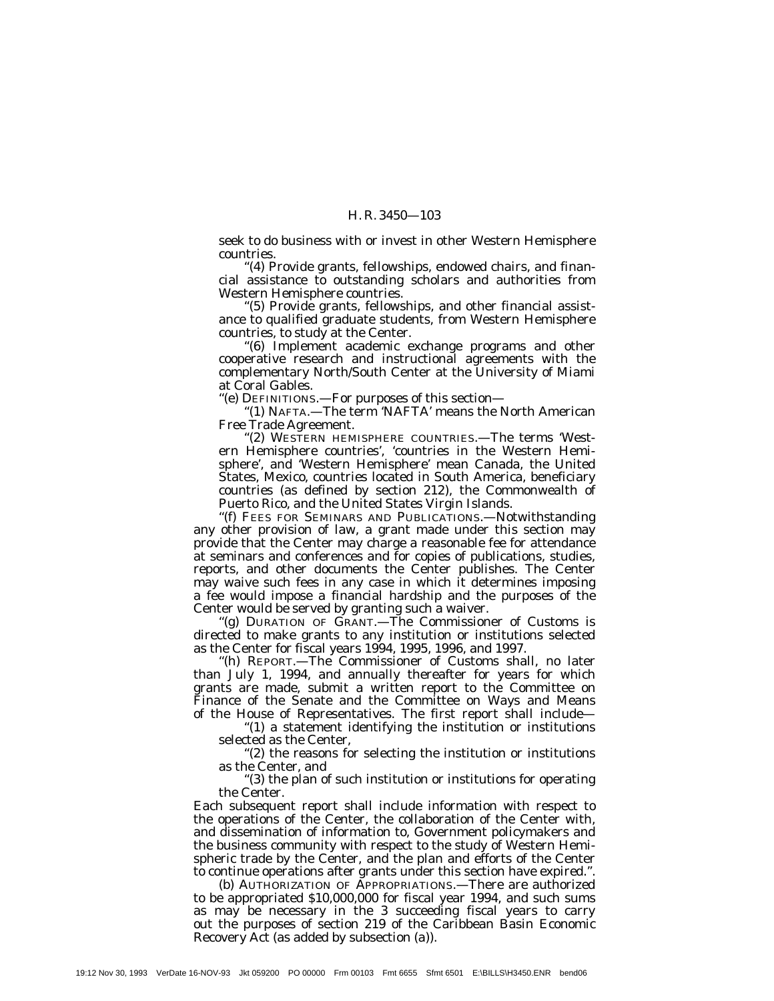seek to do business with or invest in other Western Hemisphere countries.

''(4) Provide grants, fellowships, endowed chairs, and financial assistance to outstanding scholars and authorities from Western Hemisphere countries.

''(5) Provide grants, fellowships, and other financial assistance to qualified graduate students, from Western Hemisphere countries, to study at the Center.

''(6) Implement academic exchange programs and other cooperative research and instructional agreements with the complementary North/South Center at the University of Miami at Coral Gables.

''(e) DEFINITIONS.—For purposes of this section—

''(1) NAFTA.—The term 'NAFTA' means the North American Free Trade Agreement.

''(2) WESTERN HEMISPHERE COUNTRIES.—The terms 'Western Hemisphere countries', 'countries in the Western Hemisphere', and 'Western Hemisphere' mean Canada, the United States, Mexico, countries located in South America, beneficiary countries (as defined by section 212), the Commonwealth of Puerto Rico, and the United States Virgin Islands.

''(f) FEES FOR SEMINARS AND PUBLICATIONS.—Notwithstanding any other provision of law, a grant made under this section may provide that the Center may charge a reasonable fee for attendance at seminars and conferences and for copies of publications, studies, reports, and other documents the Center publishes. The Center may waive such fees in any case in which it determines imposing a fee would impose a financial hardship and the purposes of the Center would be served by granting such a waiver.

'(g) DURATION OF GRANT.—The Commissioner of Customs is directed to make grants to any institution or institutions selected as the Center for fiscal years 1994, 1995, 1996, and 1997.

'(h) REPORT.—The Commissioner of Customs shall, no later than July 1, 1994, and annually thereafter for years for which grants are made, submit a written report to the Committee on Finance of the Senate and the Committee on Ways and Means of the House of Representatives. The first report shall include—

''(1) a statement identifying the institution or institutions selected as the Center,

"(2) the reasons for selecting the institution or institutions as the Center, and

''(3) the plan of such institution or institutions for operating the Center.

Each subsequent report shall include information with respect to the operations of the Center, the collaboration of the Center with, and dissemination of information to, Government policymakers and the business community with respect to the study of Western Hemispheric trade by the Center, and the plan and efforts of the Center to continue operations after grants under this section have expired.''.

(b) AUTHORIZATION OF APPROPRIATIONS.—There are authorized to be appropriated \$10,000,000 for fiscal year 1994, and such sums as may be necessary in the 3 succeeding fiscal years to carry out the purposes of section 219 of the Caribbean Basin Economic Recovery Act (as added by subsection (a)).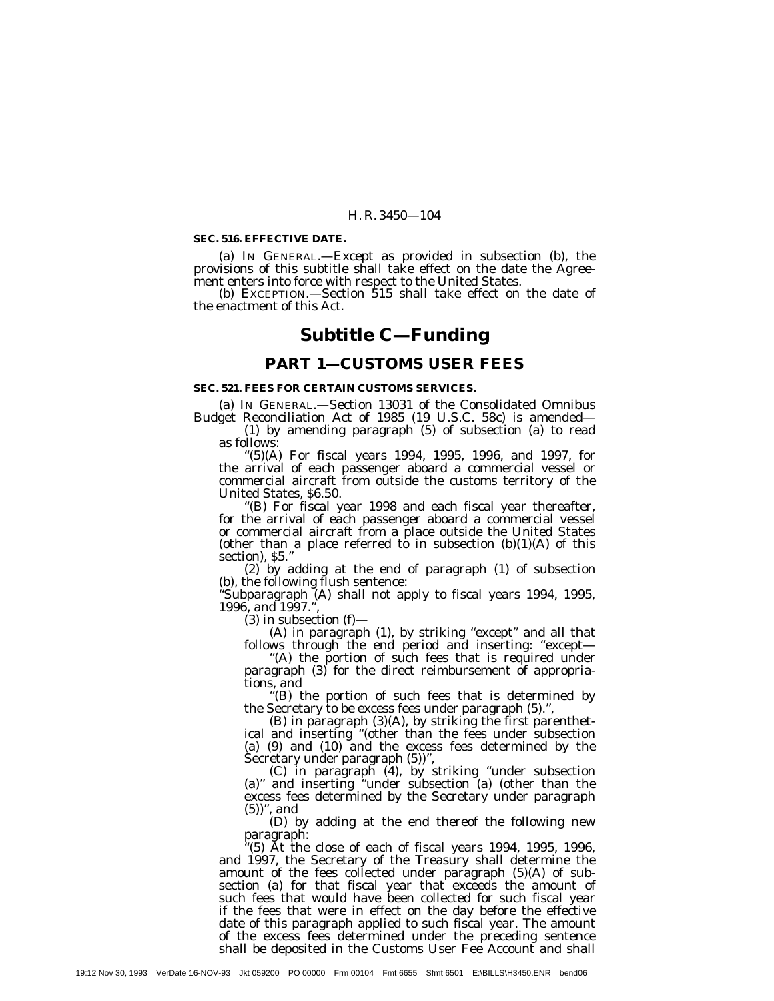#### **SEC. 516. EFFECTIVE DATE.**

(a) IN GENERAL.—Except as provided in subsection (b), the provisions of this subtitle shall take effect on the date the Agreement enters into force with respect to the United States.

(b) EXCEPTION.—Section 515 shall take effect on the date of the enactment of this Act.

## **Subtitle C—Funding**

## **PART 1—CUSTOMS USER FEES**

#### **SEC. 521. FEES FOR CERTAIN CUSTOMS SERVICES.**

(a) IN GENERAL.—Section 13031 of the Consolidated Omnibus Budget Reconciliation Act of 1985 (19 U.S.C. 58c) is amended—

(1) by amending paragraph (5) of subsection (a) to read as follows:

''(5)(A) For fiscal years 1994, 1995, 1996, and 1997, for the arrival of each passenger aboard a commercial vessel or commercial aircraft from outside the customs territory of the United States, \$6.50.

''(B) For fiscal year 1998 and each fiscal year thereafter, for the arrival of each passenger aboard a commercial vessel or commercial aircraft from a place outside the United States (other than a place referred to in subsection  $(b)(1)(A)$  of this section), \$5.'

(2) by adding at the end of paragraph (1) of subsection (b), the following flush sentence:

''Subparagraph (A) shall not apply to fiscal years 1994, 1995, 1996, and 1997.'',

 $(3)$  in subsection  $(f)$ —

(A) in paragraph (1), by striking ''except'' and all that follows through the end period and inserting: ''except— ''(A) the portion of such fees that is required under

"(A) the portion of such fees that is required under paragraph (3) for the direct reimbursement of appropriations, and<br>"(B) the portion of such fees that is determined by

the Secretary to be excess fees under paragraph (5).",<br>
(B) in paragraph (3)(A), by striking the first parenthet-<br>
ical and inserting "(other than the fees under subsection (a) (9) and (10) and the excess fees determined by the Secretary under paragraph  $(5)$ ".

Secretary under paragraph (5))",<br>(C) in paragraph (4), by striking "under subsection<br>(a)" and inserting "under subsection (a) (other than the excess fees determined by the Secretary under paragraph (5))'', and

(D) by adding at the end thereof the following new paragraph:

 $(5)$  At the close of each of fiscal years 1994, 1995, 1996, and 1997, the Secretary of the Treasury shall determine the amount of the fees collected under paragraph (5)(A) of subsection (a) for that fiscal year that exceeds the amount of such fees that would have been collected for such fiscal year if the fees that were in effect on the day before the effective date of this paragraph applied to such fiscal year. The amount of the excess fees determined under the preceding sentence shall be deposited in the Customs User Fee Account and shall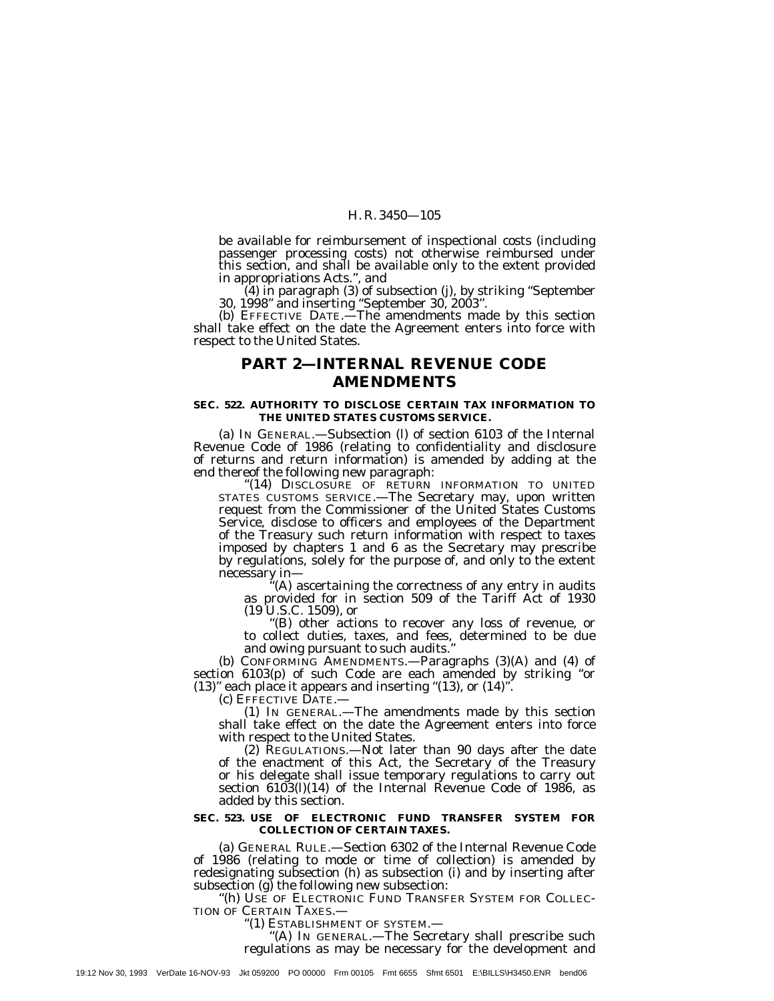be available for reimbursement of inspectional costs (including passenger processing costs) not otherwise reimbursed under this section, and shall be available only to the extent provided

in appropriations Acts.", and<br>
(4) in paragraph (3) of subsection (j), by striking "September<br>
30, 1998" and inserting "September 30, 2003".<br>
(b) EFFECTIVE DATE.—The amendments made by this section

shall take effect on the date the Agreement enters into force with respect to the United States.

## **PART 2—INTERNAL REVENUE CODE AMENDMENTS**

### **SEC. 522. AUTHORITY TO DISCLOSE CERTAIN TAX INFORMATION TO THE UNITED STATES CUSTOMS SERVICE.**

(a) IN GENERAL.—Subsection (l) of section 6103 of the Internal Revenue Code of 1986 (relating to confidentiality and disclosure of returns and return information) is amended by adding at the end thereof the following new paragraph:<br>"(14) DISCLOSURE OF RETURN INFORMATION TO UNITED

STATES CUSTOMS SERVICE.—The Secretary may, upon written request from the Commissioner of the United States Customs Service, disclose to officers and employees of the Department of the Treasury such return information with respect to taxes imposed by chapters 1 and 6 as the Secretary may prescribe by regulations, solely for the purpose of, and only to the extent necessary in—

 $f(A)$  ascertaining the correctness of any entry in audits as provided for in section 509 of the Tariff Act of 1930 (19 U.S.C. 1509), or

''(B) other actions to recover any loss of revenue, or to collect duties, taxes, and fees, determined to be due and owing pursuant to such audits.''

(b) CONFORMING AMENDMENTS.—Paragraphs (3)(A) and (4) of section 6103(p) of such Code are each amended by striking ''or (13)" each place it appears and inserting "(13), or (14)".

(c) EFFECTIVE DATE.— (1) IN GENERAL.—The amendments made by this section shall take effect on the date the Agreement enters into force with respect to the United States.

(2) REGULATIONS.—Not later than 90 days after the date of the enactment of this Act, the Secretary of the Treasury or his delegate shall issue temporary regulations to carry out section 6103(l)(14) of the Internal Revenue Code of 1986, as added by this section.

#### **SEC. 523. USE OF ELECTRONIC FUND TRANSFER SYSTEM FOR COLLECTION OF CERTAIN TAXES.**

(a) GENERAL RULE.—Section 6302 of the Internal Revenue Code of 1986 (relating to mode or time of collection) is amended by redesignating subsection (h) as subsection (i) and by inserting after subsection (g) the following new subsection:<br>"(h) USE OF ELECTRONIC FUND TRANSFER SYSTEM FOR COLLEC-

TION OF CERTAIN TAXES.—

''(1) ESTABLISHMENT OF SYSTEM.—

''(A) IN GENERAL.—The Secretary shall prescribe such regulations as may be necessary for the development and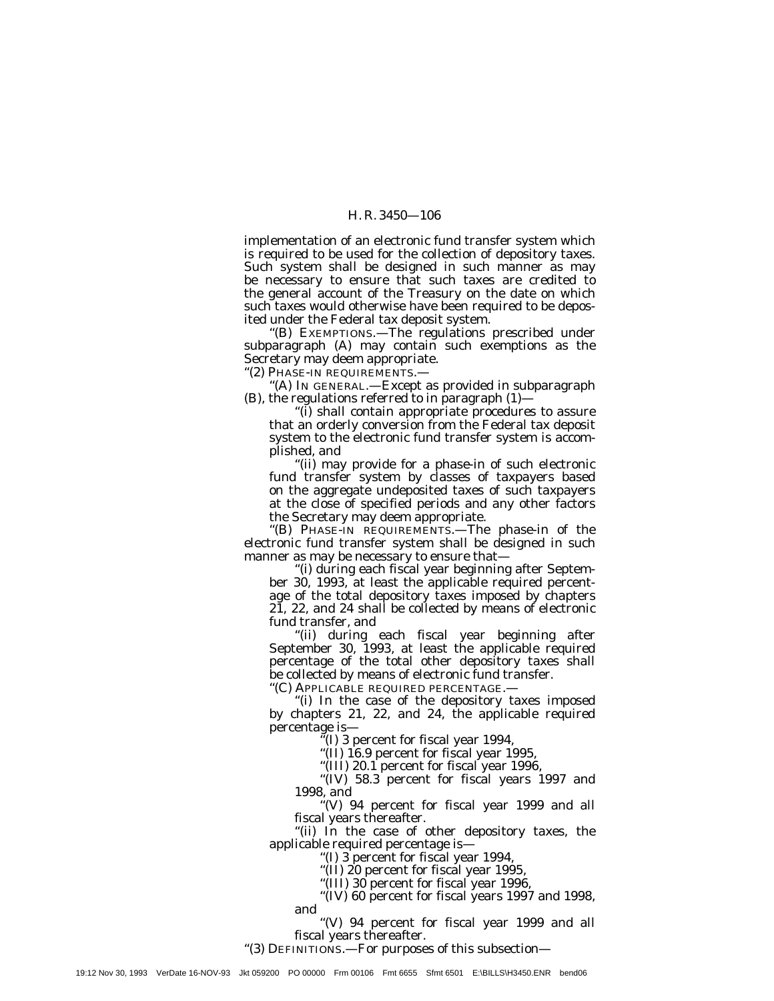implementation of an electronic fund transfer system which is required to be used for the collection of depository taxes. Such system shall be designed in such manner as may be necessary to ensure that such taxes are credited to the general account of the Treasury on the date on which such taxes would otherwise have been required to be deposited under the Federal tax deposit system.

'(B) EXEMPTIONS.-The regulations prescribed under subparagraph (A) may contain such exemptions as the Secretary may deem appropriate.

''(2) PHASE-IN REQUIREMENTS.—

''(A) IN GENERAL.—Except as provided in subparagraph  $(B)$ , the regulations referred to in paragraph  $(1)$ –

''(i) shall contain appropriate procedures to assure that an orderly conversion from the Federal tax deposit system to the electronic fund transfer system is accomplished, and

''(ii) may provide for a phase-in of such electronic fund transfer system by classes of taxpayers based on the aggregate undeposited taxes of such taxpayers at the close of specified periods and any other factors the Secretary may deem appropriate.

''(B) PHASE-IN REQUIREMENTS.—The phase-in of the electronic fund transfer system shall be designed in such manner as may be necessary to ensure that—

''(i) during each fiscal year beginning after September 30, 1993, at least the applicable required percentage of the total depository taxes imposed by chapters 21, 22, and 24 shall be collected by means of electronic fund transfer, and

''(ii) during each fiscal year beginning after September 30, 1993, at least the applicable required percentage of the total other depository taxes shall be collected by means of electronic fund transfer.

''(C) APPLICABLE REQUIRED PERCENTAGE.—

'(i) In the case of the depository taxes imposed by chapters 21, 22, and 24, the applicable required percentage is—

''(I) 3 percent for fiscal year 1994,

''(II) 16.9 percent for fiscal year 1995,

''(III) 20.1 percent for fiscal year 1996,

''(IV) 58.3 percent for fiscal years 1997 and 1998, and

 $(v)$  94 percent for fiscal year 1999 and all fiscal years thereafter.

"(ii) In the case of other depository taxes, the applicable required percentage is—

''(I) 3 percent for fiscal year 1994,

''(II) 20 percent for fiscal year 1995,

''(III) 30 percent for fiscal year 1996,

''(IV) 60 percent for fiscal years 1997 and 1998, and

''(V) 94 percent for fiscal year 1999 and all fiscal years thereafter.

''(3) DEFINITIONS.—For purposes of this subsection—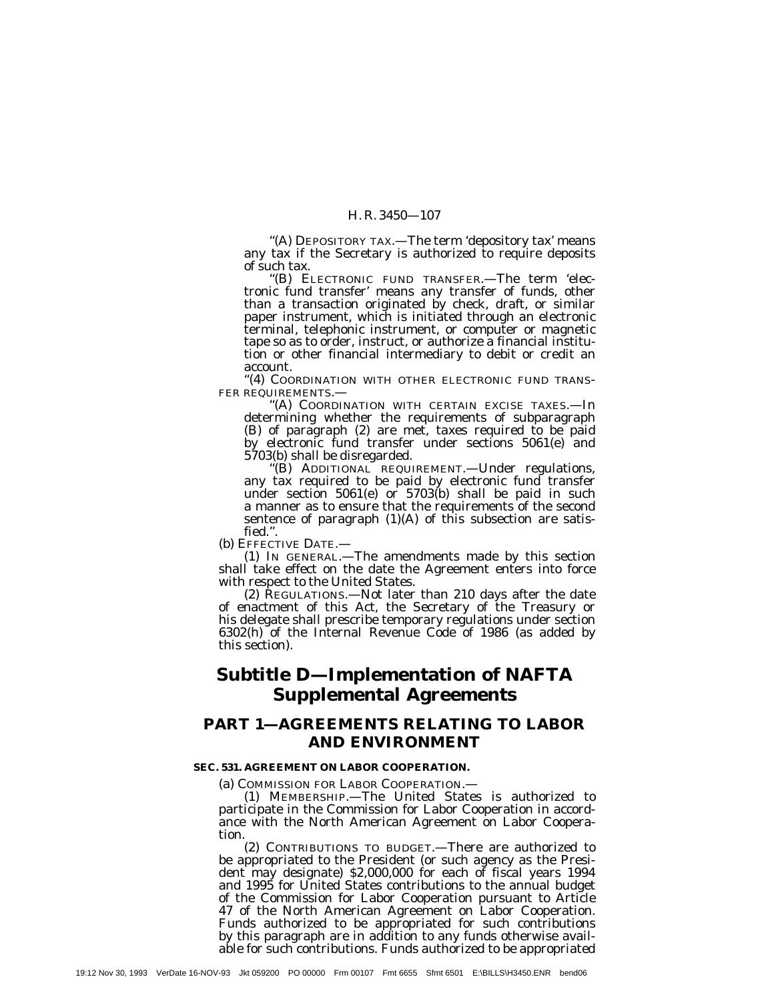''(A) DEPOSITORY TAX.—The term 'depository tax' means any tax if the Secretary is authorized to require deposits of such tax.

''(B) ELECTRONIC FUND TRANSFER.—The term 'electronic fund transfer' means any transfer of funds, other than a transaction originated by check, draft, or similar paper instrument, which is initiated through an electronic terminal, telephonic instrument, or computer or magnetic tape so as to order, instruct, or authorize a financial institution or other financial intermediary to debit or credit an account.

"(4) COORDINATION WITH OTHER ELECTRONIC FUND TRANS-FER REQUIREMENTS.—

'(A) COORDINATION WITH CERTAIN EXCISE TAXES.-In determining whether the requirements of subparagraph (B) of paragraph (2) are met, taxes required to be paid by electronic fund transfer under sections 5061(e) and 5703(b) shall be disregarded.

''(B) ADDITIONAL REQUIREMENT.—Under regulations, any tax required to be paid by electronic fund transfer under section 5061(e) or 5703(b) shall be paid in such a manner as to ensure that the requirements of the second sentence of paragraph  $(1)(A)$  of this subsection are satisfied.''.

(b) EFFECTIVE DATE.—

(1) IN GENERAL.—The amendments made by this section shall take effect on the date the Agreement enters into force with respect to the United States.

(2) REGULATIONS.—Not later than 210 days after the date of enactment of this Act, the Secretary of the Treasury or his delegate shall prescribe temporary regulations under section 6302(h) of the Internal Revenue Code of 1986 (as added by this section).

## **Subtitle D—Implementation of NAFTA Supplemental Agreements**

## **PART 1—AGREEMENTS RELATING TO LABOR AND ENVIRONMENT**

#### **SEC. 531. AGREEMENT ON LABOR COOPERATION.**

(a) COMMISSION FOR LABOR COOPERATION.—

(1) MEMBERSHIP.—The United States is authorized to participate in the Commission for Labor Cooperation in accordance with the North American Agreement on Labor Cooperation.

(2) CONTRIBUTIONS TO BUDGET.—There are authorized to be appropriated to the President (or such agency as the President may designate) \$2,000,000 for each of fiscal years 1994 and 1995 for United States contributions to the annual budget of the Commission for Labor Cooperation pursuant to Article 47 of the North American Agreement on Labor Cooperation. Funds authorized to be appropriated for such contributions by this paragraph are in addition to any funds otherwise available for such contributions. Funds authorized to be appropriated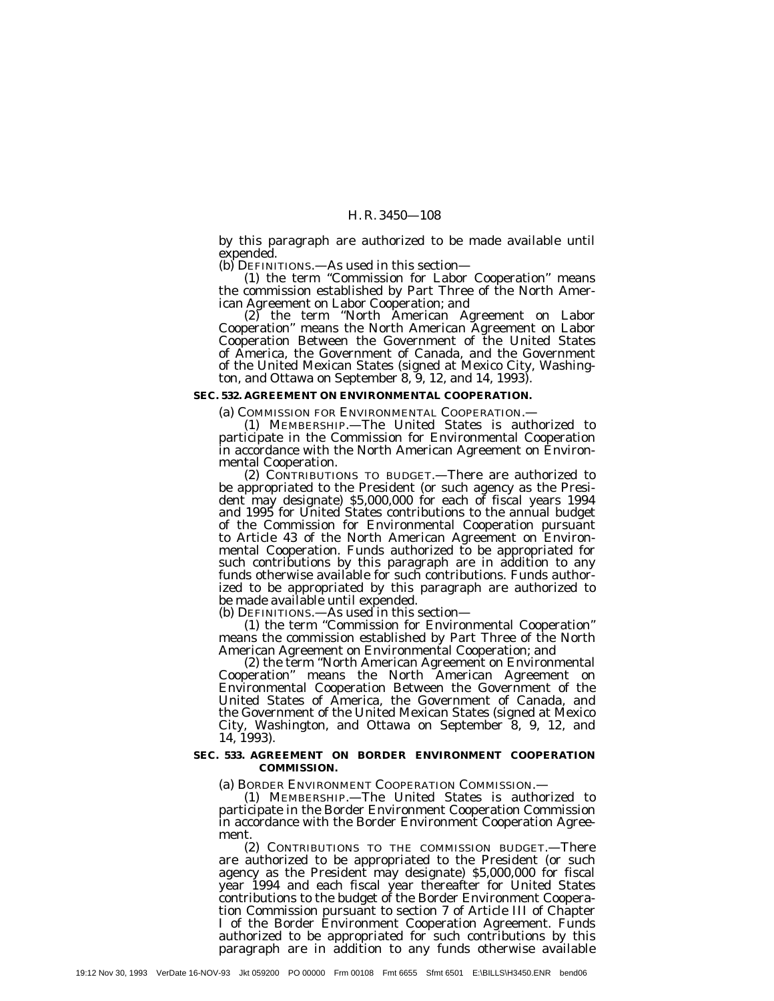by this paragraph are authorized to be made available until expended.

(b) DEFINITIONS.—As used in this section—

(1) the term ''Commission for Labor Cooperation'' means the commission established by Part Three of the North Amer-

ican Agreement on Labor Cooperation; and (2) the term ''North American Agreement on Labor Cooperation'' means the North American Agreement on Labor Cooperation Between the Government of the United States of America, the Government of Canada, and the Government of the United Mexican States (signed at Mexico City, Washington, and Ottawa on September 8, 9, 12, and 14, 1993).

#### **SEC. 532. AGREEMENT ON ENVIRONMENTAL COOPERATION.**

(a) COMMISSION FOR ENVIRONMENTAL COOPERATION.— (1) MEMBERSHIP.—The United States is authorized to participate in the Commission for Environmental Cooperation in accordance with the North American Agreement on Environmental Cooperation.<br>
(2) CONTRIBUTIONS TO BUDGET.—There are authorized to

be appropriated to the President (or such agency as the President may designate) \$5,000,000 for each of fiscal years 1994 and 1995 for United States contributions to the annual budget of the Commission for Environmental Cooperation pursuant to Article 43 of the North American Agreement on Environmental Cooperation. Funds authorized to be appropriated for such contributions by this paragraph are in addition to any funds otherwise available for such contributions. Funds authorized to be appropriated by this paragraph are authorized to be made available until expended.

(b) DEFINITIONS.—As used in this section—

(1) the term ''Commission for Environmental Cooperation'' means the commission established by Part Three of the North

American Agreement on Environmental Cooperation; and (2) the term ''North American Agreement on Environmental Cooperation'' means the North American Agreement on Environmental Cooperation Between the Government of the United States of America, the Government of Canada, and the Government of the United Mexican States (signed at Mexico City, Washington, and Ottawa on September 8, 9, 12, and 14, 1993).

#### **SEC. 533. AGREEMENT ON BORDER ENVIRONMENT COOPERATION COMMISSION.**

(a) BORDER ENVIRONMENT COOPERATION COMMISSION.— (1) MEMBERSHIP.—The United States is authorized to participate in the Border Environment Cooperation Commission in accordance with the Border Environment Cooperation Agreement.

(2) CONTRIBUTIONS TO THE COMMISSION BUDGET.—There are authorized to be appropriated to the President (or such agency as the President may designate) \$5,000,000 for fiscal year 1994 and each fiscal year thereafter for United States contributions to the budget of the Border Environment Cooperation Commission pursuant to section 7 of Article III of Chapter I of the Border Environment Cooperation Agreement. Funds authorized to be appropriated for such contributions by this paragraph are in addition to any funds otherwise available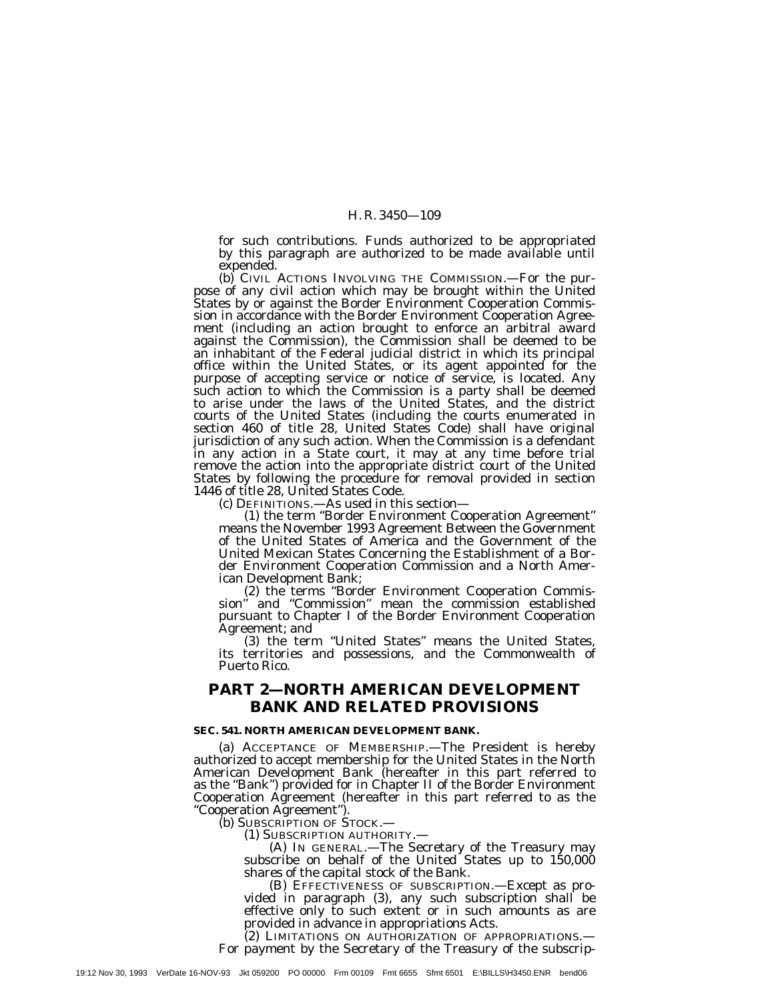for such contributions. Funds authorized to be appropriated by this paragraph are authorized to be made available until

expended.<br>(b) CIVIL ACTIONS INVOLVING THE COMMISSION.—For the purpose of any civil action which may be brought within the United States by or against the Border Environment Cooperation Commission in accordance with the Border Environment Cooperation Agreement (including an action brought to enforce an arbitral award against the Commission), the Commission shall be deemed to be an inhabitant of the Federal judicial district in which its principal office within the United States, or its agent appointed for the purpose of accepting service or notice of service, is located. Any such action to which the Commission is a party shall be deemed to arise under the laws of the United States, and the district courts of the United States (including the courts enumerated in section 460 of title 28, United States Code) shall have original jurisdiction of any such action. When the Commission is a defendant in any action in a State court, it may at any time before trial remove the action into the appropriate district court of the United States by following the procedure for removal provided in section 1446 of title 28, United States Code.

(c) DEFINITIONS.—As used in this section means the November 1993 Agreement Between the Government of the United States of America and the Government of the United Mexican States Concerning the Establishment of a Border Environment Cooperation Commission and a North Amer-

ican Development Bank; (2) the terms ''Border Environment Cooperation Commis- sion'' and ''Commission'' mean the commission established pursuant to Chapter I of the Border Environment Cooperation Agreement; and (3) the term ''United States'' means the United States,

its territories and possessions, and the Commonwealth of Puerto Rico.

# **PART 2—NORTH AMERICAN DEVELOPMENT BANK AND RELATED PROVISIONS**

### **SEC. 541. NORTH AMERICAN DEVELOPMENT BANK.**

(a) ACCEPTANCE OF MEMBERSHIP.—The President is hereby authorized to accept membership for the United States in the North American Development Bank (hereafter in this part referred to as the ''Bank'') provided for in Chapter II of the Border Environment Cooperation Agreement (hereafter in this part referred to as the

(b) SUBSCRIPTION OF STOCK.—<br>
(1) SUBSCRIPTION AUTHORITY.—<br>
(A) IN GENERAL.—The Secretary of the Treasury may<br>
subscribe on behalf of the United States up to 150,000 shares of the capital stock of the Bank.

(B) EFFECTIVENESS OF SUBSCRIPTION.—Except as provided in paragraph (3), any such subscription shall be effective only to such extent or in such amounts as are provided in advance in appropriations Acts.<br>(2) LIMITATIONS ON AUTHORIZATION OF APPROPRIATIONS.—

For payment by the Secretary of the Treasury of the subscrip-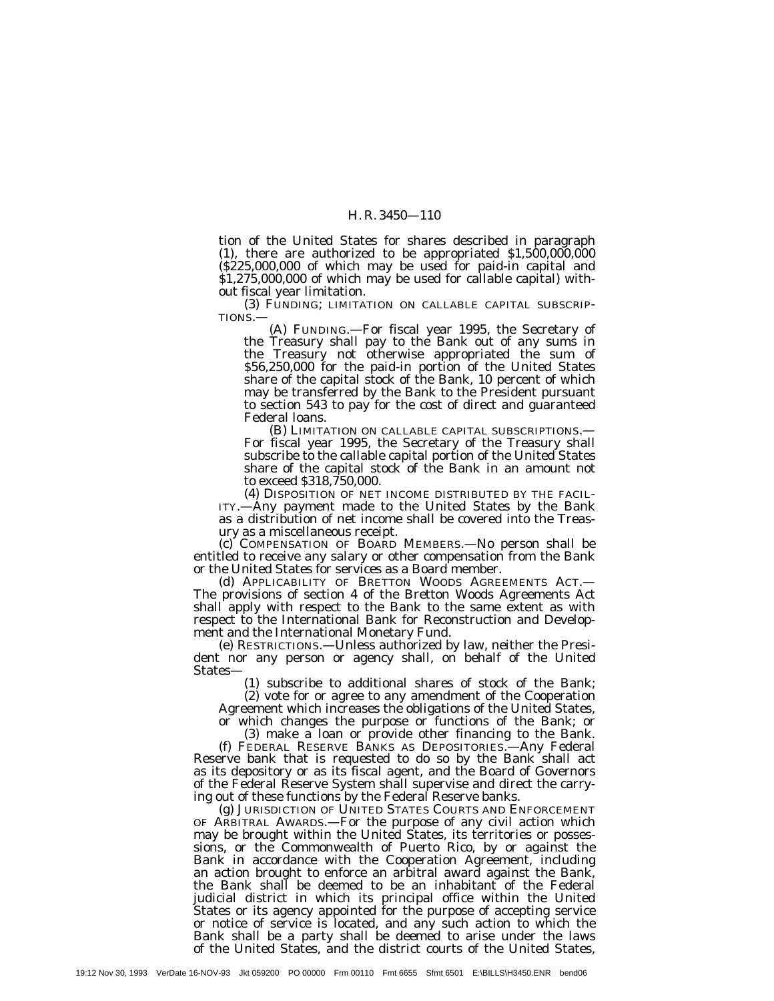tion of the United States for shares described in paragraph (1), there are authorized to be appropriated \$1,500,000,000 (\$225,000,000 of which may be used for paid-in capital and \$1,275,000,000 of which may be used for callable capital) without fiscal year limitation.

(3) FUNDING; LIMITATION ON CALLABLE CAPITAL SUBSCRIP-TIONS.—

(A) FUNDING.—For fiscal year 1995, the Secretary of the Treasury shall pay to the Bank out of any sums in the Treasury not otherwise appropriated the sum of \$56,250,000 for the paid-in portion of the United States share of the capital stock of the Bank, 10 percent of which may be transferred by the Bank to the President pursuant to section 543 to pay for the cost of direct and guaranteed Federal loans.

(B) LIMITATION ON CALLABLE CAPITAL SUBSCRIPTIONS.— For fiscal year 1995, the Secretary of the Treasury shall subscribe to the callable capital portion of the United States share of the capital stock of the Bank in an amount not to exceed \$318,750,000.

(4) DISPOSITION OF NET INCOME DISTRIBUTED BY THE FACIL-ITY.—Any payment made to the United States by the Bank as a distribution of net income shall be covered into the Treasury as a miscellaneous receipt.

(c) COMPENSATION OF BOARD MEMBERS.—No person shall be entitled to receive any salary or other compensation from the Bank

or the United States for services as a Board member.<br>(d) APPLICABILITY OF BRETTON WOODS AGREEMENTS ACT.— The provisions of section 4 of the Bretton Woods Agreements Act. shall apply with respect to the Bank to the same extent as with respect to the International Bank for Reconstruction and Develop-<br>ment and the International Monetary Fund.

ment and the International Monetary Fund. (e) RESTRICTIONS.—Unless authorized by law, neither the Presi- dent nor any person or agency shall, on behalf of the United States—

(1) subscribe to additional shares of stock of the Bank; Agreement which increases the obligations of the United States, or which changes the purpose or functions of the Bank; or

(3) make a loan or provide other financing to the Bank.<br>(f) FEDERAL RESERVE BANKS AS DEPOSITORIES.—Any Federal<br>Reserve bank that is requested to do so by the Bank shall act as its depository or as its fiscal agent, and the Board of Governors of the Federal Reserve System shall supervise and direct the carrying out of these functions by the Federal Reserve banks.

(g) JURISDICTION OF UNITED STATES COURTS AND ENFORCEMENT OF ARBITRAL AWARDS.—For the purpose of any civil action which may be brought within the United States, its territories or possessions, or the Commonwealth of Puerto Rico, by or against the Bank in accordance with the Cooperation Agreement, including an action brought to enforce an arbitral award against the Bank, the Bank shall be deemed to be an inhabitant of the Federal judicial district in which its principal office within the United States or its agency appointed for the purpose of accepting service or notice of service is located, and any such action to which the Bank shall be a party shall be deemed to arise under the laws of the United States, and the district courts of the United States,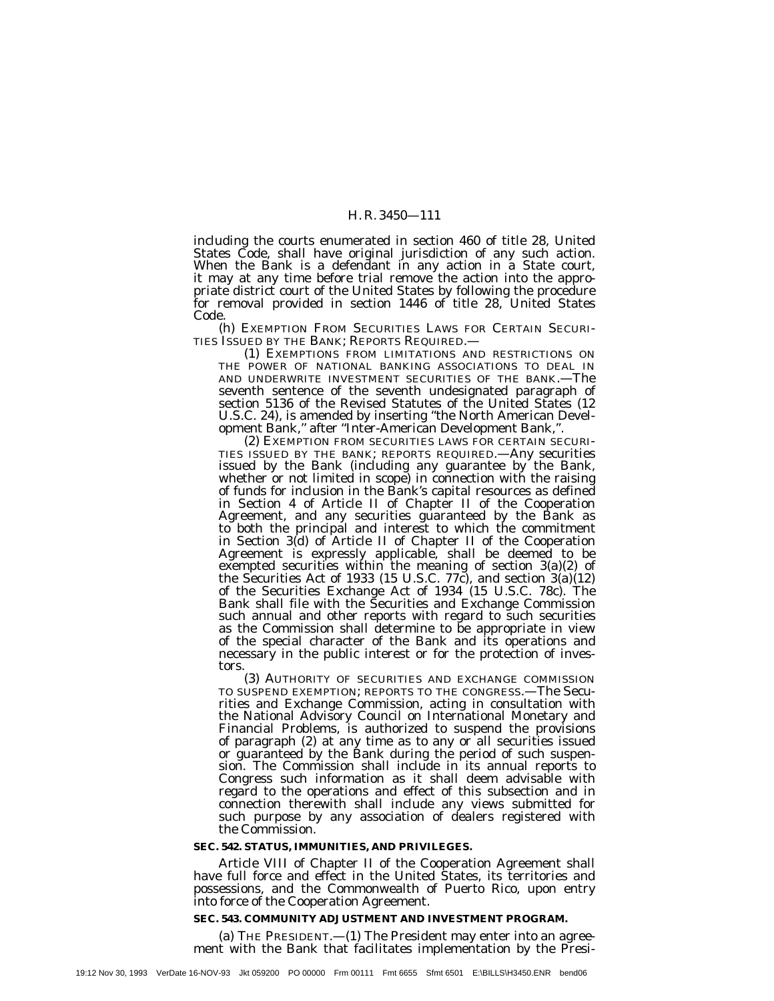including the courts enumerated in section 460 of title 28, United States Code, shall have original jurisdiction of any such action. When the Bank is a defendant in any action in a State court, it may at any time before trial remove the action into the appropriate district court of the United States by following the procedure for removal provided in section 1446 of title 28, United States Code.

(h) EXEMPTION FROM SECURITIES LAWS FOR CERTAIN SECURITIES ISSUED BY THE BANK; REPORTS REQUIRED.—

(1) EXEMPTIONS FROM LIMITATIONS AND RESTRICTIONS ON THE POWER OF NATIONAL BANKING ASSOCIATIONS TO DEAL IN AND UNDERWRITE INVESTMENT SECURITIES OF THE BANK.—The seventh sentence of the seventh undesignated paragraph of section 5136 of the Revised Statutes of the United States (12 U.S.C. 24), is amended by inserting ''the North American Devel-

opment Bank," after "Inter-American Development Bank,".<br>(2) EXEMPTION FROM SECURITIES LAWS FOR CERTAIN SECURITIES ISSUED BY THE BANK; REPORTS REQUIRED.—Any securities TIES ISSUED BY THE BANK; REPORTS REQUIRED.—Any securities issued by the Bank (including any guarantee by the Bank, whether or not limited in scope) in connection with the raising of funds for inclusion in the Bank's capital resources as defined in Section 4 of Article II of Chapter II of the Cooperation Agreement, and any securities guaranteed by the Bank as to both the principal and interest to which the commitment in Section 3(d) of Article II of Chapter II of the Cooperation Agreement is expressly applicable, shall be deemed to be exempted securities within the meaning of section 3(a)(2) of the Securities Act of 1933 (15 U.S.C. 77c), and section 3(a)(12) of the Securities Exchange Act of 1934 (15 U.S.C. 78c). The Bank shall file with the Securities and Exchange Commission such annual and other reports with regard to such securities as the Commission shall determine to be appropriate in view of the special character of the Bank and its operations and necessary in the public interest or for the protection of investors.

(3) AUTHORITY OF SECURITIES AND EXCHANGE COMMISSION TO SUSPEND EXEMPTION; REPORTS TO THE CONGRESS.—The Securities and Exchange Commission, acting in consultation with the National Advisory Council on International Monetary and Financial Problems, is authorized to suspend the provisions of paragraph (2) at any time as to any or all securities issued or guaranteed by the Bank during the period of such suspension. The Commission shall include in its annual reports to Congress such information as it shall deem advisable with regard to the operations and effect of this subsection and in connection therewith shall include any views submitted for such purpose by any association of dealers registered with the Commission.

#### **SEC. 542. STATUS, IMMUNITIES, AND PRIVILEGES.**

Article VIII of Chapter II of the Cooperation Agreement shall have full force and effect in the United States, its territories and possessions, and the Commonwealth of Puerto Rico, upon entry into force of the Cooperation Agreement.

### **SEC. 543. COMMUNITY ADJUSTMENT AND INVESTMENT PROGRAM.**

(a) THE PRESIDENT.—(1) The President may enter into an agree- ment with the Bank that facilitates implementation by the Presi-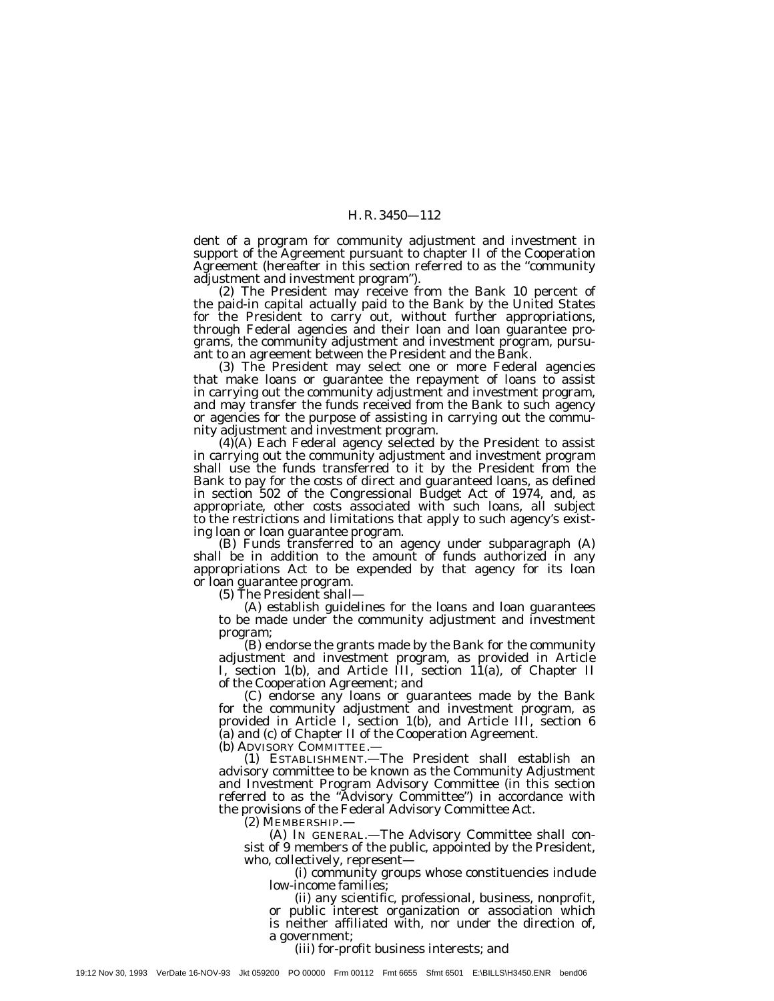dent of a program for community adjustment and investment in support of the Agreement pursuant to chapter II of the Cooperation Agreement (hereafter in this section referred to as the ''community adjustment and investment program'').

(2) The President may receive from the Bank 10 percent of the paid-in capital actually paid to the Bank by the United States for the President to carry out, without further appropriations, through Federal agencies and their loan and loan guarantee programs, the community adjustment and investment program, pursuant to an agreement between the President and the Bank.

(3) The President may select one or more Federal agencies that make loans or guarantee the repayment of loans to assist in carrying out the community adjustment and investment program, and may transfer the funds received from the Bank to such agency or agencies for the purpose of assisting in carrying out the community adjustment and investment program.

(4)(A) Each Federal agency selected by the President to assist in carrying out the community adjustment and investment program shall use the funds transferred to it by the President from the Bank to pay for the costs of direct and guaranteed loans, as defined in section 502 of the Congressional Budget Act of 1974, and, as appropriate, other costs associated with such loans, all subject to the restrictions and limitations that apply to such agency's existing loan or loan guarantee program.

(B) Funds transferred to an agency under subparagraph (A) shall be in addition to the amount of funds authorized in any appropriations Act to be expended by that agency for its loan or loan guarantee program. (5) The President shall—

(A) establish guidelines for the loans and loan guarantees to be made under the community adjustment and investment

Fig. (B) endorse the grants made by the Bank for the community adjustment and investment program, as provided in Article I, section 1(b), and Article III, section 11(a), of Chapter II

of the Cooperation Agreement; and (C) endorse any loans or guarantees made by the Bank for the community adjustment and investment program, as provided in Article I, section 1(b), and Article III, section 6 (a) and (c) of Chapter II of the Cooperation Agreement.

(b) ADVISORY COMMITTEE.— (1) ESTABLISHMENT.—The President shall establish an advisory committee to be known as the Community Adjustment and Investment Program Advisory Committee (in this section referred to as the ''Advisory Committee'') in accordance with the provisions of the Federal Advisory Committee Act.

(2) MEMBERSHIP.—

(A) IN GENERAL.—The Advisory Committee shall consist of 9 members of the public, appointed by the President, who, collectively, represent—

(i) community groups whose constituencies include low-income families;

(ii) any scientific, professional, business, nonprofit, or public interest organization or association which is neither affiliated with, nor under the direction of, a government;

(iii) for-profit business interests; and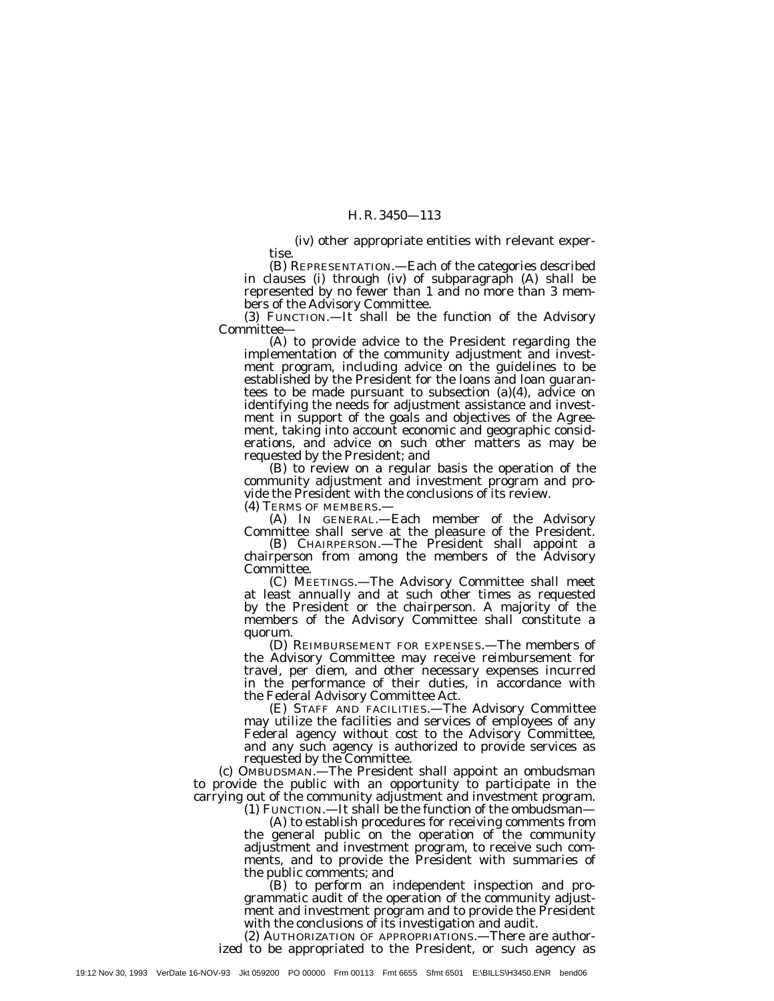(iv) other appropriate entities with relevant expertise.

(B) REPRESENTATION.—Each of the categories described in clauses (i) through (iv) of subparagraph (A) shall be represented by no fewer than 1 and no more than 3 members of the Advisory Committee.

(3) FUNCTION.—It shall be the function of the Advisory Committee—

(A) to provide advice to the President regarding the implementation of the community adjustment and investment program, including advice on the guidelines to be established by the President for the loans and loan guarantees to be made pursuant to subsection (a)(4), advice on identifying the needs for adjustment assistance and investment in support of the goals and objectives of the Agreement, taking into account economic and geographic considerations, and advice on such other matters as may be requested by the President; and

(B) to review on a regular basis the operation of the community adjustment and investment program and provide the President with the conclusions of its review.

(4) TERMS OF MEMBERS.—

(A) IN GENERAL.—Each member of the Advisory Committee shall serve at the pleasure of the President.

(B) CHAIRPERSON.—The President shall appoint a chairperson from among the members of the Advisory Committee.<br>
(C) MEETINGS.—The Advisory Committee shall meet

at least annually and at such other times as requested by the President or the chairperson. A majority of the members of the Advisory Committee shall constitute a quorum.

(D) REIMBURSEMENT FOR EXPENSES.—The members of the Advisory Committee may receive reimbursement for travel, per diem, and other necessary expenses incurred in the performance of their duties, in accordance with

the Federal Advisory Committee Act. (E) STAFF AND FACILITIES.—The Advisory Committee may utilize the facilities and services of employees of any Federal agency without cost to the Advisory Committee, and any such agency is authorized to provide services as

(c) OMBUDSMAN.—The President shall appoint an ombudsman to provide the public with an opportunity to participate in the carrying out of the community adjustment and investment program.

(1) FUNCTION.—It shall be the function of the ombudsman—

(A) to establish procedures for receiving comments from the general public on the operation of the community adjustment and investment program, to receive such comments, and to provide the President with summaries of the public comments; and

(B) to perform an independent inspection and programmatic audit of the operation of the community adjustment and investment program and to provide the President with the conclusions of its investigation and audit.

(2) AUTHORIZATION OF APPROPRIATIONS.—There are authorized to be appropriated to the President, or such agency as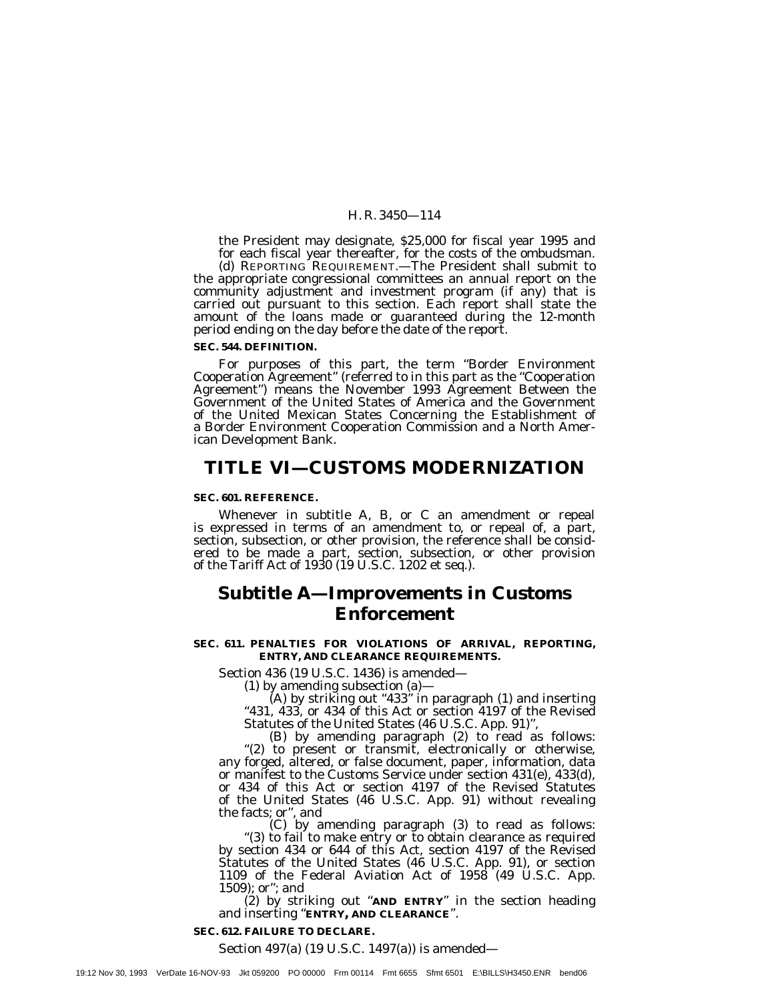the President may designate, \$25,000 for fiscal year 1995 and for each fiscal year thereafter, for the costs of the ombudsman.

(d) REPORTING REQUIREMENT.—The President shall submit to the appropriate congressional committees an annual report on the community adjustment and investment program (if any) that is carried out pursuant to this section. Each report shall state the amount of the loans made or guaranteed during the 12-month period ending on the day before the date of the report.

# **SEC. 544. DEFINITION.**

For purposes of this part, the term ''Border Environment Cooperation Agreement'' (referred to in this part as the ''Cooperation Agreement'') means the November 1993 Agreement Between the Government of the United States of America and the Government of the United Mexican States Concerning the Establishment of a Border Environment Cooperation Commission and a North American Development Bank.

# **TITLE VI—CUSTOMS MODERNIZATION**

#### **SEC. 601. REFERENCE.**

Whenever in subtitle A, B, or C an amendment or repeal is expressed in terms of an amendment to, or repeal of, a part, section, subsection, or other provision, the reference shall be considered to be made a part, section, subsection, or other provision of the Tariff Act of 1930 (19 U.S.C. 1202 et seq.).

# **Subtitle A—Improvements in Customs Enforcement**

#### **SEC. 611. PENALTIES FOR VIOLATIONS OF ARRIVAL, REPORTING, ENTRY, AND CLEARANCE REQUIREMENTS.**

Section 436 (19 U.S.C. 1436) is amended—<br>(1) by amending subsection (a)—

(A) by striking out " $433$ " in paragraph (1) and inserting " $431, 433,$  or  $434$  of this Act or section  $4197$  of the Revised Statutes of the United States (46 U.S.C. App. 91)",<br>(B) by amending paragraph (2) to read as follows:

"(2) to present or transmit, electronically or otherwise, any forged, altered, or false document, paper, information, data or manifest to the Customs Service under section 431(e), 433(d), or 434 of this Act or section 4197 of the Revised Statutes of the United States (46 U.S.C. App. 91) without revealing the facts; or'', and

(C) by amending paragraph (3) to read as follows: ''(3) to fail to make entry or to obtain clearance as required by section 434 or 644 of this Act, section 4197 of the Revised Statutes of the United States (46 U.S.C. App. 91), or section 1109 of the Federal Aviation Act of 1958 (49 U.S.C. App. 1509); or''; and

(2) by striking out ''**AND ENTRY**'' in the section heading and inserting ''**ENTRY, AND CLEARANCE**''.

# **SEC. 612. FAILURE TO DECLARE.**

Section 497(a) (19 U.S.C. 1497(a)) is amended—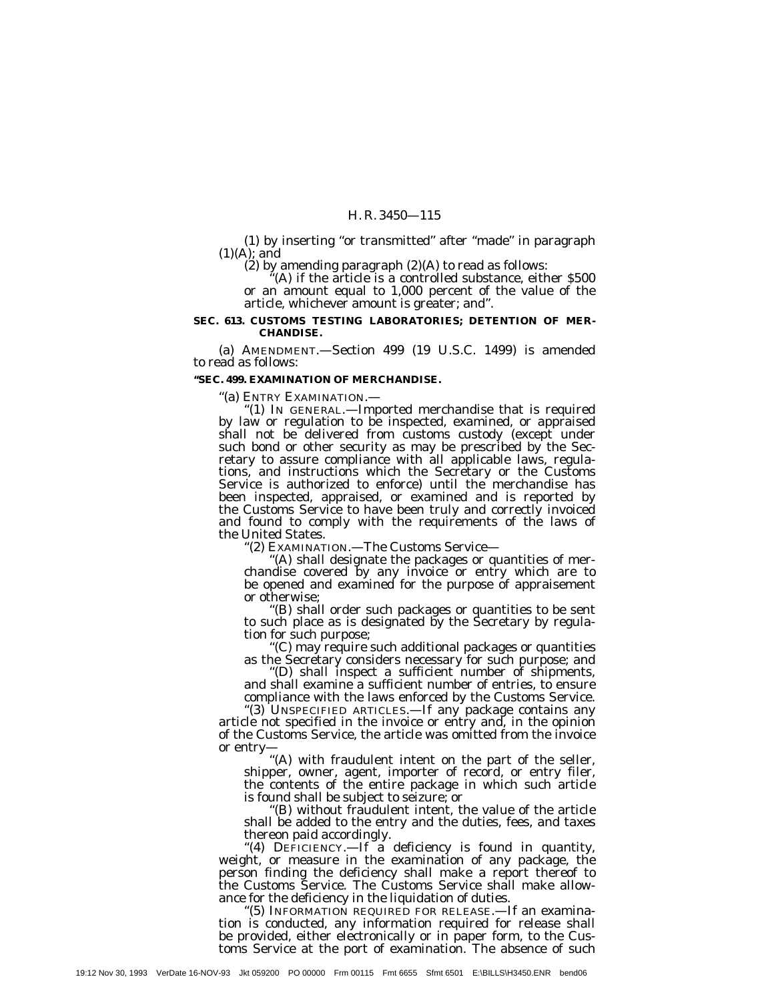(1) by inserting "or transmitted" after "made" in paragraph (1)(A); and (2) by amending paragraph (2)(A) to read as follows:

 $\dot{A}$ (A) if the article is a controlled substance, either \$500 or an amount equal to 1,000 percent of the value of the article, whichever amount is greater; and''.

#### **SEC. 613. CUSTOMS TESTING LABORATORIES; DETENTION OF MER-CHANDISE.**

(a) AMENDMENT.—Section 499 (19 U.S.C. 1499) is amended to read as follows:

#### **''SEC. 499. EXAMINATION OF MERCHANDISE.**

''(a) ENTRY EXAMINATION.— ''(1) IN GENERAL.—Imported merchandise that is required by law or regulation to be inspected, examined, or appraised shall not be delivered from customs custody (except under such bond or other security as may be prescribed by the Secretary to assure compliance with all applicable laws, regulations, and instructions which the Secretary or the Customs Service is authorized to enforce) until the merchandise has been inspected, appraised, or examined and is reported by the Customs Service to have been truly and correctly invoiced and found to comply with the requirements of the laws of the United States.

''(2) EXAMINATION.—The Customs Service— ''(A) shall designate the packages or quantities of mer- chandise covered by any invoice or entry which are to be opened and examined for the purpose of appraisement or otherwise;<br>"(B) shall order such packages or quantities to be sent

to such place as is designated by the Secretary by regulation for such purpose;

"(C) may require such additional packages or quantities<br>as the Secretary considers necessary for such purpose; and<br>"(D) shall inspect a sufficient number of shipments,<br>and shall examine a sufficient number of entries, to e

compliance with the laws enforced by the Customs Service.<br>"(3) UNSPECIFIED ARTICLES.—If any package contains any

article not specified in the invoice or entry and, in the opinion of the Customs Service, the article was omitted from the invoice

or entry—''(A) with fraudulent intent on the part of the seller, shipper, owner, agent, importer of record, or entry filer, the contents of the entire package in which such article is found shall be subject to seizure; or

'(B) without fraudulent intent, the value of the article shall be added to the entry and the duties, fees, and taxes thereon paid accordingly.<br>"(4) DEFICIENCY.—If a deficiency is found in quantity,

weight, or measure in the examination of any package, the person finding the deficiency shall make a report thereof to the Customs Service. The Customs Service shall make allow-<br>ance for the deficiency in the liquidation of duties.

"(5) INFORMATION REQUIRED FOR RELEASE.—If an examination is conducted, any information required for release shall be provided, either electronically or in paper form, to the Customs Service at the port of examination. The absence of such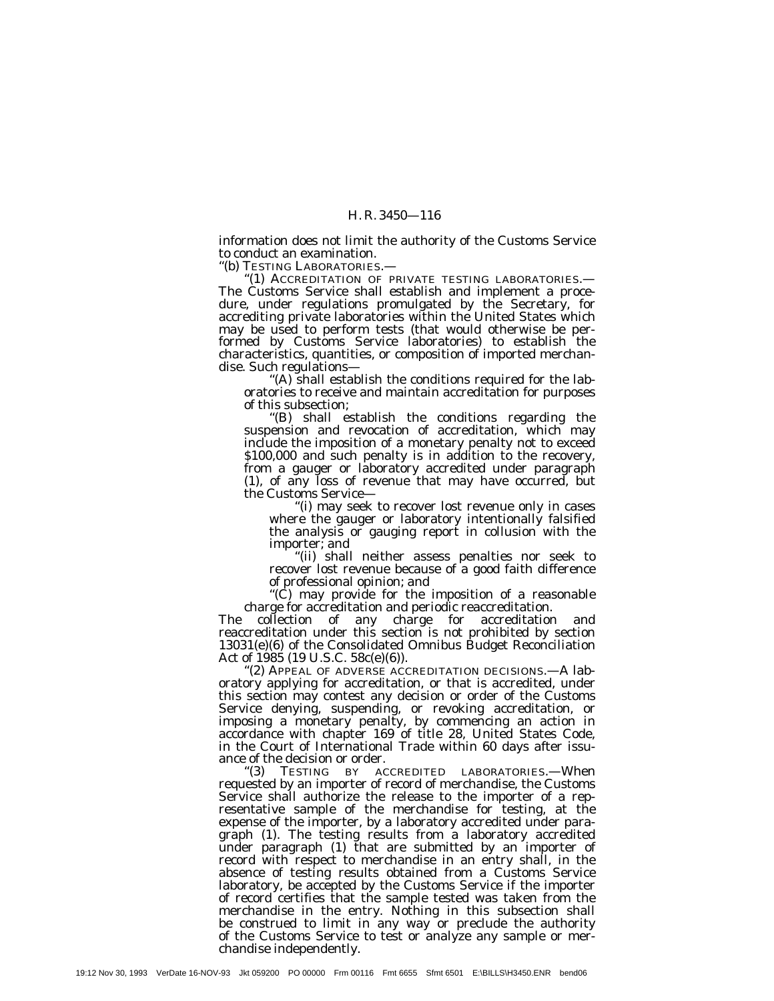information does not limit the authority of the Customs Service to conduct an examination.

''(b) TESTING LABORATORIES.—

''(1) ACCREDITATION OF PRIVATE TESTING LABORATORIES.— The Customs Service shall establish and implement a procedure, under regulations promulgated by the Secretary, for accrediting private laboratories within the United States which may be used to perform tests (that would otherwise be performed by Customs Service laboratories) to establish the characteristics, quantities, or composition of imported merchandise. Such regulations—

 $f(A)$  shall establish the conditions required for the laboratories to receive and maintain accreditation for purposes of this subsection;

''(B) shall establish the conditions regarding the suspension and revocation of accreditation, which may include the imposition of a monetary penalty not to exceed \$100,000 and such penalty is in addition to the recovery, from a gauger or laboratory accredited under paragraph (1), of any loss of revenue that may have occurred, but the Customs Service—

''(i) may seek to recover lost revenue only in cases where the gauger or laboratory intentionally falsified the analysis or gauging report in collusion with the importer; and

'(ii) shall neither assess penalties nor seek to recover lost revenue because of a good faith difference

of professional opinion; and<br>"(C) may provide for the imposition of a reasonable ''(C) may provide for the imposition of a reasonable charge for accreditation and periodic reaccreditation. The collection of any charge for accreditation and

reaccreditation under this section is not prohibited by section 13031(e)(6) of the Consolidated Omnibus Budget Reconciliation Act of 1985 (19 U.S.C. 58c(e)(6)).

'(2) APPEAL OF ADVERSE ACCREDITATION DECISIONS.—A laboratory applying for accreditation, or that is accredited, under this section may contest any decision or order of the Customs Service denying, suspending, or revoking accreditation, or imposing a monetary penalty, by commencing an action in accordance with chapter 169 of title 28, United States Code, in the Court of International Trade within 60 days after issuance of the decision or order.

'(3) TESTING BY ACCREDITED LABORATORIES.—When requested by an importer of record of merchandise, the Customs Service shall authorize the release to the importer of a representative sample of the merchandise for testing, at the expense of the importer, by a laboratory accredited under paragraph (1). The testing results from a laboratory accredited under paragraph (1) that are submitted by an importer of record with respect to merchandise in an entry shall, in the absence of testing results obtained from a Customs Service laboratory, be accepted by the Customs Service if the importer of record certifies that the sample tested was taken from the merchandise in the entry. Nothing in this subsection shall be construed to limit in any way or preclude the authority of the Customs Service to test or analyze any sample or merchandise independently.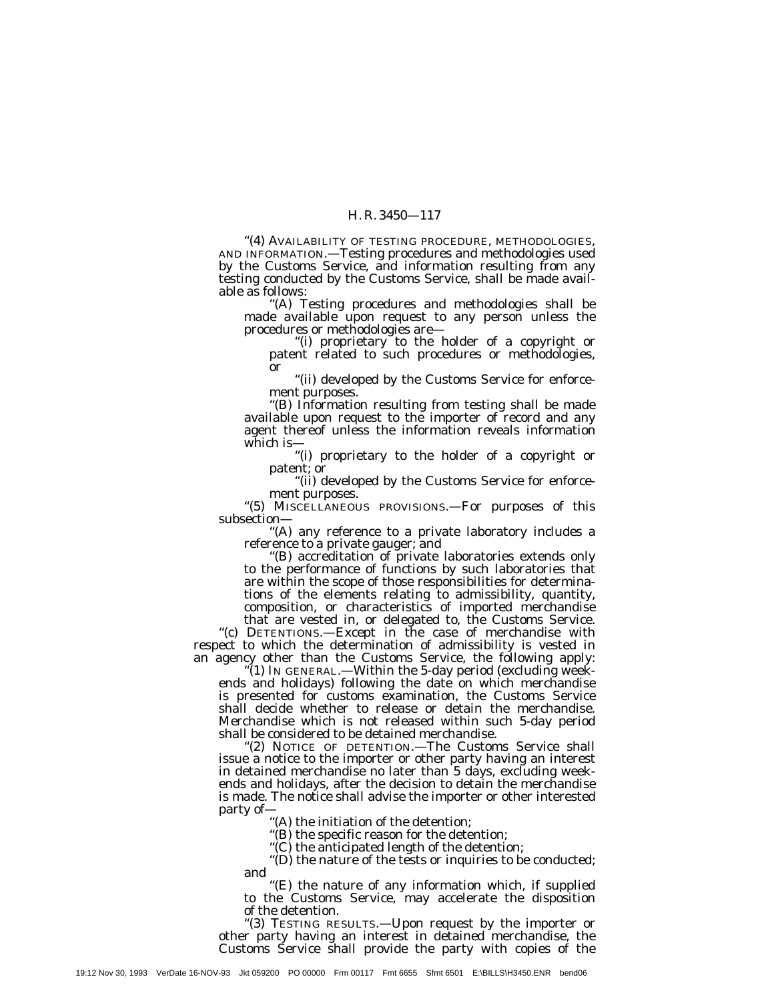''(4) AVAILABILITY OF TESTING PROCEDURE, METHODOLOGIES, AND INFORMATION.—Testing procedures and methodologies used by the Customs Service, and information resulting from any testing conducted by the Customs Service, shall be made available as follows:

''(A) Testing procedures and methodologies shall be made available upon request to any person unless the procedures or methodologies are—

''(i) proprietary to the holder of a copyright or patent related to such procedures or methodologies, or

''(ii) developed by the Customs Service for enforcement purposes.

''(B) Information resulting from testing shall be made available upon request to the importer of record and any agent thereof unless the information reveals information which is—

''(i) proprietary to the holder of a copyright or patent; or

''(ii) developed by the Customs Service for enforcement purposes.

''(5) MISCELLANEOUS PROVISIONS.—For purposes of this subsection—

''(A) any reference to a private laboratory includes a reference to a private gauger; and

''(B) accreditation of private laboratories extends only to the performance of functions by such laboratories that are within the scope of those responsibilities for determinations of the elements relating to admissibility, quantity, composition, or characteristics of imported merchandise

that are vested in, or delegated to, the Customs Service. ''(c) DETENTIONS.—Except in the case of merchandise with respect to which the determination of admissibility is vested in

an agency other than the Customs Service, the following apply:<br>
"(1) IN GENERAL.—Within the 5-day period (excluding week-<br>
ends and holidays) following the date on which merchandise is presented for customs examination, the Customs Service shall decide whether to release or detain the merchandise. Merchandise which is not released within such 5-day period shall be considered to be detained merchandise.

"(2) NOTICE OF DETENTION.—The Customs Service shall issue a notice to the importer or other party having an interest in detained merchandise no later than 5 days, excluding weekends and holidays, after the decision to detain the merchandise is made. The notice shall advise the importer or other interested party of—

''(A) the initiation of the detention;

''(B) the specific reason for the detention;

''(C) the anticipated length of the detention;

"(D) the nature of the tests or inquiries to be conducted; and

''(E) the nature of any information which, if supplied to the Customs Service, may accelerate the disposition of the detention.

''(3) TESTING RESULTS.—Upon request by the importer or other party having an interest in detained merchandise, the Customs Service shall provide the party with copies of the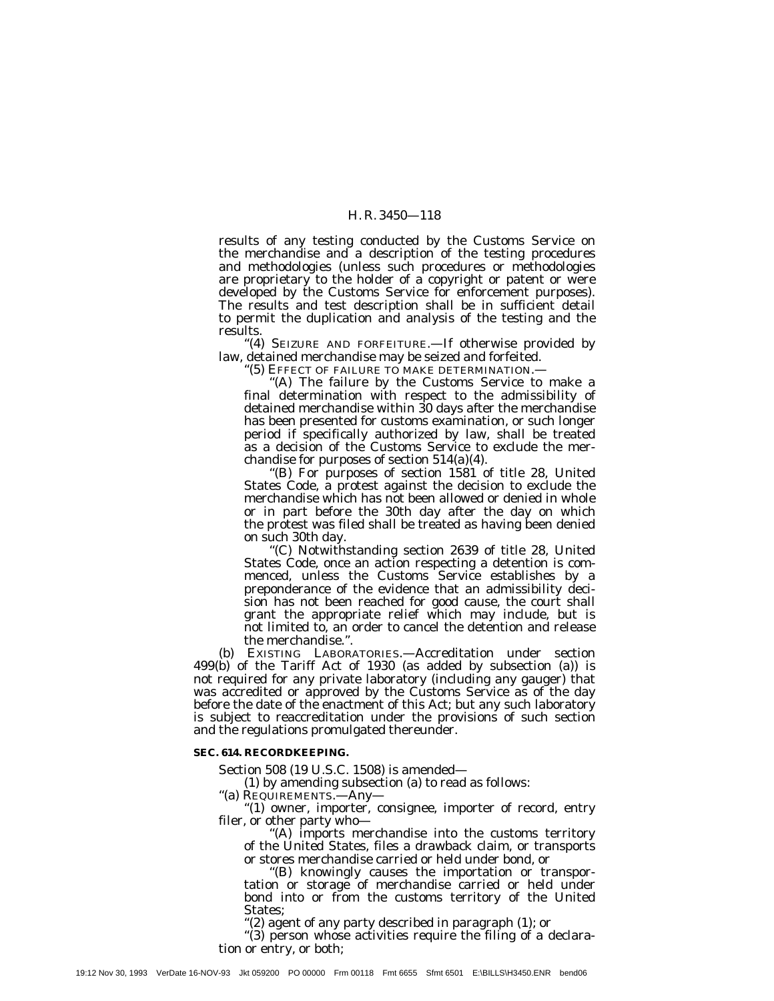results of any testing conducted by the Customs Service on the merchandise and a description of the testing procedures and methodologies (unless such procedures or methodologies are proprietary to the holder of a copyright or patent or were developed by the Customs Service for enforcement purposes). The results and test description shall be in sufficient detail to permit the duplication and analysis of the testing and the results.

''(4) SEIZURE AND FORFEITURE.—If otherwise provided by law, detained merchandise may be seized and forfeited.

''(5) EFFECT OF FAILURE TO MAKE DETERMINATION.—

''(A) The failure by the Customs Service to make a final determination with respect to the admissibility of detained merchandise within 30 days after the merchandise has been presented for customs examination, or such longer period if specifically authorized by law, shall be treated as a decision of the Customs Service to exclude the merchandise for purposes of section 514(a)(4).

'(B) For purposes of section 1581 of title 28, United States Code, a protest against the decision to exclude the merchandise which has not been allowed or denied in whole or in part before the 30th day after the day on which the protest was filed shall be treated as having been denied on such 30th day.

''(C) Notwithstanding section 2639 of title 28, United States Code, once an action respecting a detention is commenced, unless the Customs Service establishes by a preponderance of the evidence that an admissibility decision has not been reached for good cause, the court shall grant the appropriate relief which may include, but is not limited to, an order to cancel the detention and release the merchandise.''.

(b) EXISTING LABORATORIES.—Accreditation under section 499(b) of the Tariff Act of 1930 (as added by subsection (a)) is not required for any private laboratory (including any gauger) that was accredited or approved by the Customs Service as of the day before the date of the enactment of this Act; but any such laboratory is subject to reaccreditation under the provisions of such section and the regulations promulgated thereunder.

#### **SEC. 614. RECORDKEEPING.**

Section 508 (19 U.S.C. 1508) is amended—

(1) by amending subsection (a) to read as follows:

''(a) REQUIREMENTS.—Any—

''(1) owner, importer, consignee, importer of record, entry filer, or other party who—

''(A) imports merchandise into the customs territory of the United States, files a drawback claim, or transports or stores merchandise carried or held under bond, or

''(B) knowingly causes the importation or transportation or storage of merchandise carried or held under bond into or from the customs territory of the United States;

''(2) agent of any party described in paragraph (1); or

''(3) person whose activities require the filing of a declaration or entry, or both;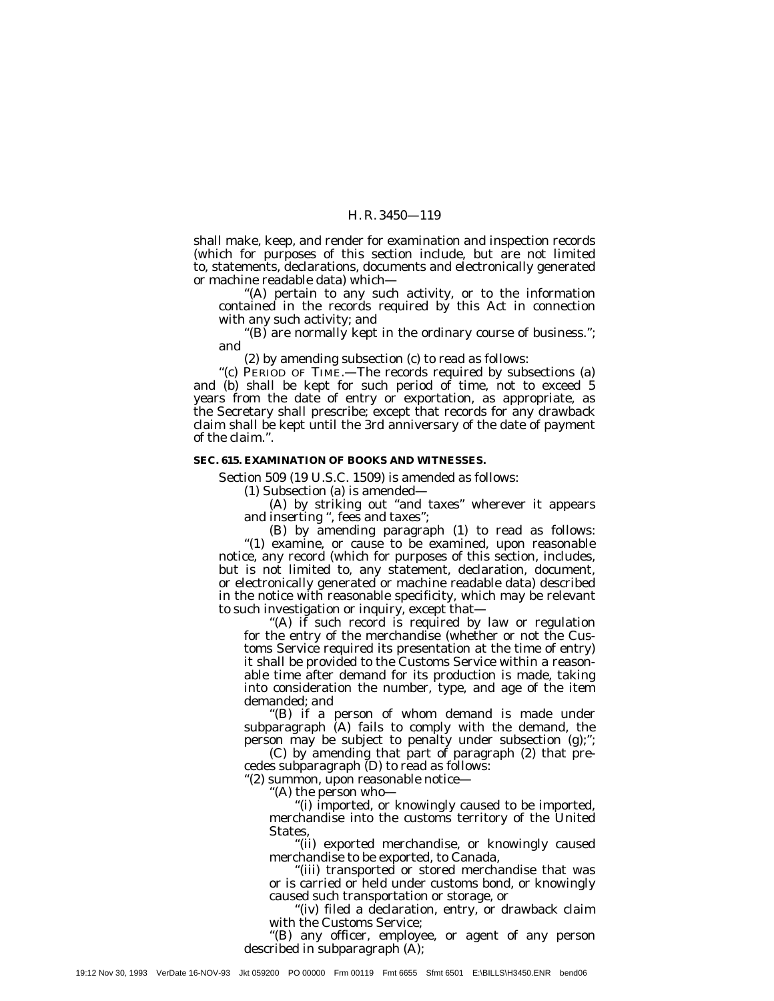shall make, keep, and render for examination and inspection records (which for purposes of this section include, but are not limited to, statements, declarations, documents and electronically generated or machine readable data) which—

''(A) pertain to any such activity, or to the information contained in the records required by this Act in connection with any such activity; and

''(B) are normally kept in the ordinary course of business.''; and

(2) by amending subsection (c) to read as follows:

''(c) PERIOD OF TIME.—The records required by subsections (a) and (b) shall be kept for such period of time, not to exceed 5 years from the date of entry or exportation, as appropriate, as the Secretary shall prescribe; except that records for any drawback claim shall be kept until the 3rd anniversary of the date of payment of the claim.''.

# **SEC. 615. EXAMINATION OF BOOKS AND WITNESSES.**

Section 509 (19 U.S.C. 1509) is amended as follows:

(1) Subsection (a) is amended—

(A) by striking out ''and taxes'' wherever it appears and inserting '', fees and taxes'';

(B) by amending paragraph (1) to read as follows: "(1) examine, or cause to be examined, upon reasonable

notice, any record (which for purposes of this section, includes, but is not limited to, any statement, declaration, document, or electronically generated or machine readable data) described in the notice with reasonable specificity, which may be relevant to such investigation or inquiry, except that—

"(A) if such record is required by law or regulation for the entry of the merchandise (whether or not the Customs Service required its presentation at the time of entry) it shall be provided to the Customs Service within a reasonable time after demand for its production is made, taking into consideration the number, type, and age of the item demanded; and

''(B) if a person of whom demand is made under subparagraph (A) fails to comply with the demand, the person may be subject to penalty under subsection (g);'';

(C) by amending that part of paragraph (2) that precedes subparagraph (D) to read as follows:

''(2) summon, upon reasonable notice—

''(A) the person who—

(i) imported, or knowingly caused to be imported, merchandise into the customs territory of the United States,

''(ii) exported merchandise, or knowingly caused merchandise to be exported, to Canada,

''(iii) transported or stored merchandise that was or is carried or held under customs bond, or knowingly caused such transportation or storage, or

"(iv) filed a declaration, entry, or drawback claim with the Customs Service;

''(B) any officer, employee, or agent of any person described in subparagraph (A);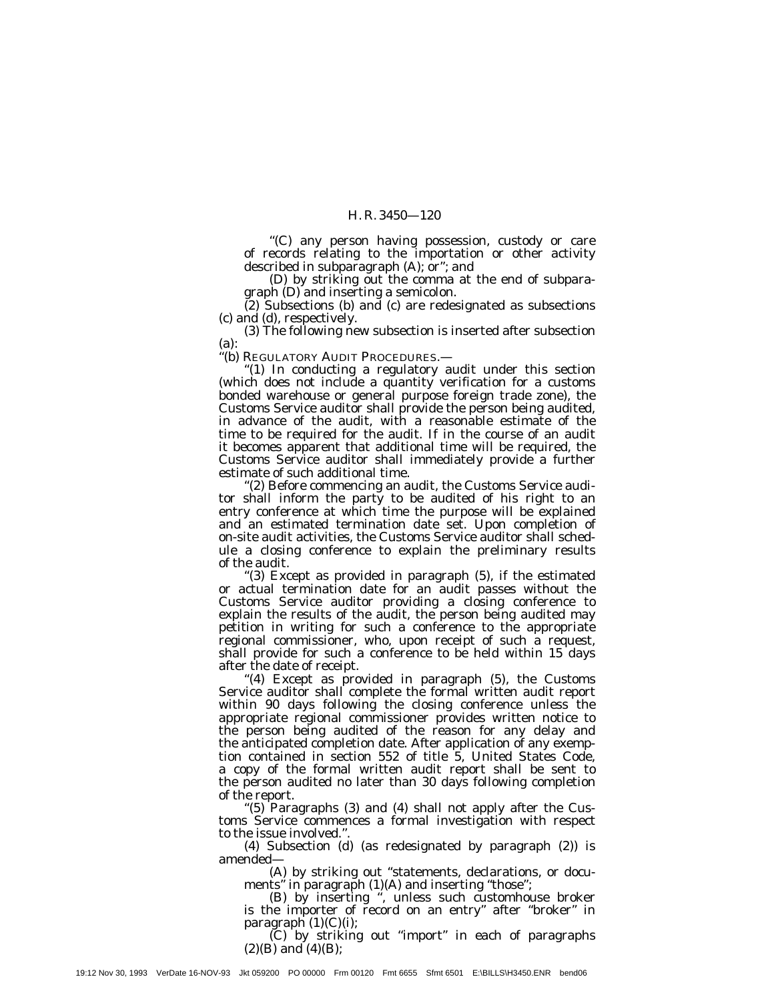''(C) any person having possession, custody or care of records relating to the importation or other activity described in subparagraph (A); or''; and

(D) by striking out the comma at the end of subparagraph (D) and inserting a semicolon.

(2) Subsections (b) and (c) are redesignated as subsections (c) and (d), respectively.

(3) The following new subsection is inserted after subsection (a):

''(b) REGULATORY AUDIT PROCEDURES.—

''(1) In conducting a regulatory audit under this section (which does not include a quantity verification for a customs bonded warehouse or general purpose foreign trade zone), the Customs Service auditor shall provide the person being audited, in advance of the audit, with a reasonable estimate of the time to be required for the audit. If in the course of an audit it becomes apparent that additional time will be required, the Customs Service auditor shall immediately provide a further estimate of such additional time.

''(2) Before commencing an audit, the Customs Service auditor shall inform the party to be audited of his right to an entry conference at which time the purpose will be explained and an estimated termination date set. Upon completion of on-site audit activities, the Customs Service auditor shall schedule a closing conference to explain the preliminary results of the audit.

''(3) Except as provided in paragraph (5), if the estimated or actual termination date for an audit passes without the Customs Service auditor providing a closing conference to explain the results of the audit, the person being audited may petition in writing for such a conference to the appropriate regional commissioner, who, upon receipt of such a request, shall provide for such a conference to be held within 15 days after the date of receipt.

"(4) Except as provided in paragraph (5), the Customs Service auditor shall complete the formal written audit report within 90 days following the closing conference unless the appropriate regional commissioner provides written notice to the person being audited of the reason for any delay and the anticipated completion date. After application of any exemption contained in section 552 of title 5, United States Code, a copy of the formal written audit report shall be sent to the person audited no later than 30 days following completion of the report.

 $(5)$  Paragraphs (3) and (4) shall not apply after the Customs Service commences a formal investigation with respect to the issue involved.''.

(4) Subsection (d) (as redesignated by paragraph (2)) is amended—

(A) by striking out ''statements, declarations, or documents" in paragraph (1)(A) and inserting "those";

(B) by inserting '', unless such customhouse broker is the importer of record on an entry" after "broker" in paragraph  $(1)(C)(i)$ ;

(C) by striking out ''import'' in each of paragraphs  $(2)(B)$  and  $(4)(B)$ ;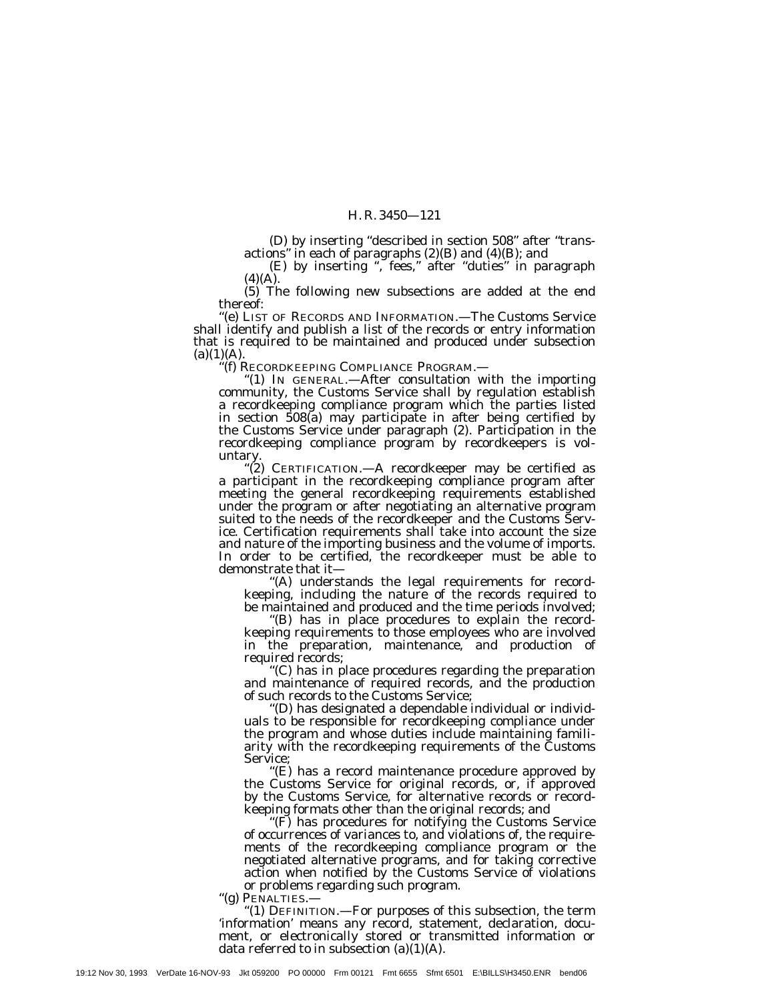(D) by inserting ''described in section 508'' after ''transactions'' in each of paragraphs (2)(B) and (4)(B); and

(E) by inserting '', fees,'' after ''duties'' in paragraph  $(4)(A).$ 

(5) The following new subsections are added at the end thereof:

''(e) LIST OF RECORDS AND INFORMATION.—The Customs Service shall identify and publish a list of the records or entry information that is required to be maintained and produced under subsection  $(a)(1)(A).$ 

(f) RECORDKEEPING COMPLIANCE PROGRAM.

''(1) IN GENERAL.—After consultation with the importing community, the Customs Service shall by regulation establish a recordkeeping compliance program which the parties listed in section 508(a) may participate in after being certified by the Customs Service under paragraph (2). Participation in the recordkeeping compliance program by recordkeepers is voluntary.

''(2) CERTIFICATION.—A recordkeeper may be certified as a participant in the recordkeeping compliance program after meeting the general recordkeeping requirements established under the program or after negotiating an alternative program suited to the needs of the recordkeeper and the Customs Service. Certification requirements shall take into account the size and nature of the importing business and the volume of imports. In order to be certified, the recordkeeper must be able to demonstrate that it—<br>"(A) understands the legal requirements for record-

''(A) understands the legal requirements for record- keeping, including the nature of the records required to be maintained and produced and the time periods involved;

''(B) has in place procedures to explain the recordkeeping requirements to those employees who are involved in the preparation, maintenance, and production of required records;

''(C) has in place procedures regarding the preparation and maintenance of required records, and the production

of such records to the Customs Service;<br>"(D) has designated a dependable individual or individuals to be responsible for recordkeeping compliance under the program and whose duties include maintaining familiarity with the recordkeeping requirements of the Customs

Service;<br>"(E) has a record maintenance procedure approved by the Customs Service for original records, or, if approved by the Customs Service, for alternative records or recordkeeping formats other than the original records; and

 $'(\vec{F})$  has procedures for notifying the Customs Service of occurrences of variances to, and violations of, the requirements of the recordkeeping compliance program or the negotiated alternative programs, and for taking corrective action when notified by the Customs Service of violations or problems regarding such program.

''(g) PENALTIES.—

''(1) DEFINITION.—For purposes of this subsection, the term 'information' means any record, statement, declaration, document, or electronically stored or transmitted information or data referred to in subsection (a)(1)(A).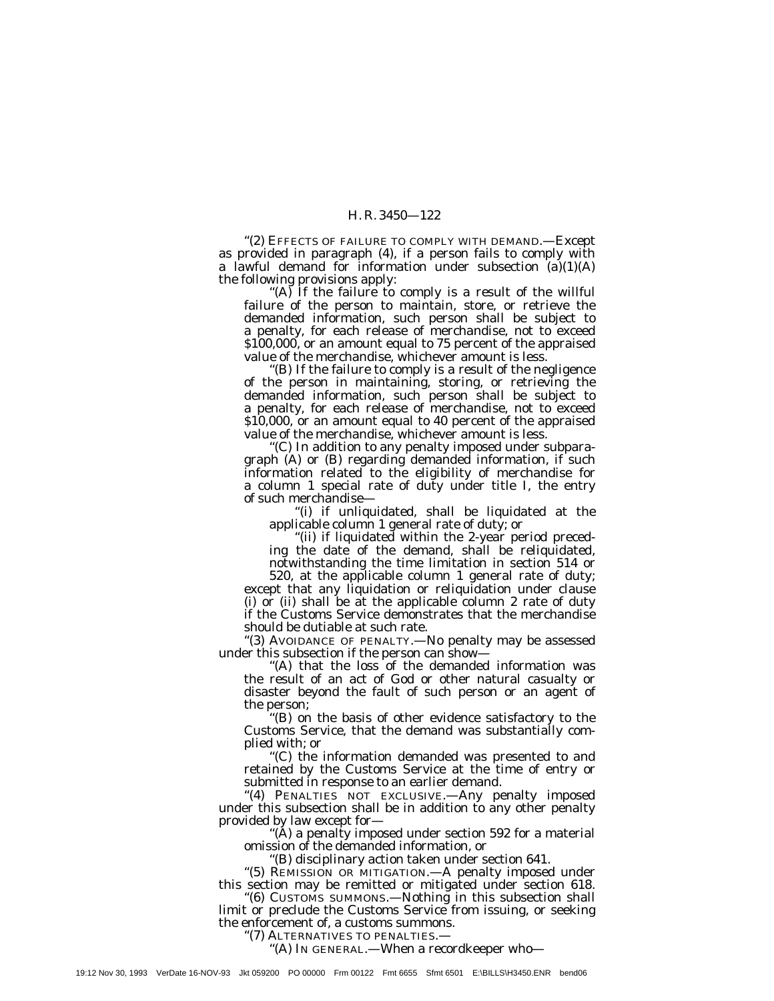"(2) EFFECTS OF FAILURE TO COMPLY WITH DEMAND.—Except as provided in paragraph (4), if a person fails to comply with a lawful demand for information under subsection  $\hat{a}(1)(A)$ the following provisions apply:

"(A) If the failure to comply is a result of the willful failure of the person to maintain, store, or retrieve the demanded information, such person shall be subject to a penalty, for each release of merchandise, not to exceed \$100,000, or an amount equal to 75 percent of the appraised value of the merchandise, whichever amount is less.

''(B) If the failure to comply is a result of the negligence of the person in maintaining, storing, or retrieving the demanded information, such person shall be subject to a penalty, for each release of merchandise, not to exceed \$10,000, or an amount equal to 40 percent of the appraised value of the merchandise, whichever amount is less.

 $f(C)$  In addition to any penalty imposed under subparagraph (A) or (B) regarding demanded information, if such information related to the eligibility of merchandise for a column 1 special rate of duty under title I, the entry of such merchandise—

''(i) if unliquidated, shall be liquidated at the applicable column 1 general rate of duty; or

''(ii) if liquidated within the 2-year period preceding the date of the demand, shall be reliquidated, notwithstanding the time limitation in section 514 or

520, at the applicable column 1 general rate of duty; except that any liquidation or reliquidation under clause (i) or (ii) shall be at the applicable column 2 rate of duty if the Customs Service demonstrates that the merchandise should be dutiable at such rate.

''(3) AVOIDANCE OF PENALTY.—No penalty may be assessed under this subsection if the person can show—

"(A) that the loss of the demanded information was the result of an act of God or other natural casualty or disaster beyond the fault of such person or an agent of the person;

 $f(B)$  on the basis of other evidence satisfactory to the Customs Service, that the demand was substantially complied with; or

''(C) the information demanded was presented to and retained by the Customs Service at the time of entry or submitted in response to an earlier demand.

"(4) PENALTIES NOT EXCLUSIVE. Any penalty imposed under this subsection shall be in addition to any other penalty provided by law except for—

''(A) a penalty imposed under section 592 for a material omission of the demanded information, or

''(B) disciplinary action taken under section 641.

''(5) REMISSION OR MITIGATION.—A penalty imposed under this section may be remitted or mitigated under section 618.

''(6) CUSTOMS SUMMONS.—Nothing in this subsection shall limit or preclude the Customs Service from issuing, or seeking the enforcement of, a customs summons.

''(7) ALTERNATIVES TO PENALTIES.—

''(A) IN GENERAL.—When a recordkeeper who—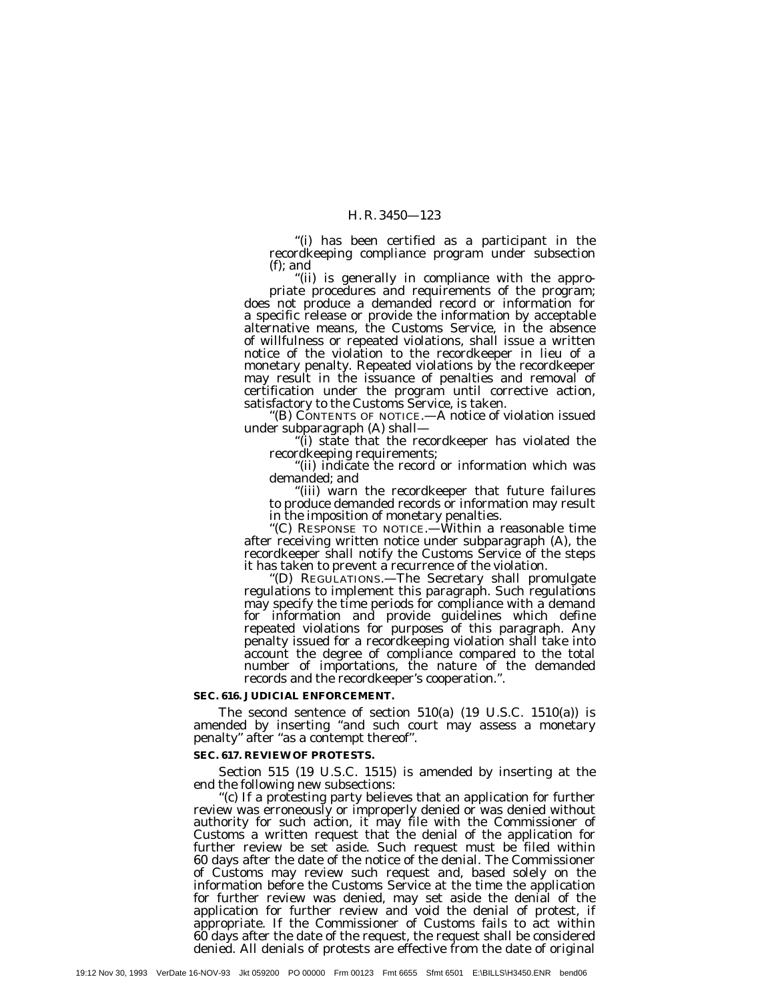''(i) has been certified as a participant in the recordkeeping compliance program under subsection

(f); and<br>"(ii) is generally in compliance with the appropriate procedures and requirements of the program; does not produce a demanded record or information for a specific release or provide the information by acceptable alternative means, the Customs Service, in the absence of willfulness or repeated violations, shall issue a written notice of the violation to the recordkeeper in lieu of a monetary penalty. Repeated violations by the recordkeeper may result in the issuance of penalties and removal of

certification under the program until corrective action, "(B) CONTENTS OF NOTICE.—A notice of violation issued<br>under subparagraph (A) shall—

"(i) state that the recordkeeper has violated the recordkeeping requirements;<br>"(ii) indicate the record or information which was

demanded; and<br>"(iii) warn the recordkeeper that future failures

to produce demanded records or information may result in the imposition of monetary penalties.

''(C) RESPONSE TO NOTICE.—Within a reasonable time after receiving written notice under subparagraph (A), the recordkeeper shall notify the Customs Service of the steps

it has taken to prevent a recurrence of the violation. ''(D) REGULATIONS.—The Secretary shall promulgate regulations to implement this paragraph. Such regulations may specify the time periods for compliance with a demand for information and provide guidelines which define repeated violations for purposes of this paragraph. Any penalty issued for a recordkeeping violation shall take into account the degree of compliance compared to the total number of importations, the nature of the demanded records and the recordkeeper's cooperation.''.

#### **SEC. 616. JUDICIAL ENFORCEMENT.**

The second sentence of section 510(a) (19 U.S.C. 1510(a)) is amended by inserting "and such court may assess a monetary penalty'' after ''as a contempt thereof''.

#### **SEC. 617. REVIEW OF PROTESTS.**

Section 515 (19 U.S.C. 1515) is amended by inserting at the<br>end the following new subsections:<br>"(c) If a protesting party believes that an application for further<br>review was erroneously or improperly denied or was denied w authority for such action, it may file with the Commissioner of Customs a written request that the denial of the application for further review be set aside. Such request must be filed within 60 days after the date of the notice of the denial. The Commissioner of Customs may review such request and, based solely on the information before the Customs Service at the time the application for further review was denied, may set aside the denial of the application for further review and void the denial of protest, if appropriate. If the Commissioner of Customs fails to act within 60 days after the date of the request, the request shall be considered denied. All denials of protests are effective from the date of original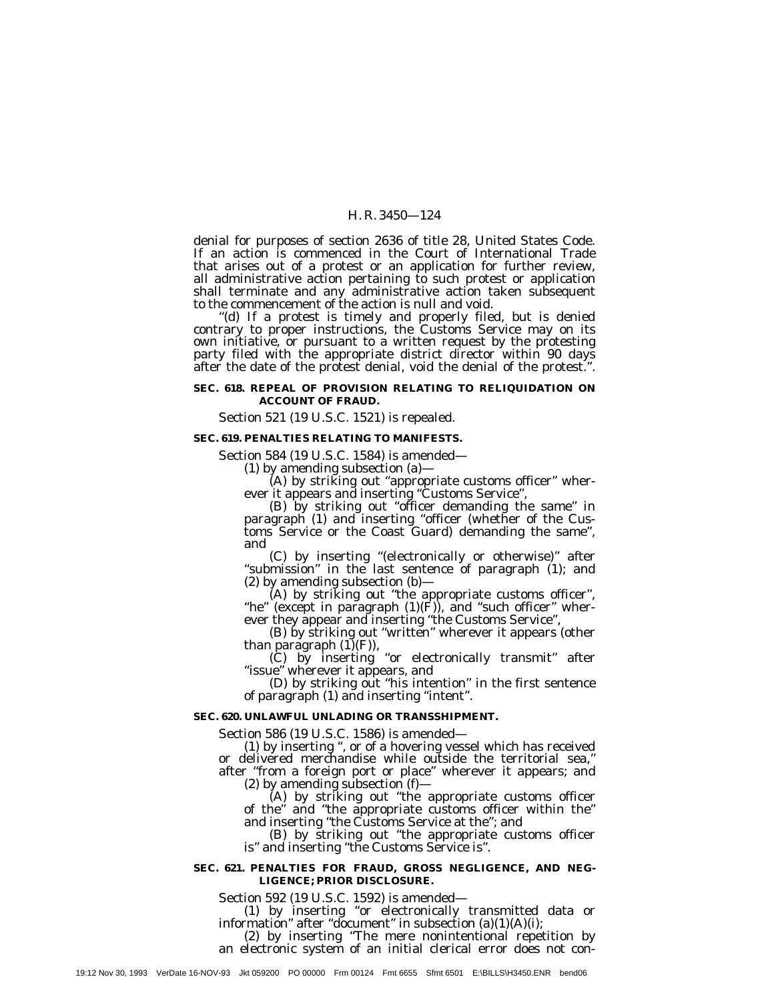denial for purposes of section 2636 of title 28, United States Code. If an action is commenced in the Court of International Trade that arises out of a protest or an application for further review, all administrative action pertaining to such protest or application shall terminate and any administrative action taken subsequent to the commencement of the action is null and void.

''(d) If a protest is timely and properly filed, but is denied contrary to proper instructions, the Customs Service may on its own initiative, or pursuant to a written request by the protesting party filed with the appropriate district director within 90 days after the date of the protest denial, void the denial of the protest.''.

# **SEC. 618. REPEAL OF PROVISION RELATING TO RELIQUIDATION ON ACCOUNT OF FRAUD.**

### Section 521 (19 U.S.C. 1521) is repealed.

#### **SEC. 619. PENALTIES RELATING TO MANIFESTS.**

Section 584 (19 U.S.C. 1584) is amended—

(1) by amending subsection (a)—

(A) by striking out ''appropriate customs officer'' wherever it appears and inserting ''Customs Service'',

(B) by striking out ''officer demanding the same'' in paragraph (1) and inserting ''officer (whether of the Customs Service or the Coast Guard) demanding the same'', and

(C) by inserting ''(electronically or otherwise)'' after "submission" in the last sentence of paragraph (1); and

(2) by amending subsection (b)—<br>
(A) by striking out "the appropriate customs officer",<br>
"he" (except in paragraph  $(1)(F)$ ), and "such officer" wher-

ever they appear and inserting "the Customs Service",<br>
(B) by striking out "written" wherever it appears (other<br>
than paragraph  $(1)(F)$ ),<br>
(C) by inserting "or electronically transmit" after<br>
"issue" wherever it appears,

(D) by striking out ''his intention'' in the first sentence of paragraph (1) and inserting ''intent''.

#### **SEC. 620. UNLAWFUL UNLADING OR TRANSSHIPMENT.**

Section 586 (19 U.S.C. 1586) is amended—

(1) by inserting ", or of a hovering vessel which has received or delivered merchandise while outside the territorial sea," after "from a foreign port or place" wherever it appears; and

(2) by amending subsection  $(f)$ —<br>(A) by striking out "the appropriate customs officer of the'' and ''the appropriate customs officer within the'' and inserting ''the Customs Service at the''; and

(B) by striking out ''the appropriate customs officer is'' and inserting ''the Customs Service is''.

## **SEC. 621. PENALTIES FOR FRAUD, GROSS NEGLIGENCE, AND NEG-LIGENCE; PRIOR DISCLOSURE.**

Section 592 (19 U.S.C. 1592) is amended—

(1) by inserting ''or electronically transmitted data or information" after "document" in subsection  $(a)(1)(A)(i)$ ;

(2) by inserting ''The mere nonintentional repetition by an electronic system of an initial clerical error does not con-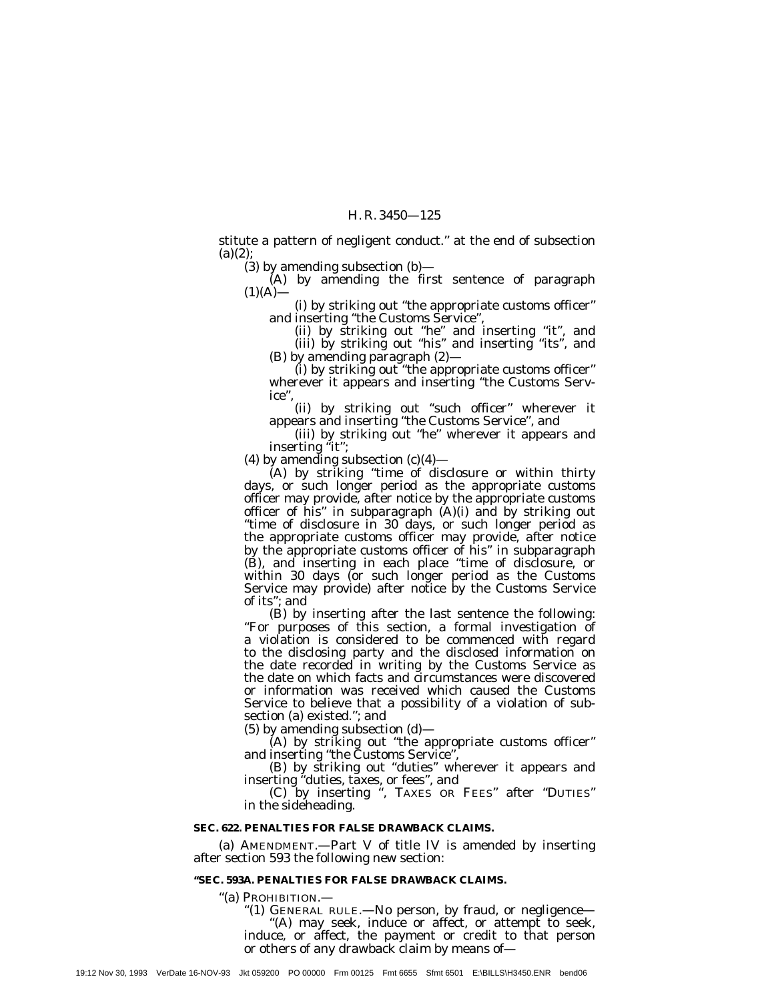stitute a pattern of negligent conduct.'' at the end of subsection  $(a)(2);$ 

(3) by amending subsection (b)—

(A) by amending the first sentence of paragraph  $(1)(A)$ —

(i) by striking out ''the appropriate customs officer'' and inserting ''the Customs Service'',

(ii) by striking out ''he'' and inserting ''it'', and (iii) by striking out ''his'' and inserting ''its'', and

(B) by amending paragraph (2)— (i) by striking out ''the appropriate customs officer'' wherever it appears and inserting "the Customs Serv-

ice'', (ii) by striking out ''such officer'' wherever it

appears and inserting ''the Customs Service'', and

(iii) by striking out ''he'' wherever it appears and inserting "it";

(4) by amending subsection  $(c)(4)$ —

(A) by striking ''time of disclosure or within thirty days, or such longer period as the appropriate customs officer may provide, after notice by the appropriate customs officer of his'' in subparagraph (A)(i) and by striking out ''time of disclosure in 30 days, or such longer period as the appropriate customs officer may provide, after notice by the appropriate customs officer of his'' in subparagraph (B), and inserting in each place ''time of disclosure, or within 30 days (or such longer period as the Customs Service may provide) after notice by the Customs Service of its''; and

(B) by inserting after the last sentence the following: ''For purposes of this section, a formal investigation of a violation is considered to be commenced with regard to the disclosing party and the disclosed information on the date recorded in writing by the Customs Service as the date on which facts and circumstances were discovered or information was received which caused the Customs Service to believe that a possibility of a violation of subsection (a) existed.''; and

(5) by amending subsection (d)—

(A) by striking out ''the appropriate customs officer'' and inserting ''the Customs Service'',

(B) by striking out ''duties'' wherever it appears and inserting ''duties, taxes, or fees'', and

(C) by inserting '', TAXES OR FEES'' after ''DUTIES'' in the sideheading.

#### **SEC. 622. PENALTIES FOR FALSE DRAWBACK CLAIMS.**

(a) AMENDMENT.—Part V of title IV is amended by inserting after section 593 the following new section:

#### **''SEC. 593A. PENALTIES FOR FALSE DRAWBACK CLAIMS.**

''(a) PROHIBITION.—

''(1) GENERAL RULE.—No person, by fraud, or negligence— "(A) may seek, induce or affect, or attempt to seek, induce, or affect, the payment or credit to that person or others of any drawback claim by means of—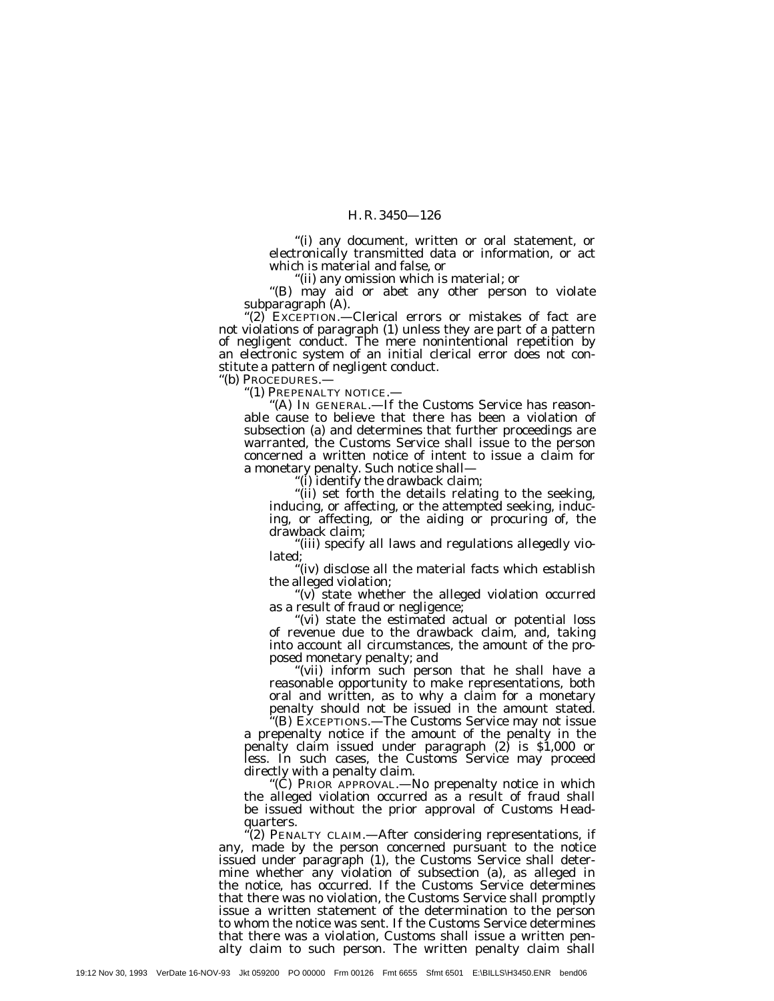''(i) any document, written or oral statement, or electronically transmitted data or information, or act which is material and false, or

''(ii) any omission which is material; or

''(B) may aid or abet any other person to violate subparagraph (A).

"(2) EXCEPTION.—Clerical errors or mistakes of fact are not violations of paragraph (1) unless they are part of a pattern of negligent conduct. The mere nonintentional repetition by an electronic system of an initial clerical error does not constitute a pattern of negligent conduct.

''(b) PROCEDURES.—

''(1) PREPENALTY NOTICE.—

'(A) IN GENERAL.—If the Customs Service has reasonable cause to believe that there has been a violation of subsection (a) and determines that further proceedings are warranted, the Customs Service shall issue to the person concerned a written notice of intent to issue a claim for a monetary penalty. Such notice shall—

''(i) identify the drawback claim;

''(ii) set forth the details relating to the seeking, inducing, or affecting, or the attempted seeking, inducing, or affecting, or the aiding or procuring of, the drawback claim;

''(iii) specify all laws and regulations allegedly violated;

''(iv) disclose all the material facts which establish

"(v)" state whether the alleged violation occurred as a result of fraud or negligence; "(vi) state the estimated actual or potential loss

of revenue due to the drawback claim, and, taking into account all circumstances, the amount of the pro-

posed monetary penalty; and ''(vii) inform such person that he shall have a reasonable opportunity to make representations, both oral and written, as to why a claim for a monetary penalty should not be issued in the amount stated.<br>"(B) Exceptions.—The Customs Service may not issue

''(B) EXCEPTIONS.—The Customs Service may not issue a prepenalty notice if the amount of the penalty in the penalty claim issued under paragraph (2) is \$1,000 or less. In such cases, the Customs Service may proceed

directly with a penalty claim.<br>
"(C) PRIOR APPROVAL.—No prepenalty notice in which the alleged violation occurred as a result of fraud shall be issued without the prior approval of Customs Headquarters.

 $f(2)$  PENALTY CLAIM.—After considering representations, if any, made by the person concerned pursuant to the notice issued under paragraph (1), the Customs Service shall determine whether any violation of subsection (a), as alleged in the notice, has occurred. If the Customs Service determines that there was no violation, the Customs Service shall promptly issue a written statement of the determination to the person to whom the notice was sent. If the Customs Service determines that there was a violation, Customs shall issue a written penalty claim to such person. The written penalty claim shall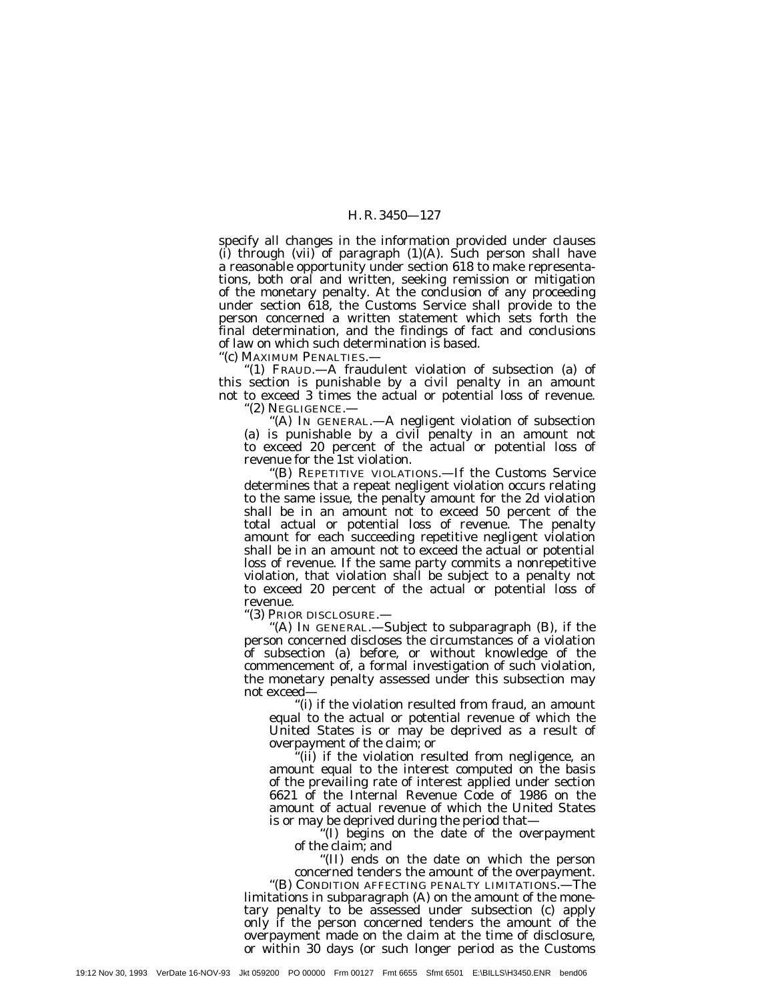specify all changes in the information provided under clauses (i) through (vii) of paragraph (1)(A). Such person shall have a reasonable opportunity under section 618 to make representations, both oral and written, seeking remission or mitigation of the monetary penalty. At the conclusion of any proceeding under section 618, the Customs Service shall provide to the person concerned a written statement which sets forth the final determination, and the findings of fact and conclusions of law on which such determination is based.

''(c) MAXIMUM PENALTIES.—

''(1) FRAUD.—A fraudulent violation of subsection (a) of this section is punishable by a civil penalty in an amount not to exceed 3 times the actual or potential loss of revenue. ''(2) NEGLIGENCE.—

''(A) IN GENERAL.—A negligent violation of subsection (a) is punishable by a civil penalty in an amount not to exceed 20 percent of the actual or potential loss of revenue for the 1st violation.

''(B) REPETITIVE VIOLATIONS.—If the Customs Service determines that a repeat negligent violation occurs relating to the same issue, the penalty amount for the 2d violation shall be in an amount not to exceed 50 percent of the total actual or potential loss of revenue. The penalty amount for each succeeding repetitive negligent violation shall be in an amount not to exceed the actual or potential loss of revenue. If the same party commits a nonrepetitive violation, that violation shall be subject to a penalty not to exceed 20 percent of the actual or potential loss of revenue.

''(3) PRIOR DISCLOSURE.—

''(A) IN GENERAL.—Subject to subparagraph (B), if the person concerned discloses the circumstances of a violation of subsection (a) before, or without knowledge of the commencement of, a formal investigation of such violation, the monetary penalty assessed under this subsection may not exceed—

''(i) if the violation resulted from fraud, an amount equal to the actual or potential revenue of which the United States is or may be deprived as a result of overpayment of the claim; or

(ii) if the violation resulted from negligence, an amount equal to the interest computed on the basis of the prevailing rate of interest applied under section 6621 of the Internal Revenue Code of 1986 on the amount of actual revenue of which the United States is or may be deprived during the period that—

''(I) begins on the date of the overpayment of the claim; and

''(II) ends on the date on which the person concerned tenders the amount of the overpayment.

''(B) CONDITION AFFECTING PENALTY LIMITATIONS.—The limitations in subparagraph (A) on the amount of the monetary penalty to be assessed under subsection (c) apply only if the person concerned tenders the amount of the overpayment made on the claim at the time of disclosure, or within 30 days (or such longer period as the Customs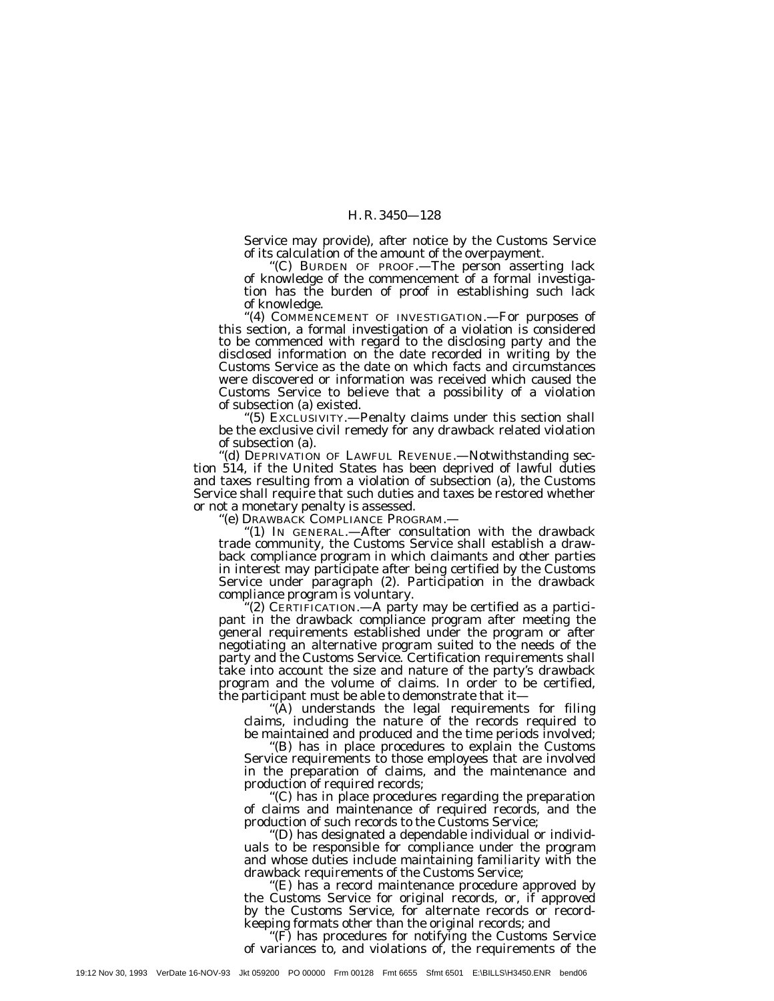Service may provide), after notice by the Customs Service of its calculation of the amount of the overpayment.

''(C) BURDEN OF PROOF.—The person asserting lack of knowledge of the commencement of a formal investigation has the burden of proof in establishing such lack of knowledge.

"(4) COMMENCEMENT OF INVESTIGATION.—For purposes of this section, a formal investigation of a violation is considered to be commenced with regard to the disclosing party and the disclosed information on the date recorded in writing by the Customs Service as the date on which facts and circumstances were discovered or information was received which caused the Customs Service to believe that a possibility of a violation of subsection (a) existed.

'(5) EXCLUSIVITY.—Penalty claims under this section shall be the exclusive civil remedy for any drawback related violation of subsection (a).

''(d) DEPRIVATION OF LAWFUL REVENUE.—Notwithstanding section 514, if the United States has been deprived of lawful duties and taxes resulting from a violation of subsection (a), the Customs Service shall require that such duties and taxes be restored whether or not a monetary penalty is assessed.

''(e) DRAWBACK COMPLIANCE PROGRAM.—

''(1) IN GENERAL.—After consultation with the drawback trade community, the Customs Service shall establish a drawback compliance program in which claimants and other parties in interest may participate after being certified by the Customs Service under paragraph (2). Participation in the drawback compliance program is voluntary.

<sup>2</sup><sup>(2)</sup> CERTIFICATION.—A party may be certified as a partici- pant in the drawback compliance program after meeting the general requirements established under the program or after negotiating an alternative program suited to the needs of the party and the Customs Service. Certification requirements shall take into account the size and nature of the party's drawback program and the volume of claims. In order to be certified, the participant must be able to demonstrate that it—

''(A) understands the legal requirements for filing claims, including the nature of the records required to be maintained and produced and the time periods involved;

''(B) has in place procedures to explain the Customs Service requirements to those employees that are involved in the preparation of claims, and the maintenance and production of required records;

''(C) has in place procedures regarding the preparation of claims and maintenance of required records, and the production of such records to the Customs Service;

''(D) has designated a dependable individual or individuals to be responsible for compliance under the program and whose duties include maintaining familiarity with the drawback requirements of the Customs Service;

'(E) has a record maintenance procedure approved by the Customs Service for original records, or, if approved by the Customs Service, for alternate records or recordkeeping formats other than the original records; and

''(F) has procedures for notifying the Customs Service of variances to, and violations of, the requirements of the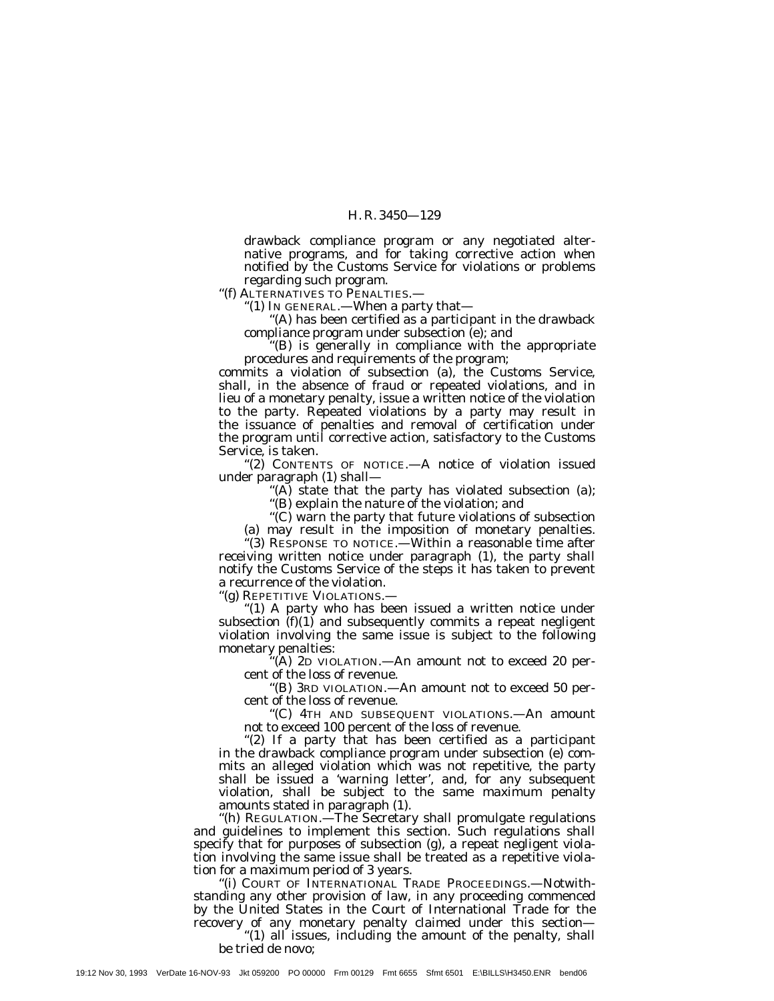drawback compliance program or any negotiated alternative programs, and for taking corrective action when notified by the Customs Service for violations or problems regarding such program.

''(f) ALTERNATIVES TO PENALTIES.—

''(1) IN GENERAL.—When a party that—

'(A) has been certified as a participant in the drawback compliance program under subsection (e); and

(B) is generally in compliance with the appropriate procedures and requirements of the program;

commits a violation of subsection (a), the Customs Service, shall, in the absence of fraud or repeated violations, and in lieu of a monetary penalty, issue a written notice of the violation to the party. Repeated violations by a party may result in the issuance of penalties and removal of certification under the program until corrective action, satisfactory to the Customs Service, is taken.

"(2) CONTENTS OF NOTICE. - A notice of violation issued under paragraph (1) shall—

"(A) state that the party has violated subsection (a); ''(B) explain the nature of the violation; and

''(C) warn the party that future violations of subsection (a) may result in the imposition of monetary penalties.

''(3) RESPONSE TO NOTICE.—Within a reasonable time after receiving written notice under paragraph (1), the party shall notify the Customs Service of the steps it has taken to prevent a recurrence of the violation.

''(g) REPETITIVE VIOLATIONS.—

"(1) A party who has been issued a written notice under subsection (f)(1) and subsequently commits a repeat negligent violation involving the same issue is subject to the following monetary penalties:

''(A) 2D VIOLATION.—An amount not to exceed 20 percent of the loss of revenue.

''(B) 3RD VIOLATION.—An amount not to exceed 50 percent of the loss of revenue.

''(C) 4TH AND SUBSEQUENT VIOLATIONS.—An amount not to exceed 100 percent of the loss of revenue.

''(2) If a party that has been certified as a participant in the drawback compliance program under subsection (e) commits an alleged violation which was not repetitive, the party shall be issued a 'warning letter', and, for any subsequent violation, shall be subject to the same maximum penalty amounts stated in paragraph (1).

''(h) REGULATION.—The Secretary shall promulgate regulations and guidelines to implement this section. Such regulations shall specify that for purposes of subsection (g), a repeat negligent violation involving the same issue shall be treated as a repetitive violation for a maximum period of 3 years.

''(i) COURT OF INTERNATIONAL TRADE PROCEEDINGS.—Notwithstanding any other provision of law, in any proceeding commenced by the United States in the Court of International Trade for the recovery of any monetary penalty claimed under this section—

''(1) all issues, including the amount of the penalty, shall be tried de novo;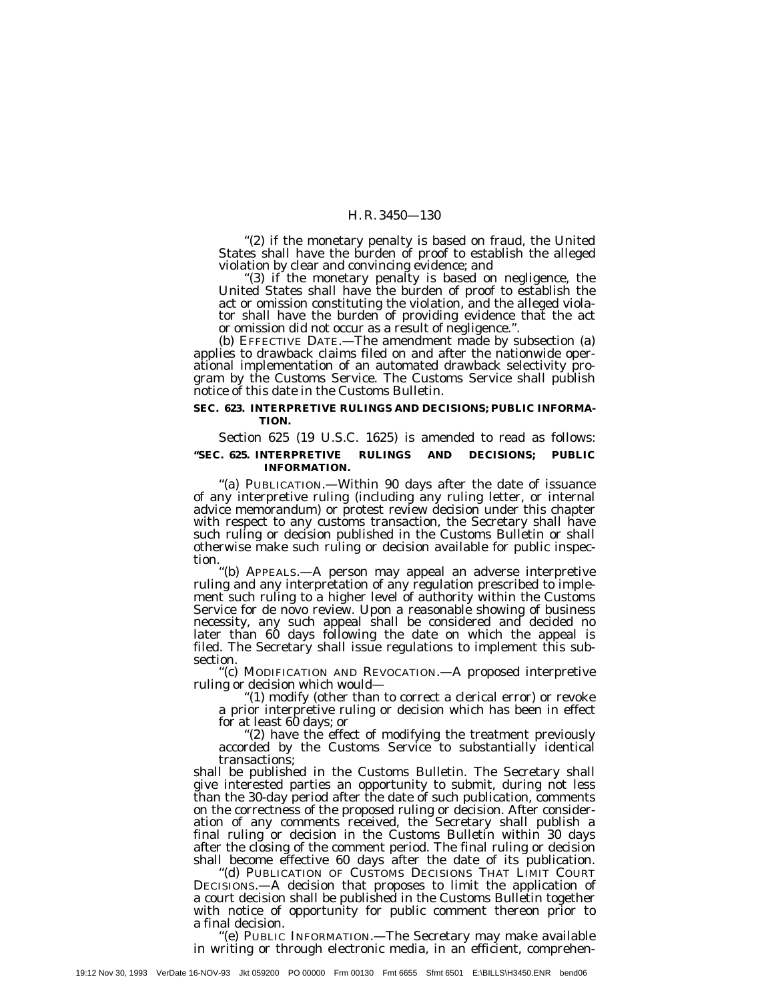''(2) if the monetary penalty is based on fraud, the United States shall have the burden of proof to establish the alleged

violation by clear and convincing evidence; and ''(3) if the monetary penalty is based on negligence, the United States shall have the burden of proof to establish the act or omission constituting the violation, and the alleged violator shall have the burden of providing evidence that the act or omission did not occur as a result of negligence.".<br>(b) EFFECTIVE DATE.—The amendment made by subsection (a)

applies to drawback claims filed on and after the nationwide operational implementation of an automated drawback selectivity program by the Customs Service. The Customs Service shall publish notice of this date in the Customs Bulletin.

#### **SEC. 623. INTERPRETIVE RULINGS AND DECISIONS; PUBLIC INFORMA-TION.**

Section 625 (19 U.S.C. 1625) is amended to read as follows:

#### **''SEC. 625. INTERPRETIVE RULINGS AND DECISIONS; PUBLIC INFORMATION.**

''(a) PUBLICATION.—Within 90 days after the date of issuance of any interpretive ruling (including any ruling letter, or internal advice memorandum) or protest review decision under this chapter with respect to any customs transaction, the Secretary shall have such ruling or decision published in the Customs Bulletin or shall otherwise make such ruling or decision available for public inspection.<br>"(b) APPEALS.—A person may appeal an adverse interpretive

ruling and any interpretation of any regulation prescribed to implement such ruling to a higher level of authority within the Customs Service for de novo review. Upon a reasonable showing of business necessity, any such appeal shall be considered and decided no later than 60 days following the date on which the appeal is filed. The Secretary shall issue regulations to implement this sub-

section.<br>"(c) MODIFICATION AND REVOCATION.—A proposed interpretive

ruling or decision which would—<br>—— "(1) modify (other than to correct a clerical error) or revoke<br>—— a prior interpretive ruling or decision which has been in effect<br>—— for at least 60 days; or

for at least 60 days; or ''(2) have the effect of modifying the treatment previously accorded by the Customs Service to substantially identical transactions;

shall be published in the Customs Bulletin. The Secretary shall give interested parties an opportunity to submit, during not less than the 30-day period after the date of such publication, comments on the correctness of the proposed ruling or decision. After consideration of any comments received, the Secretary shall publish a final ruling or decision in the Customs Bulletin within 30 days after the closing of the comment period. The final ruling or decision shall become effective 60 days after the date of its publication.

''(d) PUBLICATION OF CUSTOMS DECISIONS THAT LIMIT COURT DECISIONS.—A decision that proposes to limit the application of a court decision shall be published in the Customs Bulletin together with notice of opportunity for public comment thereon prior to a final decision.

''(e) PUBLIC INFORMATION.—The Secretary may make available in writing or through electronic media, in an efficient, comprehen-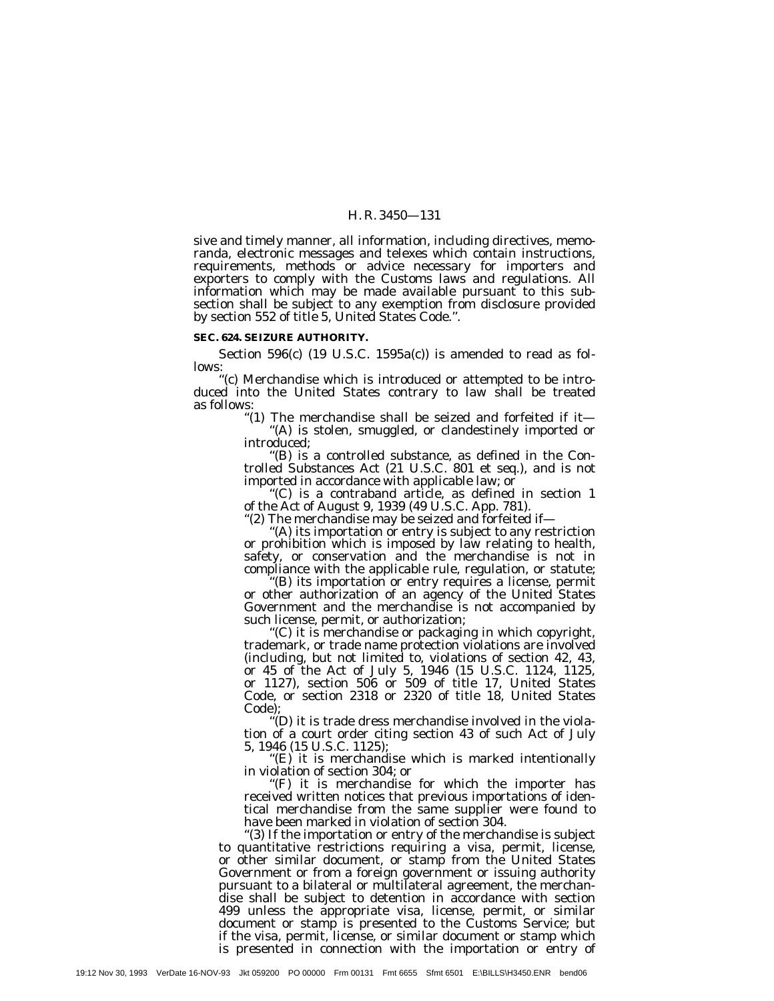sive and timely manner, all information, including directives, memoranda, electronic messages and telexes which contain instructions, requirements, methods or advice necessary for importers and exporters to comply with the Customs laws and regulations. All information which may be made available pursuant to this subsection shall be subject to any exemption from disclosure provided by section 552 of title 5, United States Code.''.

#### **SEC. 624. SEIZURE AUTHORITY.**

Section 596(c) (19 U.S.C. 1595a(c)) is amended to read as follows:

 $\mathcal{C}(c)$  Merchandise which is introduced or attempted to be introduced into the United States contrary to law shall be treated as follows:

''(1) The merchandise shall be seized and forfeited if it— ''(A) is stolen, smuggled, or clandestinely imported or introduced;

''(B) is a controlled substance, as defined in the Controlled Substances Act (21 U.S.C. 801 et seq.), and is not imported in accordance with applicable law; or

''(C) is a contraband article, as defined in section 1 of the Act of August 9, 1939 (49 U.S.C. App. 781).

"(2) The merchandise may be seized and forfeited if-

'(A) its importation or entry is subject to any restriction or prohibition which is imposed by law relating to health, safety, or conservation and the merchandise is not in compliance with the applicable rule, regulation, or statute;

''(B) its importation or entry requires a license, permit or other authorization of an agency of the United States Government and the merchandise is not accompanied by such license, permit, or authorization;<br>"(C) it is merchandise or packaging in which copyright,

trademark, or trade name protection violations are involved (including, but not limited to, violations of section 42, 43, or 45 of the Act of July 5, 1946 (15 U.S.C. 1124, 1125, or 1127), section 506 or 509 of title 17, United States Code, or section 2318 or 2320 of title 18, United States Code);

 $f(D)$  it is trade dress merchandise involved in the violation of a court order citing section 43 of such Act of July 5, 1946 (15 U.S.C. 1125);

 $\rm ^{\prime \prime}(E)$  it is merchandise which is marked intentionally in violation of section 304; or

''(F) it is merchandise for which the importer has received written notices that previous importations of identical merchandise from the same supplier were found to have been marked in violation of section 304.

''(3) If the importation or entry of the merchandise is subject to quantitative restrictions requiring a visa, permit, license, or other similar document, or stamp from the United States Government or from a foreign government or issuing authority pursuant to a bilateral or multilateral agreement, the merchandise shall be subject to detention in accordance with section 499 unless the appropriate visa, license, permit, or similar document or stamp is presented to the Customs Service; but if the visa, permit, license, or similar document or stamp which is presented in connection with the importation or entry of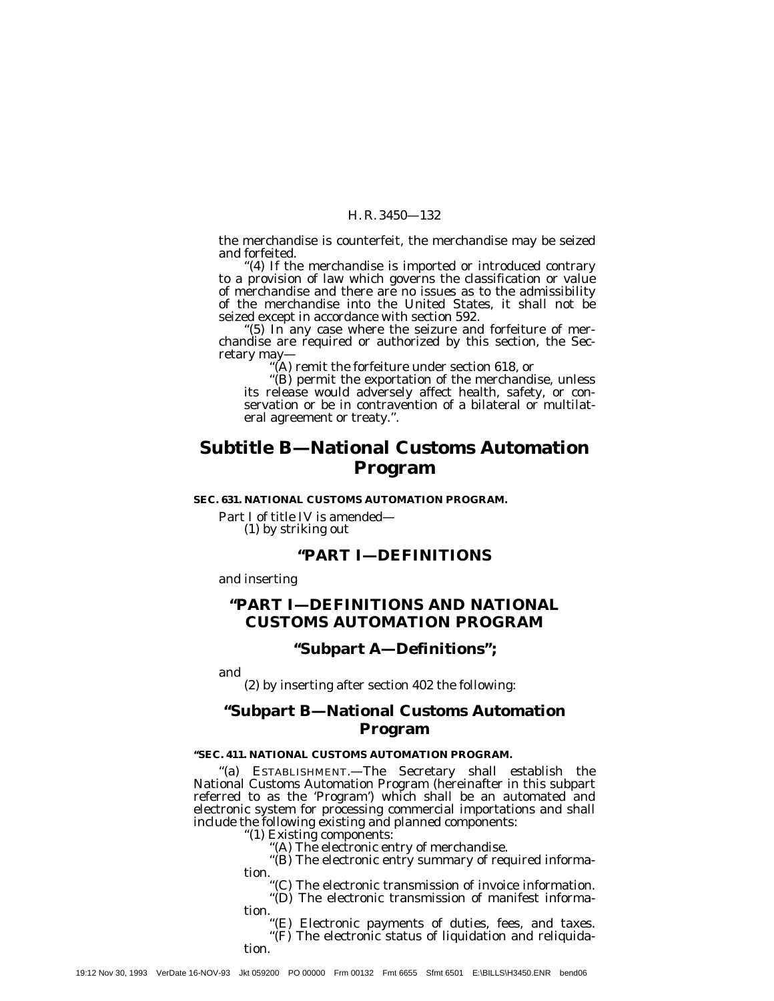the merchandise is counterfeit, the merchandise may be seized and forfeited.

(4) If the merchandise is imported or introduced contrary to a provision of law which governs the classification or value of merchandise and there are no issues as to the admissibility of the merchandise into the United States, it shall not be seized except in accordance with section 592.

''(5) In any case where the seizure and forfeiture of merchandise are required or authorized by this section, the Secretary may—

''(A) remit the forfeiture under section 618, or

''(B) permit the exportation of the merchandise, unless its release would adversely affect health, safety, or conservation or be in contravention of a bilateral or multilateral agreement or treaty.''.

# **Subtitle B—National Customs Automation Program**

## **SEC. 631. NATIONAL CUSTOMS AUTOMATION PROGRAM.**

Part I of title IV is amended— (1) by striking out

# **''PART I—DEFINITIONS**

and inserting

# **''PART I—DEFINITIONS AND NATIONAL CUSTOMS AUTOMATION PROGRAM**

# **''Subpart A—Definitions'';**

and

(2) by inserting after section 402 the following:

# **''Subpart B—National Customs Automation Program**

# **''SEC. 411. NATIONAL CUSTOMS AUTOMATION PROGRAM.**

''(a) ESTABLISHMENT.—The Secretary shall establish the National Customs Automation Program (hereinafter in this subpart referred to as the 'Program') which shall be an automated and electronic system for processing commercial importations and shall include the following existing and planned components: ''(1) Existing components: ''(A) The electronic entry of merchandise.

"(B) The electronic entry summary of required informa-

(C) The electronic transmission of invoice information. ''(D) The electronic transmission of manifest informa-

tion.

''(E) Electronic payments of duties, fees, and taxes. ''(F) The electronic status of liquidation and reliquidation.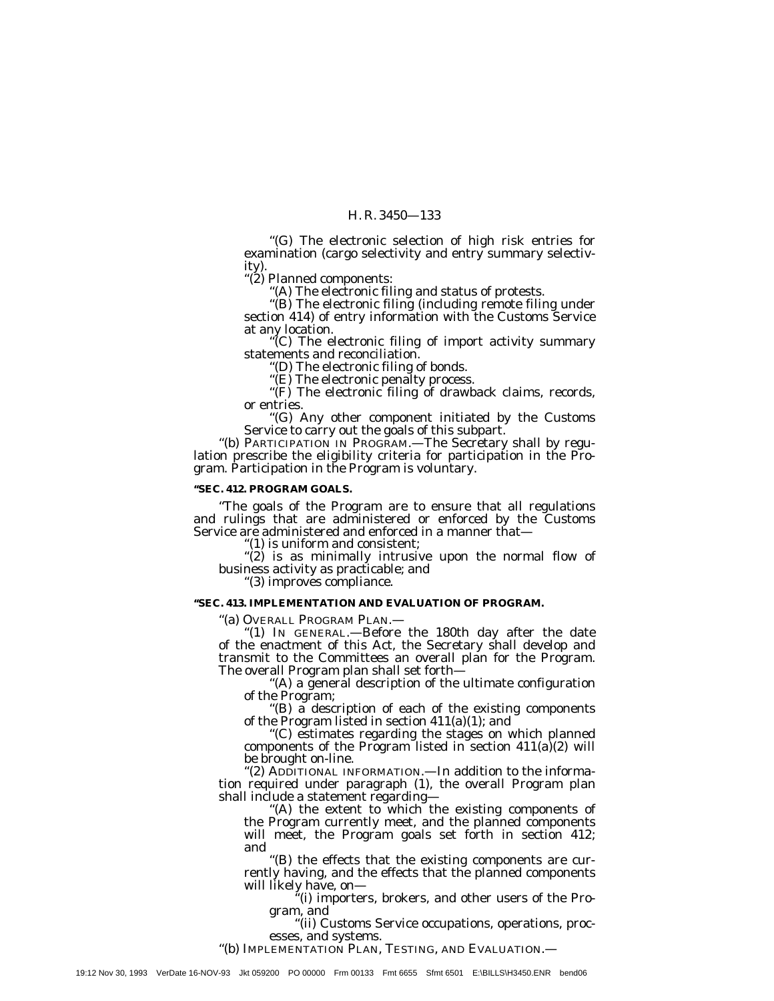''(G) The electronic selection of high risk entries for examination (cargo selectivity and entry summary selectivity).

''(2) Planned components:

''(A) The electronic filing and status of protests.

''(B) The electronic filing (including remote filing under section 414) of entry information with the Customs Service at any location.

''(C) The electronic filing of import activity summary statements and reconciliation.

''(D) The electronic filing of bonds.

''(E) The electronic penalty process.

"(F) The electronic filing of drawback claims, records, or entries.

''(G) Any other component initiated by the Customs Service to carry out the goals of this subpart.

''(b) PARTICIPATION IN PROGRAM.—The Secretary shall by regulation prescribe the eligibility criteria for participation in the Program. Participation in the Program is voluntary.

#### **''SEC. 412. PROGRAM GOALS.**

''The goals of the Program are to ensure that all regulations and rulings that are administered or enforced by the Customs Service are administered and enforced in a manner that—

''(1) is uniform and consistent;

"(2) is as minimally intrusive upon the normal flow of business activity as practicable; and

"(3) improves compliance.

#### **''SEC. 413. IMPLEMENTATION AND EVALUATION OF PROGRAM.**

''(a) OVERALL PROGRAM PLAN.— ''(1) IN GENERAL.—Before the 180th day after the date of the enactment of this Act, the Secretary shall develop and transmit to the Committees an overall plan for the Program.<br>The overall Program plan shall set forth—

"(A) a general description of the ultimate configuration of the Program;

"(B) a description of each of the existing components<br>of the Program listed in section  $411(a)(1)$ ; and<br>"(C) estimates regarding the stages on which planned<br>components of the Program listed in section  $411(a)(2)$  will be brought on-line.

"(2) ADDITIONAL INFORMATION.—In addition to the information required under paragraph (1), the overall Program plan shall include a statement regarding—

''(A) the extent to which the existing components of the Program currently meet, and the planned components will meet, the Program goals set forth in section 412; and

(B) the effects that the existing components are currently having, and the effects that the planned components will likely have, on—

''(i) importers, brokers, and other users of the Program, and

''(ii) Customs Service occupations, operations, processes, and systems.

''(b) IMPLEMENTATION PLAN, TESTING, AND EVALUATION.—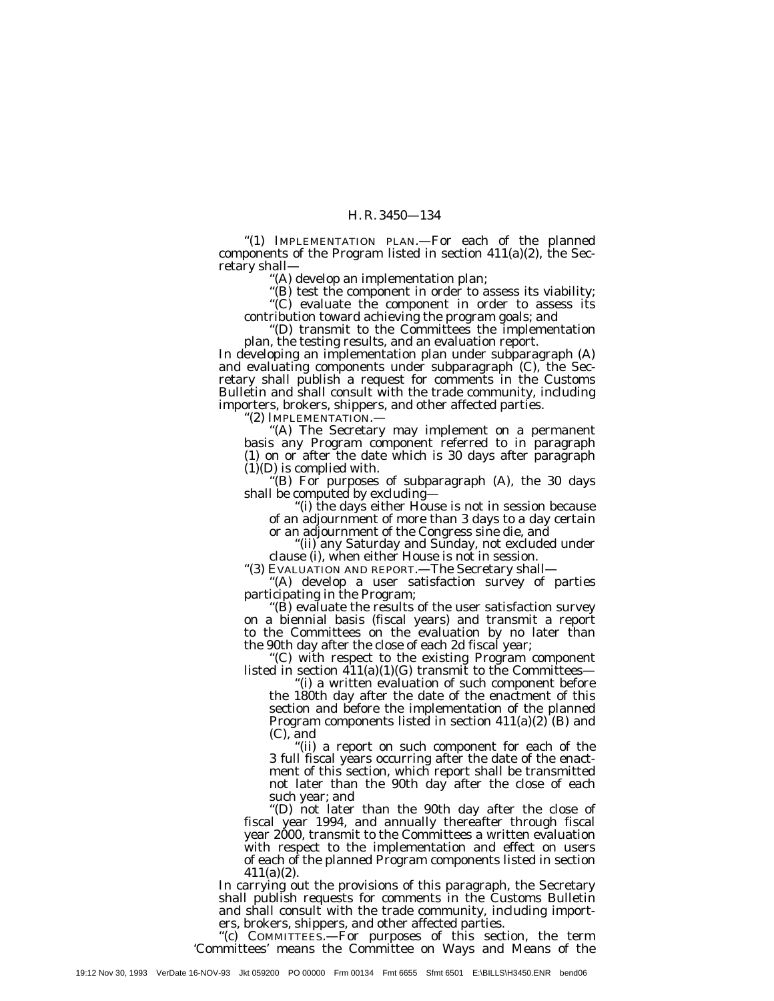''(1) IMPLEMENTATION PLAN.—For each of the planned components of the Program listed in section  $411(a)(2)$ , the Secretary shall—

''(A) develop an implementation plan;

''(B) test the component in order to assess its viability;

''(C) evaluate the component in order to assess its contribution toward achieving the program goals; and

''(D) transmit to the Committees the implementation plan, the testing results, and an evaluation report.

In developing an implementation plan under subparagraph (A) and evaluating components under subparagraph (C), the Secretary shall publish a request for comments in the Customs Bulletin and shall consult with the trade community, including importers, brokers, shippers, and other affected parties.

''(2) IMPLEMENTATION.—

''(A) The Secretary may implement on a permanent basis any Program component referred to in paragraph (1) on or after the date which is 30 days after paragraph (1)(D) is complied with.

'(B) For purposes of subparagraph (A), the 30 days shall be computed by excluding—

''(i) the days either House is not in session because of an adjournment of more than 3 days to a day certain or an adjournment of the Congress sine die, and

"(ii) any Saturday and Sunday, not excluded under clause (i), when either House is not in session.

''(3) EVALUATION AND REPORT.—The Secretary shall—

''(A) develop a user satisfaction survey of parties participating in the Program; ''(B) evaluate the results of the user satisfaction survey on a biennial basis (fiscal years) and transmit a report to the Committees on the evaluation by no later than

the 90th day after the close of each 2d fiscal year;<br>"(C) with respect to the existing Program component<br>listed in section 411(a)(1)(G) transmit to the Committees—

''(i) a written evaluation of such component before the 180th day after the date of the enactment of this section and before the implementation of the planned Program components listed in section  $411(a)(2)$  (B) and (C), and

(ii) a report on such component for each of the 3 full fiscal years occurring after the date of the enactment of this section, which report shall be transmitted not later than the 90th day after the close of each such year; and

''(D) not later than the 90th day after the close of fiscal year 1994, and annually thereafter through fiscal year 2000, transmit to the Committees a written evaluation with respect to the implementation and effect on users of each of the planned Program components listed in section 411(a)(2).

In carrying out the provisions of this paragraph, the Secretary shall publish requests for comments in the Customs Bulletin and shall consult with the trade community, including importers, brokers, shippers, and other affected parties.

''(c) COMMITTEES.—For purposes of this section, the term 'Committees' means the Committee on Ways and Means of the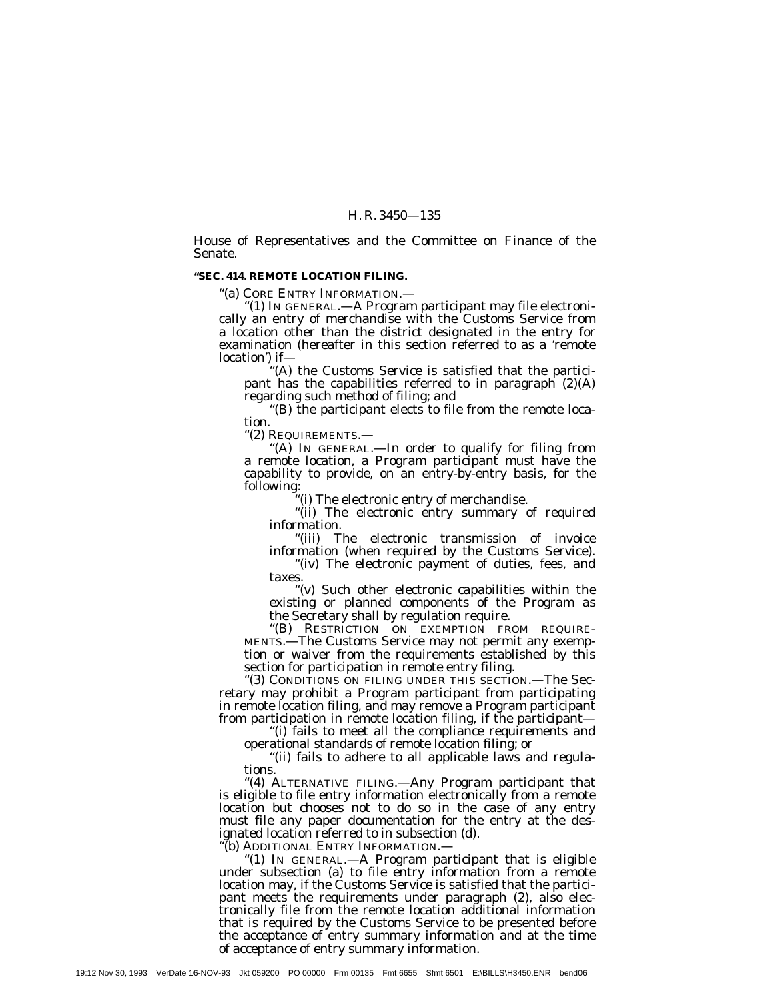House of Representatives and the Committee on Finance of the Senate.

# **''SEC. 414. REMOTE LOCATION FILING.**

''(a) CORE ENTRY INFORMATION.—

''(1) IN GENERAL.—A Program participant may file electronically an entry of merchandise with the Customs Service from a location other than the district designated in the entry for examination (hereafter in this section referred to as a 'remote location') if-

'(A) the Customs Service is satisfied that the participant has the capabilities referred to in paragraph (2)(A) regarding such method of filing; and

''(B) the participant elects to file from the remote location.

''(2) REQUIREMENTS.—

''(A) IN GENERAL.—In order to qualify for filing from a remote location, a Program participant must have the capability to provide, on an entry-by-entry basis, for the following:

(i) The electronic entry of merchandise.

"(ii) The electronic entry summary of required information.

''(iii) The electronic transmission of invoice information (when required by the Customs Service).

"(iv) The electronic payment of duties, fees, and taxes.

''(v) Such other electronic capabilities within the existing or planned components of the Program as the Secretary shall by regulation require.

''(B) RESTRICTION ON EXEMPTION FROM REQUIRE-MENTS.—The Customs Service may not permit any exemption or waiver from the requirements established by this section for participation in remote entry filing.

''(3) CONDITIONS ON FILING UNDER THIS SECTION.—The Secretary may prohibit a Program participant from participating in remote location filing, and may remove a Program participant from participation in remote location filing, if the participant—

"(i) fails to meet all the compliance requirements and operational standards of remote location filing; or

''(ii) fails to adhere to all applicable laws and regulations.

''(4) ALTERNATIVE FILING.—Any Program participant that is eligible to file entry information electronically from a remote location but chooses not to do so in the case of any entry must file any paper documentation for the entry at the designated location referred to in subsection (d).

''(b) ADDITIONAL ENTRY INFORMATION.—

'(1) IN GENERAL.—A Program participant that is eligible under subsection (a) to file entry information from a remote location may, if the Customs Service is satisfied that the participant meets the requirements under paragraph (2), also electronically file from the remote location additional information that is required by the Customs Service to be presented before the acceptance of entry summary information and at the time of acceptance of entry summary information.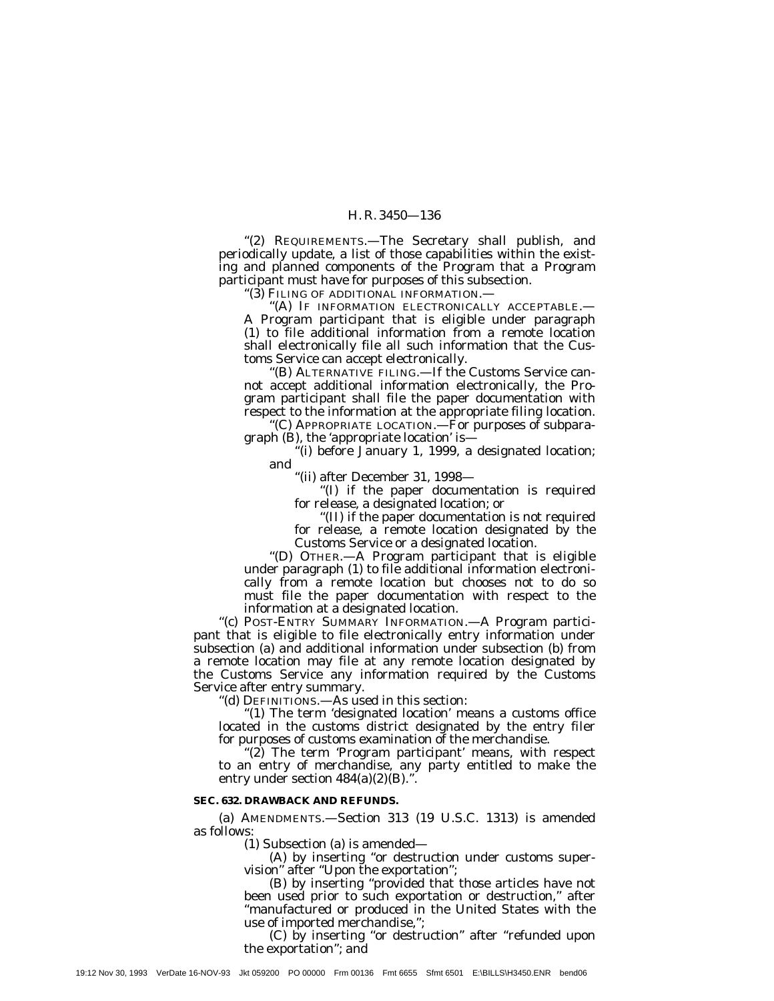''(2) REQUIREMENTS.—The Secretary shall publish, and periodically update, a list of those capabilities within the existing and planned components of the Program that a Program participant must have for purposes of this subsection.

''(3) FILING OF ADDITIONAL INFORMATION.—

''(A) IF INFORMATION ELECTRONICALLY ACCEPTABLE.— A Program participant that is eligible under paragraph (1) to file additional information from a remote location shall electronically file all such information that the Customs Service can accept electronically.

''(B) ALTERNATIVE FILING.—If the Customs Service cannot accept additional information electronically, the Program participant shall file the paper documentation with respect to the information at the appropriate filing location.

''(C) APPROPRIATE LOCATION.—For purposes of subparagraph (B), the 'appropriate location' is—

''(i) before January 1, 1999, a designated location; and

''(ii) after December 31, 1998—

''(I) if the paper documentation is required for release, a designated location; or

''(II) if the paper documentation is not required for release, a remote location designated by the Customs Service or a designated location.

''(D) OTHER.—A Program participant that is eligible under paragraph (1) to file additional information electronically from a remote location but chooses not to do so must file the paper documentation with respect to the information at a designated location.

''(c) POST-ENTRY SUMMARY INFORMATION.—A Program participant that is eligible to file electronically entry information under subsection (a) and additional information under subsection (b) from a remote location may file at any remote location designated by the Customs Service any information required by the Customs Service after entry summary.

''(d) DEFINITIONS.—As used in this section:

'(1) The term 'designated location' means a customs office located in the customs district designated by the entry filer for purposes of customs examination of the merchandise.

"(2) The term 'Program participant' means, with respect to an entry of merchandise, any party entitled to make the entry under section  $484(a)(2)(B)$ ."

# **SEC. 632. DRAWBACK AND REFUNDS.**

(a) AMENDMENTS.—Section 313 (19 U.S.C. 1313) is amended as follows:

(1) Subsection (a) is amended—

(A) by inserting ''or destruction under customs supervision'' after ''Upon the exportation'';

(B) by inserting ''provided that those articles have not been used prior to such exportation or destruction," after ''manufactured or produced in the United States with the use of imported merchandise,'';

(C) by inserting ''or destruction'' after ''refunded upon the exportation''; and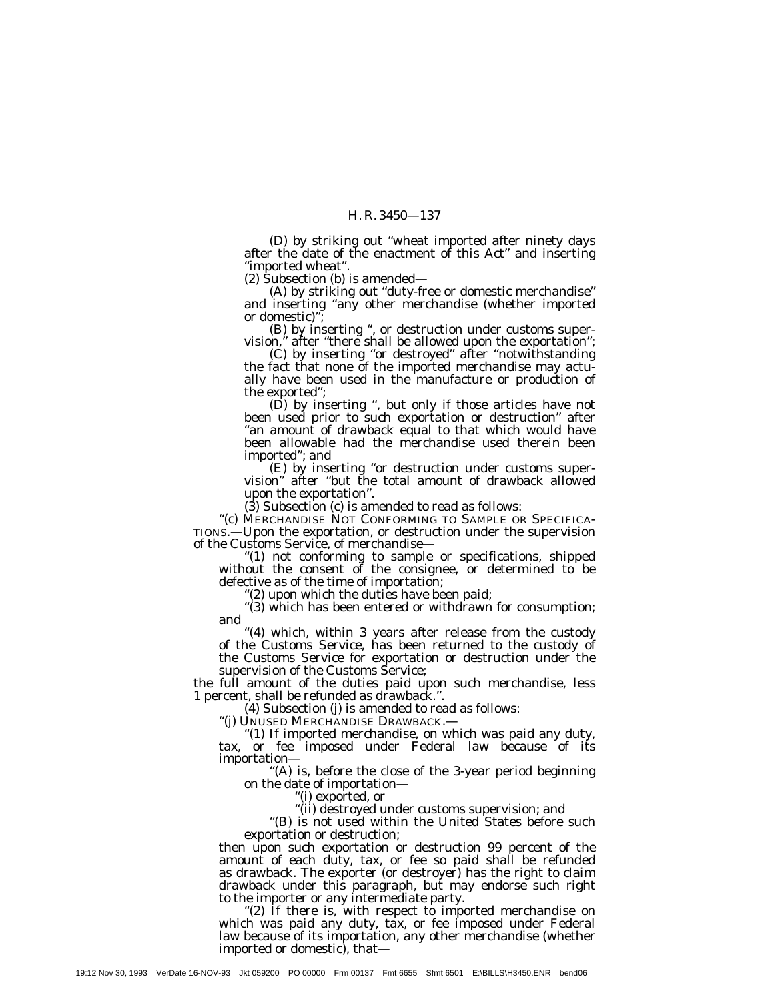(D) by striking out ''wheat imported after ninety days after the date of the enactment of this Act'' and inserting ''imported wheat''.

(2) Subsection (b) is amended—

(A) by striking out ''duty-free or domestic merchandise'' and inserting ''any other merchandise (whether imported or domestic)'';

(B) by inserting '', or destruction under customs supervision,'' after ''there shall be allowed upon the exportation'';

(C) by inserting ''or destroyed'' after ''notwithstanding the fact that none of the imported merchandise may actually have been used in the manufacture or production of the exported'';

(D) by inserting '', but only if those articles have not been used prior to such exportation or destruction'' after ''an amount of drawback equal to that which would have been allowable had the merchandise used therein been imported''; and

(E) by inserting ''or destruction under customs supervision'' after ''but the total amount of drawback allowed upon the exportation''.

(3) Subsection (c) is amended to read as follows:

''(c) MERCHANDISE NOT CONFORMING TO SAMPLE OR SPECIFICA-TIONS.—Upon the exportation, or destruction under the supervision of the Customs Service, of merchandise—

''(1) not conforming to sample or specifications, shipped without the consent of the consignee, or determined to be defective as of the time of importation;

''(2) upon which the duties have been paid;

"(3) which has been entered or withdrawn for consumption; and

''(4) which, within 3 years after release from the custody of the Customs Service, has been returned to the custody of the Customs Service for exportation or destruction under the supervision of the Customs Service;

the full amount of the duties paid upon such merchandise, less 1 percent, shall be refunded as drawback.".<br>(4) Subsection (j) is amended to read as follows:

"(j) UNUSED MERCHANDISE DRAWBACK.—<br>"(1) If imported merchandise, on which was paid any duty, tax, or fee imposed under Federal law because of its importation—

''(A) is, before the close of the 3-year period beginning on the date of importation—

''(i) exported, or

''(ii) destroyed under customs supervision; and

''(B) is not used within the United States before such exportation or destruction;

then upon such exportation or destruction 99 percent of the amount of each duty, tax, or fee so paid shall be refunded as drawback. The exporter (or destroyer) has the right to claim drawback under this paragraph, but may endorse such right to the importer or any intermediate party.

"(2) If there is, with respect to imported merchandise on which was paid any duty, tax, or fee imposed under Federal law because of its importation, any other merchandise (whether imported or domestic), that—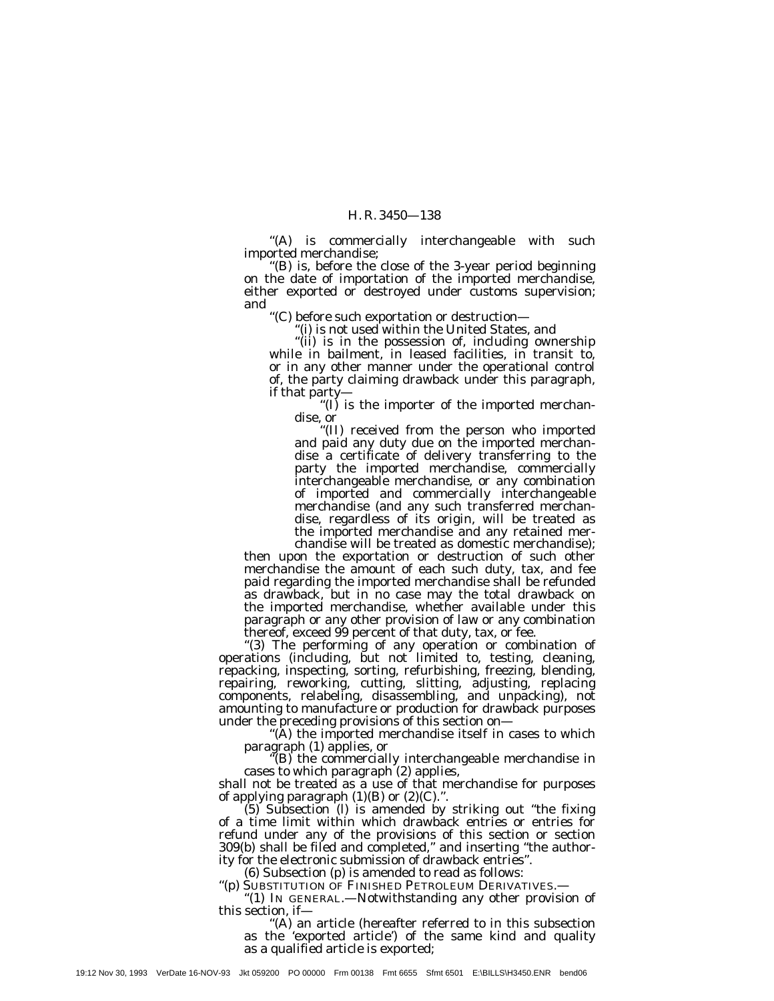"(A) is commercially interchangeable with such imported merchandise;

''(B) is, before the close of the 3-year period beginning on the date of importation of the imported merchandise, either exported or destroyed under customs supervision; and

''(C) before such exportation or destruction—

''(i) is not used within the United States, and

"(ii) is in the possession of, including ownership while in bailment, in leased facilities, in transit to, or in any other manner under the operational control of, the party claiming drawback under this paragraph, if that party—

" $(I)$  is the importer of the imported merchandise, or

''(II) received from the person who imported and paid any duty due on the imported merchandise a certificate of delivery transferring to the party the imported merchandise, commercially interchangeable merchandise, or any combination of imported and commercially interchangeable merchandise (and any such transferred merchandise, regardless of its origin, will be treated as the imported merchandise and any retained mer-

chandise will be treated as domestic merchandise); then upon the exportation or destruction of such other merchandise the amount of each such duty, tax, and fee paid regarding the imported merchandise shall be refunded as drawback, but in no case may the total drawback on the imported merchandise, whether available under this paragraph or any other provision of law or any combination thereof, exceed 99 percent of that duty, tax, or fee.

''(3) The performing of any operation or combination of operations (including, but not limited to, testing, cleaning, repacking, inspecting, sorting, refurbishing, freezing, blending, repairing, reworking, cutting, slitting, adjusting, replacing components, relabeling, disassembling, and unpacking), not amounting to manufacture or production for drawback purposes under the preceding provisions of this section on—

"(A) the imported merchandise itself in cases to which

paragraph (1) applies, or<br>
"(B) the commercially interchangeable merchandise in cases to which paragraph (2) applies,<br>
shall not be treated as a use of that merchandise for purposes

of applying paragraph  $(1)(B)$  or  $(2)(C)$ .".

(5) Subsection (l) is amended by striking out ''the fixing of a time limit within which drawback entries or entries for refund under any of the provisions of this section or section 309(b) shall be filed and completed,'' and inserting ''the authority for the electronic submission of drawback entries''.

(6) Subsection (p) is amended to read as follows:

''(p) SUBSTITUTION OF FINISHED PETROLEUM DERIVATIVES.—

''(1) IN GENERAL.—Notwithstanding any other provision of this section, if—

''(A) an article (hereafter referred to in this subsection as the 'exported article') of the same kind and quality as a qualified article is exported;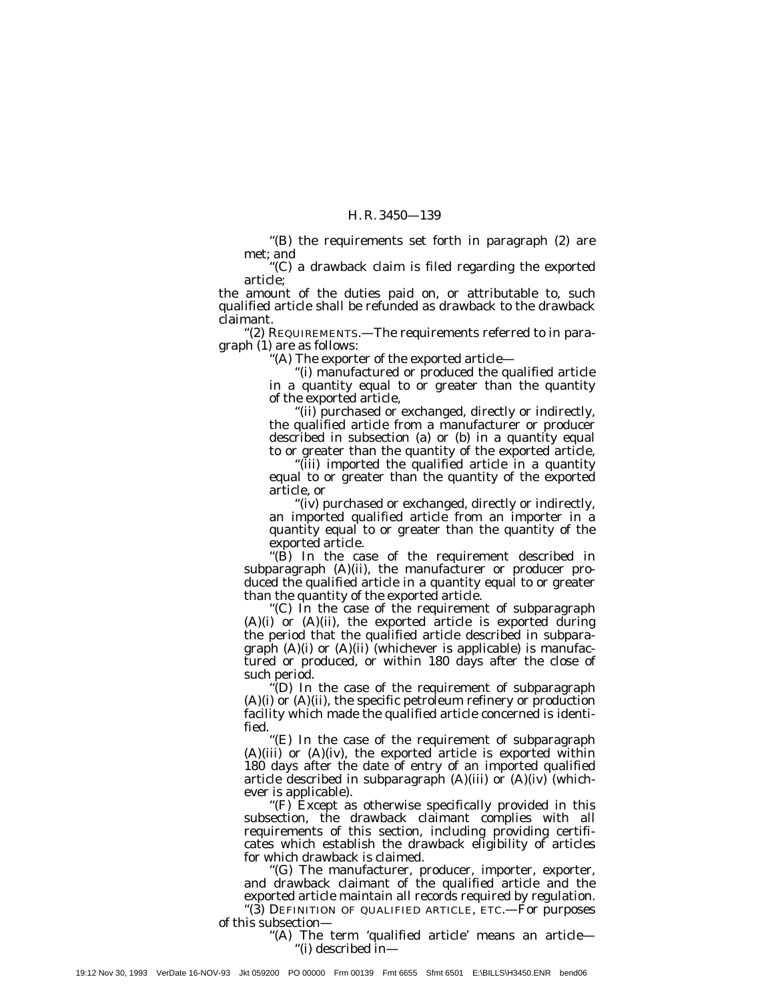''(B) the requirements set forth in paragraph (2) are met; and

 $(C)$  a drawback claim is filed regarding the exported article;

the amount of the duties paid on, or attributable to, such qualified article shall be refunded as drawback to the drawback claimant.

''(2) REQUIREMENTS.—The requirements referred to in paragraph (1) are as follows:

'(A) The exporter of the exported article—

''(i) manufactured or produced the qualified article in a quantity equal to or greater than the quantity of the exported article,

"(ii) purchased or exchanged, directly or indirectly, the qualified article from a manufacturer or producer described in subsection (a) or (b) in a quantity equal to or greater than the quantity of the exported article,

''(iii) imported the qualified article in a quantity equal to or greater than the quantity of the exported article, or

''(iv) purchased or exchanged, directly or indirectly, an imported qualified article from an importer in a quantity equal to or greater than the quantity of the exported article.

''(B) In the case of the requirement described in subparagraph (A)(ii), the manufacturer or producer produced the qualified article in a quantity equal to or greater than the quantity of the exported article.

''(C) In the case of the requirement of subparagraph (A)(i) or (A)(ii), the exported article is exported during the period that the qualified article described in subparagraph  $(A)(i)$  or  $(A)(ii)$  (whichever is applicable) is manufactured or produced, or within 180 days after the close of such period.

'(D) In the case of the requirement of subparagraph (A)(i) or (A)(ii), the specific petroleum refinery or production facility which made the qualified article concerned is identified.

''(E) In the case of the requirement of subparagraph  $(A)(iii)$  or  $(A)(iv)$ , the exported article is exported within 180 days after the date of entry of an imported qualified article described in subparagraph  $(A)(iii)$  or  $(A)(iv)$  (whichever is applicable).

" $(F)$  Except as otherwise specifically provided in this subsection, the drawback claimant complies with all requirements of this section, including providing certificates which establish the drawback eligibility of articles for which drawback is claimed.

''(G) The manufacturer, producer, importer, exporter, and drawback claimant of the qualified article and the exported article maintain all records required by regulation.

''(3) DEFINITION OF QUALIFIED ARTICLE, ETC.—For purposes of this subsection—

''(A) The term 'qualified article' means an article— ''(i) described in—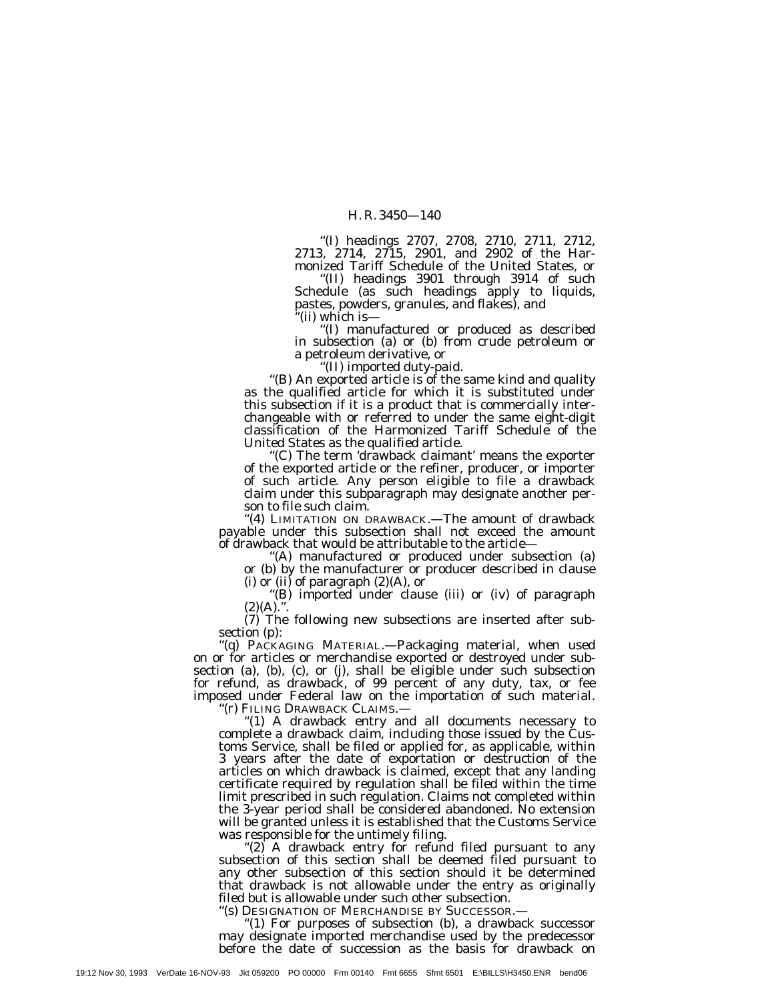''(I) headings 2707, 2708, 2710, 2711, 2712, 2713, 2714, 2715, 2901, and 2902 of the Harmonized Tariff Schedule of the United States, or

''(II) headings 3901 through 3914 of such Schedule (as such headings apply to liquids, pastes, powders, granules, and flakes), and ''(ii) which is—

''(I) manufactured or produced as described in subsection (a) or (b) from crude petroleum or a petroleum derivative, or

''(II) imported duty-paid.

''(B) An exported article is of the same kind and quality as the qualified article for which it is substituted under this subsection if it is a product that is commercially interchangeable with or referred to under the same eight-digit classification of the Harmonized Tariff Schedule of the United States as the qualified article.

''(C) The term 'drawback claimant' means the exporter of the exported article or the refiner, producer, or importer of such article. Any person eligible to file a drawback claim under this subparagraph may designate another person to file such claim.

''(4) LIMITATION ON DRAWBACK.—The amount of drawback payable under this subsection shall not exceed the amount of drawback that would be attributable to the article—

''(A) manufactured or produced under subsection (a) or (b) by the manufacturer or producer described in clause (i) or (ii) of paragraph (2)(A), or

"(B) imported under clause (iii) or (iv) of paragraph  $(2)(A)$ .".

(7) The following new subsections are inserted after subsection (p):<br>"(q) PACKAGING MATERIAL.—Packaging material, when used

on or for articles or merchandise exported or destroyed under subsection (a), (b), (c), or (j), shall be eligible under such subsection for refund, as drawback, of 99 percent of any duty, tax, or fee imposed under Federal law on the importation of such material.<br>"(r) FILING DRAWBACK CLAIMS.—

''(r) FILING DRAWBACK CLAIMS.— ''(1) A drawback entry and all documents necessary to complete a drawback claim, including those issued by the Customs Service, shall be filed or applied for, as applicable, within 3 years after the date of exportation or destruction of the articles on which drawback is claimed, except that any landing certificate required by regulation shall be filed within the time limit prescribed in such regulation. Claims not completed within the 3-year period shall be considered abandoned. No extension will be granted unless it is established that the Customs Service was responsible for the untimely filing.

"(2) A drawback entry for refund filed pursuant to any subsection of this section shall be deemed filed pursuant to any other subsection of this section should it be determined that drawback is not allowable under the entry as originally filed but is allowable under such other subsection.

''(s) DESIGNATION OF MERCHANDISE BY SUCCESSOR.—

''(1) For purposes of subsection (b), a drawback successor may designate imported merchandise used by the predecessor before the date of succession as the basis for drawback on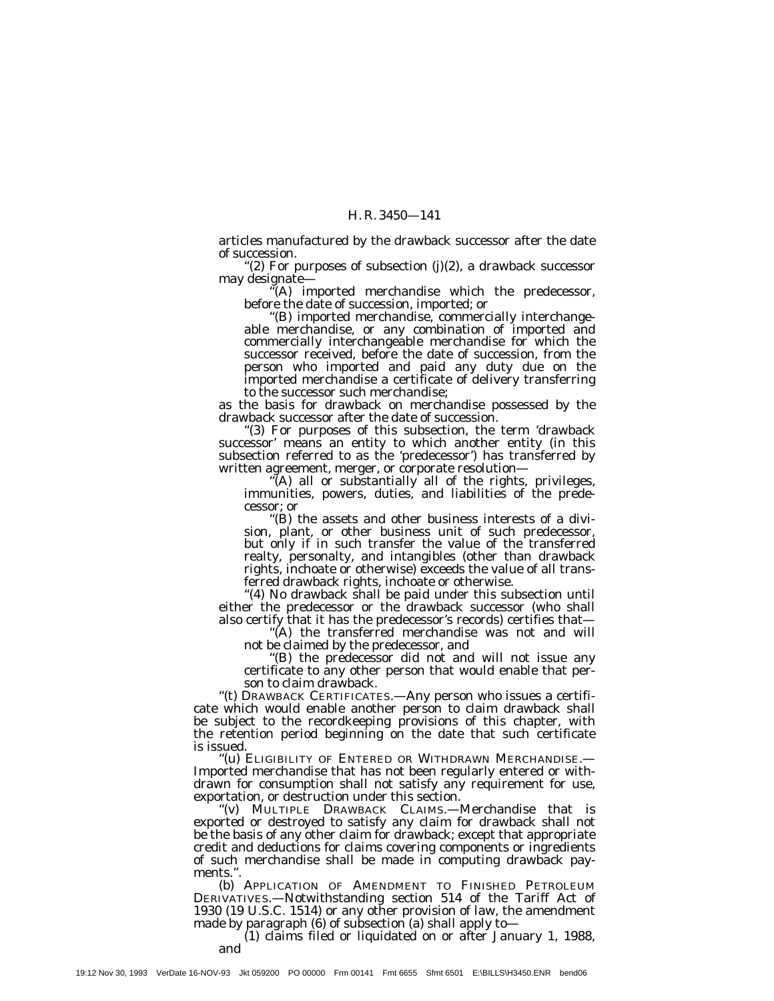articles manufactured by the drawback successor after the date of succession.

 $(2)$  For purposes of subsection  $(i)(2)$ , a drawback successor may designate-

 $f(A)$  imported merchandise which the predecessor, before the date of succession, imported; or

''(B) imported merchandise, commercially interchangeable merchandise, or any combination of imported and commercially interchangeable merchandise for which the successor received, before the date of succession, from the person who imported and paid any duty due on the imported merchandise a certificate of delivery transferring to the successor such merchandise;

as the basis for drawback on merchandise possessed by the drawback successor after the date of succession.

''(3) For purposes of this subsection, the term 'drawback successor' means an entity to which another entity (in this subsection referred to as the 'predecessor') has transferred by written agreement, merger, or corporate resolution—

''(A) all or substantially all of the rights, privileges, immunities, powers, duties, and liabilities of the predecessor; or

''(B) the assets and other business interests of a division, plant, or other business unit of such predecessor, but only if in such transfer the value of the transferred realty, personalty, and intangibles (other than drawback rights, inchoate or otherwise) exceeds the value of all transferred drawback rights, inchoate or otherwise.

''(4) No drawback shall be paid under this subsection until either the predecessor or the drawback successor (who shall

also certify that it has the predecessor's records) certifies that—<br>"(A) the transferred merchandise was not and will not be claimed by the predecessor, and

"(B) the predecessor did not and will not issue any certificate to any other person that would enable that per-

son to claim drawback.<br>"(t) DRAWBACK CERTIFICATES.—Any person who issues a certificate which would enable another person to claim drawback shall be subject to the recordkeeping provisions of this chapter, with the retention period beginning on the date that such certificate is issued.<br>"(u) Eligibility of Entered or Withdrawn Merchandise.—

Imported merchandise that has not been regularly entered or withdrawn for consumption shall not satisfy any requirement for use, exportation, or destruction under this section.

''(v) MULTIPLE DRAWBACK CLAIMS.—Merchandise that is exported or destroyed to satisfy any claim for drawback shall not be the basis of any other claim for drawback; except that appropriate credit and deductions for claims covering components or ingredients of such merchandise shall be made in computing drawback payments.

(b) APPLICATION OF AMENDMENT TO FINISHED PETROLEUM DERIVATIVES.—Notwithstanding section 514 of the Tariff Act of 1930 (19 U.S.C. 1514) or any other provision of law, the amendment made by paragraph (6) of subsection (a) shall apply to—

(1) claims filed or liquidated on or after January 1, 1988, and

19:12 Nov 30, 1993 VerDate 16-NOV-93 Jkt 059200 PO 00000 Frm 00141 Fmt 6655 Sfmt 6501 E:\BILLS\H3450.ENR bend06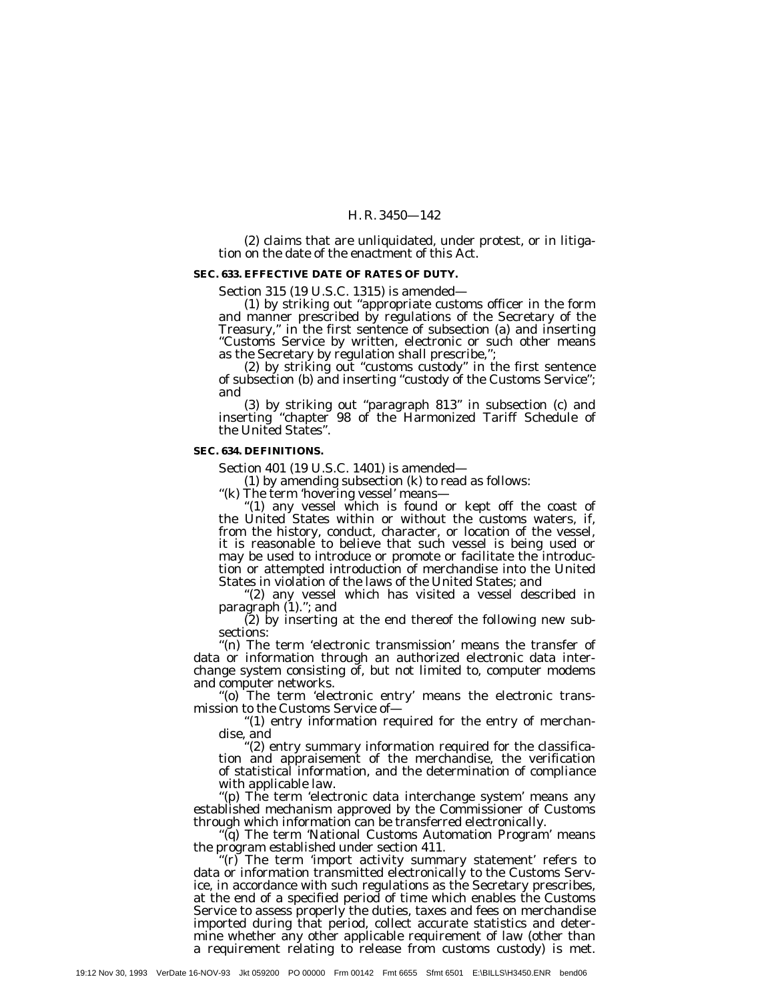(2) claims that are unliquidated, under protest, or in litigation on the date of the enactment of this Act.

## **SEC. 633. EFFECTIVE DATE OF RATES OF DUTY.**

Section 315 (19 U.S.C. 1315) is amended—

(1) by striking out ''appropriate customs officer in the form and manner prescribed by regulations of the Secretary of the Treasury,'' in the first sentence of subsection (a) and inserting "Customs Service by written, electronic or such other means as the Secretary by regulation shall prescribe,'';

(2) by striking out ''customs custody'' in the first sentence of subsection (b) and inserting ''custody of the Customs Service''; and

(3) by striking out ''paragraph 813'' in subsection (c) and inserting ''chapter 98 of the Harmonized Tariff Schedule of the United States''.

# **SEC. 634. DEFINITIONS.**

Section 401 (19 U.S.C. 1401) is amended—

(1) by amending subsection (k) to read as follows:

''(k) The term 'hovering vessel' means—

''(1) any vessel which is found or kept off the coast of the United States within or without the customs waters, if, from the history, conduct, character, or location of the vessel, it is reasonable to believe that such vessel is being used or may be used to introduce or promote or facilitate the introduction or attempted introduction of merchandise into the United States in violation of the laws of the United States; and

''(2) any vessel which has visited a vessel described in paragraph (1).''; and (2) by inserting at the end thereof the following new sub- sections:

"(n) The term 'electronic transmission' means the transfer of data or information through an authorized electronic data interchange system consisting of, but not limited to, computer modems and computer networks.

''(o) The term 'electronic entry' means the electronic trans- mission to the Customs Service of—

"(1) entry information required for the entry of merchan-<br>dise, and "(2) entry summary information required for the classifica-

tion and appraisement of the merchandise, the verification of statistical information, and the determination of compliance with applicable law.

''(p) The term 'electronic data interchange system' means any established mechanism approved by the Commissioner of Customs through which information can be transferred electronically.

'(q) The term 'National Customs Automation Program' means the program established under section 411.

''(r) The term 'import activity summary statement' refers to data or information transmitted electronically to the Customs Service, in accordance with such regulations as the Secretary prescribes, at the end of a specified period of time which enables the Customs Service to assess properly the duties, taxes and fees on merchandise imported during that period, collect accurate statistics and determine whether any other applicable requirement of law (other than a requirement relating to release from customs custody) is met.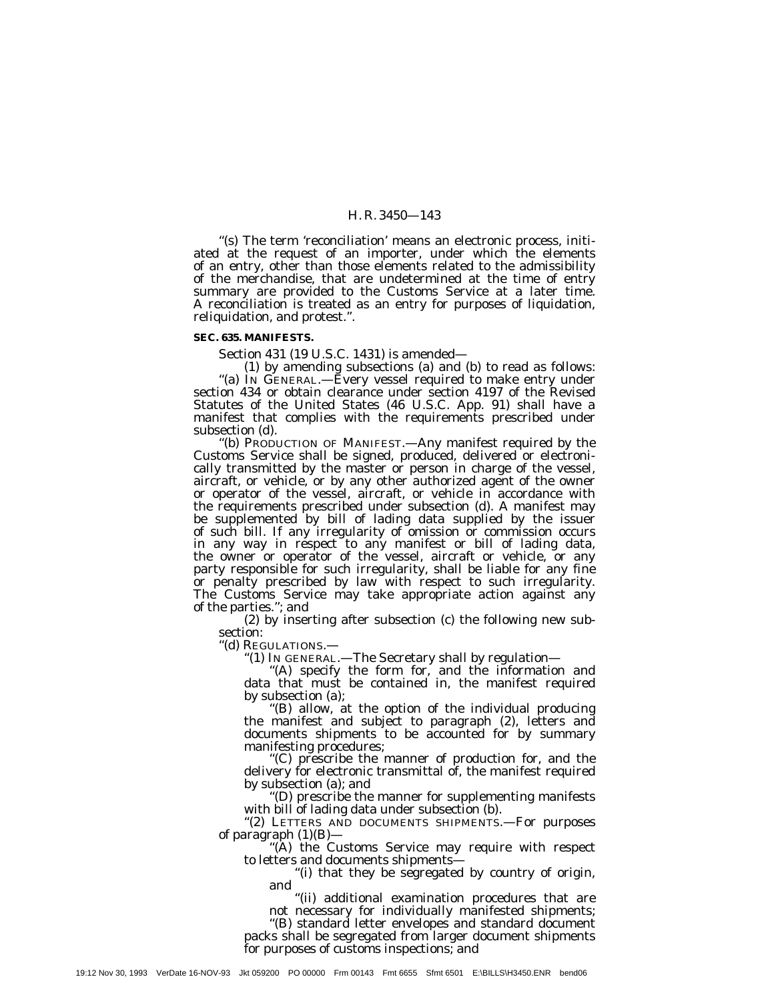''(s) The term 'reconciliation' means an electronic process, initiated at the request of an importer, under which the elements of an entry, other than those elements related to the admissibility of the merchandise, that are undetermined at the time of entry summary are provided to the Customs Service at a later time. A reconciliation is treated as an entry for purposes of liquidation, reliquidation, and protest.''.

#### **SEC. 635. MANIFESTS.**

Section 431 (19 U.S.C. 1431) is amended—

(1) by amending subsections (a) and (b) to read as follows: ''(a) IN GENERAL.—Every vessel required to make entry under

section 434 or obtain clearance under section 4197 of the Revised Statutes of the United States (46 U.S.C. App. 91) shall have a manifest that complies with the requirements prescribed under subsection (d).

''(b) PRODUCTION OF MANIFEST.—Any manifest required by the Customs Service shall be signed, produced, delivered or electronically transmitted by the master or person in charge of the vessel, aircraft, or vehicle, or by any other authorized agent of the owner or operator of the vessel, aircraft, or vehicle in accordance with the requirements prescribed under subsection (d). A manifest may be supplemented by bill of lading data supplied by the issuer of such bill. If any irregularity of omission or commission occurs in any way in respect to any manifest or bill of lading data, the owner or operator of the vessel, aircraft or vehicle, or any party responsible for such irregularity, shall be liable for any fine or penalty prescribed by law with respect to such irregularity. The Customs Service may take appropriate action against any of the parties.''; and

(2) by inserting after subsection (c) the following new subsection:<br>"(d) REGULATIONS.—

"(1) IN GENERAL.—The Secretary shall by regulation—<br>"(A) specify the form for, and the information and data that must be contained in, the manifest required

by subsection (a);<br>"(B) allow, at the option of the individual producing the manifest and subject to paragraph (2), letters and documents shipments to be accounted for by summary manifesting procedures;<br>"(C) prescribe the manner of production for, and the

delivery for electronic transmittal of, the manifest required<br>by subsection (a); and

"(D) prescribe the manner for supplementing manifests with bill of lading data under subsection (b).

''(2) LETTERS AND DOCUMENTS SHIPMENTS.—For purposes of paragraph (1)(B)—

''(A) the Customs Service may require with respect to letters and documents shipments—

''(i) that they be segregated by country of origin, and

''(ii) additional examination procedures that are not necessary for individually manifested shipments;

''(B) standard letter envelopes and standard document packs shall be segregated from larger document shipments for purposes of customs inspections; and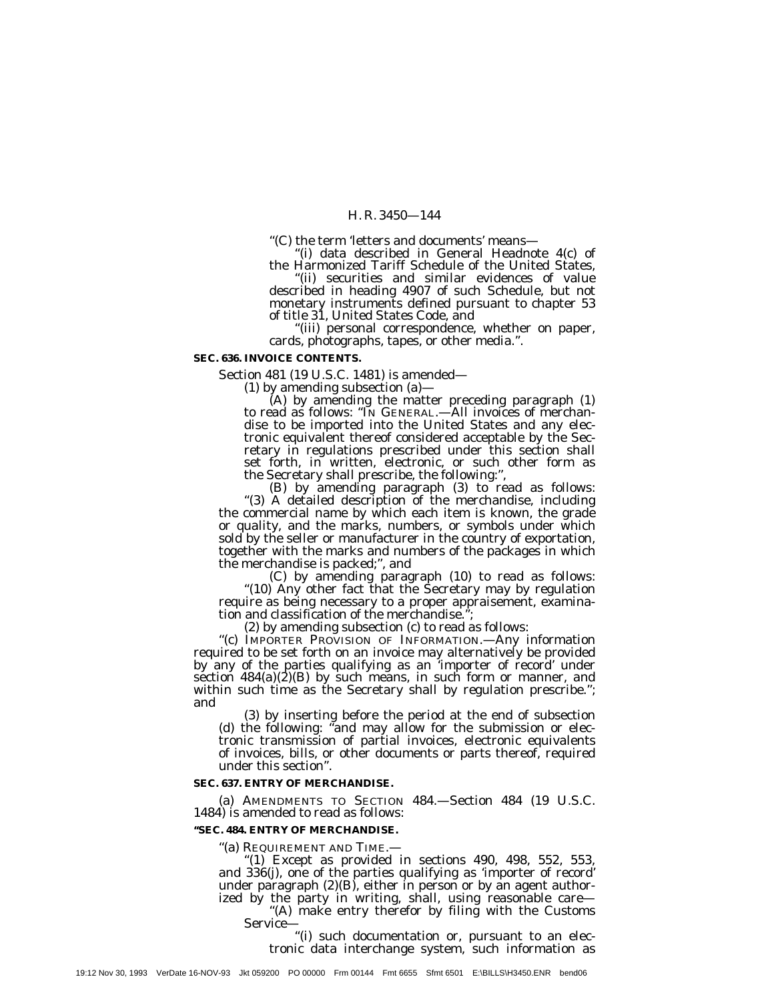''(C) the term 'letters and documents' means—

''(i) data described in General Headnote 4(c) of the Harmonized Tariff Schedule of the United States,

''(ii) securities and similar evidences of value described in heading 4907 of such Schedule, but not monetary instruments defined pursuant to chapter 53 of title 31, United States Code, and

''(iii) personal correspondence, whether on paper, cards, photographs, tapes, or other media.''.

# **SEC. 636. INVOICE CONTENTS.**

Section 481 (19 U.S.C. 1481) is amended—<br>(1) by amending subsection (a)—

(1) by amending subsection (a)—<br>(A) by amending the matter preceding paragraph (1) to read as follows: "IN GENERAL.—All invoices of merchandise to be imported into the United States and any electronic equivalent thereof considered acceptable by the Secretary in regulations prescribed under this section shall set forth, in written, electronic, or such other form as the Secretary shall prescribe, the following:'',

(B) by amending paragraph (3) to read as follows: ''(3) A detailed description of the merchandise, including the commercial name by which each item is known, the grade or quality, and the marks, numbers, or symbols under which sold by the seller or manufacturer in the country of exportation, together with the marks and numbers of the packages in which the merchandise is packed;'', and

(C) by amending paragraph (10) to read as follows: ''(10) Any other fact that the Secretary may by regulation require as being necessary to a proper appraisement, examination and classification of the merchandise.'';

(2) by amending subsection (c) to read as follows:<br>"(c) IMPORTER PROVISION OF INFORMATION.—Any information required to be set forth on an invoice may alternatively be provided by any of the parties qualifying as an 'importer of record' under section  $484(a)(2)(B)$  by such means, in such form or manner, and within such time as the Secretary shall by regulation prescribe."; and

(3) by inserting before the period at the end of subsection (d) the following: ''and may allow for the submission or electronic transmission of partial invoices, electronic equivalents of invoices, bills, or other documents or parts thereof, required under this section''.

#### **SEC. 637. ENTRY OF MERCHANDISE.**

(a) AMENDMENTS TO SECTION 484.—Section 484 (19 U.S.C. 1484) is amended to read as follows:

#### **''SEC. 484. ENTRY OF MERCHANDISE.**

''(a) REQUIREMENT AND TIME.— ''(1) Except as provided in sections 490, 498, 552, 553, and 336(j), one of the parties qualifying as 'importer of record' under paragraph (2)(B), either in person or by an agent authorized by the party in writing, shall, using reasonable care—

"(A) make entry therefor by filing with the Customs Service—

''(i) such documentation or, pursuant to an electronic data interchange system, such information as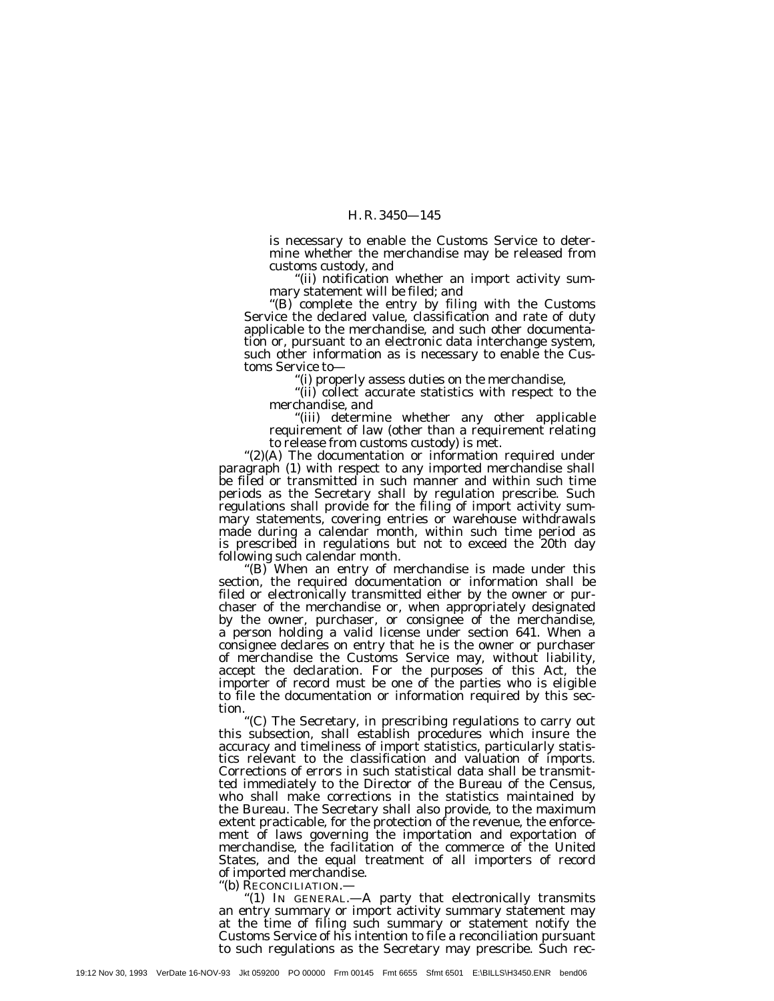is necessary to enable the Customs Service to determine whether the merchandise may be released from customs custody, and

''(ii) notification whether an import activity summary statement will be filed; and

"(B) complete the entry by filing with the Customs Service the declared value, classification and rate of duty applicable to the merchandise, and such other documentation or, pursuant to an electronic data interchange system, such other information as is necessary to enable the Customs Service to—

 $\mathbf{r}$ (i) properly assess duties on the merchandise,

"(ii) collect accurate statistics with respect to the merchandise, and

''(iii) determine whether any other applicable requirement of law (other than a requirement relating to release from customs custody) is met.

 $''(2)(A)$  The documentation or information required under paragraph (1) with respect to any imported merchandise shall be filed or transmitted in such manner and within such time periods as the Secretary shall by regulation prescribe. Such regulations shall provide for the filing of import activity summary statements, covering entries or warehouse withdrawals made during a calendar month, within such time period as is prescribed in regulations but not to exceed the 20th day following such calendar month.

"(B) When an entry of merchandise is made under this section, the required documentation or information shall be filed or electronically transmitted either by the owner or purchaser of the merchandise or, when appropriately designated by the owner, purchaser, or consignee of the merchandise, a person holding a valid license under section 641. When a consignee declares on entry that he is the owner or purchaser of merchandise the Customs Service may, without liability, accept the declaration. For the purposes of this Act, the importer of record must be one of the parties who is eligible to file the documentation or information required by this section.

'(C) The Secretary, in prescribing regulations to carry out this subsection, shall establish procedures which insure the accuracy and timeliness of import statistics, particularly statistics relevant to the classification and valuation of imports. Corrections of errors in such statistical data shall be transmitted immediately to the Director of the Bureau of the Census, who shall make corrections in the statistics maintained by the Bureau. The Secretary shall also provide, to the maximum extent practicable, for the protection of the revenue, the enforcement of laws governing the importation and exportation of merchandise, the facilitation of the commerce of the United States, and the equal treatment of all importers of record of imported merchandise.

''(b) RECONCILIATION.—

''(1) IN GENERAL.—A party that electronically transmits an entry summary or import activity summary statement may at the time of filing such summary or statement notify the Customs Service of his intention to file a reconciliation pursuant to such regulations as the Secretary may prescribe. Such rec-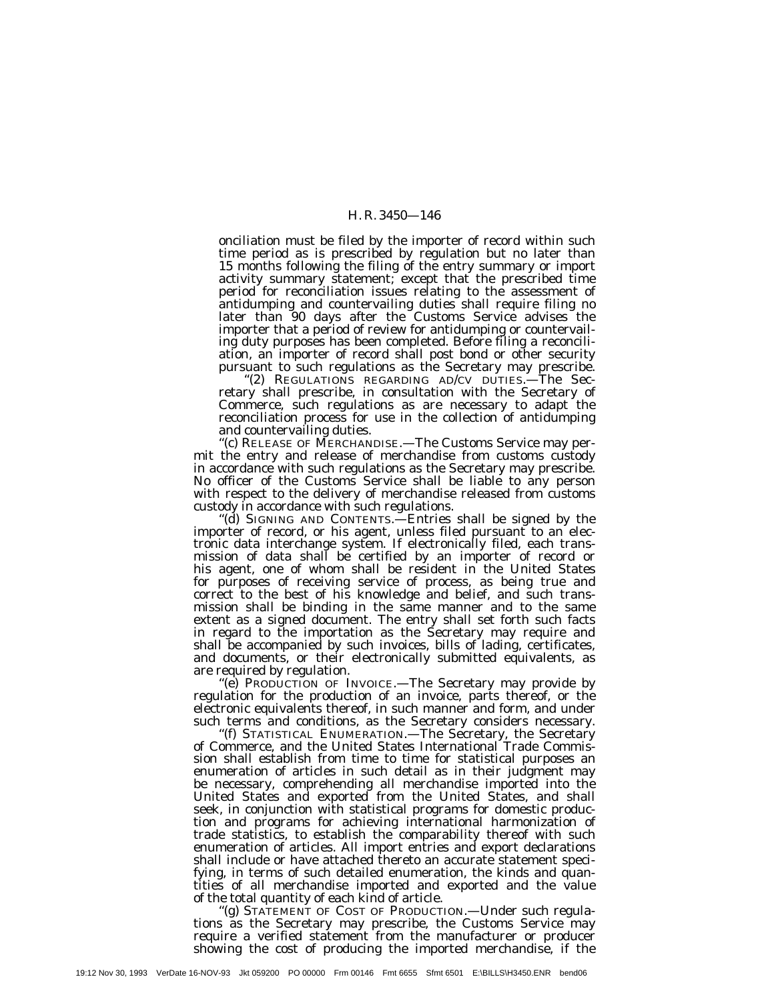onciliation must be filed by the importer of record within such time period as is prescribed by regulation but no later than 15 months following the filing of the entry summary or import activity summary statement; except that the prescribed time period for reconciliation issues relating to the assessment of antidumping and countervailing duties shall require filing no later than 90 days after the Customs Service advises the importer that a period of review for antidumping or countervailing duty purposes has been completed. Before filing a reconciliation, an importer of record shall post bond or other security pursuant to such regulations as the Secretary may prescribe.

''(2) REGULATIONS REGARDING AD/CV DUTIES.—The Secretary shall prescribe, in consultation with the Secretary of Commerce, such regulations as are necessary to adapt the reconciliation process for use in the collection of antidumping and countervailing duties.

''(c) RELEASE OF MERCHANDISE.—The Customs Service may permit the entry and release of merchandise from customs custody in accordance with such regulations as the Secretary may prescribe. No officer of the Customs Service shall be liable to any person with respect to the delivery of merchandise released from customs custody in accordance with such regulations.

''(d) SIGNING AND CONTENTS.—Entries shall be signed by the importer of record, or his agent, unless filed pursuant to an electronic data interchange system. If electronically filed, each transmission of data shall be certified by an importer of record or his agent, one of whom shall be resident in the United States for purposes of receiving service of process, as being true and correct to the best of his knowledge and belief, and such transmission shall be binding in the same manner and to the same extent as a signed document. The entry shall set forth such facts in regard to the importation as the Secretary may require and shall be accompanied by such invoices, bills of lading, certificates, and documents, or their electronically submitted equivalents, as are required by regulation.

"(e) PRODUCTION OF INVOICE.—The Secretary may provide by regulation for the production of an invoice, parts thereof, or the electronic equivalents thereof, in such manner and form, and under such terms and conditions, as the Secretary considers necessary. such terms and conditions, as the Secretary considers necessary.<br>''(f) STATISTICAL ENUMERATION.—The Secretary, the Secretary

of Commerce, and the United States International Trade Commission shall establish from time to time for statistical purposes an enumeration of articles in such detail as in their judgment may be necessary, comprehending all merchandise imported into the United States and exported from the United States, and shall seek, in conjunction with statistical programs for domestic production and programs for achieving international harmonization of trade statistics, to establish the comparability thereof with such enumeration of articles. All import entries and export declarations shall include or have attached thereto an accurate statement specifying, in terms of such detailed enumeration, the kinds and quantities of all merchandise imported and exported and the value of the total quantity of each kind of article.

''(g) STATEMENT OF COST OF PRODUCTION.—Under such regulations as the Secretary may prescribe, the Customs Service may require a verified statement from the manufacturer or producer showing the cost of producing the imported merchandise, if the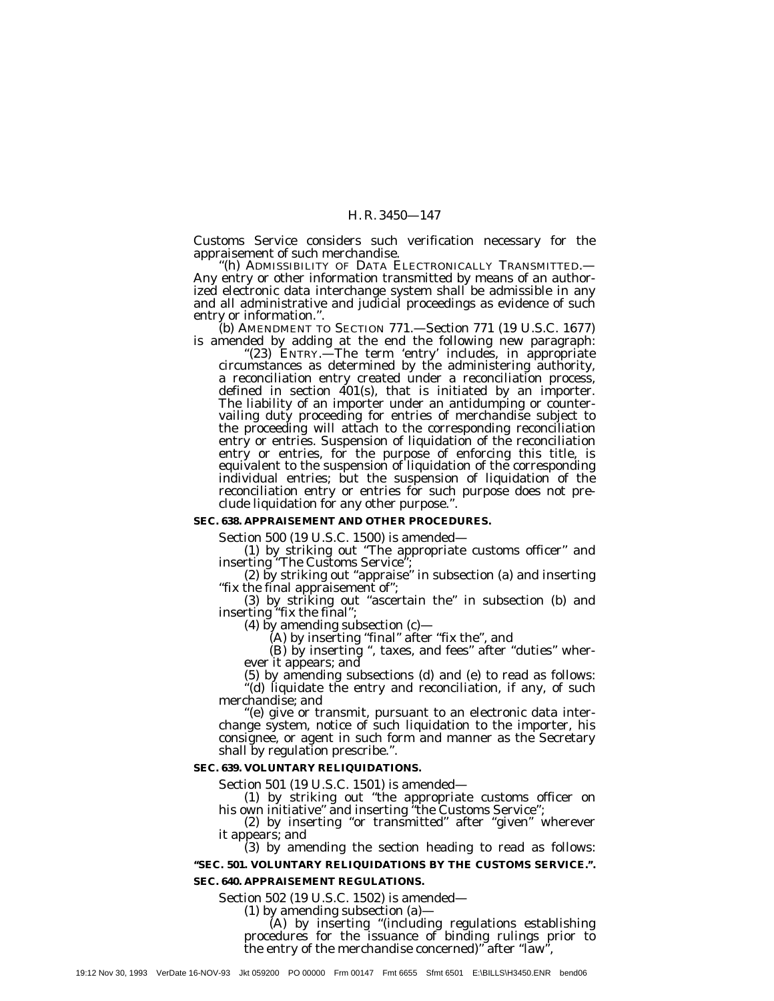Customs Service considers such verification necessary for the

<sup>1</sup> "(h) ADMISSIBILITY OF DATA ELECTRONICALLY TRANSMITTED.—<br>Any entry or other information transmitted by means of an authorized electronic data interchange system shall be admissible in any and all administrative and judicial proceedings as evidence of such entry or information.''. (b) AMENDMENT TO SECTION 771.—Section 771 (19 U.S.C. 1677)

is amended by adding at the end the following new paragraph: ''(23) ENTRY.—The term 'entry' includes, in appropriate circumstances as determined by the administering authority, a reconciliation entry created under a reconciliation process, defined in section 401(s), that is initiated by an importer. The liability of an importer under an antidumping or countervailing duty proceeding for entries of merchandise subject to the proceeding will attach to the corresponding reconciliation entry or entries. Suspension of liquidation of the reconciliation entry or entries, for the purpose of enforcing this title, is equivalent to the suspension of liquidation of the corresponding individual entries; but the suspension of liquidation of the reconciliation entry or entries for such purpose does not preclude liquidation for any other purpose.''.

#### **SEC. 638. APPRAISEMENT AND OTHER PROCEDURES.**

Section 500 (19 U.S.C. 1500) is amended—<br>(1) by striking out "The appropriate customs officer" and

inserting "The Customs Service";<br>
(2) by striking out "appraise" in subsection (a) and inserting<br>
"fix the final appraisement of";<br>
(3) by striking out "ascertain the" in subsection (b) and<br>
inserting "fix the final";<br>
(4

(A) by inserting "final" after "fix the", and<br>
(B) by inserting ", taxes, and fees" after "duties" wher-<br>
ever it appears; and

(5) by amending subsections (d) and (e) to read as follows: ''(d) liquidate the entry and reconciliation, if any, of such merchandise; and

''(e) give or transmit, pursuant to an electronic data inter- change system, notice of such liquidation to the importer, his consignee, or agent in such form and manner as the Secretary shall by regulation prescribe.''.

#### **SEC. 639. VOLUNTARY RELIQUIDATIONS.**

Section 501 (19 U.S.C. 1501) is amended—

(1) by striking out "the appropriate customs officer on<br>his own initiative" and inserting "the Customs Service";<br>(2) by inserting "or transmitted" after "given" wherever<br>it appears; and<br>(3) by amending the section heading

**''SEC. 501. VOLUNTARY RELIQUIDATIONS BY THE CUSTOMS SERVICE.''.**

#### **SEC. 640. APPRAISEMENT REGULATIONS.**

Section 502 (19 U.S.C. 1502) is amended—<br>(1) by amending subsection (a)—

(A) by inserting "(including regulations establishing procedures for the issuance of binding rulings prior to the entry of the merchandise concerned)" after "law"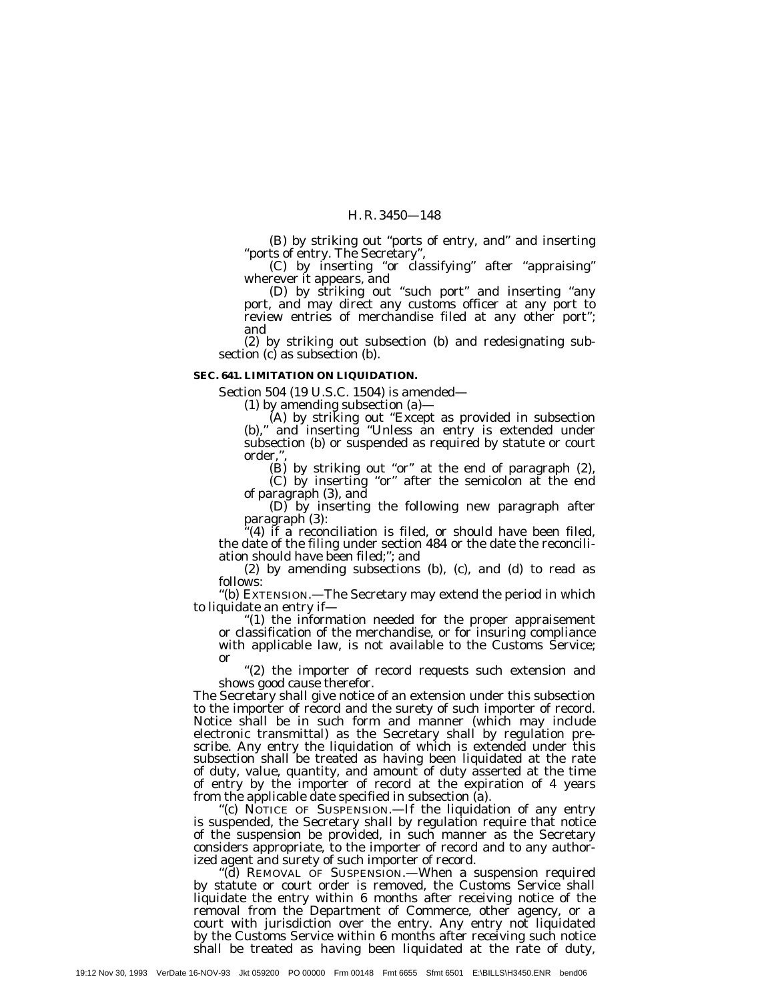(B) by striking out ''ports of entry, and'' and inserting ''ports of entry. The Secretary'',

(C) by inserting ''or classifying'' after ''appraising'' wherever it appears, and

(D) by striking out "such port" and inserting "any port, and may direct any customs officer at any port to review entries of merchandise filed at any other port"; and

(2) by striking out subsection (b) and redesignating subsection (c) as subsection (b).

# **SEC. 641. LIMITATION ON LIQUIDATION.**

Section 504 (19 U.S.C. 1504) is amended—

(1) by amending subsection (a)—

(A) by striking out ''Except as provided in subsection (b)," and inserting "Unless an entry is extended under subsection (b) or suspended as required by statute or court order,"

(B) by striking out "or" at the end of paragraph (2), (C) by inserting ''or'' after the semicolon at the end of paragraph (3), and

(D) by inserting the following new paragraph after paragraph (3):

"(4) if a reconciliation is filed, or should have been filed, the date of the filing under section 484 or the date the reconciliation should have been filed;''; and

(2) by amending subsections (b), (c), and (d) to read as follows:

''(b) EXTENSION.—The Secretary may extend the period in which to liquidate an entry if—<br>"(1) the information needed for the proper appraisement

or classification of the merchandise, or for insuring compliance with applicable law, is not available to the Customs Service; or

"(2) the importer of record requests such extension and shows good cause therefor.

The Secretary shall give notice of an extension under this subsection to the importer of record and the surety of such importer of record. Notice shall be in such form and manner (which may include electronic transmittal) as the Secretary shall by regulation prescribe. Any entry the liquidation of which is extended under this subsection shall be treated as having been liquidated at the rate of duty, value, quantity, and amount of duty asserted at the time of entry by the importer of record at the expiration of 4 years from the applicable date specified in subsection (a).

''(c) NOTICE OF SUSPENSION.—If the liquidation of any entry is suspended, the Secretary shall by regulation require that notice of the suspension be provided, in such manner as the Secretary considers appropriate, to the importer of record and to any authorized agent and surety of such importer of record.

''(d) REMOVAL OF SUSPENSION.—When a suspension required by statute or court order is removed, the Customs Service shall liquidate the entry within 6 months after receiving notice of the removal from the Department of Commerce, other agency, or a court with jurisdiction over the entry. Any entry not liquidated by the Customs Service within 6 months after receiving such notice shall be treated as having been liquidated at the rate of duty,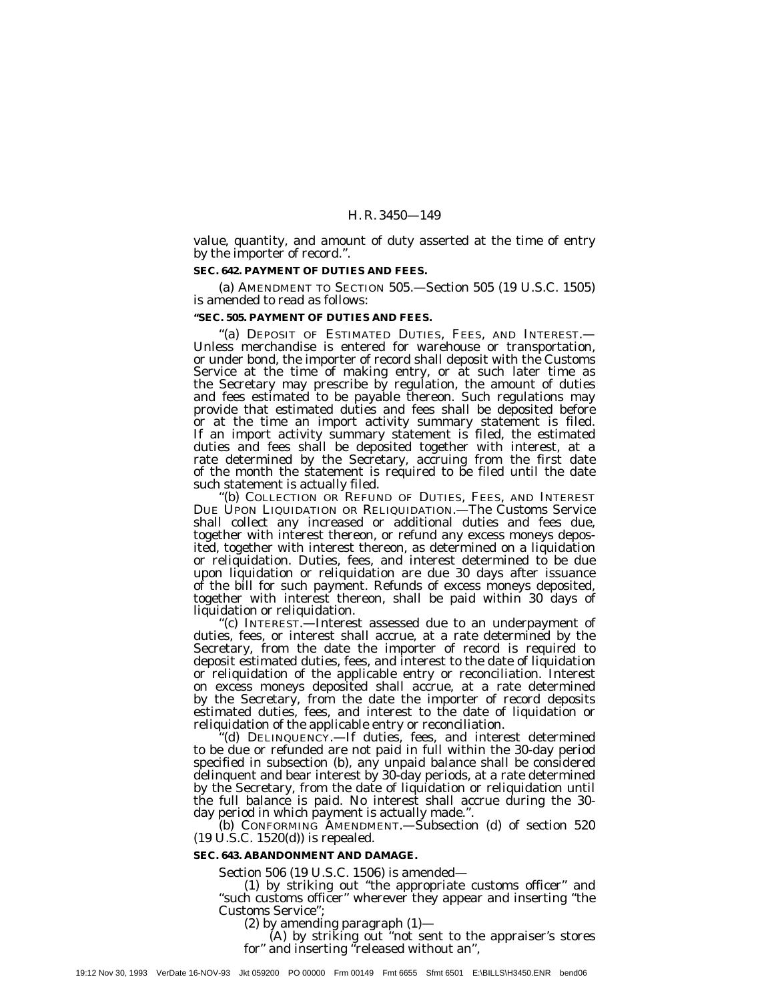value, quantity, and amount of duty asserted at the time of entry by the importer of record.''.

#### **SEC. 642. PAYMENT OF DUTIES AND FEES.**

(a) AMENDMENT TO SECTION 505.—Section 505 (19 U.S.C. 1505) is amended to read as follows:

#### **''SEC. 505. PAYMENT OF DUTIES AND FEES.**

''(a) DEPOSIT OF ESTIMATED DUTIES, FEES, AND INTEREST.— Unless merchandise is entered for warehouse or transportation, or under bond, the importer of record shall deposit with the Customs Service at the time of making entry, or at such later time as the Secretary may prescribe by regulation, the amount of duties and fees estimated to be payable thereon. Such regulations may provide that estimated duties and fees shall be deposited before or at the time an import activity summary statement is filed. If an import activity summary statement is filed, the estimated duties and fees shall be deposited together with interest, at a rate determined by the Secretary, accruing from the first date of the month the statement is required to be filed until the date such statement is actually filed.

"(b) COLLECTION OR REFUND OF DUTIES, FEES, AND INTEREST DUE UPON LIQUIDATION OR RELIQUIDATION.—The Customs Service shall collect any increased or additional duties and fees due, together with interest thereon, or refund any excess moneys deposited, together with interest thereon, as determined on a liquidation or reliquidation. Duties, fees, and interest determined to be due upon liquidation or reliquidation are due 30 days after issuance of the bill for such payment. Refunds of excess moneys deposited, together with interest thereon, shall be paid within 30 days of liquidation or reliquidation.

''(c) INTEREST.—Interest assessed due to an underpayment of duties, fees, or interest shall accrue, at a rate determined by the Secretary, from the date the importer of record is required to deposit estimated duties, fees, and interest to the date of liquidation or reliquidation of the applicable entry or reconciliation. Interest on excess moneys deposited shall accrue, at a rate determined by the Secretary, from the date the importer of record deposits estimated duties, fees, and interest to the date of liquidation or reliquidation of the applicable entry or reconciliation.

 $(d)$  DELINQUENCY.—If duties, fees, and interest determined to be due or refunded are not paid in full within the 30-day period specified in subsection (b), any unpaid balance shall be considered delinquent and bear interest by 30-day periods, at a rate determined by the Secretary, from the date of liquidation or reliquidation until the full balance is paid. No interest shall accrue during the 30 day period in which payment is actually made.''.

(b) CONFORMING AMENDMENT.—Subsection (d) of section 520 (19 U.S.C. 1520(d)) is repealed.

#### **SEC. 643. ABANDONMENT AND DAMAGE.**

Section 506 (19 U.S.C. 1506) is amended—

(1) by striking out ''the appropriate customs officer'' and ''such customs officer'' wherever they appear and inserting ''the Customs Service'';

(2) by amending paragraph (1)—

(A) by striking out ''not sent to the appraiser's stores for" and inserting "released without an",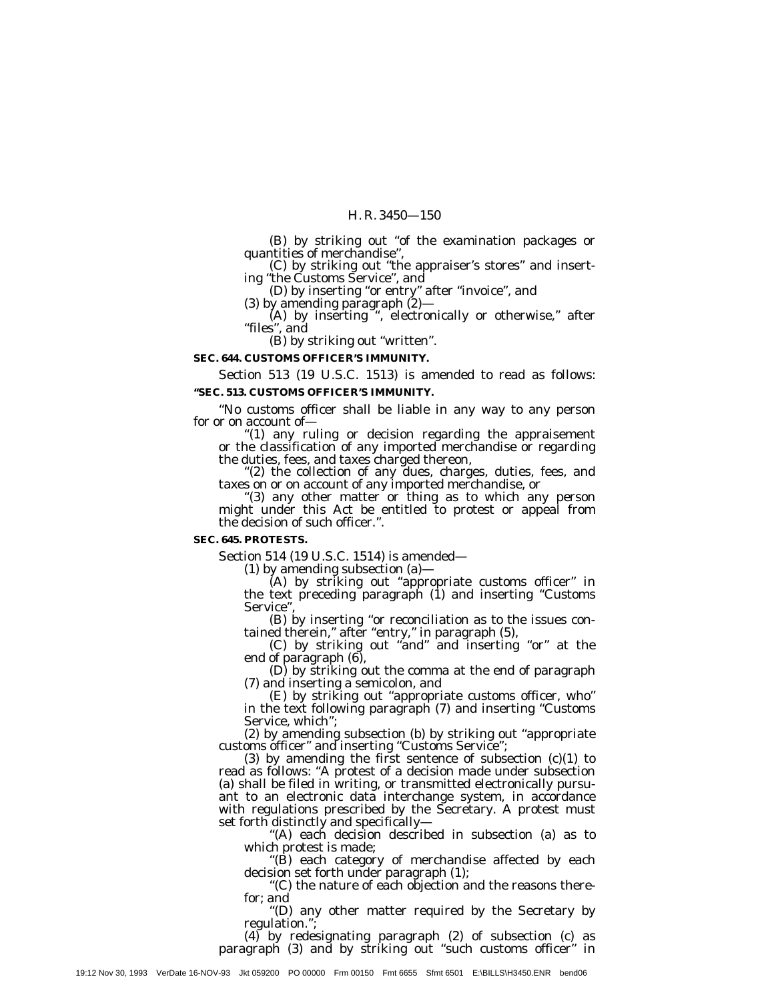(B) by striking out "of the examination packages or<br>quantities of merchandise",<br>(C) by striking out "the appraiser's stores" and insert-<br>ing "the Customs Service", and<br>(D) by inserting "or entry" after "invoice", and<br>(3)

(B) by striking out ''written''.

# **SEC. 644. CUSTOMS OFFICER'S IMMUNITY.**

Section 513 (19 U.S.C. 1513) is amended to read as follows: **''SEC. 513. CUSTOMS OFFICER'S IMMUNITY.**

''No customs officer shall be liable in any way to any person for or on account of—

''(1) any ruling or decision regarding the appraisement or the classification of any imported merchandise or regarding

"(2) the collection of any dues, charges, duties, fees, and taxes on or on account of any imported merchandise, or

''(3) any other matter or thing as to which any person might under this Act be entitled to protest or appeal from the decision of such officer.''.

# **SEC. 645. PROTESTS.**

Section 514 (19 U.S.C. 1514) is amended—

(1) by amending subsection (a)—

(A) by striking out ''appropriate customs officer'' in the text preceding paragraph (1) and inserting ''Customs Service'

(B) by inserting ''or reconciliation as to the issues contained therein,'' after ''entry,'' in paragraph (5),

(C) by striking out ''and'' and inserting ''or'' at the end of paragraph (6),

(D) by striking out the comma at the end of paragraph (7) and inserting a semicolon, and

(E) by striking out ''appropriate customs officer, who'' in the text following paragraph (7) and inserting "Customs Service, which'';

(2) by amending subsection (b) by striking out ''appropriate customs officer'' and inserting ''Customs Service'';

(3) by amending the first sentence of subsection  $(c)(1)$  to read as follows: ''A protest of a decision made under subsection (a) shall be filed in writing, or transmitted electronically pursuant to an electronic data interchange system, in accordance with regulations prescribed by the Secretary. A protest must set forth distinctly and specifically—

''(A) each decision described in subsection (a) as to which protest is made;

''(B) each category of merchandise affected by each decision set forth under paragraph (1);

''(C) the nature of each objection and the reasons therefor; and

''(D) any other matter required by the Secretary by regulation.'';

(4) by redesignating paragraph (2) of subsection (c) as paragraph (3) and by striking out ''such customs officer'' in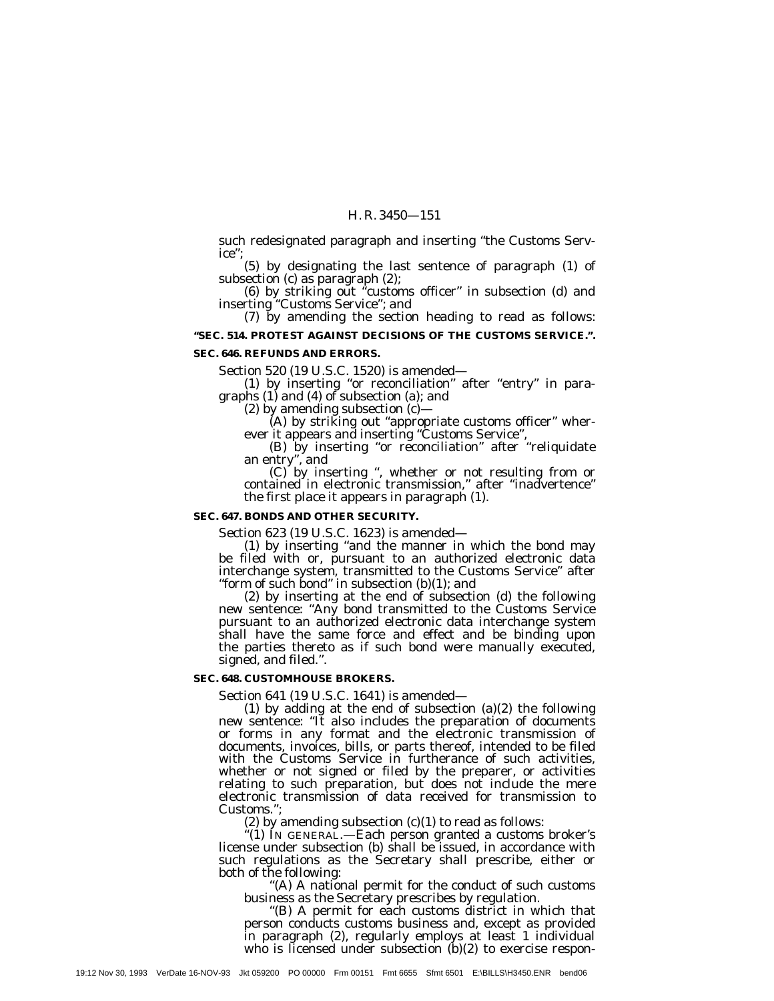such redesignated paragraph and inserting ''the Customs Service'';

(5) by designating the last sentence of paragraph (1) of subsection (c) as paragraph (2);

(6) by striking out ''customs officer'' in subsection (d) and inserting ''Customs Service''; and

(7) by amending the section heading to read as follows: **''SEC. 514. PROTEST AGAINST DECISIONS OF THE CUSTOMS SERVICE.''.**

#### **SEC. 646. REFUNDS AND ERRORS.**

Section 520 (19 U.S.C. 1520) is amended—

(1) by inserting ''or reconciliation'' after ''entry'' in paragraphs (1) and (4) of subsection (a); and

(2) by amending subsection (c)—

(A) by striking out ''appropriate customs officer'' wherever it appears and inserting ''Customs Service'',

(B) by inserting ''or reconciliation'' after ''reliquidate an entry'', and

(C) by inserting '', whether or not resulting from or contained in electronic transmission,'' after ''inadvertence'' the first place it appears in paragraph (1).

#### **SEC. 647. BONDS AND OTHER SECURITY.**

Section 623 (19 U.S.C. 1623) is amended—

(1) by inserting ''and the manner in which the bond may be filed with or, pursuant to an authorized electronic data interchange system, transmitted to the Customs Service'' after ''form of such bond'' in subsection (b)(1); and

(2) by inserting at the end of subsection (d) the following new sentence: ''Any bond transmitted to the Customs Service pursuant to an authorized electronic data interchange system shall have the same force and effect and be binding upon the parties thereto as if such bond were manually executed, signed, and filed.''.

# **SEC. 648. CUSTOMHOUSE BROKERS.**

Section 641 (19 U.S.C. 1641) is amended—

(1) by adding at the end of subsection (a)(2) the following new sentence: ''It also includes the preparation of documents or forms in any format and the electronic transmission of documents, invoices, bills, or parts thereof, intended to be filed with the Customs Service in furtherance of such activities, whether or not signed or filed by the preparer, or activities relating to such preparation, but does not include the mere electronic transmission of data received for transmission to Customs.'';

 $(2)$  by amending subsection  $(c)(1)$  to read as follows:

''(1) IN GENERAL.—Each person granted a customs broker's license under subsection (b) shall be issued, in accordance with such regulations as the Secretary shall prescribe, either or both of the following:

''(A) A national permit for the conduct of such customs business as the Secretary prescribes by regulation.

''(B) A permit for each customs district in which that person conducts customs business and, except as provided in paragraph (2), regularly employs at least 1 individual who is licensed under subsection  $(b)(2)$  to exercise respon-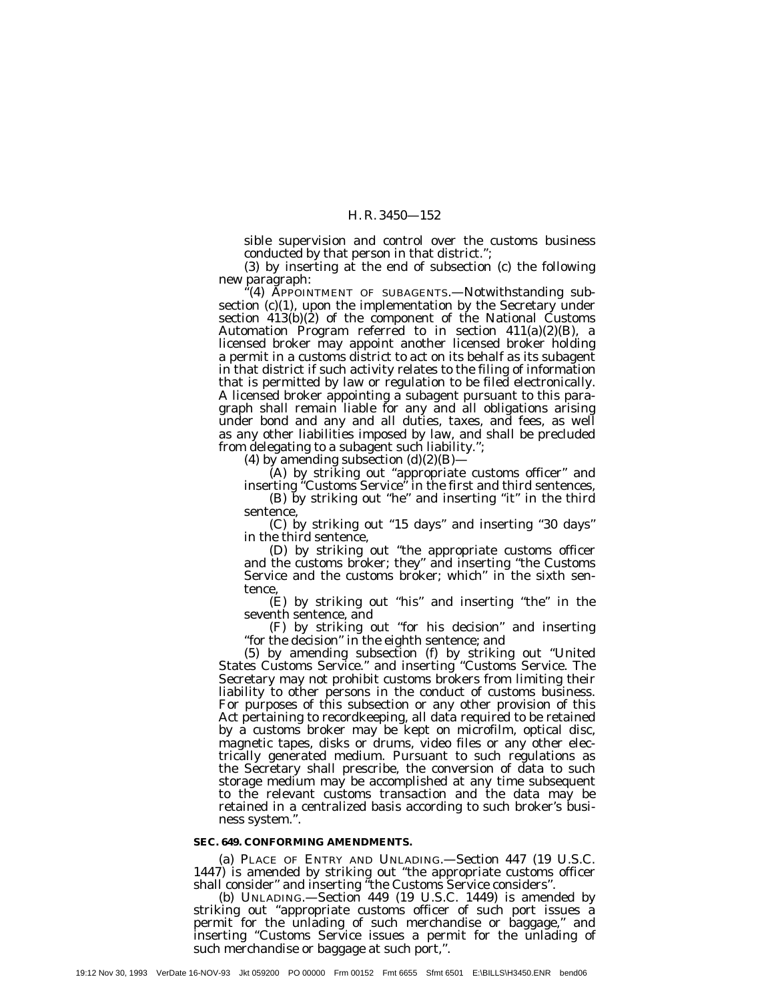sible supervision and control over the customs business conducted by that person in that district.'';

(3) by inserting at the end of subsection (c) the following new paragraph:

 $f(4)$  APPOINTMENT OF SUBAGENTS.—Notwithstanding subsection (c)(1), upon the implementation by the Secretary under section  $413(b)(2)$  of the component of the National Customs Automation Program referred to in section 411(a)(2)(B), a licensed broker may appoint another licensed broker holding a permit in a customs district to act on its behalf as its subagent in that district if such activity relates to the filing of information that is permitted by law or regulation to be filed electronically. A licensed broker appointing a subagent pursuant to this paragraph shall remain liable for any and all obligations arising under bond and any and all duties, taxes, and fees, as well as any other liabilities imposed by law, and shall be precluded from delegating to a subagent such liability.'';

(4) by amending subsection  $(d)(2)(B)$ —

(A) by striking out ''appropriate customs officer'' and inserting ''Customs Service'' in the first and third sentences,

(B) by striking out ''he'' and inserting ''it'' in the third sentence,

(C) by striking out ''15 days'' and inserting ''30 days'' in the third sentence,

(D) by striking out ''the appropriate customs officer and the customs broker; they'' and inserting ''the Customs Service and the customs broker; which'' in the sixth sentence,

(E) by striking out ''his'' and inserting ''the'' in the seventh sentence, and

(F) by striking out ''for his decision'' and inserting ''for the decision'' in the eighth sentence; and

(5) by amending subsection (f) by striking out ''United States Customs Service.'' and inserting ''Customs Service. The Secretary may not prohibit customs brokers from limiting their liability to other persons in the conduct of customs business. For purposes of this subsection or any other provision of this Act pertaining to recordkeeping, all data required to be retained by a customs broker may be kept on microfilm, optical disc, magnetic tapes, disks or drums, video files or any other electrically generated medium. Pursuant to such regulations as the Secretary shall prescribe, the conversion of data to such storage medium may be accomplished at any time subsequent to the relevant customs transaction and the data may be retained in a centralized basis according to such broker's business system.''.

# **SEC. 649. CONFORMING AMENDMENTS.**

(a) PLACE OF ENTRY AND UNLADING.—Section 447 (19 U.S.C. 1447) is amended by striking out "the appropriate customs officer shall consider'' and inserting ''the Customs Service considers''.

(b) UNLADING.—Section 449 (19 U.S.C. 1449) is amended by striking out "appropriate customs officer of such port issues a permit for the unlading of such merchandise or baggage," and inserting "Customs Service issues a permit for the unlading of such merchandise or baggage at such port,''.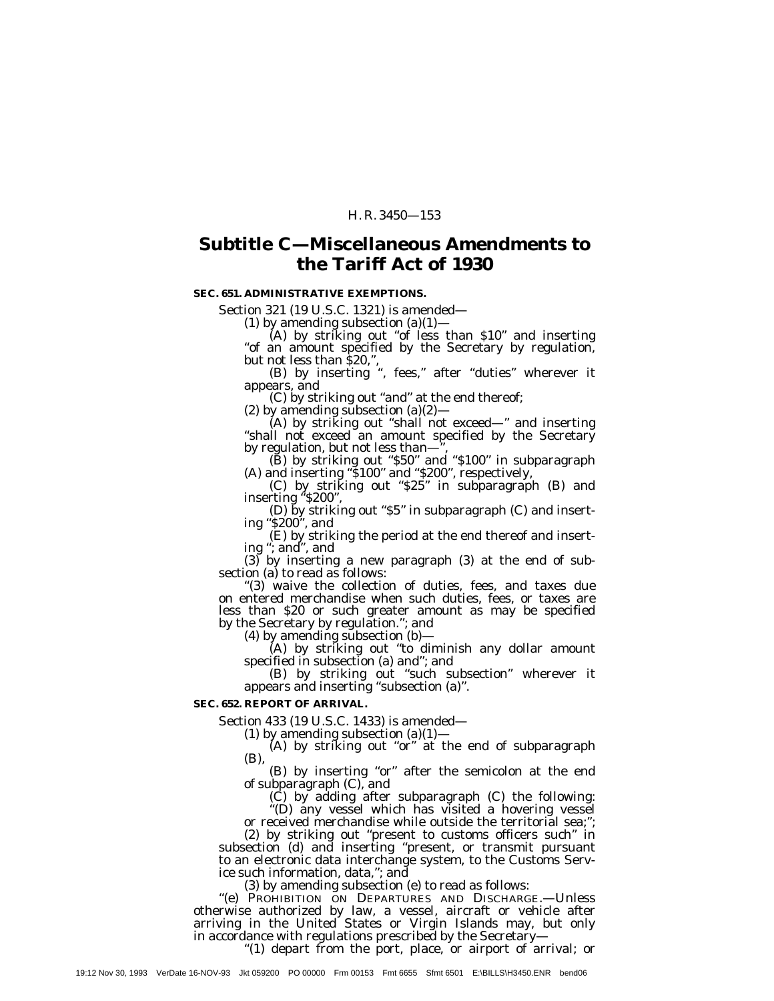# **Subtitle C—Miscellaneous Amendments to the Tariff Act of 1930**

# **SEC. 651. ADMINISTRATIVE EXEMPTIONS.**

Section 321 (19 U.S.C. 1321) is amended—

(1) by amending subsection (a)(1)—<br>(A) by striking out "of less than \$10" and inserting ''of an amount specified by the Secretary by regulation, but not less than \$20,'',

appears, and<br>
(C) by striking out "and" at the end thereof;<br>
(2) by amending subsection (a)(2)—<br>
(A) by striking out "shall not exceed—" and inserting<br>
"shall not exceed an amount specified by the Secretary

by regulation, but not less than—",<br>
(B) by striking out "\$50" and "\$100" in subparagraph<br>
(A) and inserting "\$100" and "\$200", respectively,<br>
(C) by striking out "\$25" in subparagraph (B) and<br>
inserting "\$200",<br>
(D) by s

 $(3)$  by inserting a new paragraph  $(3)$  at the end of subsection (a) to read as follows:

''(3) waive the collection of duties, fees, and taxes due on entered merchandise when such duties, fees, or taxes are less than \$20 or such greater amount as may be specified by the Secretary by regulation.''; and (4) by amending subsection (b)—

(A) by striking out ''to diminish any dollar amount specified in subsection (a) and''; and

(B) by striking out ''such subsection'' wherever it appears and inserting ''subsection (a)''.

#### **SEC. 652. REPORT OF ARRIVAL.**

Section 433 (19 U.S.C. 1433) is amended—<br>(1) by amending subsection (a)(1)—

(A) by striking out "or" at the end of subparagraph (B),

(B) by inserting "or" after the semicolon at the end of subparagraph (C), and

(C) by adding after subparagraph (C) the following: ''(D) any vessel which has visited a hovering vessel

or received merchandise while outside the territorial sea;''; (2) by striking out ''present to customs officers such'' in subsection (d) and inserting ''present, or transmit pursuant to an electronic data interchange system, to the Customs Service such information, data,''; and

(3) by amending subsection (e) to read as follows:

''(e) PROHIBITION ON DEPARTURES AND DISCHARGE.—Unless otherwise authorized by law, a vessel, aircraft or vehicle after arriving in the United States or Virgin Islands may, but only in accordance with regulations prescribed by the Secretary—

''(1) depart from the port, place, or airport of arrival; or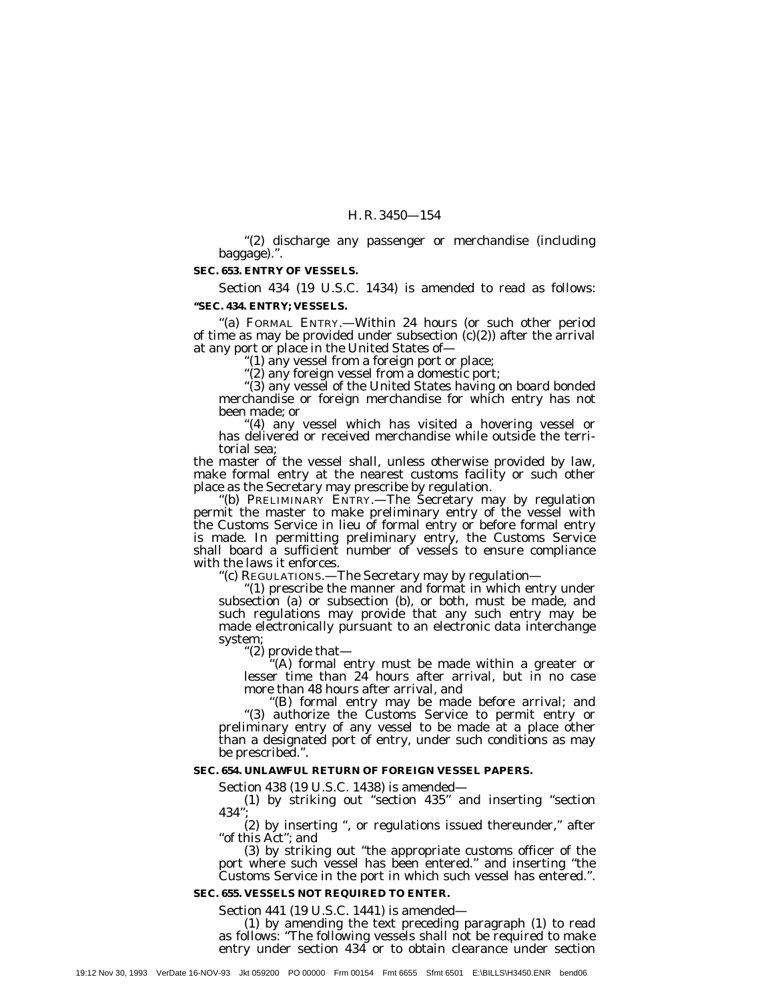''(2) discharge any passenger or merchandise (including baggage).''.

# **SEC. 653. ENTRY OF VESSELS.**

Section 434 (19 U.S.C. 1434) is amended to read as follows: **''SEC. 434. ENTRY; VESSELS.**

''(a) FORMAL ENTRY.—Within 24 hours (or such other period of time as may be provided under subsection  $(c)(2)$ ) after the arrival at any port or place in the United States of—

''(1) any vessel from a foreign port or place;

''(2) any foreign vessel from a domestic port;

''(3) any vessel of the United States having on board bonded merchandise or foreign merchandise for which entry has not been made; or

"(4) any vessel which has visited a hovering vessel or has delivered or received merchandise while outside the territorial sea;

the master of the vessel shall, unless otherwise provided by law, make formal entry at the nearest customs facility or such other place as the Secretary may prescribe by regulation.

''(b) PRELIMINARY ENTRY.—The Secretary may by regulation permit the master to make preliminary entry of the vessel with the Customs Service in lieu of formal entry or before formal entry is made. In permitting preliminary entry, the Customs Service shall board a sufficient number of vessels to ensure compliance with the laws it enforces.

''(c) REGULATIONS.—The Secretary may by regulation subsection (a) or subsection (b), or both, must be made, and such regulations may provide that any such entry may be made electronically pursuant to an electronic data interchange system;<br>"(2) provide that-

'(A) formal entry must be made within a greater or lesser time than 24 hours after arrival, but in no case more than 48 hours after arrival, and<br>"(B) formal entry may be made before arrival; and

''(B) formal entry may be made before arrival; and ''(3) authorize the Customs Service to permit entry or preliminary entry of any vessel to be made at a place other than a designated port of entry, under such conditions as may be prescribed.''.

#### **SEC. 654. UNLAWFUL RETURN OF FOREIGN VESSEL PAPERS.**

Section 438 (19 U.S.C. 1438) is amended—

(1) by striking out ''section 435'' and inserting ''section 434

(2) by inserting '', or regulations issued thereunder,'' after ''of this Act''; and

(3) by striking out ''the appropriate customs officer of the port where such vessel has been entered.'' and inserting ''the Customs Service in the port in which such vessel has entered.''.

#### **SEC. 655. VESSELS NOT REQUIRED TO ENTER.**

Section 441 (19 U.S.C. 1441) is amended—

(1) by amending the text preceding paragraph (1) to read as follows: ''The following vessels shall not be required to make entry under section 434 or to obtain clearance under section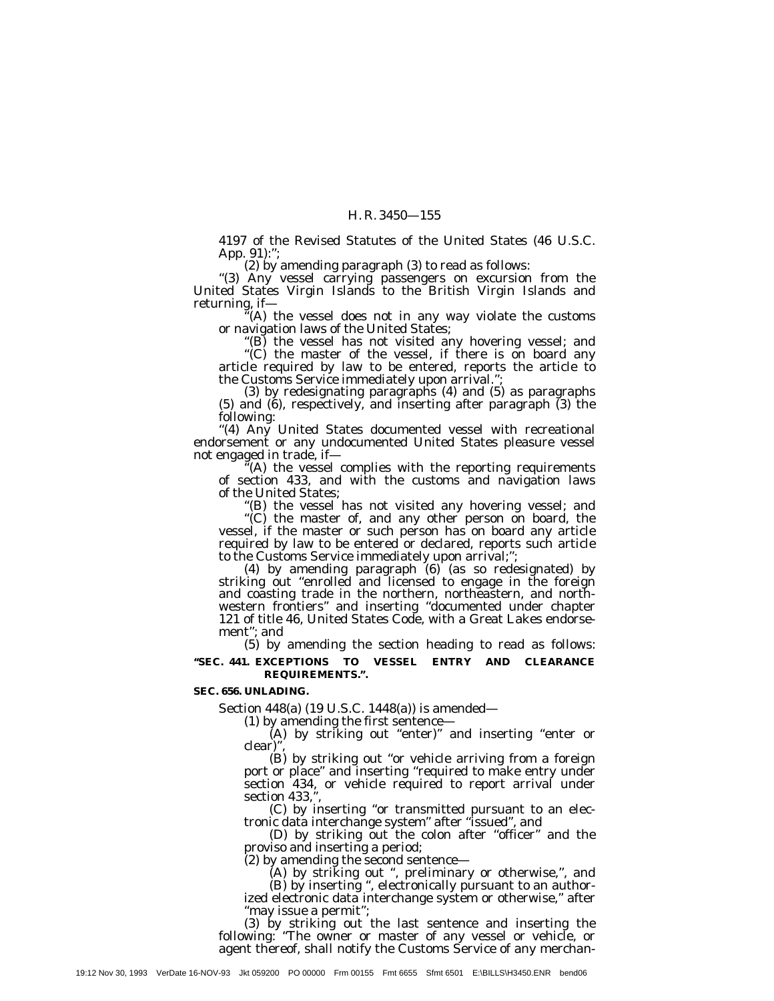4197 of the Revised Statutes of the United States (46 U.S.C.

App. 91):";<br>
(2) by amending paragraph (3) to read as follows:<br>
"(3) Any vessel carrying passengers on excursion from the<br>
United States Virgin Islands to the British Virgin Islands and<br>
returning, if—

 $r^*(A)$  the vessel does not in any way violate the customs or navigation laws of the United States;

"(B) the vessel has not visited any hovering vessel; and ''(C) the master of the vessel, if there is on board any article required by law to be entered, reports the article to the Customs Service immediately upon arrival."

(3) by redesignating paragraphs (4) and (5) as paragraphs  $(5)$  and  $(6)$ , respectively, and inserting after paragraph  $(3)$  the following:

''(4) Any United States documented vessel with recreational endorsement or any undocumented United States pleasure vessel not engaged in trade, if—<br>"(A) the vessel complies with the reporting requirements

of section 433, and with the customs and navigation laws of the United States;

''(B) the vessel has not visited any hovering vessel; and

''(C) the master of, and any other person on board, the vessel, if the master or such person has on board any article required by law to be entered or declared, reports such article to the Customs Service immediately upon arrival;'';

(4) by amending paragraph (6) (as so redesignated) by striking out ''enrolled and licensed to engage in the foreign and coasting trade in the northern, northeastern, and northwestern frontiers'' and inserting ''documented under chapter 121 of title 46, United States Code, with a Great Lakes endorsement''; and

(5) by amending the section heading to read as follows: **''SEC. 441. EXCEPTIONS TO VESSEL ENTRY AND CLEARANCE**

# **REQUIREMENTS.''.**

#### **SEC. 656. UNLADING.**

Section 448(a) (19 U.S.C. 1448(a)) is amended—

(1) by amending the first sentence—

(A) by striking out ''enter)'' and inserting ''enter or clear)

(B) by striking out ''or vehicle arriving from a foreign port or place'' and inserting ''required to make entry under section 434, or vehicle required to report arrival under section 433,'',

(C) by inserting "or transmitted pursuant to an electronic data interchange system" after "issued", and

(D) by striking out the colon after "officer" and the proviso and inserting a period;

(2) by amending the second sentence— (A) by striking out '', preliminary or otherwise,'', and

(B) by inserting '', electronically pursuant to an authorized electronic data interchange system or otherwise,'' after ''may issue a permit'';

(3) by striking out the last sentence and inserting the following: ''The owner or master of any vessel or vehicle, or agent thereof, shall notify the Customs Service of any merchan-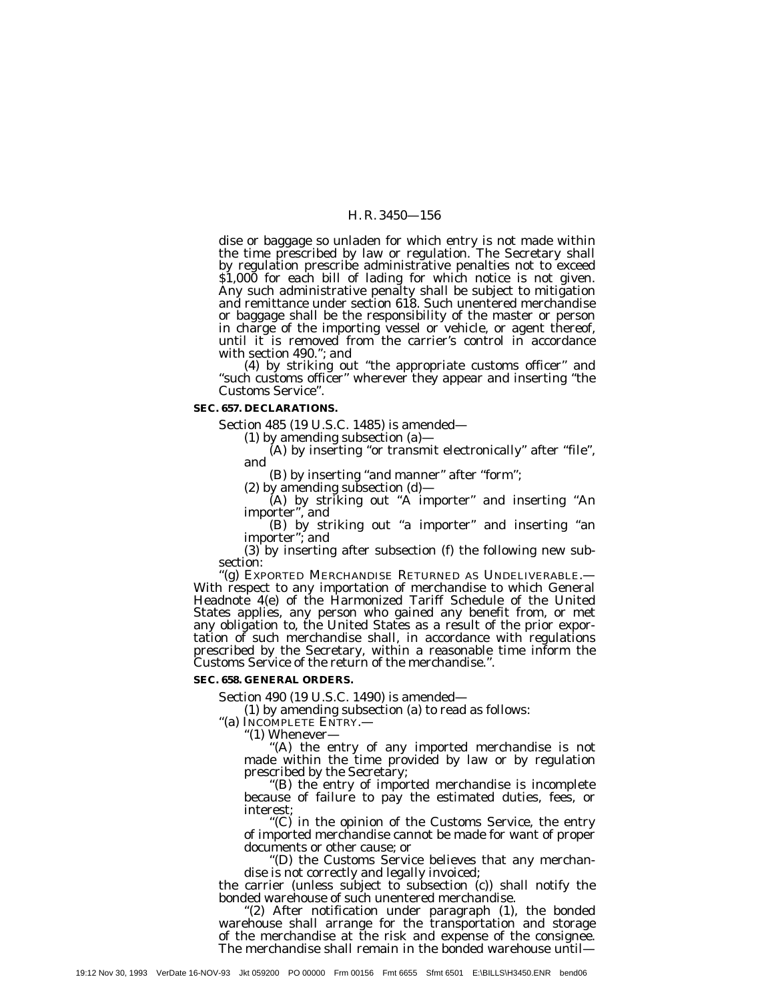dise or baggage so unladen for which entry is not made within the time prescribed by law or regulation. The Secretary shall by regulation prescribe administrative penalties not to exceed \$1,000 for each bill of lading for which notice is not given. Any such administrative penalty shall be subject to mitigation and remittance under section 618. Such unentered merchandise or baggage shall be the responsibility of the master or person in charge of the importing vessel or vehicle, or agent thereof, until it is removed from the carrier's control in accordance with section 490.''; and

(4) by striking out ''the appropriate customs officer'' and ''such customs officer'' wherever they appear and inserting ''the Customs Service''.

# **SEC. 657. DECLARATIONS.**

Section 485 (19 U.S.C. 1485) is amended—<br>(1) by amending subsection (a)—

(A) by inserting "or transmit electronically" after "file", and (B) by inserting "and manner" after "form";

(2) by amending subsection (d)—<br>
(A) by striking out "A importer" and inserting "An importer", and<br>
(B) by striking out "a importer" and inserting "an importer"; and

(3) by inserting after subsection (f) the following new subsection:<br>"(g) Exported Merchandise Returned as Undeliverable.—

''(g) EXPORTED MERCHANDISE RETURNED AS UNDELIVERABLE.— With respect to any importation of merchandise to which General Headnote 4(e) of the Harmonized Tariff Schedule of the United States applies, any person who gained any benefit from, or met any obligation to, the United States as a result of the prior exportation of such merchandise shall, in accordance with regulations prescribed by the Secretary, within a reasonable time inform the Customs Service of the return of the merchandise.''.

#### **SEC. 658. GENERAL ORDERS.**

Section 490 (19 U.S.C. 1490) is amended—

(1) by amending subsection (a) to read as follows:<br>"(a) INCOMPLETE ENTRY.—<br>"(1) Whenever—

''(A) the entry of any imported merchandise is not made within the time provided by law or by regulation

prescribed by the Secretary; ''(B) the entry of imported merchandise is incomplete because of failure to pay the estimated duties, fees, or interest;<br>"(C) in the opinion of the Customs Service, the entry

of imported merchandise cannot be made for want of proper documents or other cause; or

''(D) the Customs Service believes that any merchandise is not correctly and legally invoiced;

the carrier (unless subject to subsection (c)) shall notify the bonded warehouse of such unentered merchandise.

"(2) After notification under paragraph (1), the bonded warehouse shall arrange for the transportation and storage of the merchandise at the risk and expense of the consignee. The merchandise shall remain in the bonded warehouse until—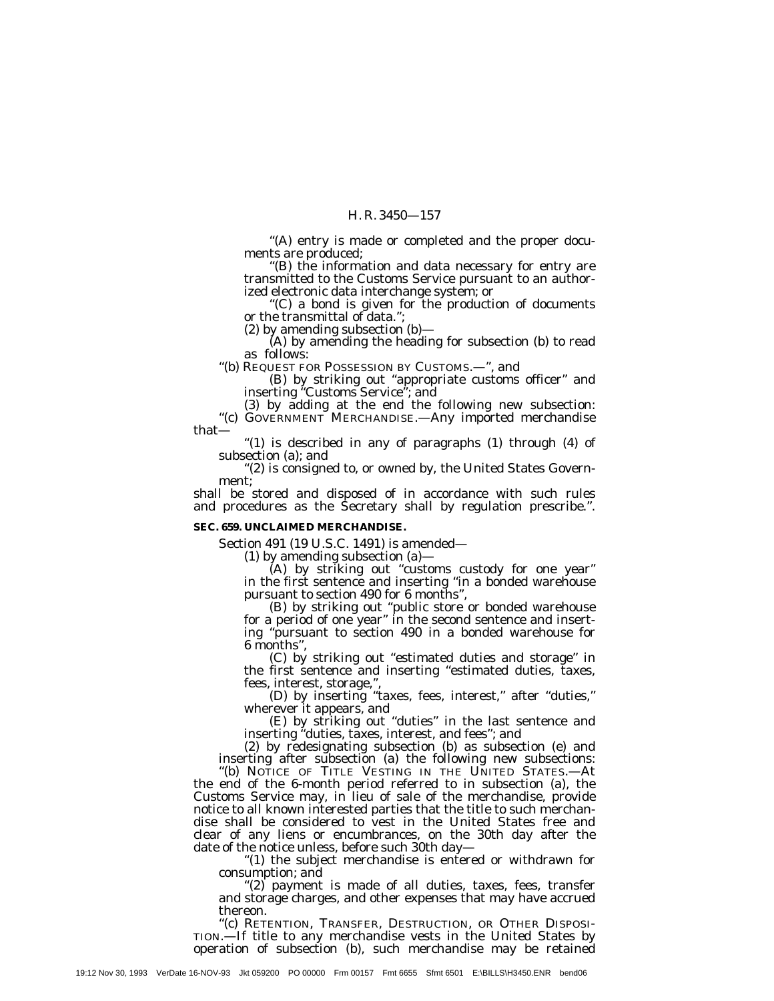''(A) entry is made or completed and the proper documents are produced;

''(B) the information and data necessary for entry are transmitted to the Customs Service pursuant to an authorized electronic data interchange system; or

''(C) a bond is given for the production of documents or the transmittal of data.'';

(2) by amending subsection (b)—

(A) by amending the heading for subsection (b) to read as follows:

''(b) REQUEST FOR POSSESSION BY CUSTOMS.—'', and

(B) by striking out ''appropriate customs officer'' and inserting ''Customs Service''; and

(3) by adding at the end the following new subsection: ''(c) GOVERNMENT MERCHANDISE.—Any imported merchandise that—

''(1) is described in any of paragraphs (1) through (4) of subsection (a); and

"(2) is consigned to, or owned by, the United States Government;

shall be stored and disposed of in accordance with such rules and procedures as the Secretary shall by regulation prescribe.''.

# **SEC. 659. UNCLAIMED MERCHANDISE.**

Section 491 (19 U.S.C. 1491) is amended—

(1) by amending subsection (a)—

(A) by striking out ''customs custody for one year'' in the first sentence and inserting ''in a bonded warehouse pursuant to section 490 for 6 months'',

(B) by striking out ''public store or bonded warehouse for a period of one year'' in the second sentence and inserting ''pursuant to section 490 in a bonded warehouse for 6 months'',

(C) by striking out ''estimated duties and storage'' in the first sentence and inserting ''estimated duties, taxes, fees, interest, storage,'', (D) by inserting ''taxes, fees, interest,'' after ''duties,''

wherever it appears, and

(E) by striking out ''duties'' in the last sentence and inserting ''duties, taxes, interest, and fees''; and

(2) by redesignating subsection (b) as subsection (e) and inserting after subsection (a) the following new subsections:

''(b) NOTICE OF TITLE VESTING IN THE UNITED STATES.—At the end of the 6-month period referred to in subsection (a), the Customs Service may, in lieu of sale of the merchandise, provide notice to all known interested parties that the title to such merchandise shall be considered to vest in the United States free and clear of any liens or encumbrances, on the 30th day after the date of the notice unless, before such 30th day—

 $(1)$  the subject merchandise is entered or withdrawn for consumption; and

''(2) payment is made of all duties, taxes, fees, transfer and storage charges, and other expenses that may have accrued thereon.

''(c) RETENTION, TRANSFER, DESTRUCTION, OR OTHER DISPOSI-TION.—If title to any merchandise vests in the United States by operation of subsection (b), such merchandise may be retained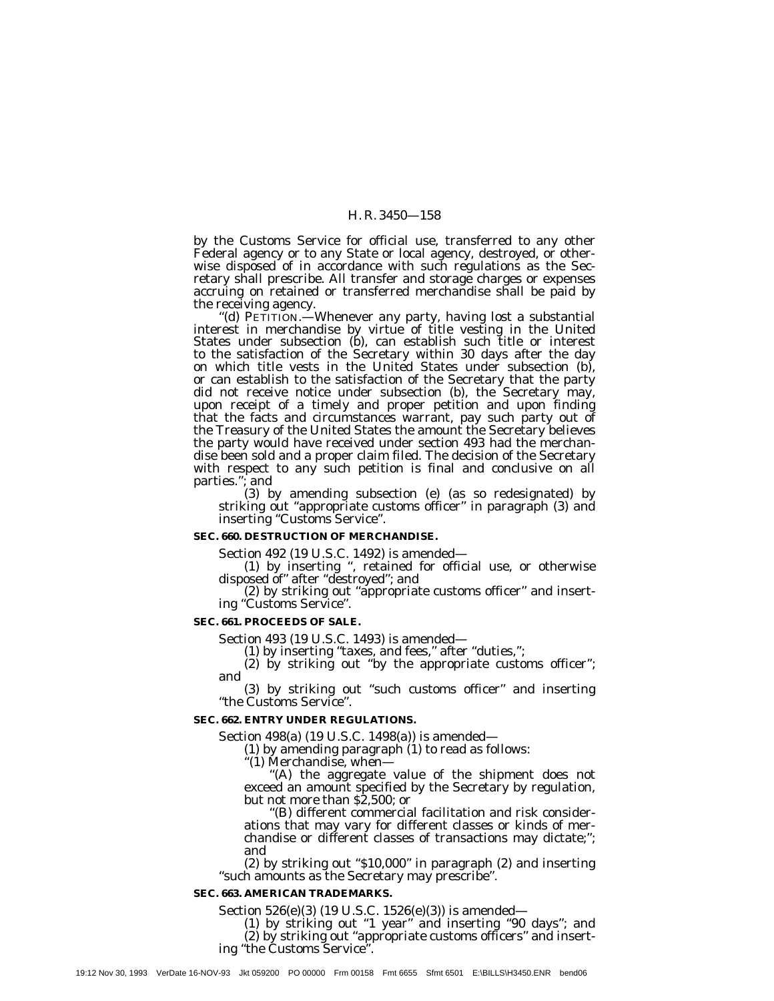by the Customs Service for official use, transferred to any other Federal agency or to any State or local agency, destroyed, or otherwise disposed of in accordance with such regulations as the Secretary shall prescribe. All transfer and storage charges or expenses accruing on retained or transferred merchandise shall be paid by the receiving agency.

''(d) PETITION.—Whenever any party, having lost a substantial interest in merchandise by virtue of title vesting in the United States under subsection  $(b)$ , can establish such title or interest to the satisfaction of the Secretary within 30 days after the day on which title vests in the United States under subsection (b), or can establish to the satisfaction of the Secretary that the party did not receive notice under subsection (b), the Secretary may, upon receipt of a timely and proper petition and upon finding that the facts and circumstances warrant, pay such party out of the Treasury of the United States the amount the Secretary believes the party would have received under section 493 had the merchandise been sold and a proper claim filed. The decision of the Secretary with respect to any such petition is final and conclusive on all parties.''; and

(3) by amending subsection (e) (as so redesignated) by striking out ''appropriate customs officer'' in paragraph (3) and inserting "Customs Service".

#### **SEC. 660. DESTRUCTION OF MERCHANDISE.**

Section 492 (19 U.S.C. 1492) is amended—

(1) by inserting '', retained for official use, or otherwise disposed of'' after ''destroyed''; and

(2) by striking out ''appropriate customs officer'' and inserting ''Customs Service''.

#### **SEC. 661. PROCEEDS OF SALE.**

Section 493 (19 U.S.C. 1493) is amended—

(1) by inserting ''taxes, and fees,'' after ''duties,'';

(2) by striking out ''by the appropriate customs officer''; and

(3) by striking out ''such customs officer'' and inserting ''the Customs Service''.

#### **SEC. 662. ENTRY UNDER REGULATIONS.**

Section 498(a) (19 U.S.C. 1498(a)) is amended—

(1) by amending paragraph (1) to read as follows:

''(1) Merchandise, when—

''(A) the aggregate value of the shipment does not exceed an amount specified by the Secretary by regulation, but not more than \$2,500; or

''(B) different commercial facilitation and risk considerations that may vary for different classes or kinds of merchandise or different classes of transactions may dictate;''; and

(2) by striking out ''\$10,000'' in paragraph (2) and inserting ''such amounts as the Secretary may prescribe''.

#### **SEC. 663. AMERICAN TRADEMARKS.**

Section 526(e)(3) (19 U.S.C. 1526(e)(3)) is amended—

(1) by striking out ''1 year'' and inserting ''90 days''; and (2) by striking out ''appropriate customs officers'' and inserting ''the Customs Service''.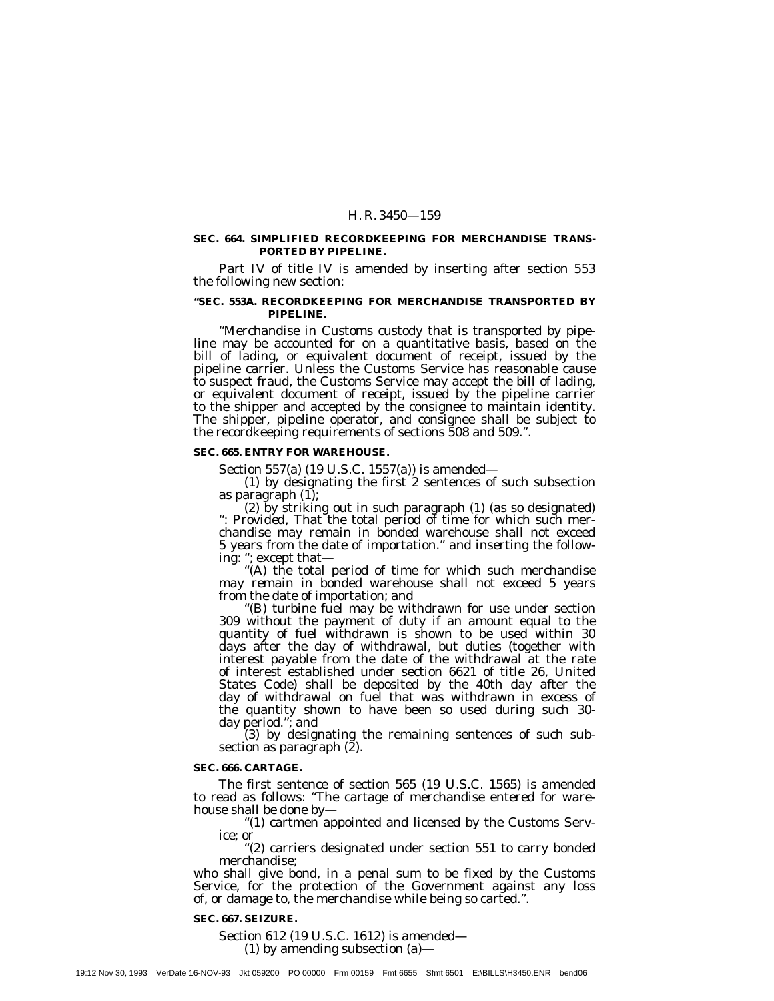#### **SEC. 664. SIMPLIFIED RECORDKEEPING FOR MERCHANDISE TRANS-PORTED BY PIPELINE.**

Part IV of title IV is amended by inserting after section 553 the following new section:

#### **''SEC. 553A. RECORDKEEPING FOR MERCHANDISE TRANSPORTED BY PIPELINE.**

''Merchandise in Customs custody that is transported by pipeline may be accounted for on a quantitative basis, based on the bill of lading, or equivalent document of receipt, issued by the pipeline carrier. Unless the Customs Service has reasonable cause to suspect fraud, the Customs Service may accept the bill of lading, or equivalent document of receipt, issued by the pipeline carrier to the shipper and accepted by the consignee to maintain identity. The shipper, pipeline operator, and consignee shall be subject to the recordkeeping requirements of sections 508 and 509.''.

#### **SEC. 665. ENTRY FOR WAREHOUSE.**

Section 557(a) (19 U.S.C. 1557(a)) is amended—

(1) by designating the first 2 sentences of such subsection as paragraph  $(I)$ ;

(2) by striking out in such paragraph (1) (as so designated) '': *Provided*, That the total period of time for which such merchandise may remain in bonded warehouse shall not exceed 5 years from the date of importation.'' and inserting the following: ''; except that—

''(A) the total period of time for which such merchandise may remain in bonded warehouse shall not exceed 5 years from the date of importation; and

''(B) turbine fuel may be withdrawn for use under section 309 without the payment of duty if an amount equal to the quantity of fuel withdrawn is shown to be used within 30 days after the day of withdrawal, but duties (together with interest payable from the date of the withdrawal at the rate of interest established under section 6621 of title 26, United States Code) shall be deposited by the 40th day after the day of withdrawal on fuel that was withdrawn in excess of the quantity shown to have been so used during such 30 day period.''; and

(3) by designating the remaining sentences of such subsection as paragraph  $(\tilde{z})$ .

#### **SEC. 666. CARTAGE.**

The first sentence of section 565 (19 U.S.C. 1565) is amended to read as follows: ''The cartage of merchandise entered for warehouse shall be done by—

''(1) cartmen appointed and licensed by the Customs Service; or

"(2) carriers designated under section 551 to carry bonded merchandise;

who shall give bond, in a penal sum to be fixed by the Customs Service, for the protection of the Government against any loss of, or damage to, the merchandise while being so carted.''.

#### **SEC. 667. SEIZURE.**

Section 612 (19 U.S.C. 1612) is amended— (1) by amending subsection (a)—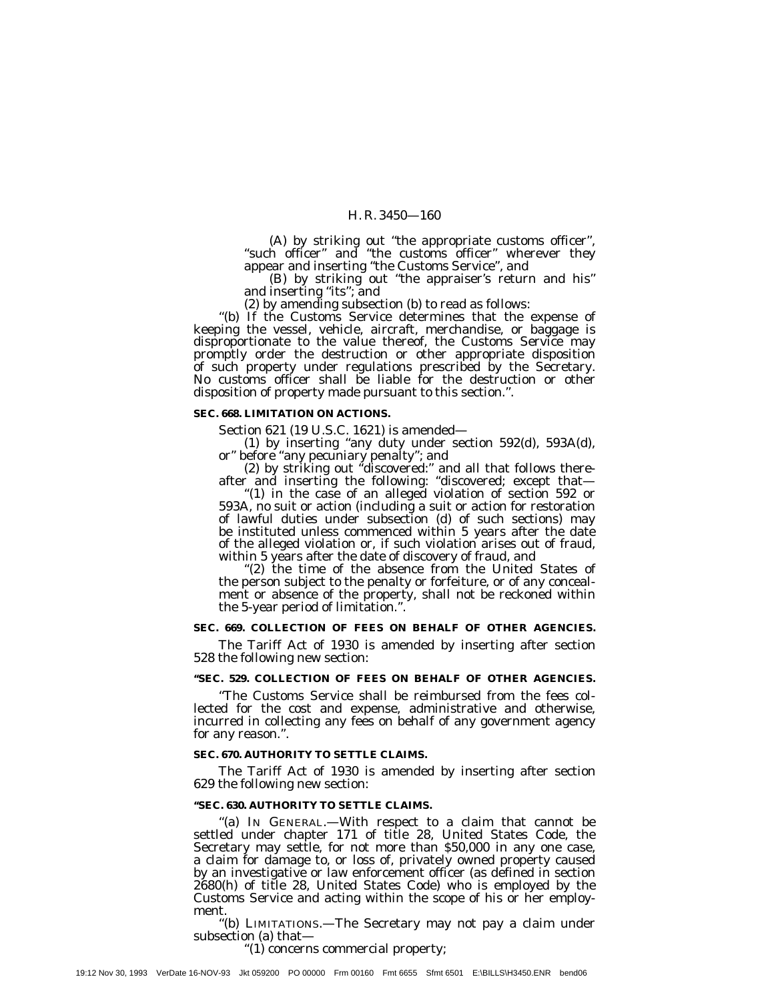(A) by striking out ''the appropriate customs officer'', "such officer" and "the customs officer" wherever they appear and inserting ''the Customs Service'', and

(B) by striking out ''the appraiser's return and his'' and inserting ''its''; and

(2) by amending subsection (b) to read as follows:

''(b) If the Customs Service determines that the expense of keeping the vessel, vehicle, aircraft, merchandise, or baggage is disproportionate to the value thereof, the Customs Service may promptly order the destruction or other appropriate disposition of such property under regulations prescribed by the Secretary. No customs officer shall be liable for the destruction or other disposition of property made pursuant to this section.''.

#### **SEC. 668. LIMITATION ON ACTIONS.**

Section 621 (19 U.S.C. 1621) is amended—

(1) by inserting "any duty under section  $592(d)$ ,  $593A(d)$ , or'' before ''any pecuniary penalty''; and

(2) by striking out ''discovered:'' and all that follows thereafter and inserting the following: ''discovered; except that—

''(1) in the case of an alleged violation of section 592 or 593A, no suit or action (including a suit or action for restoration of lawful duties under subsection (d) of such sections) may be instituted unless commenced within 5 years after the date of the alleged violation or, if such violation arises out of fraud, within 5 years after the date of discovery of fraud, and

"(2) the time of the absence from the United States of the person subject to the penalty or forfeiture, or of any concealment or absence of the property, shall not be reckoned within the 5-year period of limitation.''.

# **SEC. 669. COLLECTION OF FEES ON BEHALF OF OTHER AGENCIES.**

The Tariff Act of 1930 is amended by inserting after section 528 the following new section:

#### **''SEC. 529. COLLECTION OF FEES ON BEHALF OF OTHER AGENCIES.**

''The Customs Service shall be reimbursed from the fees collected for the cost and expense, administrative and otherwise, incurred in collecting any fees on behalf of any government agency for any reason.''.

#### **SEC. 670. AUTHORITY TO SETTLE CLAIMS.**

The Tariff Act of 1930 is amended by inserting after section 629 the following new section:

### **''SEC. 630. AUTHORITY TO SETTLE CLAIMS.**

''(a) IN GENERAL.—With respect to a claim that cannot be settled under chapter 171 of title 28, United States Code, the Secretary may settle, for not more than \$50,000 in any one case, a claim for damage to, or loss of, privately owned property caused by an investigative or law enforcement officer (as defined in section 2680(h) of title 28, United States Code) who is employed by the Customs Service and acting within the scope of his or her employment.

''(b) LIMITATIONS.—The Secretary may not pay a claim under subsection (a) that—

''(1) concerns commercial property;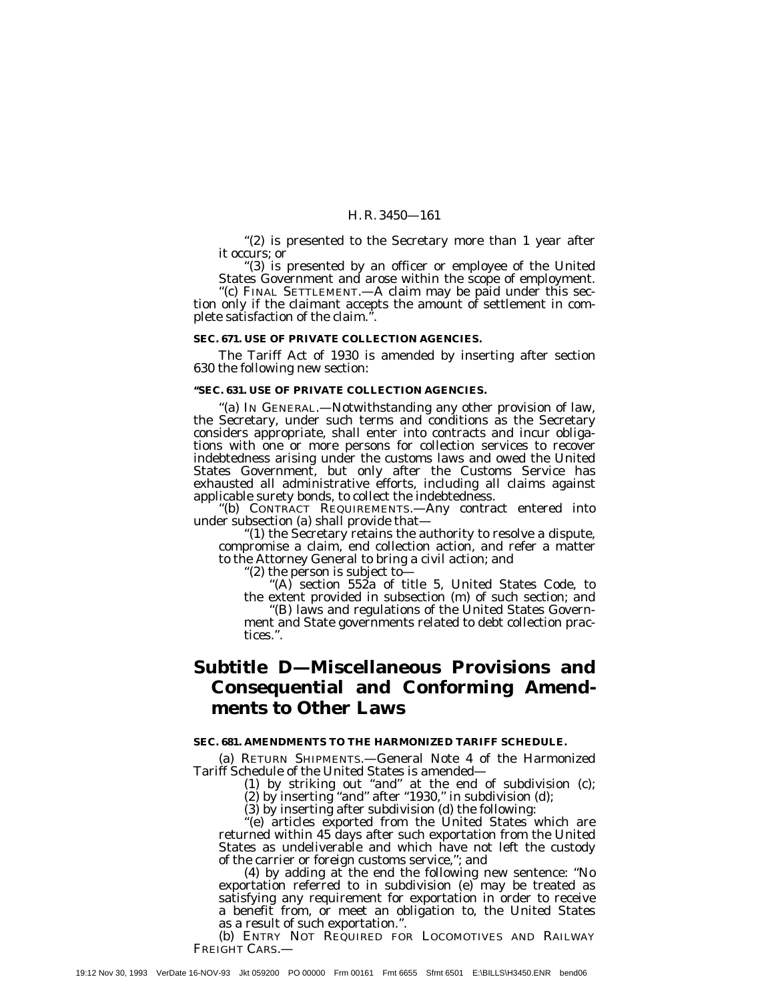"(2) is presented to the Secretary more than 1 year after it occurs; or

''(3) is presented by an officer or employee of the United States Government and arose within the scope of employment.

''(c) FINAL SETTLEMENT.—A claim may be paid under this section only if the claimant accepts the amount of settlement in complete satisfaction of the claim.''.

#### **SEC. 671. USE OF PRIVATE COLLECTION AGENCIES.**

The Tariff Act of 1930 is amended by inserting after section 630 the following new section:

### **''SEC. 631. USE OF PRIVATE COLLECTION AGENCIES.**

''(a) IN GENERAL.—Notwithstanding any other provision of law, the Secretary, under such terms and conditions as the Secretary considers appropriate, shall enter into contracts and incur obligations with one or more persons for collection services to recover indebtedness arising under the customs laws and owed the United States Government, but only after the Customs Service has exhausted all administrative efforts, including all claims against

applicable surety bonds, to collect the indebtedness.<br>''(b) CONTRACT REQUIREMENTS.—Any contract entered into<br>under subsection (a) shall provide that—

''(1) the Secretary retains the authority to resolve a dispute, compromise a claim, end collection action, and refer a matter to the Attorney General to bring a civil action; and ''(2) the person is subject to—<br>''(A) section 552a of title 5, United States Code, to

the extent provided in subsection (m) of such section; and

''(B) laws and regulations of the United States Government and State governments related to debt collection practices.''.

# **Subtitle D—Miscellaneous Provisions and Consequential and Conforming Amendments to Other Laws**

# **SEC. 681. AMENDMENTS TO THE HARMONIZED TARIFF SCHEDULE.**

(a) RETURN SHIPMENTS.—General Note 4 of the Harmonized Tariff Schedule of the United States is amended—

(1) by striking out ''and'' at the end of subdivision (c); (2) by inserting ''and'' after ''1930,'' in subdivision (d);

(3) by inserting after subdivision (d) the following:

''(e) articles exported from the United States which are returned within 45 days after such exportation from the United States as undeliverable and which have not left the custody of the carrier or foreign customs service,''; and

(4) by adding at the end the following new sentence: ''No exportation referred to in subdivision (e) may be treated as satisfying any requirement for exportation in order to receive a benefit from, or meet an obligation to, the United States as a result of such exportation.''.

(b) ENTRY NOT REQUIRED FOR LOCOMOTIVES AND RAILWAY FREIGHT CARS.—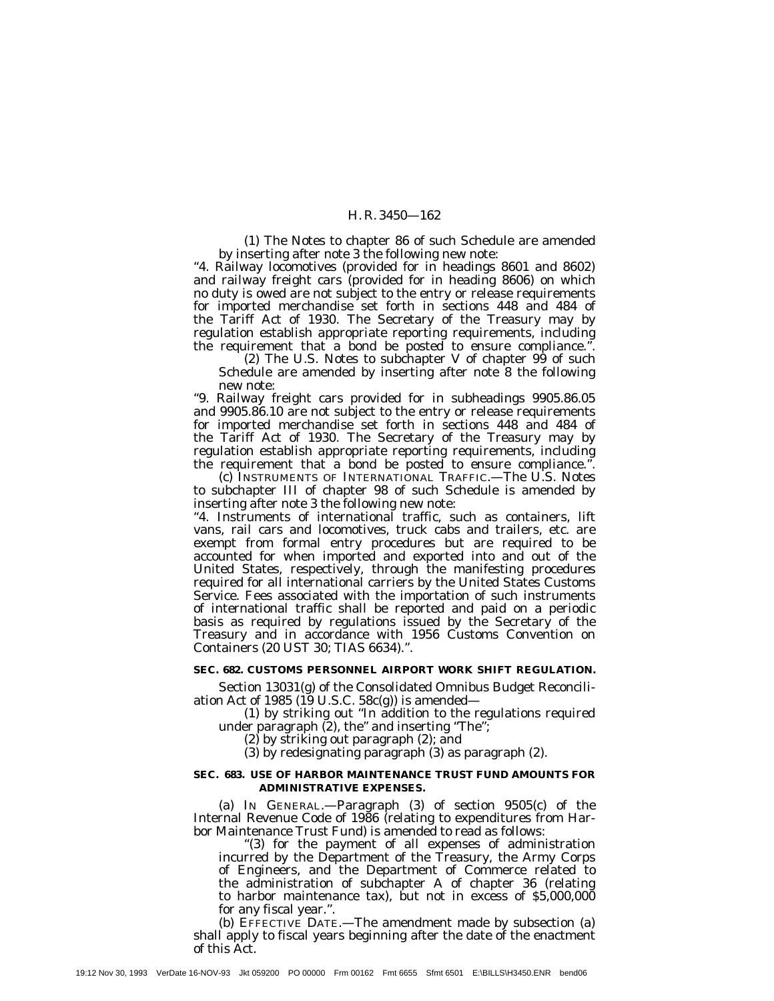(1) The Notes to chapter 86 of such Schedule are amended by inserting after note 3 the following new note:

"4. Railway locomotives (provided for in headings 8601 and 8602) and railway freight cars (provided for in heading 8606) on which no duty is owed are not subject to the entry or release requirements for imported merchandise set forth in sections 448 and 484 of the Tariff Act of 1930. The Secretary of the Treasury may by regulation establish appropriate reporting requirements, including the requirement that a bond be posted to ensure compliance.''.

(2) The U.S. Notes to subchapter V of chapter 99 of such Schedule are amended by inserting after note 8 the following new note:

''9. Railway freight cars provided for in subheadings 9905.86.05 and 9905.86.10 are not subject to the entry or release requirements for imported merchandise set forth in sections 448 and 484 of the Tariff Act of 1930. The Secretary of the Treasury may by regulation establish appropriate reporting requirements, including the requirement that a bond be posted to ensure compliance.''.

(c) INSTRUMENTS OF INTERNATIONAL TRAFFIC.—The U.S. Notes to subchapter III of chapter 98 of such Schedule is amended by inserting after note 3 the following new note:

''4. Instruments of international traffic, such as containers, lift vans, rail cars and locomotives, truck cabs and trailers, etc. are exempt from formal entry procedures but are required to be accounted for when imported and exported into and out of the United States, respectively, through the manifesting procedures required for all international carriers by the United States Customs Service. Fees associated with the importation of such instruments of international traffic shall be reported and paid on a periodic basis as required by regulations issued by the Secretary of the Treasury and in accordance with 1956 Customs Convention on Containers (20 UST 30; TIAS 6634).''.

#### **SEC. 682. CUSTOMS PERSONNEL AIRPORT WORK SHIFT REGULATION.**

Section 13031(g) of the Consolidated Omnibus Budget Reconciliation Act of 1985 (19 U.S.C. 58c(g)) is amended—

(1) by striking out ''In addition to the regulations required under paragraph (2), the'' and inserting ''The'';

(2) by striking out paragraph (2); and

(3) by redesignating paragraph (3) as paragraph (2).

#### **SEC. 683. USE OF HARBOR MAINTENANCE TRUST FUND AMOUNTS FOR ADMINISTRATIVE EXPENSES.**

(a) IN GENERAL.—Paragraph (3) of section 9505(c) of the Internal Revenue Code of 1986 (relating to expenditures from Harbor Maintenance Trust Fund) is amended to read as follows:

''(3) for the payment of all expenses of administration incurred by the Department of the Treasury, the Army Corps of Engineers, and the Department of Commerce related to the administration of subchapter A of chapter 36 (relating to harbor maintenance tax), but not in excess of \$5,000,000 for any fiscal year.''.

(b) EFFECTIVE DATE.—The amendment made by subsection (a) shall apply to fiscal years beginning after the date of the enactment of this Act.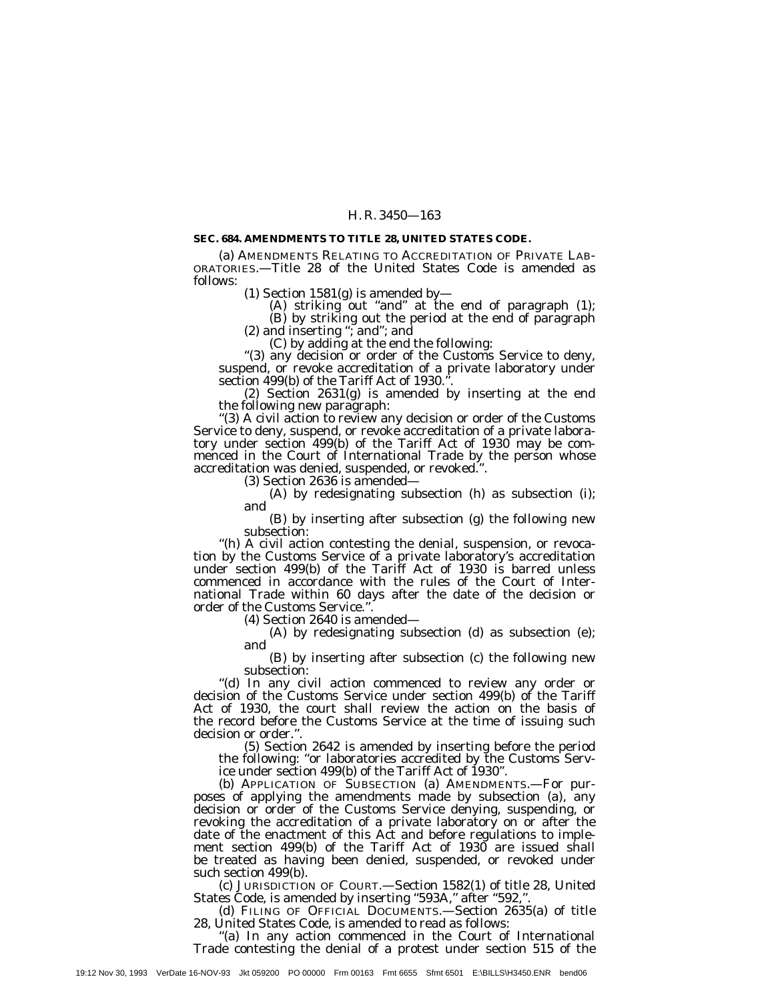#### **SEC. 684. AMENDMENTS TO TITLE 28, UNITED STATES CODE.**

(a) AMENDMENTS RELATING TO ACCREDITATION OF PRIVATE LAB- ORATORIES.—Title 28 of the United States Code is amended as follows:

(1) Section 1581(g) is amended by—<br>(A) striking out "and" at the end of paragraph (1);

(B) by striking out the period at the end of paragraph<br>(2) and inserting "; and"; and<br>(C) by adding at the end the following:<br>"(3) any decision or order of the Customs Service to deny,<br>suspend, or revoke accreditation of a section 499(b) of the Tariff Act of 1930.''.

(2) Section 2631(g) is amended by inserting at the end the following new paragraph:<br>"(3) A civil action to review any decision or order of the Customs

Service to deny, suspend, or revoke accreditation of a private laboratory under section 499(b) of the Tariff Act of 1930 may be commenced in the Court of International Trade by the person whose accreditation was denied, suspended, or revoked.''. (3) Section 2636 is amended—

(A) by redesignating subsection (h) as subsection (i); and

(B) by inserting after subsection (g) the following new subsection:

"(h) A civil action contesting the denial, suspension, or revocation by the Customs Service of a private laboratory's accreditation under section 499(b) of the Tariff Act of 1930 is barred unless commenced in accordance with the rules of the Court of International Trade within 60 days after the date of the decision or order of the Customs Service.''.

(4) Section 2640 is amended—

(A) by redesignating subsection (d) as subsection (e); and

(B) by inserting after subsection (c) the following new subsection:<br>"(d) In any civil action commenced to review any order or

decision of the Customs Service under section 499(b) of the Tariff Act of 1930, the court shall review the action on the basis of the record before the Customs Service at the time of issuing such decision or order.''.

(5) Section 2642 is amended by inserting before the period the following: ''or laboratories accredited by the Customs Service under section 499(b) of the Tariff Act of 1930''.

(b) APPLICATION OF SUBSECTION (a) AMENDMENTS.—For purposes of applying the amendments made by subsection (a), any decision or order of the Customs Service denying, suspending, or revoking the accreditation of a private laboratory on or after the date of the enactment of this Act and before regulations to implement section 499(b) of the Tariff Act of 1930 are issued shall be treated as having been denied, suspended, or revoked under such section 499(b).

(c) JURISDICTION OF COURT.—Section 1582(1) of title 28, United States Code, is amended by inserting "593A," after "592,

(d) FILING OF OFFICIAL DOCUMENTS.—Section 2635(a) of title United States Code, is amended to read as follows:

''(a) In any action commenced in the Court of International Trade contesting the denial of a protest under section 515 of the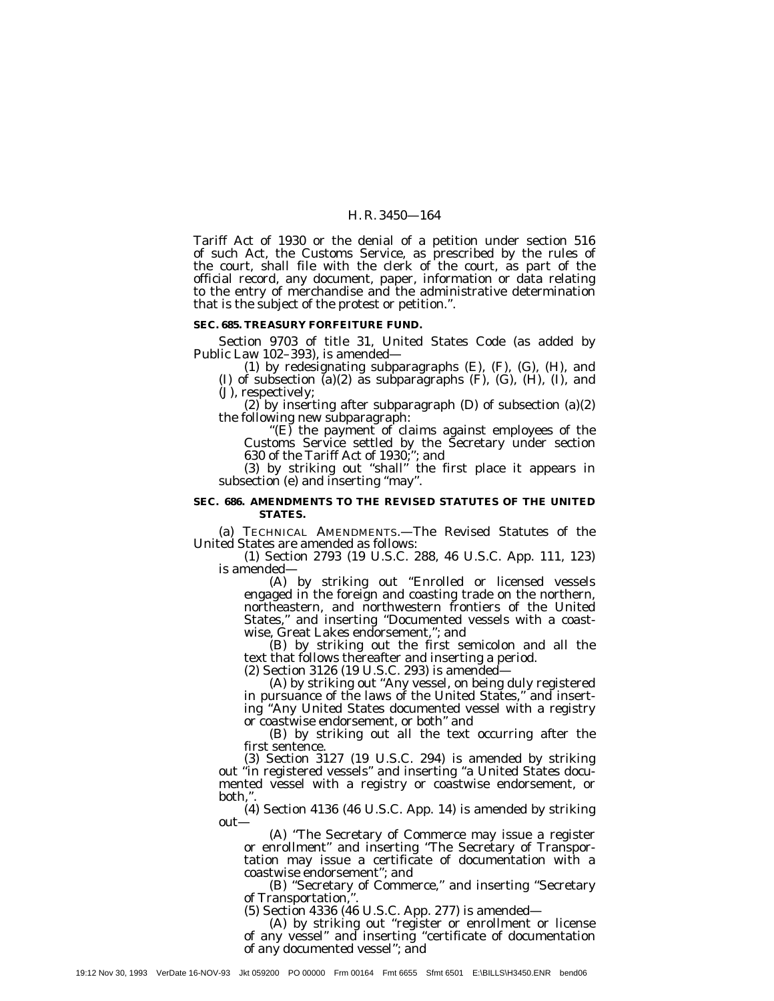Tariff Act of 1930 or the denial of a petition under section 516 of such Act, the Customs Service, as prescribed by the rules of the court, shall file with the clerk of the court, as part of the official record, any document, paper, information or data relating to the entry of merchandise and the administrative determination that is the subject of the protest or petition.''.

#### **SEC. 685. TREASURY FORFEITURE FUND.**

Section 9703 of title 31, United States Code (as added by Public Law 102–393), is amended—

(1) by redesignating subparagraphs (E), (F), (G), (H), and (I) of subsection (a)(2) as subparagraphs (F), (G), (H), (I), and (J), respectively;

 $(2)$  by inserting after subparagraph  $(D)$  of subsection  $(a)(2)$ the following new subparagraph:

"(E) the payment of claims against employees of the Customs Service settled by the Secretary under section 630 of the Tariff Act of 1930;''; and

(3) by striking out ''shall'' the first place it appears in subsection (e) and inserting "may".

#### **SEC. 686. AMENDMENTS TO THE REVISED STATUTES OF THE UNITED STATES.**

(a) TECHNICAL AMENDMENTS.—The Revised Statutes of the United States are amended as follows:

(1) Section 2793 (19 U.S.C. 288, 46 U.S.C. App. 111, 123) is amended—

(A) by striking out ''Enrolled or licensed vessels engaged in the foreign and coasting trade on the northern, northeastern, and northwestern frontiers of the United States,'' and inserting ''Documented vessels with a coastwise, Great Lakes endorsement,''; and

(B) by striking out the first semicolon and all the text that follows thereafter and inserting a period.

(2) Section 3126 (19 U.S.C. 293) is amended—

(A) by striking out ''Any vessel, on being duly registered in pursuance of the laws of the United States,'' and inserting ''Any United States documented vessel with a registry or coastwise endorsement, or both'' and

(B) by striking out all the text occurring after the first sentence.

(3) Section 3127 (19 U.S.C. 294) is amended by striking out ''in registered vessels'' and inserting ''a United States documented vessel with a registry or coastwise endorsement, or both,

(4) Section 4136 (46 U.S.C. App. 14) is amended by striking out—

(A) ''The Secretary of Commerce may issue a register or enrollment'' and inserting ''The Secretary of Transportation may issue a certificate of documentation with a coastwise endorsement''; and

(B) ''Secretary of Commerce,'' and inserting ''Secretary of Transportation,

(5) Section 4336 (46 U.S.C. App. 277) is amended—

(A) by striking out ''register or enrollment or license of any vessel'' and inserting ''certificate of documentation of any documented vessel''; and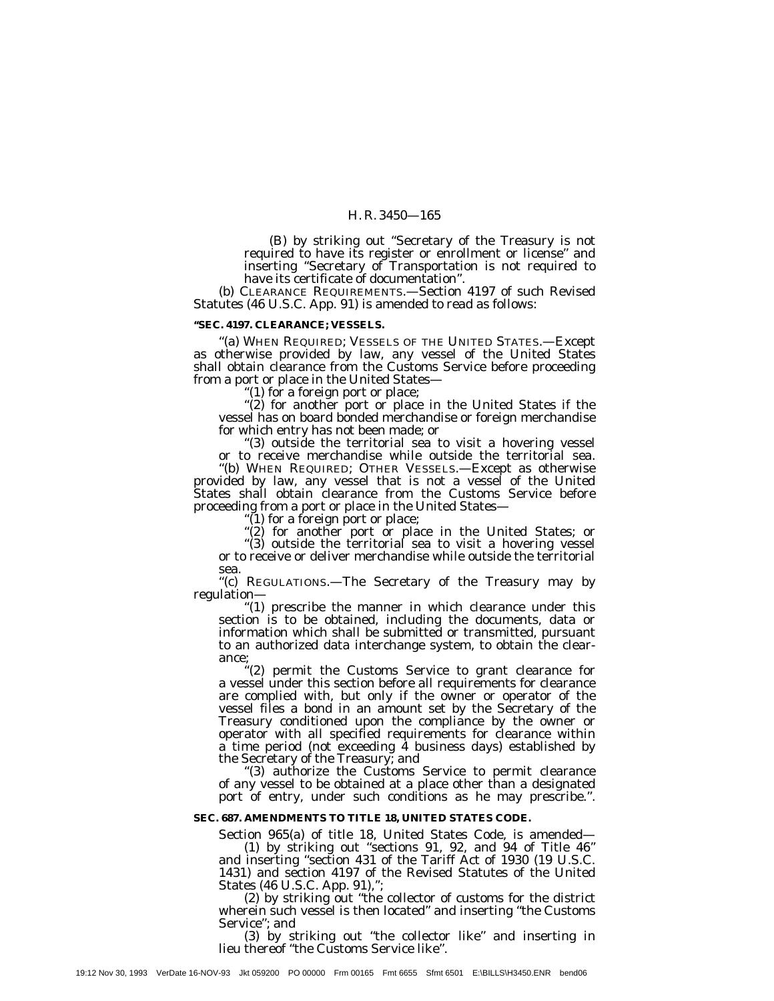(B) by striking out ''Secretary of the Treasury is not required to have its register or enrollment or license'' and inserting ''Secretary of Transportation is not required to have its certificate of documentation''.

(b) CLEARANCE REQUIREMENTS.—Section 4197 of such Revised Statutes (46 U.S.C. App. 91) is amended to read as follows:

#### **''SEC. 4197. CLEARANCE; VESSELS.**

''(a) WHEN REQUIRED; VESSELS OF THE UNITED STATES.—Except as otherwise provided by law, any vessel of the United States shall obtain clearance from the Customs Service before proceeding from a port or place in the United States—

 $(1)$  for a foreign port or place;

"(2) for another port or place in the United States if the vessel has on board bonded merchandise or foreign merchandise for which entry has not been made; or

''(3) outside the territorial sea to visit a hovering vessel or to receive merchandise while outside the territorial sea.

''(b) WHEN REQUIRED; OTHER VESSELS.—Except as otherwise provided by law, any vessel that is not a vessel of the United States shall obtain clearance from the Customs Service before proceeding from a port or place in the United States—

''(1) for a foreign port or place;

(1) for a foreign port or place,<br>"(2) for another port or place in the United States; or

"(3) outside the territorial sea to visit a hovering vessel or to receive or deliver merchandise while outside the territorial sea.

''(c) REGULATIONS.—The Secretary of the Treasury may by

 $r(1)$  prescribe the manner in which clearance under this section is to be obtained, including the documents, data or information which shall be submitted or transmitted, pursuant to an authorized data interchange system, to obtain the clearance;

''(2) permit the Customs Service to grant clearance for a vessel under this section before all requirements for clearance are complied with, but only if the owner or operator of the vessel files a bond in an amount set by the Secretary of the Treasury conditioned upon the compliance by the owner or operator with all specified requirements for clearance within a time period (not exceeding 4 business days) established by the Secretary of the Treasury; and ''(3) authorize the Customs Service to permit clearance

of any vessel to be obtained at a place other than a designated port of entry, under such conditions as he may prescribe.".

#### **SEC. 687. AMENDMENTS TO TITLE 18, UNITED STATES CODE.**

Section 965(a) of title 18, United States Code, is amended— (1) by striking out ''sections 91, 92, and 94 of Title 46'' and inserting ''section 431 of the Tariff Act of 1930 (19 U.S.C. 1431) and section 4197 of the Revised Statutes of the United

States (46 U.S.C. App. 91),''; (2) by striking out ''the collector of customs for the district wherein such vessel is then located'' and inserting ''the Customs

Service''; and (3) by striking out ''the collector like'' and inserting in lieu thereof ''the Customs Service like''.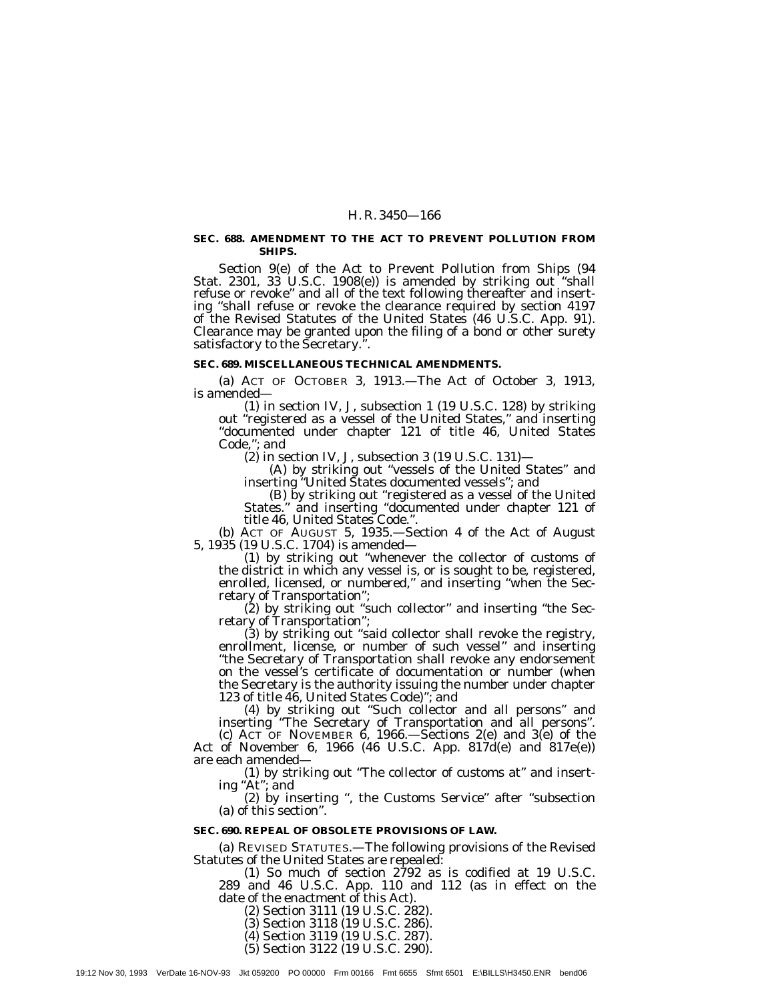#### **SEC. 688. AMENDMENT TO THE ACT TO PREVENT POLLUTION FROM SHIPS.**

Section 9(e) of the Act to Prevent Pollution from Ships (94 Stat. 2301, 33 U.S.C. 1908(e)) is amended by striking out ''shall refuse or revoke'' and all of the text following thereafter and inserting ''shall refuse or revoke the clearance required by section 4197 of the Revised Statutes of the United States (46 U.S.C. App. 91). Clearance may be granted upon the filing of a bond or other surety satisfactory to the Secretary.''.

#### **SEC. 689. MISCELLANEOUS TECHNICAL AMENDMENTS.**

(a) ACT OF OCTOBER 3, 1913.—The Act of October 3, 1913, is amended—

(1) in section IV, J, subsection 1 (19 U.S.C. 128) by striking out ''registered as a vessel of the United States,'' and inserting ''documented under chapter 121 of title 46, United States Code,''; and

(2) in section IV, J, subsection 3 (19 U.S.C. 131)—

(A) by striking out ''vessels of the United States'' and inserting ''United States documented vessels''; and

(B) by striking out ''registered as a vessel of the United States.'' and inserting ''documented under chapter 121 of title 46, United States Code.''.

(b) ACT OF AUGUST 5, 1935.—Section 4 of the Act of August 5, 1935 (19 U.S.C. 1704) is amended—

(1) by striking out ''whenever the collector of customs of the district in which any vessel is, or is sought to be, registered, enrolled, licensed, or numbered,'' and inserting ''when the Secretary of Transportation'';

(2) by striking out ''such collector'' and inserting ''the Secretary of Transportation'';

(3) by striking out ''said collector shall revoke the registry, enrollment, license, or number of such vessel'' and inserting ''the Secretary of Transportation shall revoke any endorsement on the vessel's certificate of documentation or number (when the Secretary is the authority issuing the number under chapter 123 of title 46, United States Code)''; and

(4) by striking out ''Such collector and all persons'' and inserting ''The Secretary of Transportation and all persons''.

(c) ACT OF NOVEMBER  $\dot{6}$ , 1966.—Sections 2(e) and 3(e) of the Act of November 6, 1966 (46 U.S.C. App. 817d(e) and 817e(e)) are each amended—

(1) by striking out ''The collector of customs at'' and inserting "At"; and

(2) by inserting '', the Customs Service'' after ''subsection (a) of this section''.

#### **SEC. 690. REPEAL OF OBSOLETE PROVISIONS OF LAW.**

(a) REVISED STATUTES.—The following provisions of the Revised Statutes of the United States are repealed:

(1) So much of section 2792 as is codified at 19 U.S.C. 289 and 46 U.S.C. App. 110 and 112 (as in effect on the date of the enactment of this Act).

(2) Section 3111 (19 U.S.C. 282).

(3) Section 3118 (19 U.S.C. 286).

(4) Section 3119 (19 U.S.C. 287).

(5) Section 3122 (19 U.S.C. 290).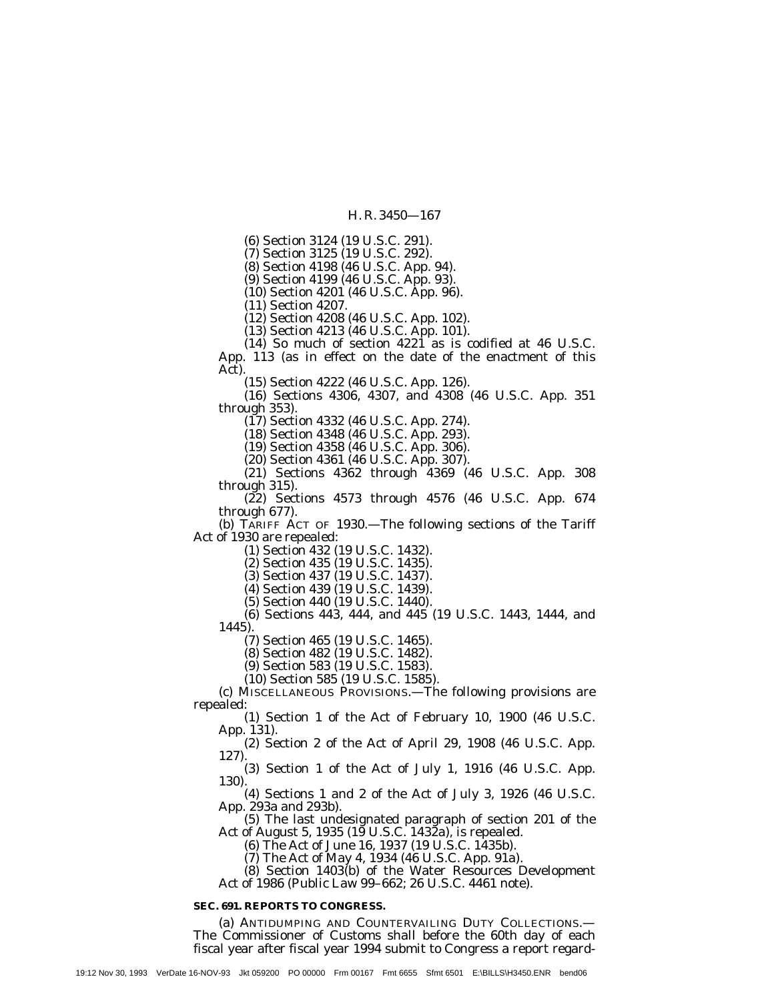(6) Section 3124 (19 U.S.C. 291).

(7) Section 3125 (19 U.S.C. 292).

(8) Section 4198 (46 U.S.C. App. 94).

(9) Section 4199 (46 U.S.C. App. 93).

(10) Section 4201 (46 U.S.C. App. 96).

(11) Section 4207.

(12) Section 4208 (46 U.S.C. App. 102).

(13) Section 4213 (46 U.S.C. App. 101).

(14) So much of section 4221 as is codified at 46 U.S.C. App. 113 (as in effect on the date of the enactment of this Act).

(15) Section 4222 (46 U.S.C. App. 126).

(16) Sections 4306, 4307, and 4308 (46 U.S.C. App. 351 through 353).

(17) Section 4332 (46 U.S.C. App. 274).

(18) Section 4348 (46 U.S.C. App. 293).

(19) Section 4358 (46 U.S.C. App. 306).

(20) Section 4361 (46 U.S.C. App. 307).

(21) Sections 4362 through 4369 (46 U.S.C. App. 308 through 315).

(22) Sections 4573 through 4576 (46 U.S.C. App. 674 through 677).

(b) TARIFF ACT OF 1930.—The following sections of the Tariff Act of 1930 are repealed:

(1) Section 432 (19 U.S.C. 1432).

(2) Section 435 (19 U.S.C. 1435).

(3) Section 437 (19 U.S.C. 1437).

(4) Section 439 (19 U.S.C. 1439).

(5) Section 440 (19 U.S.C. 1440).

(6) Sections 443, 444, and 445 (19 U.S.C. 1443, 1444, and 1445).

(7) Section 465 (19 U.S.C. 1465).

(8) Section 482 (19 U.S.C. 1482).

(9) Section 583 (19 U.S.C. 1583).

(10) Section 585 (19 U.S.C. 1585).

(c) MISCELLANEOUS PROVISIONS.—The following provisions are repealed:

(1) Section 1 of the Act of February 10, 1900 (46 U.S.C. App. 131).

(2) Section 2 of the Act of April 29, 1908 (46 U.S.C. App. 127).

(3) Section 1 of the Act of July 1, 1916 (46 U.S.C. App. 130).

(4) Sections 1 and 2 of the Act of July 3, 1926 (46 U.S.C. App. 293a and 293b).

(5) The last undesignated paragraph of section 201 of the Act of August 5, 1935 (19 U.S.C. 1432a), is repealed.

(6) The Act of June 16, 1937 (19 U.S.C. 1435b).

(7) The Act of May 4, 1934 (46 U.S.C. App. 91a).

(8) Section 1403(b) of the Water Resources Development

Act of 1986 (Public Law 99–662; 26 U.S.C. 4461 note).

#### **SEC. 691. REPORTS TO CONGRESS.**

(a) ANTIDUMPING AND COUNTERVAILING DUTY COLLECTIONS.— The Commissioner of Customs shall before the 60th day of each fiscal year after fiscal year 1994 submit to Congress a report regard-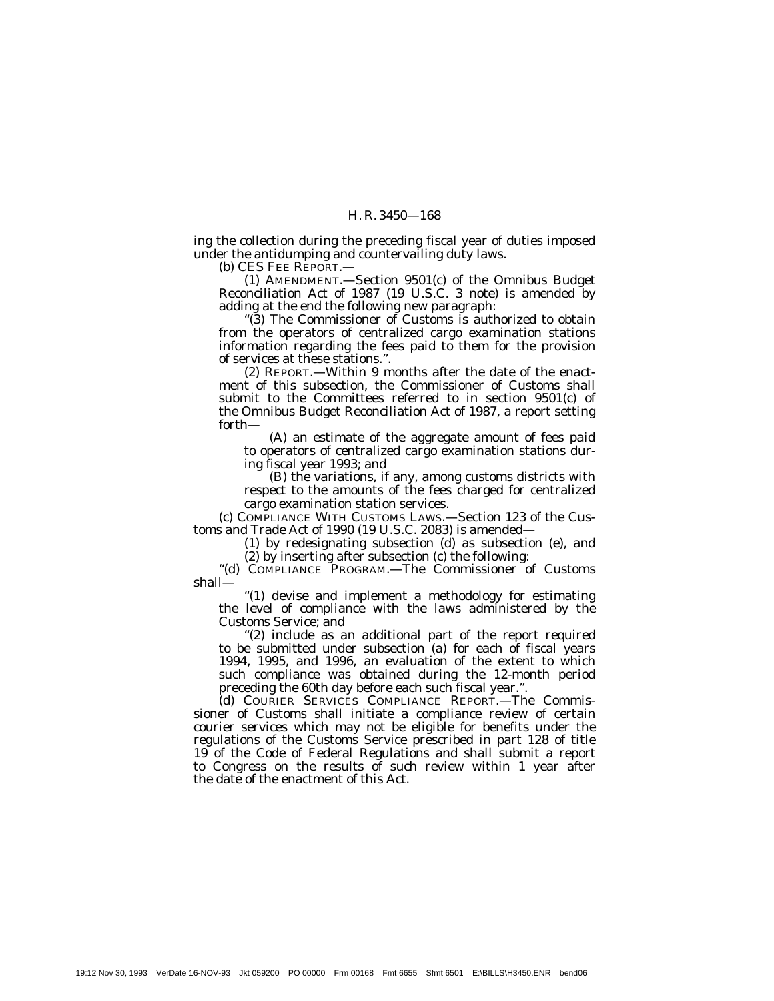ing the collection during the preceding fiscal year of duties imposed under the antidumping and countervailing duty laws.

(b) CES FEE REPORT.—

(1) AMENDMENT.—Section 9501(c) of the Omnibus Budget Reconciliation Act of 1987 (19 U.S.C. 3 note) is amended by adding at the end the following new paragraph:

''(3) The Commissioner of Customs is authorized to obtain from the operators of centralized cargo examination stations information regarding the fees paid to them for the provision of services at these stations.''.

(2) REPORT.—Within 9 months after the date of the enactment of this subsection, the Commissioner of Customs shall submit to the Committees referred to in section 9501(c) of the Omnibus Budget Reconciliation Act of 1987, a report setting forth—

(A) an estimate of the aggregate amount of fees paid to operators of centralized cargo examination stations during fiscal year 1993; and

(B) the variations, if any, among customs districts with respect to the amounts of the fees charged for centralized cargo examination station services.

(c) COMPLIANCE WITH CUSTOMS LAWS.—Section 123 of the Customs and Trade Act of 1990 (19 U.S.C. 2083) is amended—

(1) by redesignating subsection (d) as subsection (e), and

(2) by inserting after subsection (c) the following:

"(d) COMPLIANCE PROGRAM.—The Commissioner of Customs shall—

''(1) devise and implement a methodology for estimating the level of compliance with the laws administered by the Customs Service; and

"(2) include as an additional part of the report required to be submitted under subsection (a) for each of fiscal years 1994, 1995, and 1996, an evaluation of the extent to which such compliance was obtained during the 12-month period preceding the 60th day before each such fiscal year.''.

(d) COURIER SERVICES COMPLIANCE REPORT.—The Commissioner of Customs shall initiate a compliance review of certain courier services which may not be eligible for benefits under the regulations of the Customs Service prescribed in part 128 of title 19 of the Code of Federal Regulations and shall submit a report to Congress on the results of such review within 1 year after the date of the enactment of this Act.